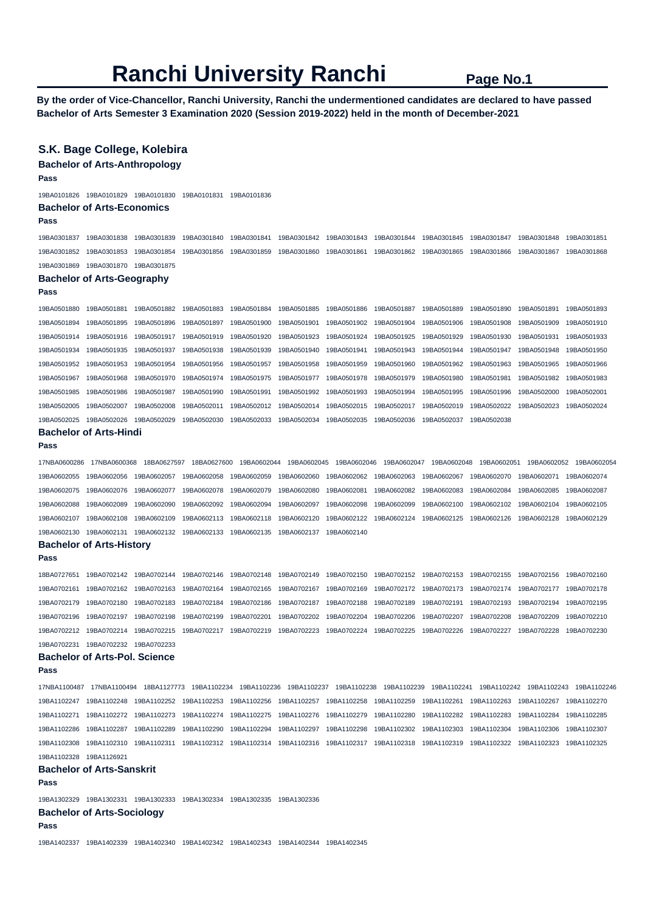**By the order of Vice-Chancellor, Ranchi University, Ranchi the undermentioned candidates are declared to have passed Bachelor of Arts Semester 3 Examination 2020 (Session 2019-2022) held in the month of December-2021** 

## **S.K. Bage College, Kolebira Bachelor of Arts-Anthropology Pass**  19BA0101826 19BA0101829 19BA0101830 19BA0101831 19BA0101836 **Bachelor of Arts-Economics Pass**  19BA0301837 19BA0301838 19BA0301839 19BA0301840 19BA0301841 19BA0301842 19BA0301843 19BA0301844 19BA0301845 19BA0301847 19BA0301848 19BA0301851 19BA0301852 19BA0301853 19BA0301854 19BA0301856 19BA0301859 19BA0301860 19BA0301861 19BA0301862 19BA0301865 19BA0301866 19BA0301867 19BA0301868 19BA0301869 19BA0301870 19BA0301875 **Bachelor of Arts-Geography Pass**  19BA0501880 19BA0501881 19BA0501882 19BA0501883 19BA0501884 19BA0501885 19BA0501886 19BA0501887 19BA0501889 19BA0501890 19BA0501891 19BA0501893 19BA0501894 19BA0501895 19BA0501896 19BA0501897 19BA0501900 19BA0501901 19BA0501902 19BA0501904 19BA0501906 19BA0501908 19BA0501909 19BA0501910 19BA0501914 19BA0501916 19BA0501917 19BA0501919 19BA0501920 19BA0501923 19BA0501924 19BA0501925 19BA0501929 19BA0501930 19BA0501931 19BA0501933 19BA0501934 19BA0501935 19BA0501937 19BA0501938 19BA0501939 19BA0501940 19BA0501941 19BA0501943 19BA0501944 19BA0501947 19BA0501948 19BA0501950 19BA0501952 19BA0501953 19BA0501954 19BA0501956 19BA0501957 19BA0501958 19BA0501959 19BA0501960 19BA0501962 19BA0501963 19BA0501965 19BA0501966 19BA0501967 19BA0501968 19BA0501970 19BA0501974 19BA0501975 19BA0501977 19BA0501978 19BA0501979 19BA0501980 19BA0501981 19BA0501982 19BA0501983 19BA0501985 19BA0501986 19BA0501987 19BA0501990 19BA0501991 19BA0501992 19BA0501993 19BA0501994 19BA0501995 19BA0501996 19BA0502000 19BA0502001 19BA0502005 19BA0502007 19BA0502008 19BA0502011 19BA0502012 19BA0502014 19BA0502015 19BA0502017 19BA0502019 19BA0502022 19BA0502023 19BA0502024 19BA0502025 19BA0502026 19BA0502029 19BA0502030 19BA0502033 19BA0502034 19BA0502035 19BA0502036 19BA0502037 19BA0502038 **Bachelor of Arts-Hindi Pass**  17NBA0600286 17NBA0600368 18BA0627597 18BA0627600 19BA0602044 19BA0602045 19BA0602046 19BA0602047 19BA0602048 19BA0602051 19BA0602052 19BA0602054 19BA0602055 19BA0602056 19BA0602057 19BA0602058 19BA0602059 19BA0602060 19BA0602062 19BA0602063 19BA0602067 19BA0602070 19BA0602071 19BA0602074 19BA0602075 19BA0602076 19BA0602077 19BA0602078 19BA0602079 19BA0602080 19BA0602081 19BA0602082 19BA0602083 19BA0602084 19BA0602085 19BA0602087 19BA0602088 19BA0602089 19BA0602090 19BA0602092 19BA0602094 19BA0602097 19BA0602098 19BA0602099 19BA0602100 19BA0602102 19BA0602104 19BA0602105 19BA0602107 19BA0602108 19BA0602109 19BA0602113 19BA0602118 19BA0602120 19BA0602122 19BA0602124 19BA0602125 19BA0602126 19BA0602128 19BA0602129 19BA0602130 19BA0602131 19BA0602132 19BA0602133 19BA0602135 19BA0602137 19BA0602140 **Bachelor of Arts-History Pass**  18BA0727651 19BA0702142 19BA0702144 19BA0702146 19BA0702148 19BA0702149 19BA0702150 19BA0702152 19BA0702153 19BA0702155 19BA0702156 19BA0702160 19BA0702161 19BA0702162 19BA0702163 19BA0702164 19BA0702165 19BA0702167 19BA0702169 19BA0702172 19BA0702173 19BA0702174 19BA0702177 19BA0702178 19BA0702179 19BA0702180 19BA0702183 19BA0702184 19BA0702186 19BA0702187 19BA0702188 19BA0702189 19BA0702191 19BA0702193 19BA0702194 19BA0702195 19BA0702196 19BA0702197 19BA0702198 19BA0702199 19BA0702201 19BA0702202 19BA0702204 19BA0702206 19BA0702207 19BA0702208 19BA0702209 19BA0702210 19BA0702212 19BA0702214 19BA0702215 19BA0702217 19BA0702219 19BA0702223 19BA0702224 19BA0702225 19BA0702226 19BA0702227 19BA0702228 19BA0702230 19BA0702231 19BA0702232 19BA0702233 **Bachelor of Arts-Pol. Science Pass**  17NBA1100487 17NBA1100494 18BA1127773 19BA1102234 19BA1102236 19BA1102237 19BA1102238 19BA1102239 19BA1102241 19BA1102242 19BA1102243 19BA1102246 19BA1102247 19BA1102248 19BA1102252 19BA1102253 19BA1102256 19BA1102257 19BA1102258 19BA1102259 19BA1102261 19BA1102263 19BA1102267 19BA1102270 19BA1102271 19BA1102272 19BA1102273 19BA1102274 19BA1102275 19BA1102276 19BA1102279 19BA1102280 19BA1102282 19BA1102283 19BA1102284 19BA1102285 19BA1102286 19BA1102287 19BA1102289 19BA1102290 19BA1102294 19BA1102297 19BA1102298 19BA1102302 19BA1102303 19BA1102304 19BA1102306 19BA1102307 19BA1102308 19BA1102310 19BA1102311 19BA1102312 19BA1102314 19BA1102316 19BA1102317 19BA1102318 19BA1102319 19BA1102322 19BA1102323 19BA1102325 19BA1102328 19BA1126921 **Bachelor of Arts-Sanskrit Pass**  19BA1302329 19BA1302331 19BA1302333 19BA1302334 19BA1302335 19BA1302336 **Bachelor of Arts-Sociology Pass**  19BA1402337 19BA1402339 19BA1402340 19BA1402342 19BA1402343 19BA1402344 19BA1402345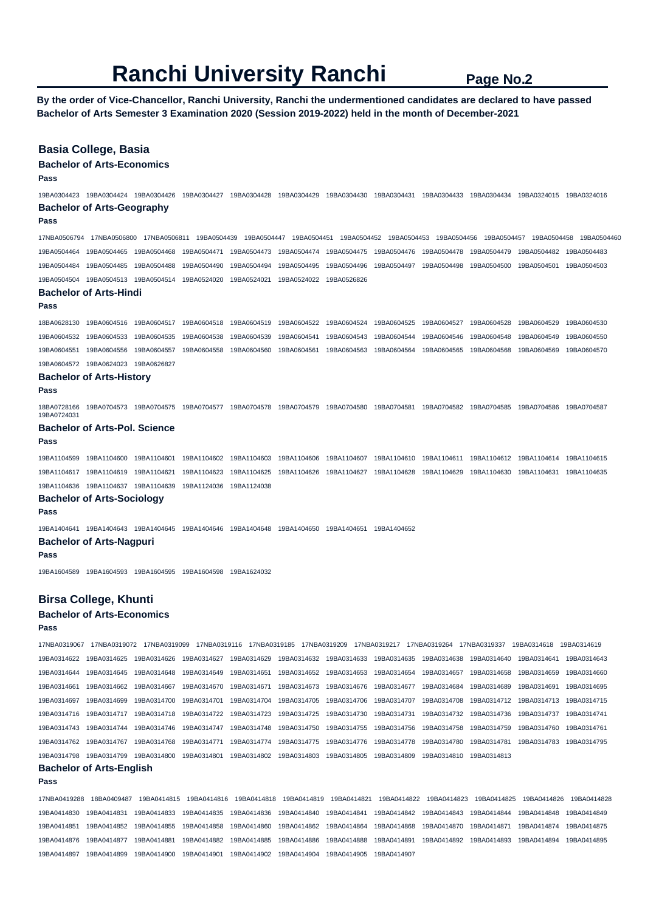**By the order of Vice-Chancellor, Ranchi University, Ranchi the undermentioned candidates are declared to have passed Bachelor of Arts Semester 3 Examination 2020 (Session 2019-2022) held in the month of December-2021** 

### **Basia College, Basia**

### **Bachelor of Arts-Economics**

**Pass** 

19BA0304423 19BA0304424 19BA0304426 19BA0304427 19BA0304428 19BA0304429 19BA0304430 19BA0304431 19BA0304433 19BA0304434 19BA0324015 19BA0324016 **Bachelor of Arts-Geography** 

#### **Pass**

17NBA0506794 17NBA0506800 17NBA0506811 19BA0504439 19BA0504447 19BA0504451 19BA0504452 19BA0504453 19BA0504456 19BA0504457 19BA0504458 19BA0504460 19BA0504464 19BA0504465 19BA0504468 19BA0504471 19BA0504473 19BA0504474 19BA0504475 19BA0504476 19BA0504478 19BA0504479 19BA0504482 19BA0504483 19BA0504484 19BA0504485 19BA0504488 19BA0504490 19BA0504494 19BA0504495 19BA0504496 19BA0504497 19BA0504498 19BA0504500 19BA0504501 19BA0504503 19BA0504504 19BA0504513 19BA0504514 19BA0524020 19BA0524021 19BA0524022 19BA0526826

## **Bachelor of Arts-Hindi**

#### **Pass**

18BA0628130 19BA0604516 19BA0604517 19BA0604518 19BA0604519 19BA0604522 19BA0604524 19BA0604525 19BA0604527 19BA0604528 19BA0604529 19BA0604530 19BA0604532 19BA0604533 19BA0604535 19BA0604538 19BA0604539 19BA0604541 19BA0604543 19BA0604544 19BA0604546 19BA0604548 19BA0604549 19BA0604550 19BA0604551 19BA0604556 19BA0604557 19BA0604558 19BA0604560 19BA0604561 19BA0604563 19BA0604564 19BA0604565 19BA0604568 19BA0604569 19BA0604570 19BA0604572 19BA0624023 19BA0626827

### **Bachelor of Arts-History**

#### **Pass**

19BA0724031

18BA0728166 19BA0704573 19BA0704575 19BA0704577 19BA0704578 19BA0704579 19BA0704580 19BA0704581 19BA0704582 19BA0704585 19BA0704586 19BA0704587

#### **Bachelor of Arts-Pol. Science**

**Pass** 

19BA1104599 19BA1104600 19BA1104601 19BA1104602 19BA1104603 19BA1104606 19BA1104607 19BA1104610 19BA1104611 19BA1104612 19BA1104614 19BA1104615 19BA1104617 19BA1104619 19BA1104621 19BA1104623 19BA1104625 19BA1104626 19BA1104627 19BA1104628 19BA1104629 19BA1104630 19BA1104631 19BA1104635 19BA1104636 19BA1104637 19BA1104639 19BA1124036 19BA1124038

## **Bachelor of Arts-Sociology**

**Pass** 

19BA1404641 19BA1404643 19BA1404645 19BA1404646 19BA1404648 19BA1404650 19BA1404651 19BA1404652

#### **Bachelor of Arts-Nagpuri**

**Pass** 

19BA1604589 19BA1604593 19BA1604595 19BA1604598 19BA1624032

## **Birsa College, Khunti**

## **Bachelor of Arts-Economics**

**Pass** 

17NBA0319067 17NBA0319072 17NBA0319099 17NBA0319116 17NBA0319185 17NBA0319209 17NBA0319217 17NBA0319264 17NBA0319337 19BA0314618 19BA0314619 19BA0314622 19BA0314625 19BA0314626 19BA0314627 19BA0314629 19BA0314632 19BA0314633 19BA0314635 19BA0314638 19BA0314640 19BA0314641 19BA0314643 19BA0314644 19BA0314645 19BA0314648 19BA0314649 19BA0314651 19BA0314652 19BA0314653 19BA0314654 19BA0314657 19BA0314658 19BA0314659 19BA0314660 19BA0314661 19BA0314662 19BA0314667 19BA0314670 19BA0314671 19BA0314673 19BA0314676 19BA0314677 19BA0314684 19BA0314689 19BA0314691 19BA0314695 19BA0314697 19BA0314699 19BA0314700 19BA0314701 19BA0314704 19BA0314705 19BA0314706 19BA0314707 19BA0314708 19BA0314712 19BA0314713 19BA0314715 19BA0314716 19BA0314717 19BA0314718 19BA0314722 19BA0314723 19BA0314725 19BA0314730 19BA0314731 19BA0314732 19BA0314736 19BA0314737 19BA0314741 19BA0314743 19BA0314744 19BA0314746 19BA0314747 19BA0314748 19BA0314750 19BA0314755 19BA0314756 19BA0314758 19BA0314759 19BA0314760 19BA0314761 19BA0314762 19BA0314767 19BA0314768 19BA0314771 19BA0314774 19BA0314775 19BA0314776 19BA0314778 19BA0314780 19BA0314781 19BA0314783 19BA0314795 19BA0314798 19BA0314799 19BA0314800 19BA0314801 19BA0314802 19BA0314803 19BA0314805 19BA0314809 19BA0314810 19BA0314813

#### **Bachelor of Arts-English**

**Pass** 

17NBA0419288 18BA0409487 19BA0414815 19BA0414816 19BA0414818 19BA0414819 19BA0414821 19BA0414822 19BA0414823 19BA0414825 19BA0414826 19BA0414828 19BA0414830 19BA0414831 19BA0414833 19BA0414835 19BA0414836 19BA0414840 19BA0414841 19BA0414842 19BA0414843 19BA0414844 19BA0414848 19BA0414849 19BA0414851 19BA0414852 19BA0414855 19BA0414858 19BA0414860 19BA0414862 19BA0414864 19BA0414868 19BA0414870 19BA0414871 19BA0414874 19BA0414875 19BA0414876 19BA0414877 19BA0414881 19BA0414882 19BA0414885 19BA0414886 19BA0414888 19BA0414891 19BA0414892 19BA0414893 19BA0414894 19BA0414895 19BA0414897 19BA0414899 19BA0414900 19BA0414901 19BA0414902 19BA0414904 19BA0414905 19BA0414907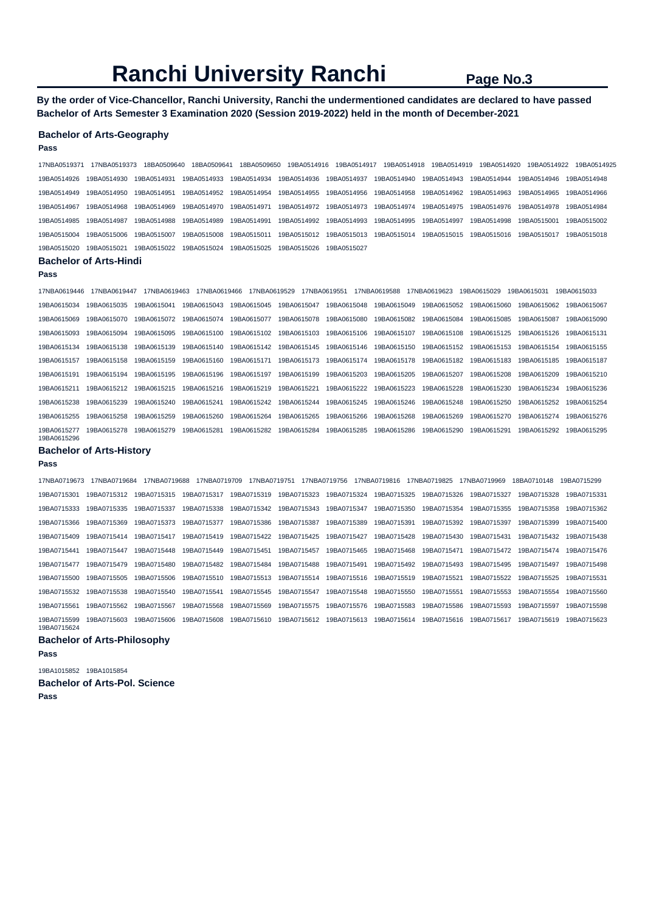**By the order of Vice-Chancellor, Ranchi University, Ranchi the undermentioned candidates are declared to have passed Bachelor of Arts Semester 3 Examination 2020 (Session 2019-2022) held in the month of December-2021** 

#### **Bachelor of Arts-Geography**

#### **Pass**

17NBA0519371 17NBA0519373 18BA0509640 18BA0509641 18BA0509650 19BA0514916 19BA0514917 19BA0514918 19BA0514919 19BA0514920 19BA0514922 19BA0514925 19BA0514926 19BA0514930 19BA0514931 19BA0514933 19BA0514934 19BA0514936 19BA0514937 19BA0514940 19BA0514943 19BA0514944 19BA0514946 19BA0514948 19BA0514949 19BA0514950 19BA0514951 19BA0514952 19BA0514954 19BA0514955 19BA0514956 19BA0514958 19BA0514962 19BA0514963 19BA0514965 19BA0514966 19BA0514967 19BA0514968 19BA0514969 19BA0514970 19BA0514971 19BA0514972 19BA0514973 19BA0514974 19BA0514975 19BA0514976 19BA0514978 19BA0514984 19BA0514985 19BA0514987 19BA0514988 19BA0514989 19BA0514991 19BA0514992 19BA0514993 19BA0514995 19BA0514997 19BA0514998 19BA0515001 19BA0515002 19BA0515004 19BA0515006 19BA0515007 19BA0515008 19BA0515011 19BA0515012 19BA0515013 19BA0515014 19BA0515015 19BA0515016 19BA0515017 19BA0515018 19BA0515020 19BA0515021 19BA0515022 19BA0515024 19BA0515025 19BA0515026 19BA0515027

#### **Bachelor of Arts-Hindi**

#### **Pass**

17NBA0619446 17NBA0619447 17NBA0619463 17NBA0619466 17NBA0619529 17NBA0619551 17NBA0619588 17NBA0619623 19BA0615029 19BA0615031 19BA0615033 19BA0615034 19BA0615035 19BA0615041 19BA0615043 19BA0615045 19BA0615047 19BA0615048 19BA0615049 19BA0615052 19BA0615060 19BA0615062 19BA0615067 19BA0615069 19BA0615070 19BA0615072 19BA0615074 19BA0615077 19BA0615078 19BA0615080 19BA0615082 19BA0615084 19BA0615085 19BA0615087 19BA0615090 19BA0615093 19BA0615094 19BA0615095 19BA0615100 19BA0615102 19BA0615103 19BA0615106 19BA0615107 19BA0615108 19BA0615125 19BA0615126 19BA0615131 19BA0615134 19BA0615138 19BA0615139 19BA0615140 19BA0615142 19BA0615145 19BA0615146 19BA0615150 19BA0615152 19BA0615153 19BA0615154 19BA0615155 19BA0615157 19BA0615158 19BA0615159 19BA0615160 19BA0615171 19BA0615173 19BA0615174 19BA0615178 19BA0615182 19BA0615183 19BA0615185 19BA0615187 19BA0615191 19BA0615194 19BA0615195 19BA0615196 19BA0615197 19BA0615199 19BA0615203 19BA0615205 19BA0615207 19BA0615208 19BA0615209 19BA0615210 19BA0615211 19BA0615212 19BA0615215 19BA0615216 19BA0615219 19BA0615221 19BA0615222 19BA0615223 19BA0615228 19BA0615230 19BA0615234 19BA0615236 19BA0615238 19BA0615239 19BA0615240 19BA0615241 19BA0615242 19BA0615244 19BA0615245 19BA0615246 19BA0615248 19BA0615250 19BA0615252 19BA0615254 19BA0615255 19BA0615258 19BA0615259 19BA0615260 19BA0615264 19BA0615265 19BA0615266 19BA0615268 19BA0615269 19BA0615270 19BA0615274 19BA0615276 19BA0615277 19BA0615278 19BA0615279 19BA0615281 19BA0615282 19BA0615284 19BA0615285 19BA0615286 19BA0615290 19BA0615291 19BA0615292 19BA0615295 19BA0615296

#### **Bachelor of Arts-History**

#### **Pass**

17NBA0719673 17NBA0719684 17NBA0719688 17NBA0719709 17NBA0719751 17NBA0719756 17NBA0719816 17NBA0719825 17NBA0719969 18BA0710148 19BA0715299 19BA0715301 19BA0715312 19BA0715315 19BA0715317 19BA0715319 19BA0715323 19BA0715324 19BA0715325 19BA0715326 19BA0715327 19BA0715328 19BA0715331 19BA0715333 19BA0715335 19BA0715337 19BA0715338 19BA0715342 19BA0715343 19BA0715347 19BA0715350 19BA0715354 19BA0715355 19BA0715358 19BA0715362 19BA0715366 19BA0715369 19BA0715373 19BA0715377 19BA0715386 19BA0715387 19BA0715389 19BA0715391 19BA0715392 19BA0715397 19BA0715399 19BA0715400 19BA0715409 19BA0715414 19BA0715417 19BA0715419 19BA0715422 19BA0715425 19BA0715427 19BA0715428 19BA0715430 19BA0715431 19BA0715432 19BA0715438 19BA0715441 19BA0715447 19BA0715448 19BA0715449 19BA0715451 19BA0715457 19BA0715465 19BA0715468 19BA0715471 19BA0715472 19BA0715474 19BA0715476 19BA0715477 19BA0715479 19BA0715480 19BA0715482 19BA0715484 19BA0715488 19BA0715491 19BA0715492 19BA0715493 19BA0715495 19BA0715497 19BA0715498 19BA0715500 19BA0715505 19BA0715506 19BA0715510 19BA0715513 19BA0715514 19BA0715516 19BA0715519 19BA0715521 19BA0715522 19BA0715525 19BA0715531 19BA0715532 19BA0715538 19BA0715540 19BA0715541 19BA0715545 19BA0715547 19BA0715548 19BA0715550 19BA0715551 19BA0715553 19BA0715554 19BA0715560 19BA0715561 19BA0715562 19BA0715567 19BA0715568 19BA0715569 19BA0715575 19BA0715576 19BA0715583 19BA0715586 19BA0715593 19BA0715597 19BA0715598 19BA0715599 19BA0715603 19BA0715606 19BA0715608 19BA0715610 19BA0715612 19BA0715613 19BA0715614 19BA0715616 19BA0715617 19BA0715619 19BA0715623 19BA0715624

#### **Bachelor of Arts-Philosophy Pass**

19BA1015852 19BA1015854 **Bachelor of Arts-Pol. Science Pass**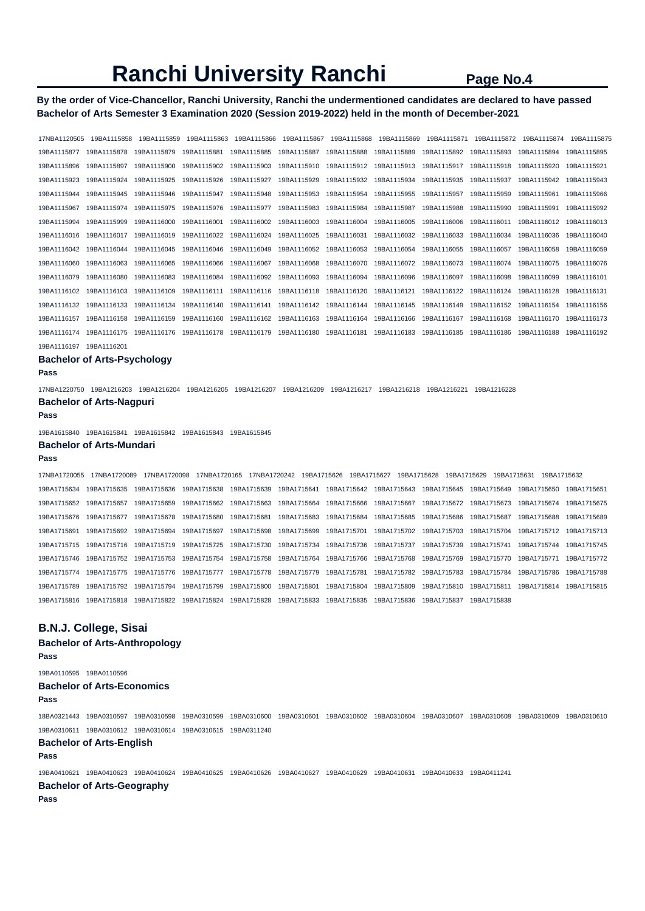## **By the order of Vice-Chancellor, Ranchi University, Ranchi the undermentioned candidates are declared to have passed Bachelor of Arts Semester 3 Examination 2020 (Session 2019-2022) held in the month of December-2021**

17NBA1120505 19BA1115858 19BA1115859 19BA1115863 19BA1115866 19BA1115867 19BA1115868 19BA1115869 19BA1115871 19BA1115872 19BA1115874 19BA1115875 19BA1115877 19BA1115878 19BA1115879 19BA1115881 19BA1115885 19BA1115887 19BA1115888 19BA1115889 19BA1115892 19BA1115893 19BA1115894 19BA1115895 19BA1115896 19BA1115897 19BA1115900 19BA1115902 19BA1115903 19BA1115910 19BA1115912 19BA1115913 19BA1115917 19BA1115918 19BA1115920 19BA1115921 19BA1115923 19BA1115924 19BA1115925 19BA1115926 19BA1115927 19BA1115929 19BA1115932 19BA1115934 19BA1115935 19BA1115937 19BA1115942 19BA1115943 19BA1115944 19BA1115945 19BA1115946 19BA1115947 19BA1115948 19BA1115953 19BA1115954 19BA1115955 19BA1115957 19BA1115959 19BA1115961 19BA1115966 19BA1115967 19BA1115974 19BA1115975 19BA1115976 19BA1115977 19BA1115983 19BA1115984 19BA1115987 19BA1115988 19BA1115990 19BA1115991 19BA1115992 19BA1115994 19BA1115999 19BA1116000 19BA1116001 19BA1116002 19BA1116003 19BA1116004 19BA1116005 19BA1116006 19BA1116011 19BA1116012 19BA1116013 19BA1116016 19BA1116017 19BA1116019 19BA1116022 19BA1116024 19BA1116025 19BA1116031 19BA1116032 19BA1116033 19BA1116034 19BA1116036 19BA1116040 19BA1116042 19BA1116044 19BA1116045 19BA1116046 19BA1116049 19BA1116052 19BA1116053 19BA1116054 19BA1116055 19BA1116057 19BA1116058 19BA1116059 19BA1116060 19BA1116063 19BA1116065 19BA1116066 19BA1116067 19BA1116068 19BA1116070 19BA1116072 19BA1116073 19BA1116074 19BA1116075 19BA1116076 19BA1116079 19BA1116080 19BA1116083 19BA1116084 19BA1116092 19BA1116093 19BA1116094 19BA1116096 19BA1116097 19BA1116098 19BA1116099 19BA1116101 19BA1116102 19BA1116103 19BA1116109 19BA1116111 19BA1116116 19BA1116118 19BA1116120 19BA1116121 19BA1116122 19BA1116124 19BA1116128 19BA1116131 19BA1116132 19BA1116133 19BA1116134 19BA1116140 19BA1116141 19BA1116142 19BA1116144 19BA1116145 19BA1116149 19BA1116152 19BA1116154 19BA1116156 19BA1116157 19BA1116158 19BA1116159 19BA1116160 19BA1116162 19BA1116163 19BA1116164 19BA1116166 19BA1116167 19BA1116168 19BA1116170 19BA1116173 19BA1116174 19BA1116175 19BA1116176 19BA1116178 19BA1116179 19BA1116180 19BA1116181 19BA1116183 19BA1116185 19BA1116186 19BA1116188 19BA1116192

#### **Bachelor of Arts-Psychology**

19BA1116197 19BA1116201

#### **Pass**

17NBA1220750 19BA1216203 19BA1216204 19BA1216205 19BA1216207 19BA1216209 19BA1216217 19BA1216218 19BA1216221 19BA1216228 **Bachelor of Arts-Nagpuri** 

#### **Pass**

19BA1615840 19BA1615841 19BA1615842 19BA1615843 19BA1615845

## **Bachelor of Arts-Mundari**

#### **Pass**

17NBA1720055 17NBA1720089 17NBA1720098 17NBA1720165 17NBA1720242 19BA1715626 19BA1715627 19BA1715628 19BA1715629 19BA1715631 19BA1715632 19BA1715634 19BA1715635 19BA1715636 19BA1715638 19BA1715639 19BA1715641 19BA1715642 19BA1715643 19BA1715645 19BA1715649 19BA1715650 19BA1715651 19BA1715652 19BA1715657 19BA1715659 19BA1715662 19BA1715663 19BA1715664 19BA1715666 19BA1715667 19BA1715672 19BA1715673 19BA1715674 19BA1715675 19BA1715676 19BA1715677 19BA1715678 19BA1715680 19BA1715681 19BA1715683 19BA1715684 19BA1715685 19BA1715686 19BA1715687 19BA1715688 19BA1715689 19BA1715691 19BA1715692 19BA1715694 19BA1715697 19BA1715698 19BA1715699 19BA1715701 19BA1715702 19BA1715703 19BA1715704 19BA1715712 19BA1715713 19BA1715715 19BA1715716 19BA1715719 19BA1715725 19BA1715730 19BA1715734 19BA1715736 19BA1715737 19BA1715739 19BA1715741 19BA1715744 19BA1715745 19BA1715746 19BA1715752 19BA1715753 19BA1715754 19BA1715758 19BA1715764 19BA1715766 19BA1715768 19BA1715769 19BA1715770 19BA1715771 19BA1715772 19BA1715774 19BA1715775 19BA1715776 19BA1715777 19BA1715778 19BA1715779 19BA1715781 19BA1715782 19BA1715783 19BA1715784 19BA1715786 19BA1715788 19BA1715789 19BA1715792 19BA1715794 19BA1715799 19BA1715800 19BA1715801 19BA1715804 19BA1715809 19BA1715810 19BA1715811 19BA1715814 19BA1715815 19BA1715816 19BA1715818 19BA1715822 19BA1715824 19BA1715828 19BA1715833 19BA1715835 19BA1715836 19BA1715837 19BA1715838

#### **B.N.J. College, Sisai**

**Bachelor of Arts-Anthropology Pass**  19BA0110595 19BA0110596 **Bachelor of Arts-Economics Pass**  18BA0321443 19BA0310597 19BA0310598 19BA0310599 19BA0310600 19BA0310601 19BA0310602 19BA0310604 19BA0310607 19BA0310608 19BA0310609 19BA0310610 19BA0310611 19BA0310612 19BA0310614 19BA0310615 19BA0311240 **Bachelor of Arts-English Pass**  19BA0410621 19BA0410623 19BA0410624 19BA0410625 19BA0410626 19BA0410627 19BA0410629 19BA0410631 19BA0410633 19BA0411241 **Bachelor of Arts-Geography Pass**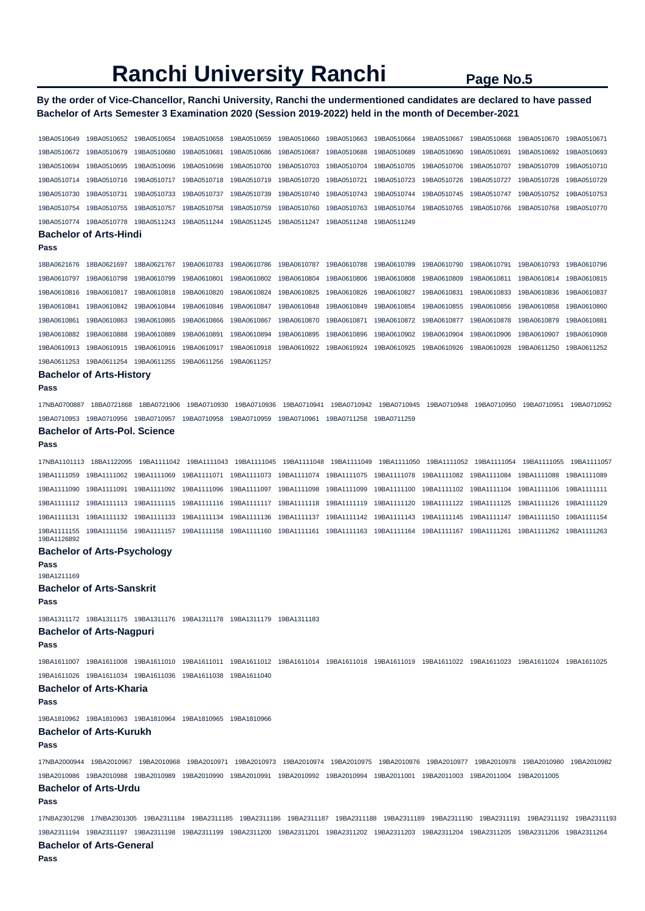## **By the order of Vice-Chancellor, Ranchi University, Ranchi the undermentioned candidates are declared to have passed Bachelor of Arts Semester 3 Examination 2020 (Session 2019-2022) held in the month of December-2021**

| 19BA0510649                | 19BA0510652                                                                                                                                     | 19BA0510654 | 19BA0510658 | 19BA0510659 | 19BA0510660 | 19BA0510663 | 19BA0510664 | 19BA0510667 | 19BA0510668 | 19BA0510670 | 19BA0510671                                                                                                                                       |
|----------------------------|-------------------------------------------------------------------------------------------------------------------------------------------------|-------------|-------------|-------------|-------------|-------------|-------------|-------------|-------------|-------------|---------------------------------------------------------------------------------------------------------------------------------------------------|
|                            |                                                                                                                                                 |             |             |             |             |             |             |             |             |             |                                                                                                                                                   |
| 19BA0510672                | 19BA0510679                                                                                                                                     | 19BA0510680 | 19BA0510681 | 19BA0510686 | 19BA0510687 | 19BA0510688 | 19BA0510689 | 19BA0510690 | 19BA0510691 | 19BA0510692 | 19BA0510693                                                                                                                                       |
| 19BA0510694                | 19BA0510695                                                                                                                                     | 19BA0510696 | 19BA0510698 | 19BA0510700 | 19BA0510703 | 19BA0510704 | 19BA0510705 | 19BA0510706 | 19BA0510707 | 19BA0510709 | 19BA0510710                                                                                                                                       |
| 19BA0510714                | 19BA0510716                                                                                                                                     | 19BA0510717 | 19BA0510718 | 19BA0510719 | 19BA0510720 | 19BA0510721 | 19BA0510723 | 19BA0510726 | 19BA0510727 | 19BA0510728 | 19BA0510729                                                                                                                                       |
| 19BA0510730                | 19BA0510731                                                                                                                                     | 19BA0510733 | 19BA0510737 | 19BA0510739 | 19BA0510740 | 19BA0510743 | 19BA0510744 | 19BA0510745 | 19BA0510747 | 19BA0510752 | 19BA0510753                                                                                                                                       |
| 19BA0510754                | 19BA0510755                                                                                                                                     | 19BA0510757 | 19BA0510758 | 19BA0510759 | 19BA0510760 | 19BA0510763 | 19BA0510764 | 19BA0510765 | 19BA0510766 | 19BA0510768 | 19BA0510770                                                                                                                                       |
| 19BA0510774                | 19BA0510778                                                                                                                                     | 19BA0511243 | 19BA0511244 | 19BA0511245 | 19BA0511247 | 19BA0511248 | 19BA0511249 |             |             |             |                                                                                                                                                   |
|                            | <b>Bachelor of Arts-Hindi</b>                                                                                                                   |             |             |             |             |             |             |             |             |             |                                                                                                                                                   |
| Pass                       |                                                                                                                                                 |             |             |             |             |             |             |             |             |             |                                                                                                                                                   |
| 18BA0621676                | 18BA0621697                                                                                                                                     | 18BA0621767 | 19BA0610783 | 19BA0610786 | 19BA0610787 | 19BA0610788 | 19BA0610789 | 19BA0610790 | 19BA0610791 | 19BA0610793 | 19BA0610796                                                                                                                                       |
| 19BA0610797                | 19BA0610798                                                                                                                                     | 19BA0610799 | 19BA0610801 | 19BA0610802 | 19BA0610804 | 19BA0610806 | 19BA0610808 | 19BA0610809 | 19BA0610811 | 19BA0610814 | 19BA0610815                                                                                                                                       |
| 19BA0610816                | 19BA0610817                                                                                                                                     | 19BA0610818 | 19BA0610820 | 19BA0610824 | 19BA0610825 | 19BA0610826 | 19BA0610827 | 19BA0610831 | 19BA0610833 | 19BA0610836 | 19BA0610837                                                                                                                                       |
| 19BA0610841                | 19BA0610842                                                                                                                                     | 19BA0610844 | 19BA0610846 | 19BA0610847 | 19BA0610848 | 19BA0610849 | 19BA0610854 | 19BA0610855 | 19BA0610856 | 19BA0610858 | 19BA0610860                                                                                                                                       |
| 19BA0610861                | 19BA0610863                                                                                                                                     | 19BA0610865 | 19BA0610866 | 19BA0610867 | 19BA0610870 | 19BA0610871 | 19BA0610872 | 19BA0610877 | 19BA0610878 | 19BA0610879 | 19BA0610881                                                                                                                                       |
| 19BA0610882                | 19BA0610888                                                                                                                                     | 19BA0610889 | 19BA0610891 | 19BA0610894 | 19BA0610895 | 19BA0610896 | 19BA0610902 | 19BA0610904 | 19BA0610906 | 19BA0610907 | 19BA0610908                                                                                                                                       |
| 19BA0610913                | 19BA0610915                                                                                                                                     | 19BA0610916 | 19BA0610917 | 19BA0610918 | 19BA0610922 | 19BA0610924 | 19BA0610925 | 19BA0610926 | 19BA0610928 | 19BA0611250 | 19BA0611252                                                                                                                                       |
| 19BA0611253                | 19BA0611254                                                                                                                                     | 19BA0611255 | 19BA0611256 | 19BA0611257 |             |             |             |             |             |             |                                                                                                                                                   |
|                            | <b>Bachelor of Arts-History</b>                                                                                                                 |             |             |             |             |             |             |             |             |             |                                                                                                                                                   |
| Pass                       |                                                                                                                                                 |             |             |             |             |             |             |             |             |             |                                                                                                                                                   |
| 17NBA0700887               |                                                                                                                                                 |             |             |             |             |             |             |             |             |             | 19BA0710952                                                                                                                                       |
|                            | 18BA0721868                                                                                                                                     | 18BA0721906 | 19BA0710930 | 19BA0710936 | 19BA0710941 | 19BA0710942 | 19BA0710945 | 19BA0710948 | 19BA0710950 | 19BA0710951 |                                                                                                                                                   |
| 19BA0710953 19BA0710956    |                                                                                                                                                 | 19BA0710957 | 19BA0710958 | 19BA0710959 | 19BA0710961 | 19BA0711258 | 19BA0711259 |             |             |             |                                                                                                                                                   |
| Pass                       | Bachelor of Arts-Pol. Science                                                                                                                   |             |             |             |             |             |             |             |             |             |                                                                                                                                                   |
|                            |                                                                                                                                                 |             |             |             |             |             |             |             |             |             |                                                                                                                                                   |
| 17NBA1101113               | 18BA1122095                                                                                                                                     | 19BA1111042 | 19BA1111043 | 19BA1111045 | 19BA1111048 | 19BA1111049 | 19BA1111050 | 19BA1111052 | 19BA1111054 | 19BA1111055 | 19BA1111057                                                                                                                                       |
| 19BA1111059                | 19BA1111062                                                                                                                                     | 19BA1111069 | 19BA1111071 | 19BA1111073 | 19BA1111074 | 19BA1111075 | 19BA1111078 | 19BA1111082 | 19BA1111084 | 19BA1111088 | 19BA1111089                                                                                                                                       |
| 19BA1111090                | 19BA1111091                                                                                                                                     | 19BA1111092 | 19BA1111096 | 19BA1111097 | 19BA1111098 | 19BA1111099 | 19BA1111100 | 19BA1111102 | 19BA1111104 | 19BA1111106 | 19BA1111111                                                                                                                                       |
| 19BA1111112                | 19BA1111113                                                                                                                                     | 19BA1111115 | 19BA1111116 | 19BA1111117 | 19BA1111118 | 19BA1111119 | 19BA1111120 | 19BA1111122 | 19BA1111125 | 19BA1111126 | 19BA1111129                                                                                                                                       |
| 19BA1111131                | 19BA1111132                                                                                                                                     | 19BA1111133 | 19BA1111134 | 19BA1111136 | 19BA1111137 | 19BA1111142 | 19BA1111143 | 19BA1111145 | 19BA1111147 | 19BA1111150 | 19BA1111154                                                                                                                                       |
| 19BA1111155<br>19BA1126892 | 19BA1111156                                                                                                                                     | 19BA1111157 | 19BA1111158 | 19BA1111160 | 19BA1111161 | 19BA1111163 | 19BA1111164 | 19BA1111167 | 19BA1111261 | 19BA1111262 | 19BA1111263                                                                                                                                       |
|                            | <b>Bachelor of Arts-Psychology</b>                                                                                                              |             |             |             |             |             |             |             |             |             |                                                                                                                                                   |
| Pass                       |                                                                                                                                                 |             |             |             |             |             |             |             |             |             |                                                                                                                                                   |
| 19BA1211169                |                                                                                                                                                 |             |             |             |             |             |             |             |             |             |                                                                                                                                                   |
|                            | <b>Bachelor of Arts-Sanskrit</b>                                                                                                                |             |             |             |             |             |             |             |             |             |                                                                                                                                                   |
| Pass                       |                                                                                                                                                 |             |             |             |             |             |             |             |             |             |                                                                                                                                                   |
|                            | 19BA1311172  19BA1311175  19BA1311176  19BA1311178  19BA1311179  19BA1311183                                                                    |             |             |             |             |             |             |             |             |             |                                                                                                                                                   |
|                            | <b>Bachelor of Arts-Nagpuri</b>                                                                                                                 |             |             |             |             |             |             |             |             |             |                                                                                                                                                   |
| Pass                       |                                                                                                                                                 |             |             |             |             |             |             |             |             |             |                                                                                                                                                   |
|                            | 19BA1611007 19BA1611008 19BA1611010 19BA1611011 19BA1611012 19BA1611014 19BA1611018 19BA1611019 19BA1611022 19BA1611023 19BA1611024 19BA1611024 |             |             |             |             |             |             |             |             |             |                                                                                                                                                   |
|                            | 19BA1611026  19BA1611034  19BA1611036  19BA1611038  19BA1611040                                                                                 |             |             |             |             |             |             |             |             |             |                                                                                                                                                   |
|                            | <b>Bachelor of Arts-Kharia</b>                                                                                                                  |             |             |             |             |             |             |             |             |             |                                                                                                                                                   |
| Pass                       |                                                                                                                                                 |             |             |             |             |             |             |             |             |             |                                                                                                                                                   |
|                            | 19BA1810962  19BA1810963  19BA1810964  19BA1810965  19BA1810966                                                                                 |             |             |             |             |             |             |             |             |             |                                                                                                                                                   |
|                            | <b>Bachelor of Arts-Kurukh</b>                                                                                                                  |             |             |             |             |             |             |             |             |             |                                                                                                                                                   |
| Pass                       |                                                                                                                                                 |             |             |             |             |             |             |             |             |             |                                                                                                                                                   |
|                            | 17NBA2000944 19BA2010967 19BA2010968 19BA2010971 19BA2010973 19BA2010974 19BA2010975 19BA2010976 19BA2010977 19BA2010978 19BA2010978            |             |             |             |             |             |             |             |             |             | 19BA2010982                                                                                                                                       |
|                            | 19BA2010986 19BA2010988 19BA2010989 19BA2010990 19BA2010991 19BA2010992 19BA2010994 19BA2011001 19BA2011003 19BA2011004 19BA2011005             |             |             |             |             |             |             |             |             |             |                                                                                                                                                   |
|                            | <b>Bachelor of Arts-Urdu</b>                                                                                                                    |             |             |             |             |             |             |             |             |             |                                                                                                                                                   |
| Pass                       |                                                                                                                                                 |             |             |             |             |             |             |             |             |             |                                                                                                                                                   |
|                            |                                                                                                                                                 |             |             |             |             |             |             |             |             |             |                                                                                                                                                   |
|                            |                                                                                                                                                 |             |             |             |             |             |             |             |             |             | 17NBA2301298 17NBA2301305 19BA2311184 19BA2311185 19BA2311186 19BA2311187 19BA2311188 19BA2311189 19BA2311190 19BA2311191 19BA2311192 19BA2311192 |
|                            | 19BA2311194 19BA2311197 19BA2311198 19BA2311199 19BA2311200 19BA2311201 19BA2311202 19BA2311203 19BA2311204 19BA2311205 19BA2311206 19BA2311264 |             |             |             |             |             |             |             |             |             |                                                                                                                                                   |
|                            | <b>Bachelor of Arts-General</b>                                                                                                                 |             |             |             |             |             |             |             |             |             |                                                                                                                                                   |
| Pass                       |                                                                                                                                                 |             |             |             |             |             |             |             |             |             |                                                                                                                                                   |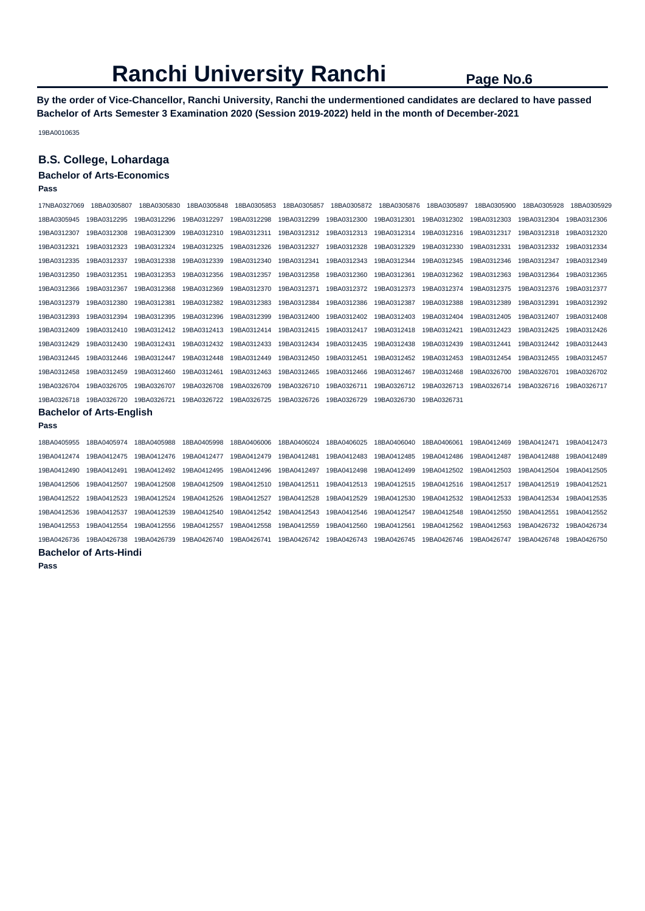**By the order of Vice-Chancellor, Ranchi University, Ranchi the undermentioned candidates are declared to have passed Bachelor of Arts Semester 3 Examination 2020 (Session 2019-2022) held in the month of December-2021** 

19BA0010635

## **B.S. College, Lohardaga**

## **Bachelor of Arts-Economics**

**Pass** 

| 17NBA0327069                    | 18BA0305807 | 18BA0305830 | 18BA0305848 | 18BA0305853 | 18BA0305857 | 18BA0305872 | 18BA0305876 | 18BA0305897 | 18BA0305900 | 18BA0305928 | 18BA0305929 |
|---------------------------------|-------------|-------------|-------------|-------------|-------------|-------------|-------------|-------------|-------------|-------------|-------------|
| 18BA0305945                     | 19BA0312295 | 19BA0312296 | 19BA0312297 | 19BA0312298 | 19BA0312299 | 19BA0312300 | 19BA0312301 | 19BA0312302 | 19BA0312303 | 19BA0312304 | 19BA0312306 |
| 19BA0312307                     | 19BA0312308 | 19BA0312309 | 19BA0312310 | 19BA0312311 | 19BA0312312 | 19BA0312313 | 19BA0312314 | 19BA0312316 | 19BA0312317 | 19BA0312318 | 19BA0312320 |
| 19BA0312321                     | 19BA0312323 | 19BA0312324 | 19BA0312325 | 19BA0312326 | 19BA0312327 | 19BA0312328 | 19BA0312329 | 19BA0312330 | 19BA0312331 | 19BA0312332 | 19BA0312334 |
| 19BA0312335                     | 19BA0312337 | 19BA0312338 | 19BA0312339 | 19BA0312340 | 19BA0312341 | 19BA0312343 | 19BA0312344 | 19BA0312345 | 19BA0312346 | 19BA0312347 | 19BA0312349 |
| 19BA0312350                     | 19BA0312351 | 19BA0312353 | 19BA0312356 | 19BA0312357 | 19BA0312358 | 19BA0312360 | 19BA0312361 | 19BA0312362 | 19BA0312363 | 19BA0312364 | 19BA0312365 |
| 19BA0312366                     | 19BA0312367 | 19BA0312368 | 19BA0312369 | 19BA0312370 | 19BA0312371 | 19BA0312372 | 19BA0312373 | 19BA0312374 | 19BA0312375 | 19BA0312376 | 19BA0312377 |
| 19BA0312379                     | 19BA0312380 | 19BA0312381 | 19BA0312382 | 19BA0312383 | 19BA0312384 | 19BA0312386 | 19BA0312387 | 19BA0312388 | 19BA0312389 | 19BA0312391 | 19BA0312392 |
| 19BA0312393                     | 19BA0312394 | 19BA0312395 | 19BA0312396 | 19BA0312399 | 19BA0312400 | 19BA0312402 | 19BA0312403 | 19BA0312404 | 19BA0312405 | 19BA0312407 | 19BA0312408 |
| 19BA0312409                     | 19BA0312410 | 19BA0312412 | 19BA0312413 | 19BA0312414 | 19BA0312415 | 19BA0312417 | 19BA0312418 | 19BA0312421 | 19BA0312423 | 19BA0312425 | 19BA0312426 |
| 19BA0312429                     | 19BA0312430 | 19BA0312431 | 19BA0312432 | 19BA0312433 | 19BA0312434 | 19BA0312435 | 19BA0312438 | 19BA0312439 | 19BA0312441 | 19BA0312442 | 19BA0312443 |
| 19BA0312445                     | 19BA0312446 | 19BA0312447 | 19BA0312448 | 19BA0312449 | 19BA0312450 | 19BA0312451 | 19BA0312452 | 19BA0312453 | 19BA0312454 | 19BA0312455 | 19BA0312457 |
| 19BA0312458                     | 19BA0312459 | 19BA0312460 | 19BA0312461 | 19BA0312463 | 19BA0312465 | 19BA0312466 | 19BA0312467 | 19BA0312468 | 19BA0326700 | 19BA0326701 | 19BA0326702 |
| 19BA0326704                     | 19BA0326705 | 19BA0326707 | 19BA0326708 | 19BA0326709 | 19BA0326710 | 19BA0326711 | 19BA0326712 | 19BA0326713 | 19BA0326714 | 19BA0326716 | 19BA0326717 |
| 19BA0326718                     | 19BA0326720 | 19BA0326721 | 19BA0326722 | 19BA0326725 | 19BA0326726 | 19BA0326729 | 19BA0326730 | 19BA0326731 |             |             |             |
| <b>Bachelor of Arts-English</b> |             |             |             |             |             |             |             |             |             |             |             |
| Pass                            |             |             |             |             |             |             |             |             |             |             |             |
| 18BA0405955                     | 18BA0405974 | 18BA0405988 | 18BA0405998 | 18BA0406006 | 18BA0406024 | 18BA0406025 | 18BA0406040 | 18BA0406061 | 19BA0412469 | 19BA0412471 | 19BA0412473 |
| 19BA0412474                     | 19BA0412475 | 19BA0412476 | 19BA0412477 | 19BA0412479 | 19BA0412481 | 19BA0412483 | 19BA0412485 | 19BA0412486 | 19BA0412487 | 19BA0412488 | 19BA0412489 |
| 19BA0412490                     | 19BA0412491 | 19BA0412492 | 19BA0412495 | 19BA0412496 | 19BA0412497 | 19BA0412498 | 19BA0412499 | 19BA0412502 | 19BA0412503 | 19BA0412504 | 19BA0412505 |
| 19BA0412506                     | 19BA0412507 | 19BA0412508 | 19BA0412509 | 19BA0412510 | 19BA0412511 | 19BA0412513 | 19BA0412515 | 19BA0412516 | 19BA0412517 | 19BA0412519 | 19BA0412521 |
| 19BA0412522                     | 19BA0412523 | 19BA0412524 | 19BA0412526 | 19BA0412527 | 19BA0412528 | 19BA0412529 | 19BA0412530 | 19BA0412532 | 19BA0412533 | 19BA0412534 | 19BA0412535 |
| 19BA0412536                     | 19BA0412537 | 19BA0412539 | 19BA0412540 | 19BA0412542 | 19BA0412543 | 19BA0412546 | 19BA0412547 | 19BA0412548 | 19BA0412550 | 19BA0412551 | 19BA0412552 |
| 19BA0412553                     | 19BA0412554 | 19BA0412556 | 19BA0412557 | 19BA0412558 | 19BA0412559 | 19BA0412560 | 19BA0412561 | 19BA0412562 | 19BA0412563 | 19BA0426732 | 19BA0426734 |
| 19BA0426736                     | 19BA0426738 | 19BA0426739 | 19BA0426740 | 19BA0426741 | 19BA0426742 | 19BA0426743 | 19BA0426745 | 19BA0426746 | 19BA0426747 | 19BA0426748 | 19BA0426750 |

## **Bachelor of Arts-Hindi**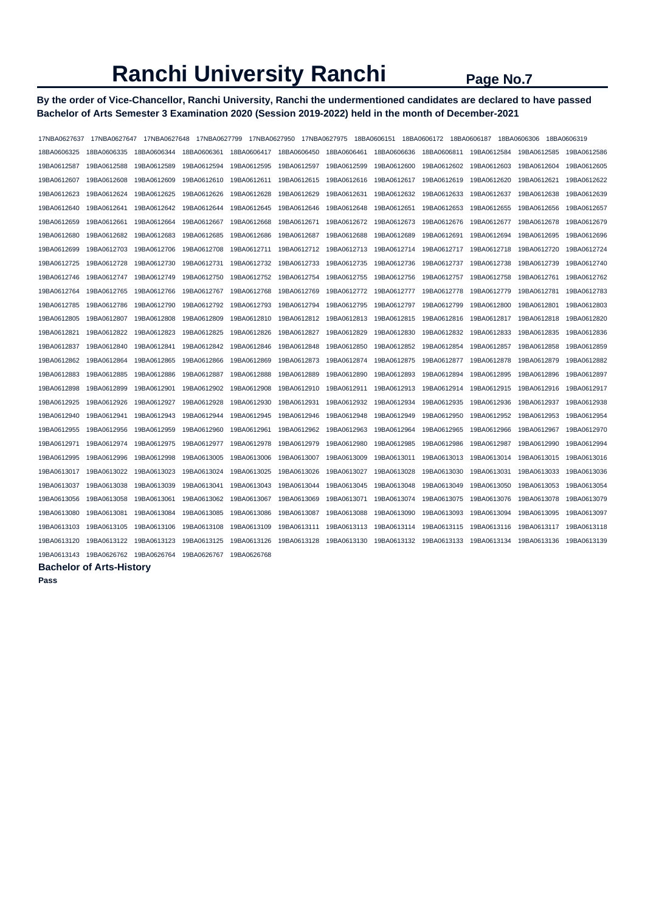## **By the order of Vice-Chancellor, Ranchi University, Ranchi the undermentioned candidates are declared to have passed Bachelor of Arts Semester 3 Examination 2020 (Session 2019-2022) held in the month of December-2021**

| 17NBA0627637 | 17NBA0627647 | 17NBA0627648 | 17NBA0627799 | 17NBA0627950 |             | 17NBA0627975 | 18BA0606151 | 18BA0606172 18BA0606187 |             | 18BA0606306 | 18BA0606319 |
|--------------|--------------|--------------|--------------|--------------|-------------|--------------|-------------|-------------------------|-------------|-------------|-------------|
| 18BA0606325  | 18BA0606335  | 18BA0606344  | 18BA0606361  | 18BA0606417  | 18BA0606450 | 18BA0606461  | 18BA0606636 | 18BA0606811             | 19BA0612584 | 19BA0612585 | 19BA0612586 |
| 19BA0612587  | 19BA0612588  | 19BA0612589  | 19BA0612594  | 19BA0612595  | 19BA0612597 | 19BA0612599  | 19BA0612600 | 19BA0612602             | 19BA0612603 | 19BA0612604 | 19BA0612605 |
| 19BA0612607  | 19BA0612608  | 19BA0612609  | 19BA0612610  | 19BA0612611  | 19BA0612615 | 19BA0612616  | 19BA0612617 | 19BA0612619             | 19BA0612620 | 19BA0612621 | 19BA0612622 |
| 19BA0612623  | 19BA0612624  | 19BA0612625  | 19BA0612626  | 19BA0612628  | 19BA0612629 | 19BA0612631  | 19BA0612632 | 19BA0612633             | 19BA0612637 | 19BA0612638 | 19BA0612639 |
| 19BA0612640  | 19BA0612641  | 19BA0612642  | 19BA0612644  | 19BA0612645  | 19BA0612646 | 19BA0612648  | 19BA0612651 | 19BA0612653             | 19BA0612655 | 19BA0612656 | 19BA0612657 |
| 19BA0612659  | 19BA0612661  | 19BA0612664  | 19BA0612667  | 19BA0612668  | 19BA0612671 | 19BA0612672  | 19BA0612673 | 19BA0612676             | 19BA0612677 | 19BA0612678 | 19BA0612679 |
| 19BA0612680  | 19BA0612682  | 19BA0612683  | 19BA0612685  | 19BA0612686  | 19BA0612687 | 19BA0612688  | 19BA0612689 | 19BA0612691             | 19BA0612694 | 19BA0612695 | 19BA0612696 |
| 19BA0612699  | 19BA0612703  | 19BA0612706  | 19BA0612708  | 19BA0612711  | 19BA0612712 | 19BA0612713  | 19BA0612714 | 19BA0612717             | 19BA0612718 | 19BA0612720 | 19BA0612724 |
| 19BA0612725  | 19BA0612728  | 19BA0612730  | 19BA0612731  | 19BA0612732  | 19BA0612733 | 19BA0612735  | 19BA0612736 | 19BA0612737             | 19BA0612738 | 19BA0612739 | 19BA0612740 |
| 19BA0612746  | 19BA0612747  | 19BA0612749  | 19BA0612750  | 19BA0612752  | 19BA0612754 | 19BA0612755  | 19BA0612756 | 19BA0612757             | 19BA0612758 | 19BA0612761 | 19BA0612762 |
| 19BA0612764  | 19BA0612765  | 19BA0612766  | 19BA0612767  | 19BA0612768  | 19BA0612769 | 19BA0612772  | 19BA0612777 | 19BA0612778             | 19BA0612779 | 19BA0612781 | 19BA0612783 |
| 19BA0612785  | 19BA0612786  | 19BA0612790  | 19BA0612792  | 19BA0612793  | 19BA0612794 | 19BA0612795  | 19BA0612797 | 19BA0612799             | 19BA0612800 | 19BA0612801 | 19BA0612803 |
| 19BA0612805  | 19BA0612807  | 19BA0612808  | 19BA0612809  | 19BA0612810  | 19BA0612812 | 19BA0612813  | 19BA0612815 | 19BA0612816             | 19BA0612817 | 19BA0612818 | 19BA0612820 |
| 19BA0612821  | 19BA0612822  | 19BA0612823  | 19BA0612825  | 19BA0612826  | 19BA0612827 | 19BA0612829  | 19BA0612830 | 19BA0612832             | 19BA0612833 | 19BA0612835 | 19BA0612836 |
| 19BA0612837  | 19BA0612840  | 19BA0612841  | 19BA0612842  | 19BA0612846  | 19BA0612848 | 19BA0612850  | 19BA0612852 | 19BA0612854             | 19BA0612857 | 19BA0612858 | 19BA0612859 |
| 19BA0612862  | 19BA0612864  | 19BA0612865  | 19BA0612866  | 19BA0612869  | 19BA0612873 | 19BA0612874  | 19BA0612875 | 19BA0612877             | 19BA0612878 | 19BA0612879 | 19BA0612882 |
| 19BA0612883  | 19BA0612885  | 19BA0612886  | 19BA0612887  | 19BA0612888  | 19BA0612889 | 19BA0612890  | 19BA0612893 | 19BA0612894             | 19BA0612895 | 19BA0612896 | 19BA0612897 |
| 19BA0612898  | 19BA0612899  | 19BA0612901  | 19BA0612902  | 19BA0612908  | 19BA0612910 | 19BA0612911  | 19BA0612913 | 19BA0612914             | 19BA0612915 | 19BA0612916 | 19BA0612917 |
| 19BA0612925  | 19BA0612926  | 19BA0612927  | 19BA0612928  | 19BA0612930  | 19BA0612931 | 19BA0612932  | 19BA0612934 | 19BA0612935             | 19BA0612936 | 19BA0612937 | 19BA0612938 |
| 19BA0612940  | 19BA0612941  | 19BA0612943  | 19BA0612944  | 19BA0612945  | 19BA0612946 | 19BA0612948  | 19BA0612949 | 19BA0612950             | 19BA0612952 | 19BA0612953 | 19BA0612954 |
| 19BA0612955  | 19BA0612956  | 19BA0612959  | 19BA0612960  | 19BA0612961  | 19BA0612962 | 19BA0612963  | 19BA0612964 | 19BA0612965             | 19BA0612966 | 19BA0612967 | 19BA0612970 |
| 19BA0612971  | 19BA0612974  | 19BA0612975  | 19BA0612977  | 19BA0612978  | 19BA0612979 | 19BA0612980  | 19BA0612985 | 19BA0612986             | 19BA0612987 | 19BA0612990 | 19BA0612994 |
| 19BA0612995  | 19BA0612996  | 19BA0612998  | 19BA0613005  | 19BA0613006  | 19BA0613007 | 19BA0613009  | 19BA0613011 | 19BA0613013             | 19BA0613014 | 19BA0613015 | 19BA0613016 |
| 19BA0613017  | 19BA0613022  | 19BA0613023  | 19BA0613024  | 19BA0613025  | 19BA0613026 | 19BA0613027  | 19BA0613028 | 19BA0613030             | 19BA0613031 | 19BA0613033 | 19BA0613036 |
| 19BA0613037  | 19BA0613038  | 19BA0613039  | 19BA0613041  | 19BA0613043  | 19BA0613044 | 19BA0613045  | 19BA0613048 | 19BA0613049             | 19BA0613050 | 19BA0613053 | 19BA0613054 |
| 19BA0613056  | 19BA0613058  | 19BA0613061  | 19BA0613062  | 19BA0613067  | 19BA0613069 | 19BA0613071  | 19BA0613074 | 19BA0613075             | 19BA0613076 | 19BA0613078 | 19BA0613079 |
| 19BA0613080  | 19BA0613081  | 19BA0613084  | 19BA0613085  | 19BA0613086  | 19BA0613087 | 19BA0613088  | 19BA0613090 | 19BA0613093             | 19BA0613094 | 19BA0613095 | 19BA0613097 |
| 19BA0613103  | 19BA0613105  | 19BA0613106  | 19BA0613108  | 19BA0613109  | 19BA0613111 | 19BA0613113  | 19BA0613114 | 19BA0613115             | 19BA0613116 | 19BA0613117 | 19BA0613118 |
| 19BA0613120  | 19BA0613122  | 19BA0613123  | 19BA0613125  | 19BA0613126  | 19BA0613128 | 19BA0613130  | 19BA0613132 | 19BA0613133             | 19BA0613134 | 19BA0613136 | 19BA0613139 |
| 19BA0613143  | 19BA0626762  | 19BA0626764  | 19BA0626767  | 19BA0626768  |             |              |             |                         |             |             |             |

### **Bachelor of Arts-History**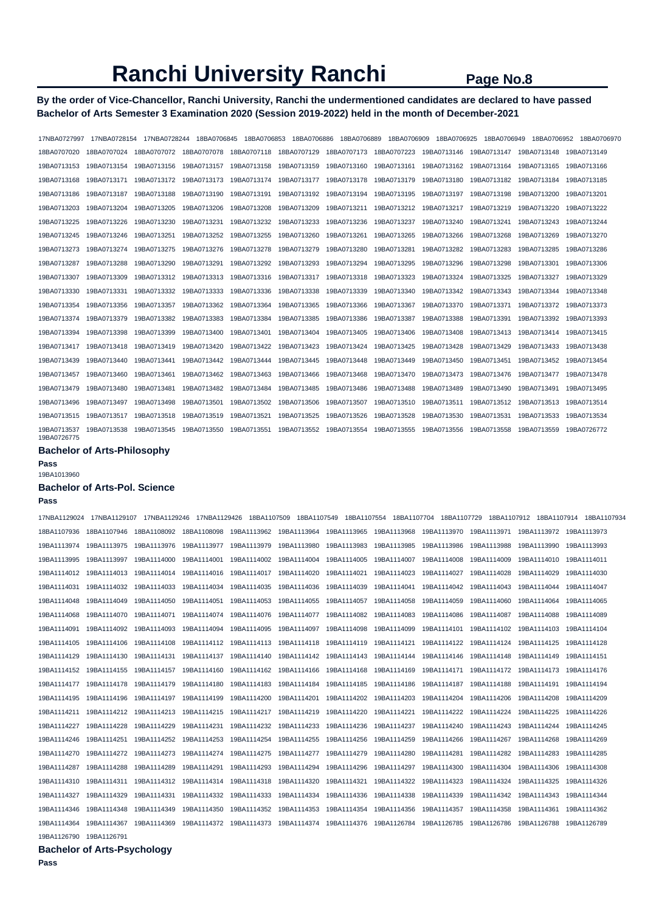## **By the order of Vice-Chancellor, Ranchi University, Ranchi the undermentioned candidates are declared to have passed Bachelor of Arts Semester 3 Examination 2020 (Session 2019-2022) held in the month of December-2021**

| 17NBA0727997               | 17NBA0728154 | 17NBA0728244 | 18BA0706845             | 18BA0706853 |             | 18BA0706886 18BA0706889 | 18BA0706909             | 18BA0706925             | 18BA0706949 | 18BA0706952 | 18BA0706970 |
|----------------------------|--------------|--------------|-------------------------|-------------|-------------|-------------------------|-------------------------|-------------------------|-------------|-------------|-------------|
| 18BA0707020                | 18BA0707024  | 18BA0707072  | 18BA0707078             | 18BA0707118 | 18BA0707129 |                         | 18BA0707173 18BA0707223 | 19BA0713146             | 19BA0713147 | 19BA0713148 | 19BA0713149 |
| 19BA0713153                | 19BA0713154  | 19BA0713156  | 19BA0713157             | 19BA0713158 | 19BA0713159 | 19BA0713160             | 19BA0713161             | 19BA0713162 19BA0713164 |             | 19BA0713165 | 19BA0713166 |
| 19BA0713168                | 19BA0713171  | 19BA0713172  | 19BA0713173 19BA0713174 |             | 19BA0713177 |                         |                         |                         |             | 19BA0713184 | 19BA0713185 |
| 19BA0713186                | 19BA0713187  | 19BA0713188  | 19BA0713190             | 19BA0713191 | 19BA0713192 | 19BA0713194             | 19BA0713195             | 19BA0713197             | 19BA0713198 | 19BA0713200 | 19BA0713201 |
| 19BA0713203                | 19BA0713204  | 19BA0713205  | 19BA0713206             | 19BA0713208 | 19BA0713209 | 19BA0713211             | 19BA0713212             | 19BA0713217             | 19BA0713219 | 19BA0713220 | 19BA0713222 |
| 19BA0713225                | 19BA0713226  | 19BA0713230  | 19BA0713231             | 19BA0713232 | 19BA0713233 | 19BA0713236             | 19BA0713237             | 19BA0713240             | 19BA0713241 | 19BA0713243 | 19BA0713244 |
| 19BA0713245                | 19BA0713246  | 19BA0713251  | 19BA0713252             | 19BA0713255 | 19BA0713260 | 19BA0713261             | 19BA0713265             | 19BA0713266             | 19BA0713268 | 19BA0713269 | 19BA0713270 |
| 19BA0713273                | 19BA0713274  | 19BA0713275  | 19BA0713276             | 19BA0713278 | 19BA0713279 | 19BA0713280             | 19BA0713281             | 19BA0713282             | 19BA0713283 | 19BA0713285 | 19BA0713286 |
| 19BA0713287                | 19BA0713288  | 19BA0713290  | 19BA0713291             | 19BA0713292 | 19BA0713293 | 19BA0713294             | 19BA0713295             | 19BA0713296             | 19BA0713298 | 19BA0713301 | 19BA0713306 |
| 19BA0713307                | 19BA0713309  | 19BA0713312  | 19BA0713313             | 19BA0713316 | 19BA0713317 | 19BA0713318             | 19BA0713323             | 19BA0713324             | 19BA0713325 | 19BA0713327 | 19BA0713329 |
| 19BA0713330                | 19BA0713331  | 19BA0713332  | 19BA0713333             | 19BA0713336 | 19BA0713338 | 19BA0713339             | 19BA0713340             | 19BA0713342             | 19BA0713343 | 19BA0713344 | 19BA0713348 |
| 19BA0713354                | 19BA0713356  | 19BA0713357  | 19BA0713362             | 19BA0713364 | 19BA0713365 | 19BA0713366             | 19BA0713367             | 19BA0713370             | 19BA0713371 | 19BA0713372 | 19BA0713373 |
| 19BA0713374                | 19BA0713379  | 19BA0713382  | 19BA0713383             | 19BA0713384 | 19BA0713385 | 19BA0713386             | 19BA0713387             | 19BA0713388             | 19BA0713391 | 19BA0713392 | 19BA0713393 |
| 19BA0713394                | 19BA0713398  | 19BA0713399  | 19BA0713400             | 19BA0713401 | 19BA0713404 | 19BA0713405             | 19BA0713406             | 19BA0713408             | 19BA0713413 | 19BA0713414 | 19BA0713415 |
| 19BA0713417                | 19BA0713418  | 19BA0713419  | 19BA0713420             | 19BA0713422 | 19BA0713423 | 19BA0713424             | 19BA0713425 19BA0713428 |                         | 19BA0713429 | 19BA0713433 | 19BA0713438 |
| 19BA0713439                | 19BA0713440  | 19BA0713441  | 19BA0713442             | 19BA0713444 | 19BA0713445 | 19BA0713448             | 19BA0713449             | 19BA0713450             | 19BA0713451 | 19BA0713452 | 19BA0713454 |
| 19BA0713457                | 19BA0713460  | 19BA0713461  | 19BA0713462             | 19BA0713463 | 19BA0713466 | 19BA0713468             | 19BA0713470             | 19BA0713473             | 19BA0713476 | 19BA0713477 | 19BA0713478 |
| 19BA0713479                | 19BA0713480  | 19BA0713481  | 19BA0713482             | 19BA0713484 | 19BA0713485 | 19BA0713486             | 19BA0713488             | 19BA0713489             | 19BA0713490 | 19BA0713491 | 19BA0713495 |
| 19BA0713496                | 19BA0713497  | 19BA0713498  | 19BA0713501             | 19BA0713502 | 19BA0713506 | 19BA0713507             | 19BA0713510             | 19BA0713511             | 19BA0713512 | 19BA0713513 | 19BA0713514 |
| 19BA0713515                | 19BA0713517  | 19BA0713518  | 19BA0713519             | 19BA0713521 | 19BA0713525 | 19BA0713526             | 19BA0713528             | 19BA0713530             | 19BA0713531 | 19BA0713533 | 19BA0713534 |
| 19BA0713537<br>19BA0726775 | 19BA0713538  | 19BA0713545  | 19BA0713550             | 19BA0713551 | 19BA0713552 |                         | 19BA0713554 19BA0713555 | 19BA0713556             | 19BA0713558 | 19BA0713559 | 19BA0726772 |

## **Bachelor of Arts-Philosophy**

**Pass** 

19BA1013960

## **Bachelor of Arts-Pol. Science**

#### **Pass**

| 17NBA1129024            | 17NBA1129107                        | 17NBA1129246 | 17NBA1129426            |                                                                         |             |                                       |                                                                                                 |             |                         |                                                                                                                                                             | 18BA1107509 18BA1107549 18BA1107554 18BA1107704 18BA1107729 18BA1107912 18BA1107914 18BA1107934 |
|-------------------------|-------------------------------------|--------------|-------------------------|-------------------------------------------------------------------------|-------------|---------------------------------------|-------------------------------------------------------------------------------------------------|-------------|-------------------------|-------------------------------------------------------------------------------------------------------------------------------------------------------------|-------------------------------------------------------------------------------------------------|
| 18BA1107936             | 18BA1107946                         | 18BA1108092  |                         |                                                                         |             |                                       |                                                                                                 |             |                         | 18BA1108098 19BA1113962 19BA1113964 19BA1113965 19BA1113968 19BA1113970 19BA1113971 19BA1113972 19BA1113973                                                 |                                                                                                 |
| 19BA1113974 19BA1113975 |                                     | 19BA1113976  | 19BA1113977 19BA1113979 |                                                                         | 19BA1113980 | 19BA1113983                           | 19BA1113985                                                                                     | 19BA1113986 | 19BA1113988             | 19BA1113990                                                                                                                                                 | 19BA1113993                                                                                     |
| 19BA1113995             | 19BA1113997                         | 19BA1114000  | 19BA1114001             | 19BA1114002                                                             | 19BA1114004 | 19BA1114005                           | 19BA1114007                                                                                     | 19BA1114008 | 19BA1114009             | 19BA1114010                                                                                                                                                 | 19BA1114011                                                                                     |
| 19BA1114012 19BA1114013 |                                     | 19BA1114014  | 19BA1114016             | 19BA1114017                                                             | 19BA1114020 | 19BA1114021                           | 19BA1114023                                                                                     | 19BA1114027 | 19BA1114028             | 19BA1114029                                                                                                                                                 | 19BA1114030                                                                                     |
|                         |                                     |              | 19BA1114034             | 19BA1114035                                                             | 19BA1114036 | 19BA1114039                           | 19BA1114041                                                                                     | 19BA1114042 | 19BA1114043             | 19BA1114044 19BA1114047                                                                                                                                     |                                                                                                 |
| 19BA1114048             | 19BA1114049                         | 19BA1114050  | 19BA1114051             | 19BA1114053                                                             | 19BA1114055 | 19BA1114057                           | 19BA1114058                                                                                     | 19BA1114059 | 19BA1114060             | 19BA1114064                                                                                                                                                 | 19BA1114065                                                                                     |
| 19BA1114068             | 19BA1114070                         | 19BA1114071  | 19BA1114074             | 19BA1114076                                                             | 19BA1114077 | 19BA1114082                           | 19BA1114083                                                                                     | 19BA1114086 | 19BA1114087             | 19BA1114088                                                                                                                                                 | 19BA1114089                                                                                     |
| 19BA1114091             |                                     |              |                         |                                                                         | 19BA1114097 | 19BA1114098                           | 19BA1114099                                                                                     |             |                         |                                                                                                                                                             |                                                                                                 |
|                         | 19BA1114105 19BA1114106 19BA1114108 |              |                         | 19BA1114112    19BA1114113    19BA1114118    19BA1114119    19BA1114121 |             |                                       |                                                                                                 |             | 19BA1114122 19BA1114124 | 19BA1114125 19BA1114128                                                                                                                                     |                                                                                                 |
| 19BA1114129             |                                     |              |                         |                                                                         |             |                                       | 19BA1114130 19BA1114131 19BA1114137 19BA1114140 19BA1114142 19BA1114143 19BA1114144 19BA1114146 |             |                         | 19BA1114148 19BA1114149 19BA1114151                                                                                                                         |                                                                                                 |
|                         |                                     |              |                         |                                                                         |             |                                       |                                                                                                 |             |                         | 19BA1114160 19BA1114162 19BA1114166 19BA1114168 19BA1114169 19BA1114171 19BA1114172 19BA1114173 19BA1114176                                                 |                                                                                                 |
|                         |                                     |              | 19BA1114180             | 19BA1114183                                                             |             | 19BA1114184 19BA1114185 19BA1114186   |                                                                                                 | 19BA1114187 | 19BA1114188             | 19BA1114191 19BA1114194                                                                                                                                     |                                                                                                 |
| 19BA1114195             | 19BA1114196                         | 19BA1114197  | 19BA1114199             | 19BA1114200                                                             |             | 19BA1114201  19BA1114202  19BA1114203 |                                                                                                 | 19BA1114204 | 19BA1114206             | 19BA1114208                                                                                                                                                 | 19BA1114209                                                                                     |
|                         |                                     |              | 19BA1114215             | 19BA1114217                                                             | 19BA1114219 | 19BA1114220                           | 19BA1114221                                                                                     | 19BA1114222 | 19BA1114224             | 19BA1114225                                                                                                                                                 | 19BA1114226                                                                                     |
| 19BA1114227             | 19BA1114228                         | 19BA1114229  | 19BA1114231             | 19BA1114232                                                             | 19BA1114233 | 19BA1114236                           | 19BA1114237                                                                                     | 19BA1114240 | 19BA1114243             | 19BA1114244                                                                                                                                                 | 19BA1114245                                                                                     |
| 19BA1114246             | 19BA1114251                         | 19BA1114252  | 19BA1114253             | 19BA1114254                                                             | 19BA1114255 | 19BA1114256                           | 19BA1114259                                                                                     | 19BA1114266 | 19BA1114267             | 19BA1114268                                                                                                                                                 | 19BA1114269                                                                                     |
|                         |                                     | 19BA1114273  | 19BA1114274             | 19BA1114275                                                             | 19BA1114277 | 19BA1114279                           | 19BA1114280                                                                                     | 19BA1114281 | 19BA1114282             | 19BA1114283                                                                                                                                                 | 19BA1114285                                                                                     |
| 19BA1114287             | 19BA1114288                         | 19BA1114289  | 19BA1114291             | 19BA1114293                                                             | 19BA1114294 | 19BA1114296                           | 19BA1114297                                                                                     | 19BA1114300 | 19BA1114304             | 19BA1114306                                                                                                                                                 | 19BA1114308                                                                                     |
| 19BA1114310             | 19BA1114311                         | 19BA1114312  |                         | 19BA1114314 19BA1114318                                                 | 19BA1114320 | 19BA1114321                           | 19BA1114322                                                                                     | 19BA1114323 | 19BA1114324             | 19BA1114325                                                                                                                                                 | 19BA1114326                                                                                     |
| 19BA1114327             | 19BA1114329                         | 19BA1114331  |                         | 19BA1114332 19BA1114333                                                 |             | 19BA1114334 19BA1114336               | 19BA1114338                                                                                     | 19BA1114339 |                         | 19BA1114342 19BA1114343                                                                                                                                     | 19BA1114344                                                                                     |
| 19BA1114346             | 19BA1114348                         | 19BA1114349  | 19BA1114350             | 19BA1114352                                                             | 19BA1114353 |                                       | 19BA1114354 19BA1114356                                                                         | 19BA1114357 | 19BA1114358             | 19BA1114361                                                                                                                                                 | 19BA1114362                                                                                     |
|                         |                                     |              |                         |                                                                         |             |                                       |                                                                                                 |             |                         | 19BA1114364 19BA1114367 19BA1114369 19BA1114372 19BA1114373 19BA1114374 19BA1114376 19BA1126784 19BA1126785 19BA1126786 19BA1126788 19BA1126788 19BA1126789 |                                                                                                 |

19BA1126790 19BA1126791 **Bachelor of Arts-Psychology**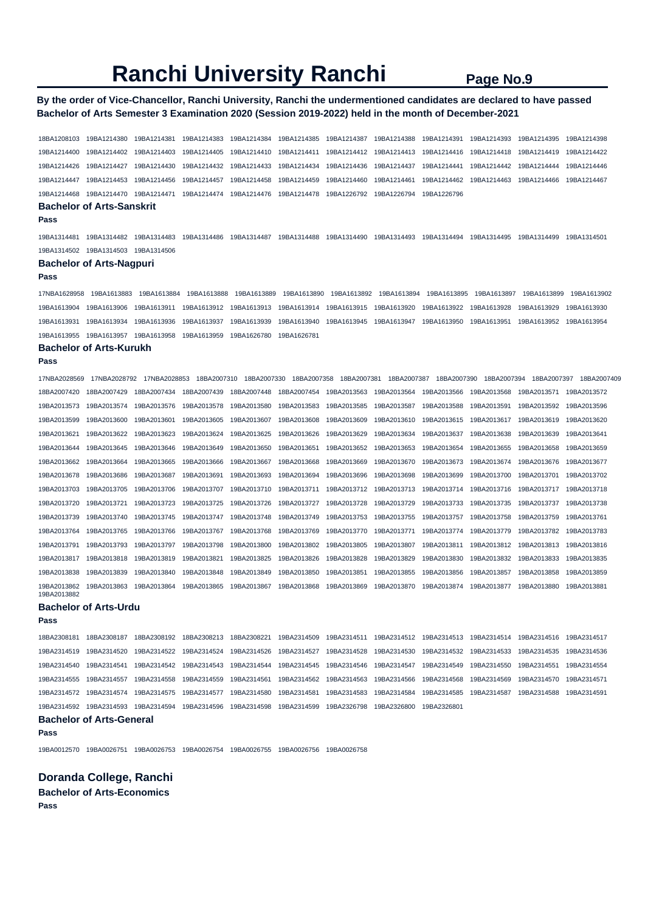## **By the order of Vice-Chancellor, Ranchi University, Ranchi the undermentioned candidates are declared to have passed Bachelor of Arts Semester 3 Examination 2020 (Session 2019-2022) held in the month of December-2021**

18BA1208103 19BA1214380 19BA1214381 19BA1214383 19BA1214384 19BA1214385 19BA1214387 19BA1214388 19BA1214391 19BA1214393 19BA1214395 19BA1214398 19BA1214400 19BA1214402 19BA1214403 19BA1214405 19BA1214410 19BA1214411 19BA1214412 19BA1214413 19BA1214416 19BA1214418 19BA1214419 19BA1214422 19BA1214426 19BA1214427 19BA1214430 19BA1214432 19BA1214433 19BA1214434 19BA1214436 19BA1214437 19BA1214441 19BA1214442 19BA1214444 19BA1214446 19BA1214447 19BA1214453 19BA1214456 19BA1214457 19BA1214458 19BA1214459 19BA1214460 19BA1214461 19BA1214462 19BA1214463 19BA1214466 19BA1214467 19BA1214468 19BA1214470 19BA1214471 19BA1214474 19BA1214476 19BA1214478 19BA1226792 19BA1226794 19BA1226796

#### **Bachelor of Arts-Sanskrit**

**Pass** 

19BA1314481 19BA1314482 19BA1314483 19BA1314486 19BA1314487 19BA1314488 19BA1314490 19BA1314493 19BA1314494 19BA1314495 19BA1314499 19BA1314501 19BA1314502 19BA1314503 19BA1314506

### **Bachelor of Arts-Nagpuri**

**Pass** 

17NBA1628958 19BA1613883 19BA1613884 19BA1613888 19BA1613889 19BA1613890 19BA1613892 19BA1613894 19BA1613895 19BA1613897 19BA1613899 19BA1613902 19BA1613904 19BA1613906 19BA1613911 19BA1613912 19BA1613913 19BA1613914 19BA1613915 19BA1613920 19BA1613922 19BA1613928 19BA1613929 19BA1613930 19BA1613931 19BA1613934 19BA1613936 19BA1613937 19BA1613939 19BA1613940 19BA1613945 19BA1613947 19BA1613950 19BA1613951 19BA1613952 19BA1613954 19BA1613955 19BA1613957 19BA1613958 19BA1613959 19BA1626780 19BA1626781

#### **Bachelor of Arts-Kurukh**

**Pass** 

| 17NBA2028569               | 17NBA2028792 | 17NBA2028853 | 18BA2007310 | 18BA2007330 | 18BA2007358 | 18BA2007381 | 18BA2007387             | 18BA2007390 | 18BA2007394 | 18BA2007397 | 18BA2007409 |
|----------------------------|--------------|--------------|-------------|-------------|-------------|-------------|-------------------------|-------------|-------------|-------------|-------------|
| 18BA2007420                | 18BA2007429  | 18BA2007434  | 18BA2007439 | 18BA2007448 |             |             |                         | 19BA2013566 | 19BA2013568 | 19BA2013571 | 19BA2013572 |
| 19BA2013573                | 19BA2013574  | 19BA2013576  | 19BA2013578 | 19BA2013580 | 19BA2013583 | 19BA2013585 | 19BA2013587             | 19BA2013588 | 19BA2013591 | 19BA2013592 | 19BA2013596 |
| 19BA2013599                | 19BA2013600  | 19BA2013601  | 19BA2013605 | 19BA2013607 | 19BA2013608 | 19BA2013609 | 19BA2013610             | 19BA2013615 | 19BA2013617 | 19BA2013619 | 19BA2013620 |
| 19BA2013621                | 19BA2013622  | 19BA2013623  | 19BA2013624 | 19BA2013625 | 19BA2013626 | 19BA2013629 | 19BA2013634             | 19BA2013637 | 19BA2013638 | 19BA2013639 | 19BA2013641 |
| 19BA2013644                | 19BA2013645  | 19BA2013646  | 19BA2013649 | 19BA2013650 | 19BA2013651 | 19BA2013652 | 19BA2013653             | 19BA2013654 | 19BA2013655 | 19BA2013658 | 19BA2013659 |
| 19BA2013662                | 19BA2013664  | 19BA2013665  | 19BA2013666 | 19BA2013667 | 19BA2013668 | 19BA2013669 | 19BA2013670             | 19BA2013673 | 19BA2013674 | 19BA2013676 | 19BA2013677 |
| 19BA2013678                | 19BA2013686  | 19BA2013687  | 19BA2013691 | 19BA2013693 | 19BA2013694 | 19BA2013696 | 19BA2013698             | 19BA2013699 | 19BA2013700 | 19BA2013701 | 19BA2013702 |
| 19BA2013703                | 19BA2013705  | 19BA2013706  | 19BA2013707 | 19BA2013710 | 19BA2013711 | 19BA2013712 | 19BA2013713             | 19BA2013714 | 19BA2013716 | 19BA2013717 | 19BA2013718 |
| 19BA2013720                | 19BA2013721  | 19BA2013723  | 19BA2013725 | 19BA2013726 | 19BA2013727 | 19BA2013728 | 19BA2013729             | 19BA2013733 | 19BA2013735 | 19BA2013737 | 19BA2013738 |
| 19BA2013739                | 19BA2013740  | 19BA2013745  | 19BA2013747 | 19BA2013748 | 19BA2013749 |             | 19BA2013753 19BA2013755 | 19BA2013757 | 19BA2013758 | 19BA2013759 | 19BA2013761 |
| 19BA2013764                | 19BA2013765  | 19BA2013766  | 19BA2013767 | 19BA2013768 | 19BA2013769 | 19BA2013770 | 19BA2013771             | 19BA2013774 | 19BA2013779 | 19BA2013782 | 19BA2013783 |
| 19BA2013791                | 19BA2013793  | 19BA2013797  | 19BA2013798 | 19BA2013800 | 19BA2013802 | 19BA2013805 | 19BA2013807             | 19BA2013811 | 19BA2013812 | 19BA2013813 | 19BA2013816 |
| 19BA2013817                | 19BA2013818  | 19BA2013819  | 19BA2013821 | 19BA2013825 | 19BA2013826 | 19BA2013828 | 19BA2013829             | 19BA2013830 | 19BA2013832 | 19BA2013833 | 19BA2013835 |
| 19BA2013838                | 19BA2013839  | 19BA2013840  | 19BA2013848 | 19BA2013849 | 19BA2013850 | 19BA2013851 | 19BA2013855             | 19BA2013856 | 19BA2013857 | 19BA2013858 | 19BA2013859 |
| 19BA2013862<br>19BA2013882 | 19BA2013863  | 19BA2013864  | 19BA2013865 | 19BA2013867 | 19BA2013868 | 19BA2013869 | 19BA2013870             | 19BA2013874 | 19BA2013877 | 19BA2013880 | 19BA2013881 |

#### **Bachelor of Arts-Urdu**

#### **Pass**

18BA2308181 18BA2308187 18BA2308192 18BA2308213 18BA2308221 19BA2314509 19BA2314511 19BA2314512 19BA2314513 19BA2314514 19BA2314516 19BA2314517 19BA2314519 19BA2314520 19BA2314522 19BA2314524 19BA2314526 19BA2314527 19BA2314528 19BA2314530 19BA2314532 19BA2314533 19BA2314535 19BA2314536 19BA2314540 19BA2314541 19BA2314542 19BA2314543 19BA2314544 19BA2314545 19BA2314546 19BA2314547 19BA2314549 19BA2314550 19BA2314551 19BA2314554 19BA2314555 19BA2314557 19BA2314558 19BA2314559 19BA2314561 19BA2314562 19BA2314563 19BA2314566 19BA2314568 19BA2314569 19BA2314570 19BA2314571 19BA2314572 19BA2314574 19BA2314575 19BA2314577 19BA2314580 19BA2314581 19BA2314583 19BA2314584 19BA2314585 19BA2314587 19BA2314588 19BA2314591 19BA2314592 19BA2314593 19BA2314594 19BA2314596 19BA2314598 19BA2314599 19BA2326798 19BA2326800 19BA2326801

## **Bachelor of Arts-General**

**Pass** 

19BA0012570 19BA0026751 19BA0026753 19BA0026754 19BA0026755 19BA0026756 19BA0026758

## **Doranda College, Ranchi**

**Bachelor of Arts-Economics**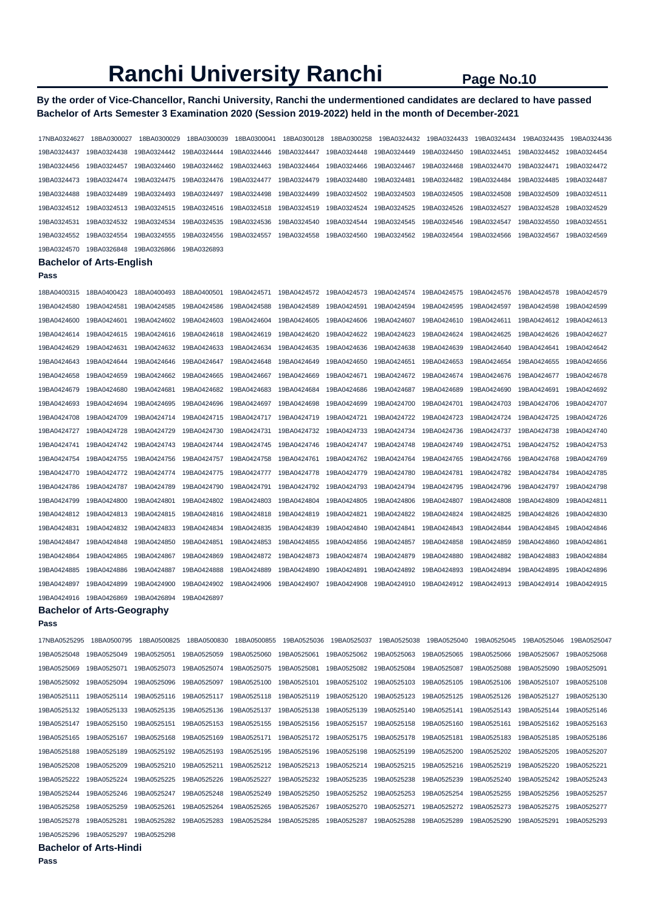## **By the order of Vice-Chancellor, Ranchi University, Ranchi the undermentioned candidates are declared to have passed Bachelor of Arts Semester 3 Examination 2020 (Session 2019-2022) held in the month of December-2021**

| 17NBA0324627               | 18BA0300027                     | 18BA0300029 | 18BA0300039 | 18BA0300041                | 18BA0300128 | 18BA0300258                | 19BA0324432                | 19BA0324433 | 19BA0324434 | 19BA0324435 | 19BA0324436 |
|----------------------------|---------------------------------|-------------|-------------|----------------------------|-------------|----------------------------|----------------------------|-------------|-------------|-------------|-------------|
| 19BA0324437                | 19BA0324438                     | 19BA0324442 | 19BA0324444 | 19BA0324446                | 19BA0324447 | 19BA0324448                | 19BA0324449                | 19BA0324450 | 19BA0324451 | 19BA0324452 | 19BA0324454 |
| 19BA0324456                | 19BA0324457                     | 19BA0324460 | 19BA0324462 | 19BA0324463                | 19BA0324464 | 19BA0324466                | 19BA0324467                | 19BA0324468 | 19BA0324470 | 19BA0324471 | 19BA0324472 |
| 19BA0324473                | 19BA0324474                     | 19BA0324475 | 19BA0324476 | 19BA0324477                | 19BA0324479 | 19BA0324480                | 19BA0324481                | 19BA0324482 | 19BA0324484 | 19BA0324485 | 19BA0324487 |
| 19BA0324488                | 19BA0324489                     | 19BA0324493 | 19BA0324497 | 19BA0324498                | 19BA0324499 | 19BA0324502                | 19BA0324503                | 19BA0324505 | 19BA0324508 | 19BA0324509 | 19BA0324511 |
| 19BA0324512                | 19BA0324513                     | 19BA0324515 | 19BA0324516 | 19BA0324518                | 19BA0324519 | 19BA0324524                | 19BA0324525                | 19BA0324526 | 19BA0324527 | 19BA0324528 | 19BA0324529 |
| 19BA0324531                | 19BA0324532                     | 19BA0324534 | 19BA0324535 | 19BA0324536                | 19BA0324540 | 19BA0324544                | 19BA0324545                | 19BA0324546 | 19BA0324547 | 19BA0324550 | 19BA0324551 |
| 19BA0324552                | 19BA0324554                     | 19BA0324555 | 19BA0324556 | 19BA0324557                | 19BA0324558 | 19BA0324560                | 19BA0324562                | 19BA0324564 | 19BA0324566 | 19BA0324567 | 19BA0324569 |
| 19BA0324570                | 19BA0326848                     | 19BA0326866 | 19BA0326893 |                            |             |                            |                            |             |             |             |             |
|                            | <b>Bachelor of Arts-English</b> |             |             |                            |             |                            |                            |             |             |             |             |
| Pass                       |                                 |             |             |                            |             |                            |                            |             |             |             |             |
| 18BA0400315                | 18BA0400423                     | 18BA0400493 | 18BA0400501 | 19BA0424571                | 19BA0424572 | 19BA0424573                | 19BA0424574                | 19BA0424575 | 19BA0424576 | 19BA0424578 | 19BA0424579 |
| 19BA0424580                | 19BA0424581                     | 19BA0424585 | 19BA0424586 | 19BA0424588                | 19BA0424589 | 19BA0424591                | 19BA0424594                | 19BA0424595 | 19BA0424597 | 19BA0424598 | 19BA0424599 |
| 19BA0424600                | 19BA0424601                     | 19BA0424602 | 19BA0424603 | 19BA0424604                | 19BA0424605 | 19BA0424606                | 19BA0424607                | 19BA0424610 | 19BA0424611 | 19BA0424612 | 19BA0424613 |
| 19BA0424614                | 19BA0424615                     | 19BA0424616 | 19BA0424618 | 19BA0424619                | 19BA0424620 | 19BA0424622                | 19BA0424623                | 19BA0424624 | 19BA0424625 | 19BA0424626 | 19BA0424627 |
| 19BA0424629                | 19BA0424631                     | 19BA0424632 | 19BA0424633 | 19BA0424634                | 19BA0424635 | 19BA0424636                | 19BA0424638                | 19BA0424639 | 19BA0424640 | 19BA0424641 | 19BA0424642 |
| 19BA0424643                | 19BA0424644                     | 19BA0424646 | 19BA0424647 | 19BA0424648                | 19BA0424649 | 19BA0424650                | 19BA0424651                | 19BA0424653 | 19BA0424654 | 19BA0424655 | 19BA0424656 |
| 19BA0424658                | 19BA0424659                     | 19BA0424662 | 19BA0424665 | 19BA0424667                | 19BA0424669 | 19BA0424671                | 19BA0424672                | 19BA0424674 | 19BA0424676 | 19BA0424677 | 19BA0424678 |
| 19BA0424679                | 19BA0424680                     | 19BA0424681 | 19BA0424682 | 19BA0424683                | 19BA0424684 | 19BA0424686                | 19BA0424687                | 19BA0424689 | 19BA0424690 | 19BA0424691 | 19BA0424692 |
| 19BA0424693                | 19BA0424694                     | 19BA0424695 | 19BA0424696 | 19BA0424697                | 19BA0424698 | 19BA0424699                | 19BA0424700                | 19BA0424701 | 19BA0424703 | 19BA0424706 | 19BA0424707 |
| 19BA0424708                | 19BA0424709                     | 19BA0424714 | 19BA0424715 | 19BA0424717                | 19BA0424719 | 19BA0424721                | 19BA0424722                | 19BA0424723 | 19BA0424724 | 19BA0424725 | 19BA0424726 |
| 19BA0424727                | 19BA0424728                     | 19BA0424729 | 19BA0424730 | 19BA0424731                | 19BA0424732 | 19BA0424733                | 19BA0424734                | 19BA0424736 | 19BA0424737 | 19BA0424738 | 19BA0424740 |
| 19BA0424741                | 19BA0424742                     | 19BA0424743 | 19BA0424744 | 19BA0424745                | 19BA0424746 | 19BA0424747                | 19BA0424748                | 19BA0424749 | 19BA0424751 | 19BA0424752 | 19BA0424753 |
| 19BA0424754                | 19BA0424755                     | 19BA0424756 | 19BA0424757 | 19BA0424758                | 19BA0424761 | 19BA0424762                | 19BA0424764                | 19BA0424765 | 19BA0424766 | 19BA0424768 | 19BA0424769 |
| 19BA0424770                | 19BA0424772                     | 19BA0424774 | 19BA0424775 | 19BA0424777                | 19BA0424778 | 19BA0424779                | 19BA0424780                | 19BA0424781 | 19BA0424782 | 19BA0424784 | 19BA0424785 |
|                            |                                 | 19BA0424789 |             |                            | 19BA0424792 | 19BA0424793                | 19BA0424794                | 19BA0424795 | 19BA0424796 |             |             |
| 19BA0424786                | 19BA0424787                     |             | 19BA0424790 | 19BA0424791                |             | 19BA0424805                | 19BA0424806                |             |             | 19BA0424797 | 19BA0424798 |
| 19BA0424799                | 19BA0424800                     | 19BA0424801 | 19BA0424802 | 19BA0424803                | 19BA0424804 |                            |                            | 19BA0424807 | 19BA0424808 | 19BA0424809 | 19BA0424811 |
| 19BA0424812<br>19BA0424831 | 19BA0424813                     | 19BA0424815 | 19BA0424816 | 19BA0424818                | 19BA0424819 | 19BA0424821<br>19BA0424840 | 19BA0424822                | 19BA0424824 | 19BA0424825 | 19BA0424826 | 19BA0424830 |
|                            | 19BA0424832                     | 19BA0424833 | 19BA0424834 | 19BA0424835                | 19BA0424839 |                            | 19BA0424841                | 19BA0424843 | 19BA0424844 | 19BA0424845 | 19BA0424846 |
| 19BA0424847                | 19BA0424848                     | 19BA0424850 | 19BA0424851 | 19BA0424853                | 19BA0424855 | 19BA0424856                | 19BA0424857                | 19BA0424858 | 19BA0424859 | 19BA0424860 | 19BA0424861 |
| 19BA0424864                | 19BA0424865                     | 19BA0424867 | 19BA0424869 | 19BA0424872                | 19BA0424873 | 19BA0424874                | 19BA0424879                | 19BA0424880 | 19BA0424882 | 19BA0424883 | 19BA0424884 |
| 19BA0424885                | 19BA0424886                     | 19BA0424887 | 19BA0424888 | 19BA0424889                | 19BA0424890 | 19BA0424891                | 19BA0424892                | 19BA0424893 | 19BA0424894 | 19BA0424895 | 19BA0424896 |
| 19BA0424897                | 19BA0424899                     | 19BA0424900 | 19BA0424902 | 19BA0424906                | 19BA0424907 | 19BA0424908                | 19BA0424910                | 19BA0424912 | 19BA0424913 | 19BA0424914 | 19BA0424915 |
| 19BA0424916                | 19BA0426869                     | 19BA0426894 | 19BA0426897 |                            |             |                            |                            |             |             |             |             |
| Pass                       | Bachelor of Arts-Geography      |             |             |                            |             |                            |                            |             |             |             |             |
| 17NBA0525295               | 18BA0500795                     | 18BA0500825 | 18BA0500830 | 18BA0500855                | 19BA0525036 | 19BA0525037                | 19BA0525038                | 19BA0525040 | 19BA0525045 | 19BA0525046 | 19BA0525047 |
| 19BA0525048                | 19BA0525049                     | 19BA0525051 | 19BA0525059 | 19BA0525060                | 19BA0525061 | 19BA0525062                | 19BA0525063                | 19BA0525065 | 19BA0525066 | 19BA0525067 | 19BA0525068 |
| 19BA0525069                | 19BA0525071                     | 19BA0525073 | 19BA0525074 | 19BA0525075                | 19BA0525081 | 19BA0525082                | 19BA0525084                | 19BA0525087 | 19BA0525088 | 19BA0525090 | 19BA0525091 |
| 19BA0525092                | 19BA0525094                     | 19BA0525096 | 19BA0525097 | 19BA0525100                | 19BA0525101 |                            | 19BA0525103                | 19BA0525105 |             | 19BA0525107 | 19BA0525108 |
|                            |                                 |             |             |                            |             | 19BA0525102                |                            |             | 19BA0525106 |             |             |
| 19BA0525111                | 19BA0525114                     | 19BA0525116 | 19BA0525117 | 19BA0525118<br>19BA0525137 | 19BA0525119 | 19BA0525120<br>19BA0525139 | 19BA0525123<br>19BA0525140 | 19BA0525125 | 19BA0525126 | 19BA0525127 | 19BA0525130 |
| 19BA0525132                | 19BA0525133                     | 19BA0525135 | 19BA0525136 |                            | 19BA0525138 |                            |                            | 19BA0525141 | 19BA0525143 | 19BA0525144 | 19BA0525146 |
| 19BA0525147                | 19BA0525150                     | 19BA0525151 | 19BA0525153 | 19BA0525155                | 19BA0525156 | 19BA0525157                | 19BA0525158                | 19BA0525160 | 19BA0525161 | 19BA0525162 | 19BA0525163 |
| 19BA0525165                | 19BA0525167                     | 19BA0525168 | 19BA0525169 | 19BA0525171                | 19BA0525172 | 19BA0525175                | 19BA0525178                | 19BA0525181 | 19BA0525183 | 19BA0525185 | 19BA0525186 |
| 19BA0525188                | 19BA0525189                     | 19BA0525192 | 19BA0525193 | 19BA0525195                | 19BA0525196 | 19BA0525198                | 19BA0525199                | 19BA0525200 | 19BA0525202 | 19BA0525205 | 19BA0525207 |
| 19BA0525208                | 19BA0525209                     | 19BA0525210 | 19BA0525211 | 19BA0525212                | 19BA0525213 | 19BA0525214                | 19BA0525215                | 19BA0525216 | 19BA0525219 | 19BA0525220 | 19BA0525221 |
| 19BA0525222                | 19BA0525224                     | 19BA0525225 | 19BA0525226 | 19BA0525227                | 19BA0525232 | 19BA0525235                | 19BA0525238                | 19BA0525239 | 19BA0525240 | 19BA0525242 | 19BA0525243 |
| 19BA0525244                | 19BA0525246                     | 19BA0525247 | 19BA0525248 | 19BA0525249                | 19BA0525250 | 19BA0525252                | 19BA0525253                | 19BA0525254 | 19BA0525255 | 19BA0525256 | 19BA0525257 |
| 19BA0525258                | 19BA0525259                     | 19BA0525261 | 19BA0525264 | 19BA0525265                | 19BA0525267 | 19BA0525270                | 19BA0525271                | 19BA0525272 | 19BA0525273 | 19BA0525275 | 19BA0525277 |
| 19BA0525278                | 19BA0525281                     | 19BA0525282 | 19BA0525283 | 19BA0525284                | 19BA0525285 | 19BA0525287                | 19BA0525288                | 19BA0525289 | 19BA0525290 | 19BA0525291 | 19BA0525293 |
| 19BA0525296                | 19BA0525297                     | 19BA0525298 |             |                            |             |                            |                            |             |             |             |             |

**Bachelor of Arts-Hindi**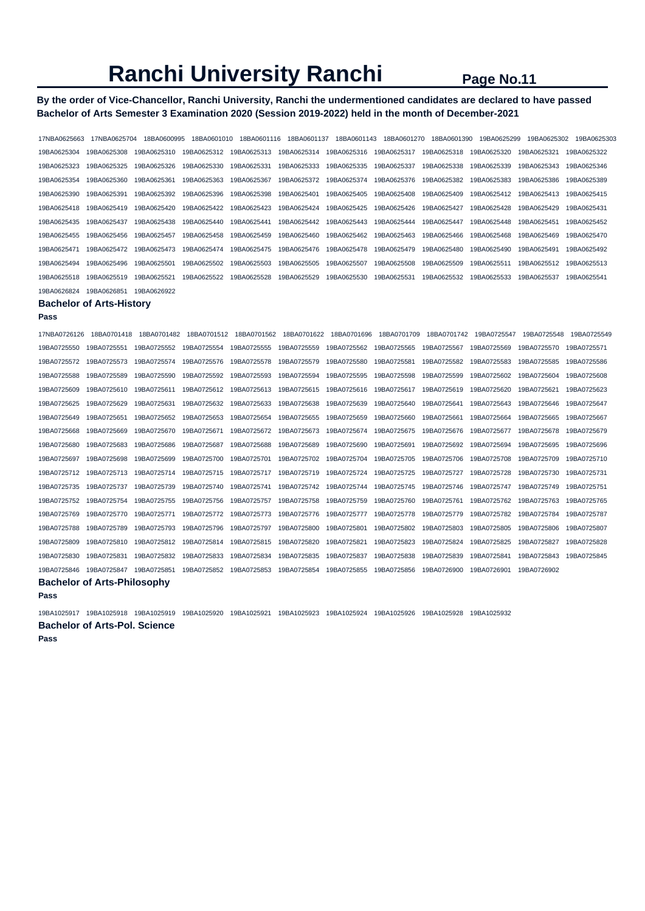## **By the order of Vice-Chancellor, Ranchi University, Ranchi the undermentioned candidates are declared to have passed Bachelor of Arts Semester 3 Examination 2020 (Session 2019-2022) held in the month of December-2021**

| 17NBA0625663 | 17NBA0625704                       | 18BA0600995 | 18BA0601010 | 18BA0601116 |             | 18BA0601137 18BA0601143 | 18BA0601270 | 18BA0601390 | 19BA0625299 | 19BA0625302 | 19BA0625303 |
|--------------|------------------------------------|-------------|-------------|-------------|-------------|-------------------------|-------------|-------------|-------------|-------------|-------------|
| 19BA0625304  | 19BA0625308                        | 19BA0625310 | 19BA0625312 | 19BA0625313 | 19BA0625314 | 19BA0625316             | 19BA0625317 | 19BA0625318 | 19BA0625320 | 19BA0625321 | 19BA0625322 |
| 19BA0625323  | 19BA0625325                        | 19BA0625326 | 19BA0625330 | 19BA0625331 | 19BA0625333 | 19BA0625335             | 19BA0625337 | 19BA0625338 | 19BA0625339 | 19BA0625343 | 19BA0625346 |
| 19BA0625354  | 19BA0625360                        | 19BA0625361 | 19BA0625363 | 19BA0625367 | 19BA0625372 | 19BA0625374             | 19BA0625376 | 19BA0625382 | 19BA0625383 | 19BA0625386 | 19BA0625389 |
| 19BA0625390  | 19BA0625391                        | 19BA0625392 | 19BA0625396 | 19BA0625398 | 19BA0625401 | 19BA0625405             | 19BA0625408 | 19BA0625409 | 19BA0625412 | 19BA0625413 | 19BA0625415 |
| 19BA0625418  | 19BA0625419                        | 19BA0625420 | 19BA0625422 | 19BA0625423 | 19BA0625424 | 19BA0625425             | 19BA0625426 | 19BA0625427 | 19BA0625428 | 19BA0625429 | 19BA0625431 |
| 19BA0625435  | 19BA0625437                        | 19BA0625438 | 19BA0625440 | 19BA0625441 | 19BA0625442 | 19BA0625443             | 19BA0625444 | 19BA0625447 | 19BA0625448 | 19BA0625451 | 19BA0625452 |
| 19BA0625455  | 19BA0625456                        | 19BA0625457 | 19BA0625458 | 19BA0625459 | 19BA0625460 | 19BA0625462             | 19BA0625463 | 19BA0625466 | 19BA0625468 | 19BA0625469 | 19BA0625470 |
| 19BA0625471  | 19BA0625472                        | 19BA0625473 | 19BA0625474 | 19BA0625475 | 19BA0625476 | 19BA0625478             | 19BA0625479 | 19BA0625480 | 19BA0625490 | 19BA0625491 | 19BA0625492 |
| 19BA0625494  | 19BA0625496                        | 19BA0625501 | 19BA0625502 | 19BA0625503 | 19BA0625505 | 19BA0625507             | 19BA0625508 | 19BA0625509 | 19BA0625511 | 19BA0625512 | 19BA0625513 |
| 19BA0625518  | 19BA0625519                        | 19BA0625521 | 19BA0625522 | 19BA0625528 | 19BA0625529 | 19BA0625530             | 19BA0625531 | 19BA0625532 | 19BA0625533 | 19BA0625537 | 19BA0625541 |
| 19BA0626824  | 19BA0626851                        | 19BA0626922 |             |             |             |                         |             |             |             |             |             |
|              | <b>Bachelor of Arts-History</b>    |             |             |             |             |                         |             |             |             |             |             |
| Pass         |                                    |             |             |             |             |                         |             |             |             |             |             |
| 17NBA0726126 | 18BA0701418                        | 18BA0701482 | 18BA0701512 | 18BA0701562 | 18BA0701622 | 18BA0701696             | 18BA0701709 | 18BA0701742 | 19BA0725547 | 19BA0725548 | 19BA0725549 |
| 19BA0725550  | 19BA0725551                        | 19BA0725552 | 19BA0725554 | 19BA0725555 | 19BA0725559 | 19BA0725562             | 19BA0725565 | 19BA0725567 | 19BA0725569 | 19BA0725570 | 19BA0725571 |
| 19BA0725572  | 19BA0725573                        | 19BA0725574 | 19BA0725576 | 19BA0725578 | 19BA0725579 | 19BA0725580             | 19BA0725581 | 19BA0725582 | 19BA0725583 | 19BA0725585 | 19BA0725586 |
| 19BA0725588  | 19BA0725589                        | 19BA0725590 | 19BA0725592 | 19BA0725593 | 19BA0725594 | 19BA0725595             | 19BA0725598 | 19BA0725599 | 19BA0725602 | 19BA0725604 | 19BA0725608 |
| 19BA0725609  | 19BA0725610                        | 19BA0725611 | 19BA0725612 | 19BA0725613 | 19BA0725615 | 19BA0725616             | 19BA0725617 | 19BA0725619 | 19BA0725620 | 19BA0725621 | 19BA0725623 |
| 19BA0725625  | 19BA0725629                        | 19BA0725631 | 19BA0725632 | 19BA0725633 | 19BA0725638 | 19BA0725639             | 19BA0725640 | 19BA0725641 | 19BA0725643 | 19BA0725646 | 19BA0725647 |
| 19BA0725649  | 19BA0725651                        | 19BA0725652 | 19BA0725653 | 19BA0725654 | 19BA0725655 | 19BA0725659             | 19BA0725660 | 19BA0725661 | 19BA0725664 | 19BA0725665 | 19BA0725667 |
| 19BA0725668  | 19BA0725669                        | 19BA0725670 | 19BA0725671 | 19BA0725672 | 19BA0725673 | 19BA0725674             | 19BA0725675 | 19BA0725676 | 19BA0725677 | 19BA0725678 | 19BA0725679 |
| 19BA0725680  | 19BA0725683                        | 19BA0725686 | 19BA0725687 | 19BA0725688 | 19BA0725689 | 19BA0725690             | 19BA0725691 | 19BA0725692 | 19BA0725694 | 19BA0725695 | 19BA0725696 |
| 19BA0725697  | 19BA0725698                        | 19BA0725699 | 19BA0725700 | 19BA0725701 | 19BA0725702 | 19BA0725704             | 19BA0725705 | 19BA0725706 | 19BA0725708 | 19BA0725709 | 19BA0725710 |
| 19BA0725712  | 19BA0725713                        | 19BA0725714 | 19BA0725715 | 19BA0725717 | 19BA0725719 | 19BA0725724             | 19BA0725725 | 19BA0725727 | 19BA0725728 | 19BA0725730 | 19BA0725731 |
| 19BA0725735  | 19BA0725737                        | 19BA0725739 | 19BA0725740 | 19BA0725741 | 19BA0725742 | 19BA0725744             | 19BA0725745 | 19BA0725746 | 19BA0725747 | 19BA0725749 | 19BA0725751 |
| 19BA0725752  | 19BA0725754                        | 19BA0725755 | 19BA0725756 | 19BA0725757 | 19BA0725758 | 19BA0725759             | 19BA0725760 | 19BA0725761 | 19BA0725762 | 19BA0725763 | 19BA0725765 |
| 19BA0725769  | 19BA0725770                        | 19BA0725771 | 19BA0725772 | 19BA0725773 | 19BA0725776 | 19BA0725777             | 19BA0725778 | 19BA0725779 | 19BA0725782 | 19BA0725784 | 19BA0725787 |
| 19BA0725788  | 19BA0725789                        | 19BA0725793 | 19BA0725796 | 19BA0725797 | 19BA0725800 | 19BA0725801             | 19BA0725802 | 19BA0725803 | 19BA0725805 | 19BA0725806 | 19BA0725807 |
| 19BA0725809  | 19BA0725810                        | 19BA0725812 | 19BA0725814 | 19BA0725815 | 19BA0725820 | 19BA0725821             | 19BA0725823 | 19BA0725824 | 19BA0725825 | 19BA0725827 | 19BA0725828 |
| 19BA0725830  | 19BA0725831                        | 19BA0725832 | 19BA0725833 | 19BA0725834 | 19BA0725835 | 19BA0725837             | 19BA0725838 | 19BA0725839 | 19BA0725841 | 19BA0725843 | 19BA0725845 |
| 19BA0725846  | 19BA0725847                        | 19BA0725851 | 19BA0725852 | 19BA0725853 | 19BA0725854 | 19BA0725855             | 19BA0725856 | 19BA0726900 | 19BA0726901 | 19BA0726902 |             |
|              | <b>Bachelor of Arts-Philosophy</b> |             |             |             |             |                         |             |             |             |             |             |

**Pass** 

19BA1025917 19BA1025918 19BA1025919 19BA1025920 19BA1025921 19BA1025923 19BA1025924 19BA1025926 19BA1025928 19BA1025932

**Bachelor of Arts-Pol. Science**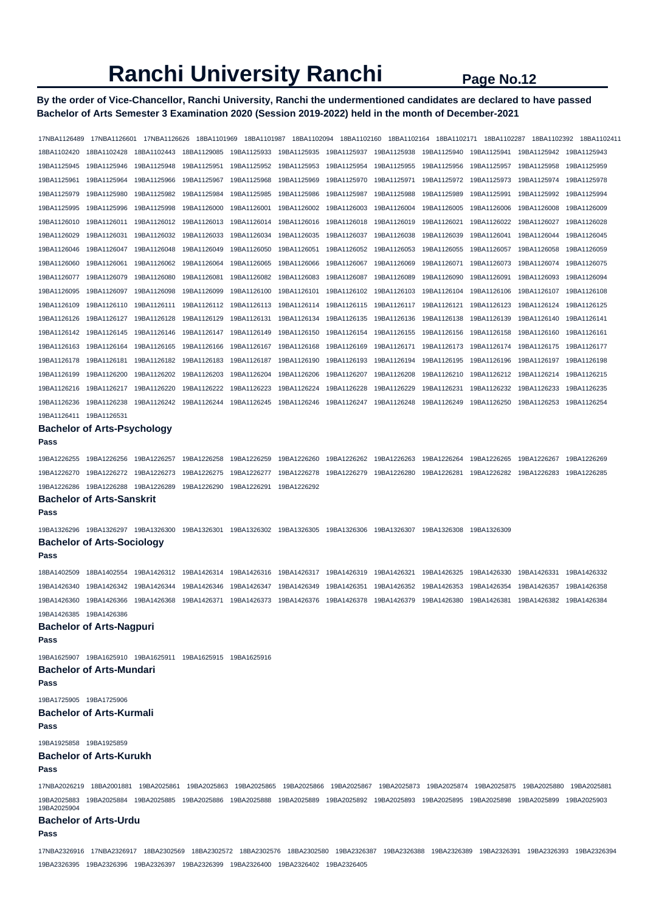## **By the order of Vice-Chancellor, Ranchi University, Ranchi the undermentioned candidates are declared to have passed Bachelor of Arts Semester 3 Examination 2020 (Session 2019-2022) held in the month of December-2021**

| 17NBA1126489            | 17NBA1126601                                     | 17NBA1126626                                                                                                                                               | 18BA1101969 | 18BA1101987 | 18BA1102094 | 18BA1102160 | 18BA1102164 | 18BA1102171 | 18BA1102287 | 18BA1102392 | 18BA1102411 |
|-------------------------|--------------------------------------------------|------------------------------------------------------------------------------------------------------------------------------------------------------------|-------------|-------------|-------------|-------------|-------------|-------------|-------------|-------------|-------------|
| 18BA1102420             | 18BA1102428                                      | 18BA1102443                                                                                                                                                | 18BA1129085 | 19BA1125933 | 19BA1125935 | 19BA1125937 | 19BA1125938 | 19BA1125940 | 19BA1125941 | 19BA1125942 | 19BA1125943 |
| 19BA1125945             | 19BA1125946                                      | 19BA1125948                                                                                                                                                | 19BA1125951 | 19BA1125952 | 19BA1125953 | 19BA1125954 | 19BA1125955 | 19BA1125956 | 19BA1125957 | 19BA1125958 | 19BA1125959 |
| 19BA1125961             | 19BA1125964                                      | 19BA1125966                                                                                                                                                | 19BA1125967 | 19BA1125968 | 19BA1125969 | 19BA1125970 | 19BA1125971 | 19BA1125972 | 19BA1125973 | 19BA1125974 | 19BA1125978 |
| 19BA1125979             | 19BA1125980                                      | 19BA1125982                                                                                                                                                | 19BA1125984 | 19BA1125985 | 19BA1125986 | 19BA1125987 | 19BA1125988 | 19BA1125989 | 19BA1125991 | 19BA1125992 | 19BA1125994 |
| 19BA1125995             | 19BA1125996                                      | 19BA1125998                                                                                                                                                | 19BA1126000 | 19BA1126001 | 19BA1126002 | 19BA1126003 | 19BA1126004 | 19BA1126005 | 19BA1126006 | 19BA1126008 | 19BA1126009 |
| 19BA1126010             | 19BA1126011                                      | 19BA1126012                                                                                                                                                | 19BA1126013 | 19BA1126014 | 19BA1126016 | 19BA1126018 | 19BA1126019 | 19BA1126021 | 19BA1126022 | 19BA1126027 | 19BA1126028 |
| 19BA1126029             | 19BA1126031                                      | 19BA1126032                                                                                                                                                | 19BA1126033 | 19BA1126034 | 19BA1126035 | 19BA1126037 | 19BA1126038 | 19BA1126039 | 19BA1126041 | 19BA1126044 | 19BA1126045 |
| 19BA1126046             | 19BA1126047                                      | 19BA1126048                                                                                                                                                | 19BA1126049 | 19BA1126050 | 19BA1126051 | 19BA1126052 | 19BA1126053 | 19BA1126055 | 19BA1126057 | 19BA1126058 | 19BA1126059 |
| 19BA1126060             | 19BA1126061                                      | 19BA1126062                                                                                                                                                | 19BA1126064 | 19BA1126065 | 19BA1126066 | 19BA1126067 | 19BA1126069 | 19BA1126071 | 19BA1126073 | 19BA1126074 | 19BA1126075 |
| 19BA1126077             | 19BA1126079                                      | 19BA1126080                                                                                                                                                | 19BA1126081 | 19BA1126082 | 19BA1126083 | 19BA1126087 | 19BA1126089 | 19BA1126090 | 19BA1126091 | 19BA1126093 | 19BA1126094 |
| 19BA1126095             | 19BA1126097                                      | 19BA1126098                                                                                                                                                | 19BA1126099 | 19BA1126100 | 19BA1126101 | 19BA1126102 | 19BA1126103 | 19BA1126104 | 19BA1126106 | 19BA1126107 | 19BA1126108 |
| 19BA1126109             | 19BA1126110                                      | 19BA1126111                                                                                                                                                | 19BA1126112 | 19BA1126113 | 19BA1126114 | 19BA1126115 | 19BA1126117 | 19BA1126121 | 19BA1126123 | 19BA1126124 | 19BA1126125 |
| 19BA1126126             | 19BA1126127                                      | 19BA1126128                                                                                                                                                | 19BA1126129 | 19BA1126131 | 19BA1126134 | 19BA1126135 | 19BA1126136 | 19BA1126138 | 19BA1126139 | 19BA1126140 | 19BA1126141 |
| 19BA1126142             | 19BA1126145                                      | 19BA1126146                                                                                                                                                | 19BA1126147 | 19BA1126149 | 19BA1126150 | 19BA1126154 | 19BA1126155 | 19BA1126156 | 19BA1126158 | 19BA1126160 | 19BA1126161 |
| 19BA1126163             | 19BA1126164                                      | 19BA1126165                                                                                                                                                | 19BA1126166 | 19BA1126167 | 19BA1126168 | 19BA1126169 | 19BA1126171 | 19BA1126173 | 19BA1126174 | 19BA1126175 | 19BA1126177 |
| 19BA1126178             | 19BA1126181                                      | 19BA1126182                                                                                                                                                | 19BA1126183 | 19BA1126187 | 19BA1126190 | 19BA1126193 | 19BA1126194 | 19BA1126195 | 19BA1126196 | 19BA1126197 | 19BA1126198 |
| 19BA1126199             | 19BA1126200                                      | 19BA1126202                                                                                                                                                | 19BA1126203 | 19BA1126204 | 19BA1126206 | 19BA1126207 | 19BA1126208 | 19BA1126210 | 19BA1126212 | 19BA1126214 | 19BA1126215 |
| 19BA1126216             | 19BA1126217                                      | 19BA1126220                                                                                                                                                | 19BA1126222 | 19BA1126223 | 19BA1126224 | 19BA1126228 | 19BA1126229 | 19BA1126231 | 19BA1126232 | 19BA1126233 | 19BA1126235 |
| 19BA1126236             | 19BA1126238                                      | 19BA1126242                                                                                                                                                | 19BA1126244 | 19BA1126245 | 19BA1126246 | 19BA1126247 | 19BA1126248 | 19BA1126249 | 19BA1126250 | 19BA1126253 | 19BA1126254 |
| 19BA1126411             | 19BA1126531                                      |                                                                                                                                                            |             |             |             |             |             |             |             |             |             |
|                         | <b>Bachelor of Arts-Psychology</b>               |                                                                                                                                                            |             |             |             |             |             |             |             |             |             |
| Pass                    |                                                  |                                                                                                                                                            |             |             |             |             |             |             |             |             |             |
| 19BA1226255             | 19BA1226256                                      | 19BA1226257                                                                                                                                                | 19BA1226258 | 19BA1226259 | 19BA1226260 | 19BA1226262 | 19BA1226263 | 19BA1226264 | 19BA1226265 | 19BA1226267 | 19BA1226269 |
| 19BA1226270             | 19BA1226272                                      | 19BA1226273                                                                                                                                                | 19BA1226275 | 19BA1226277 | 19BA1226278 | 19BA1226279 | 19BA1226280 | 19BA1226281 | 19BA1226282 | 19BA1226283 | 19BA1226285 |
| 19BA1226286             | 19BA1226288                                      | 19BA1226289                                                                                                                                                | 19BA1226290 | 19BA1226291 | 19BA1226292 |             |             |             |             |             |             |
| Pass                    | <b>Bachelor of Arts-Sanskrit</b>                 |                                                                                                                                                            |             |             |             |             |             |             |             |             |             |
|                         |                                                  |                                                                                                                                                            |             |             |             |             |             |             |             |             |             |
| 19BA1326296             | 19BA1326297<br><b>Bachelor of Arts-Sociology</b> | 19BA1326300                                                                                                                                                | 19BA1326301 | 19BA1326302 | 19BA1326305 | 19BA1326306 | 19BA1326307 | 19BA1326308 | 19BA1326309 |             |             |
| Pass                    |                                                  |                                                                                                                                                            |             |             |             |             |             |             |             |             |             |
| 18BA1402509             | 18BA1402554                                      | 19BA1426312                                                                                                                                                | 19BA1426314 | 19BA1426316 | 19BA1426317 | 19BA1426319 | 19BA1426321 | 19BA1426325 | 19BA1426330 | 19BA1426331 | 19BA1426332 |
| 19BA1426340             | 19BA1426342                                      | 19BA1426344                                                                                                                                                | 19BA1426346 | 19BA1426347 | 19BA1426349 | 19BA1426351 | 19BA1426352 | 19BA1426353 | 19BA1426354 | 19BA1426357 | 19BA1426358 |
| 19BA1426360             | 19BA1426366                                      | 19BA1426368                                                                                                                                                | 19BA1426371 | 19BA1426373 | 19BA1426376 | 19BA1426378 | 19BA1426379 | 19BA1426380 | 19BA1426381 | 19BA1426382 | 19BA1426384 |
| 19BA1426385 19BA1426386 |                                                  |                                                                                                                                                            |             |             |             |             |             |             |             |             |             |
|                         | <b>Bachelor of Arts-Nagpuri</b>                  |                                                                                                                                                            |             |             |             |             |             |             |             |             |             |
| Pass                    |                                                  |                                                                                                                                                            |             |             |             |             |             |             |             |             |             |
|                         |                                                  | 19BA1625907  19BA1625910  19BA1625911  19BA1625915  19BA1625916                                                                                            |             |             |             |             |             |             |             |             |             |
|                         | <b>Bachelor of Arts-Mundari</b>                  |                                                                                                                                                            |             |             |             |             |             |             |             |             |             |
| Pass                    |                                                  |                                                                                                                                                            |             |             |             |             |             |             |             |             |             |
| 19BA1725905 19BA1725906 |                                                  |                                                                                                                                                            |             |             |             |             |             |             |             |             |             |
| Pass                    | <b>Bachelor of Arts-Kurmali</b>                  |                                                                                                                                                            |             |             |             |             |             |             |             |             |             |
| 19BA1925858 19BA1925859 |                                                  |                                                                                                                                                            |             |             |             |             |             |             |             |             |             |
|                         | <b>Bachelor of Arts-Kurukh</b>                   |                                                                                                                                                            |             |             |             |             |             |             |             |             |             |
| Pass                    |                                                  |                                                                                                                                                            |             |             |             |             |             |             |             |             |             |
|                         |                                                  | 17NBA2026219 18BA2001881 19BA2025861 19BA2025863 19BA2025865 19BA2025866 19BA2025867 19BA2025873 19BA2025874 19BA2025875 19BA2025880 19BA2025880           |             |             |             |             |             |             |             |             |             |
| 19BA2025904             |                                                  | 19BA2025883 19BA2025884 19BA2025885 19BA2025886 19BA2025888 19BA2025889 19BA2025892 19BA2025893 19BA2025895 19BA2025898 19BA2025899 19BA2025899 19BA202589 |             |             |             |             |             |             |             |             |             |
|                         | <b>Bachelor of Arts-Urdu</b>                     |                                                                                                                                                            |             |             |             |             |             |             |             |             |             |
| Pass                    |                                                  |                                                                                                                                                            |             |             |             |             |             |             |             |             |             |
|                         |                                                  |                                                                                                                                                            |             |             |             |             |             |             |             |             |             |

17NBA2326916 17NBA2326917 18BA2302569 18BA2302572 18BA2302576 18BA2302580 19BA2326387 19BA2326388 19BA2326389 19BA2326391 19BA2326393 19BA2326394 19BA2326395 19BA2326396 19BA2326397 19BA2326399 19BA2326400 19BA2326402 19BA2326405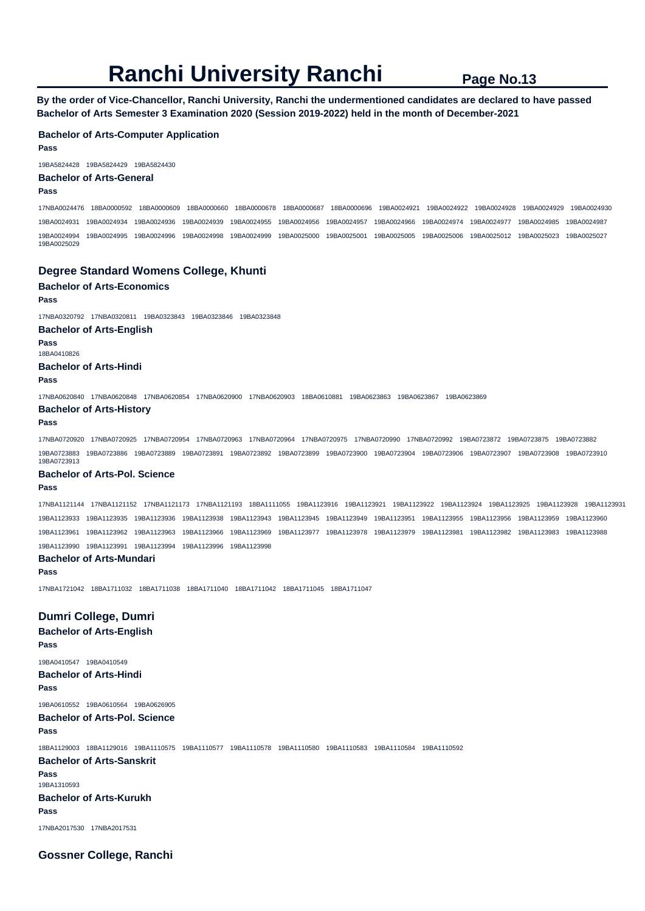**By the order of Vice-Chancellor, Ranchi University, Ranchi the undermentioned candidates are declared to have passed Bachelor of Arts Semester 3 Examination 2020 (Session 2019-2022) held in the month of December-2021** 

### **Bachelor of Arts-Computer Application**

**Pass** 

19BA5824428 19BA5824429 19BA5824430

## **Bachelor of Arts-General**

#### **Pass**

17NBA0024476 18BA0000592 18BA0000609 18BA0000660 18BA0000678 18BA0000687 18BA0000696 19BA0024921 19BA0024922 19BA0024928 19BA0024929 19BA0024930 19BA0024931 19BA0024934 19BA0024936 19BA0024939 19BA0024955 19BA0024956 19BA0024957 19BA0024966 19BA0024974 19BA0024977 19BA0024985 19BA0024987 19BA0024994 19BA0024995 19BA0024996 19BA0024998 19BA0024999 19BA0025000 19BA0025001 19BA0025005 19BA0025006 19BA0025012 19BA0025023 19BA0025027 19BA0025029

## **Degree Standard Womens College, Khunti**

## **Bachelor of Arts-Economics**

**Pass** 

17NBA0320792 17NBA0320811 19BA0323843 19BA0323846 19BA0323848

#### **Bachelor of Arts-English**

**Pass** 

18BA0410826

#### **Bachelor of Arts-Hindi**

#### **Pass**

17NBA0620840 17NBA0620848 17NBA0620854 17NBA0620900 17NBA0620903 18BA0610881 19BA0623863 19BA0623867 19BA0623869

#### **Bachelor of Arts-History**

**Pass** 

17NBA0720920 17NBA0720925 17NBA0720954 17NBA0720963 17NBA0720964 17NBA0720975 17NBA0720990 17NBA0720992 19BA0723872 19BA0723875 19BA0723882 19BA0723883 19BA0723886 19BA0723889 19BA0723891 19BA0723892 19BA0723899 19BA0723900 19BA0723904 19BA0723906 19BA0723907 19BA0723908 19BA0723910 19BA0723913

#### **Bachelor of Arts-Pol. Science**

**Pass** 

17NBA1121144 17NBA1121152 17NBA1121173 17NBA1121193 18BA1111055 19BA1123916 19BA1123921 19BA1123922 19BA1123924 19BA1123925 19BA1123928 19BA1123931 19BA1123933 19BA1123935 19BA1123936 19BA1123938 19BA1123943 19BA1123945 19BA1123949 19BA1123951 19BA1123955 19BA1123956 19BA1123959 19BA1123960 19BA1123961 19BA1123962 19BA1123963 19BA1123966 19BA1123969 19BA1123977 19BA1123978 19BA1123979 19BA1123981 19BA1123982 19BA1123983 19BA1123988 19BA1123990 19BA1123991 19BA1123994 19BA1123996 19BA1123998

#### **Bachelor of Arts-Mundari**

**Pass** 

17NBA1721042 18BA1711032 18BA1711038 18BA1711040 18BA1711042 18BA1711045 18BA1711047

**Dumri College, Dumri Bachelor of Arts-English Pass**  19BA0410547 19BA0410549 **Bachelor of Arts-Hindi Pass**  19BA0610552 19BA0610564 19BA0626905 **Bachelor of Arts-Pol. Science Pass**  18BA1129003 18BA1129016 19BA1110575 19BA1110577 19BA1110578 19BA1110580 19BA1110583 19BA1110584 19BA1110592 **Bachelor of Arts-Sanskrit Pass**  19BA1310593 **Bachelor of Arts-Kurukh Pass**  17NBA2017530 17NBA2017531

**Gossner College, Ranchi**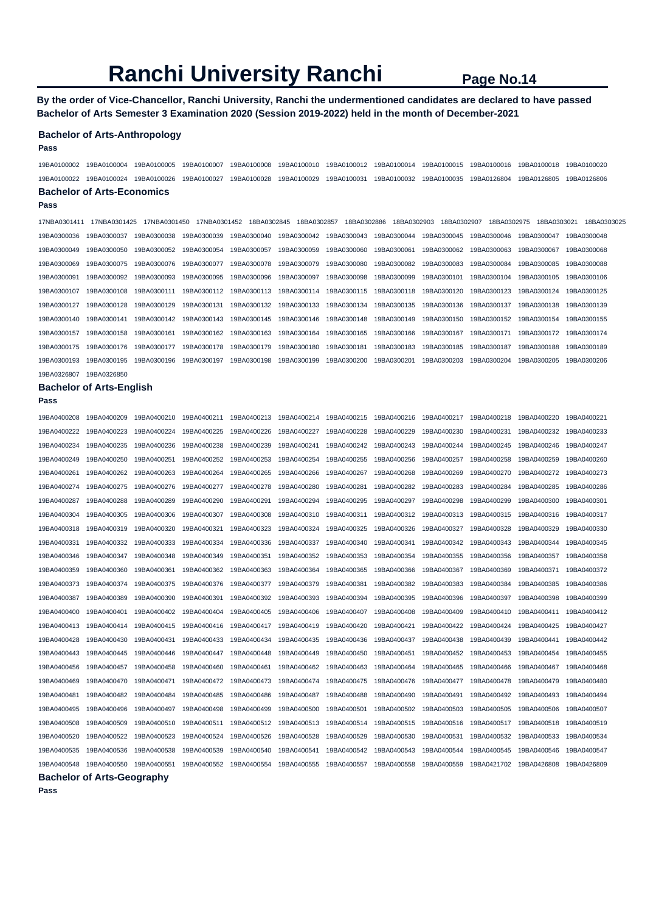**By the order of Vice-Chancellor, Ranchi University, Ranchi the undermentioned candidates are declared to have passed Bachelor of Arts Semester 3 Examination 2020 (Session 2019-2022) held in the month of December-2021** 

#### **Bachelor of Arts-Anthropology**

**Pass** 

19BA0100002 19BA0100004 19BA0100005 19BA0100007 19BA0100008 19BA0100010 19BA0100012 19BA0100014 19BA0100015 19BA0100016 19BA0100018 19BA0100020 19BA0100022 19BA0100024 19BA0100026 19BA0100027 19BA0100028 19BA0100029 19BA0100031 19BA0100032 19BA0100035 19BA0126804 19BA0126805 19BA0126806 **Bachelor of Arts-Economics** 

#### **Pass**

17NBA0301411 17NBA0301425 17NBA0301450 17NBA0301452 18BA0302845 18BA0302857 18BA0302886 18BA0302903 18BA0302907 18BA0302975 18BA0303021 18BA0303025 19BA0300036 19BA0300037 19BA0300038 19BA0300039 19BA0300040 19BA0300042 19BA0300043 19BA0300044 19BA0300045 19BA0300046 19BA0300047 19BA0300048 19BA0300049 19BA0300050 19BA0300052 19BA0300054 19BA0300057 19BA0300059 19BA0300060 19BA0300061 19BA0300062 19BA0300063 19BA0300067 19BA0300068 19BA0300069 19BA0300075 19BA0300076 19BA0300077 19BA0300078 19BA0300079 19BA0300080 19BA0300082 19BA0300083 19BA0300084 19BA0300085 19BA0300088 19BA0300091 19BA0300092 19BA0300093 19BA0300095 19BA0300096 19BA0300097 19BA0300098 19BA0300099 19BA0300101 19BA0300104 19BA0300105 19BA0300106 19BA0300107 19BA0300108 19BA0300111 19BA0300112 19BA0300113 19BA0300114 19BA0300115 19BA0300118 19BA0300120 19BA0300123 19BA0300124 19BA0300125 19BA0300127 19BA0300128 19BA0300129 19BA0300131 19BA0300132 19BA0300133 19BA0300134 19BA0300135 19BA0300136 19BA0300137 19BA0300138 19BA0300139 19BA0300140 19BA0300141 19BA0300142 19BA0300143 19BA0300145 19BA0300146 19BA0300148 19BA0300149 19BA0300150 19BA0300152 19BA0300154 19BA0300155 19BA0300157 19BA0300158 19BA0300161 19BA0300162 19BA0300163 19BA0300164 19BA0300165 19BA0300166 19BA0300167 19BA0300171 19BA0300172 19BA0300174 19BA0300175 19BA0300176 19BA0300177 19BA0300178 19BA0300179 19BA0300180 19BA0300181 19BA0300183 19BA0300185 19BA0300187 19BA0300188 19BA0300189 19BA0300193 19BA0300195 19BA0300196 19BA0300197 19BA0300198 19BA0300199 19BA0300200 19BA0300201 19BA0300203 19BA0300204 19BA0300205 19BA0300206 19BA0326807 19BA0326850

### **Bachelor of Arts-English**

**Pass** 

| 19BA0400208 | 19BA0400209 | 19BA0400210 | 19BA0400211             | 19BA0400213 | 19BA0400214 | 19BA0400215 | 19BA0400216                           | 19BA0400217 | 19BA0400218             | 19BA0400220 | 19BA0400221 |
|-------------|-------------|-------------|-------------------------|-------------|-------------|-------------|---------------------------------------|-------------|-------------------------|-------------|-------------|
| 19BA0400222 | 19BA0400223 | 19BA0400224 | 19BA0400225             | 19BA0400226 | 19BA0400227 | 19BA0400228 | 19BA0400229                           | 19BA0400230 | 19BA0400231             | 19BA0400232 | 19BA0400233 |
| 19BA0400234 | 19BA0400235 | 19BA0400236 | 19BA0400238             | 19BA0400239 | 19BA0400241 | 19BA0400242 | 19BA0400243                           | 19BA0400244 | 19BA0400245             | 19BA0400246 | 19BA0400247 |
| 19BA0400249 | 19BA0400250 | 19BA0400251 | 19BA0400252             | 19BA0400253 | 19BA0400254 | 19BA0400255 | 19BA0400256                           | 19BA0400257 | 19BA0400258             | 19BA0400259 | 19BA0400260 |
| 19BA0400261 | 19BA0400262 | 19BA0400263 | 19BA0400264             | 19BA0400265 | 19BA0400266 | 19BA0400267 | 19BA0400268                           | 19BA0400269 | 19BA0400270             | 19BA0400272 | 19BA0400273 |
| 19BA0400274 | 19BA0400275 | 19BA0400276 | 19BA0400277             | 19BA0400278 | 19BA0400280 | 19BA0400281 | 19BA0400282                           | 19BA0400283 | 19BA0400284             | 19BA0400285 | 19BA0400286 |
| 19BA0400287 | 19BA0400288 | 19BA0400289 | 19BA0400290             | 19BA0400291 | 19BA0400294 | 19BA0400295 | 19BA0400297                           | 19BA0400298 | 19BA0400299             | 19BA0400300 | 19BA0400301 |
| 19BA0400304 | 19BA0400305 | 19BA0400306 | 19BA0400307             | 19BA0400308 | 19BA0400310 | 19BA0400311 | 19BA0400312                           | 19BA0400313 | 19BA0400315             | 19BA0400316 | 19BA0400317 |
| 19BA0400318 | 19BA0400319 | 19BA0400320 | 19BA0400321             | 19BA0400323 | 19BA0400324 | 19BA0400325 | 19BA0400326                           | 19BA0400327 | 19BA0400328             | 19BA0400329 | 19BA0400330 |
| 19BA0400331 | 19BA0400332 | 19BA0400333 | 19BA0400334             | 19BA0400336 | 19BA0400337 | 19BA0400340 | 19BA0400341                           | 19BA0400342 | 19BA0400343             | 19BA0400344 | 19BA0400345 |
| 19BA0400346 | 19BA0400347 | 19BA0400348 | 19BA0400349             | 19BA0400351 | 19BA0400352 | 19BA0400353 | 19BA0400354                           | 19BA0400355 | 19BA0400356             | 19BA0400357 | 19BA0400358 |
| 19BA0400359 | 19BA0400360 | 19BA0400361 | 19BA0400362             | 19BA0400363 | 19BA0400364 | 19BA0400365 | 19BA0400366                           | 19BA0400367 | 19BA0400369             | 19BA0400371 | 19BA0400372 |
| 19BA0400373 | 19BA0400374 | 19BA0400375 | 19BA0400376             | 19BA0400377 | 19BA0400379 | 19BA0400381 | 19BA0400382                           | 19BA0400383 | 19BA0400384             | 19BA0400385 | 19BA0400386 |
| 19BA0400387 | 19BA0400389 | 19BA0400390 | 19BA0400391             | 19BA0400392 | 19BA0400393 | 19BA0400394 | 19BA0400395                           | 19BA0400396 | 19BA0400397             | 19BA0400398 | 19BA0400399 |
| 19BA0400400 | 19BA0400401 | 19BA0400402 | 19BA0400404             | 19BA0400405 | 19BA0400406 | 19BA0400407 | 19BA0400408                           | 19BA0400409 | 19BA0400410             | 19BA0400411 | 19BA0400412 |
| 19BA0400413 | 19BA0400414 | 19BA0400415 | 19BA0400416             | 19BA0400417 | 19BA0400419 | 19BA0400420 | 19BA0400421                           | 19BA0400422 | 19BA0400424             | 19BA0400425 | 19BA0400427 |
| 19BA0400428 | 19BA0400430 | 19BA0400431 | 19BA0400433             | 19BA0400434 | 19BA0400435 | 19BA0400436 | 19BA0400437                           | 19BA0400438 | 19BA0400439             | 19BA0400441 | 19BA0400442 |
| 19BA0400443 | 19BA0400445 | 19BA0400446 | 19BA0400447             | 19BA0400448 | 19BA0400449 | 19BA0400450 | 19BA0400451                           | 19BA0400452 | 19BA0400453             | 19BA0400454 | 19BA0400455 |
| 19BA0400456 | 19BA0400457 | 19BA0400458 | 19BA0400460             | 19BA0400461 | 19BA0400462 | 19BA0400463 | 19BA0400464                           | 19BA0400465 | 19BA0400466             | 19BA0400467 | 19BA0400468 |
| 19BA0400469 | 19BA0400470 | 19BA0400471 | 19BA0400472             | 19BA0400473 | 19BA0400474 | 19BA0400475 | 19BA0400476                           | 19BA0400477 | 19BA0400478             | 19BA0400479 | 19BA0400480 |
| 19BA0400481 | 19BA0400482 | 19BA0400484 | 19BA0400485             | 19BA0400486 | 19BA0400487 | 19BA0400488 | 19BA0400490                           | 19BA0400491 | 19BA0400492             | 19BA0400493 | 19BA0400494 |
| 19BA0400495 | 19BA0400496 | 19BA0400497 | 19BA0400498             | 19BA0400499 | 19BA0400500 | 19BA0400501 | 19BA0400502                           | 19BA0400503 | 19BA0400505             | 19BA0400506 | 19BA0400507 |
| 19BA0400508 | 19BA0400509 | 19BA0400510 | 19BA0400511             | 19BA0400512 | 19BA0400513 | 19BA0400514 | 19BA0400515                           | 19BA0400516 | 19BA0400517             | 19BA0400518 | 19BA0400519 |
| 19BA0400520 | 19BA0400522 | 19BA0400523 | 19BA0400524             | 19BA0400526 | 19BA0400528 | 19BA0400529 | 19BA0400530                           | 19BA0400531 | 19BA0400532             | 19BA0400533 | 19BA0400534 |
| 19BA0400535 | 19BA0400536 | 19BA0400538 | 19BA0400539             | 19BA0400540 | 19BA0400541 | 19BA0400542 | 19BA0400543                           | 19BA0400544 | 19BA0400545             | 19BA0400546 | 19BA0400547 |
| 19BA0400548 | 19BA0400550 | 19BA0400551 | 19BA0400552 19BA0400554 |             | 19BA0400555 |             | 19BA0400557  19BA0400558  19BA0400559 |             | 19BA0421702 19BA0426808 |             | 19BA0426809 |
|             |             |             |                         |             |             |             |                                       |             |                         |             |             |

**Bachelor of Arts-Geography**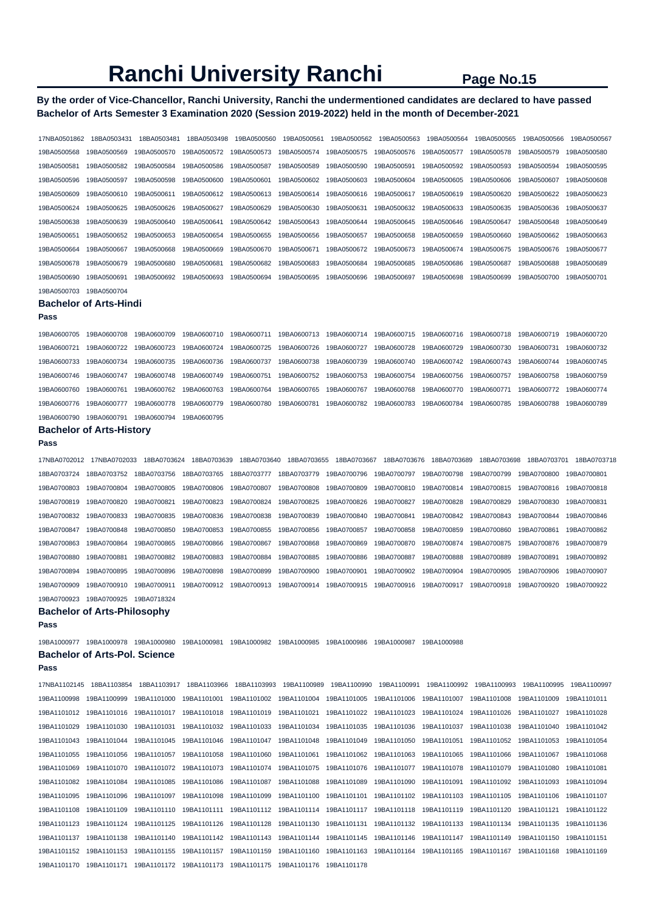## **By the order of Vice-Chancellor, Ranchi University, Ranchi the undermentioned candidates are declared to have passed Bachelor of Arts Semester 3 Examination 2020 (Session 2019-2022) held in the month of December-2021**

| 17NBA0501862            | 18BA0503431                          | 18BA0503481             | 18BA0503498 | 19BA0500560             | 19BA0500561 | 19BA0500562 | 19BA0500563                                                                                                 | 19BA0500564             | 19BA0500565 | 19BA0500566             | 19BA0500567 |
|-------------------------|--------------------------------------|-------------------------|-------------|-------------------------|-------------|-------------|-------------------------------------------------------------------------------------------------------------|-------------------------|-------------|-------------------------|-------------|
| 19BA0500568             | 19BA0500569                          | 19BA0500570             | 19BA0500572 | 19BA0500573             | 19BA0500574 | 19BA0500575 | 19BA0500576                                                                                                 | 19BA0500577             | 19BA0500578 | 19BA0500579             | 19BA0500580 |
| 19BA0500581             | 19BA0500582                          | 19BA0500584             | 19BA0500586 | 19BA0500587             | 19BA0500589 | 19BA0500590 | 19BA0500591                                                                                                 | 19BA0500592             | 19BA0500593 | 19BA0500594             | 19BA0500595 |
| 19BA0500596             | 19BA0500597                          | 19BA0500598             | 19BA0500600 | 19BA0500601             | 19BA0500602 | 19BA0500603 | 19BA0500604                                                                                                 | 19BA0500605             | 19BA0500606 | 19BA0500607             | 19BA0500608 |
| 19BA0500609             | 19BA0500610                          | 19BA0500611             | 19BA0500612 | 19BA0500613             | 19BA0500614 | 19BA0500616 | 19BA0500617                                                                                                 | 19BA0500619             | 19BA0500620 | 19BA0500622             | 19BA0500623 |
| 19BA0500624             | 19BA0500625                          | 19BA0500626             | 19BA0500627 | 19BA0500629             | 19BA0500630 | 19BA0500631 | 19BA0500632                                                                                                 | 19BA0500633             | 19BA0500635 | 19BA0500636             | 19BA0500637 |
| 19BA0500638             | 19BA0500639                          | 19BA0500640             | 19BA0500641 | 19BA0500642             | 19BA0500643 | 19BA0500644 | 19BA0500645                                                                                                 | 19BA0500646             | 19BA0500647 | 19BA0500648             | 19BA0500649 |
| 19BA0500651             | 19BA0500652                          | 19BA0500653             | 19BA0500654 | 19BA0500655             | 19BA0500656 | 19BA0500657 | 19BA0500658                                                                                                 | 19BA0500659             | 19BA0500660 | 19BA0500662             | 19BA0500663 |
| 19BA0500664             | 19BA0500667                          | 19BA0500668             | 19BA0500669 | 19BA0500670             | 19BA0500671 | 19BA0500672 | 19BA0500673                                                                                                 | 19BA0500674             | 19BA0500675 | 19BA0500676             | 19BA0500677 |
| 19BA0500678             | 19BA0500679                          | 19BA0500680             | 19BA0500681 | 19BA0500682             | 19BA0500683 | 19BA0500684 | 19BA0500685                                                                                                 | 19BA0500686             | 19BA0500687 | 19BA0500688             | 19BA0500689 |
| 19BA0500690             | 19BA0500691                          | 19BA0500692             | 19BA0500693 | 19BA0500694             | 19BA0500695 | 19BA0500696 | 19BA0500697                                                                                                 | 19BA0500698             | 19BA0500699 | 19BA0500700             | 19BA0500701 |
| 19BA0500703             | 19BA0500704                          |                         |             |                         |             |             |                                                                                                             |                         |             |                         |             |
|                         | <b>Bachelor of Arts-Hindi</b>        |                         |             |                         |             |             |                                                                                                             |                         |             |                         |             |
| Pass                    |                                      |                         |             |                         |             |             |                                                                                                             |                         |             |                         |             |
| 19BA0600705             | 19BA0600708                          | 19BA0600709             | 19BA0600710 | 19BA0600711             | 19BA0600713 | 19BA0600714 | 19BA0600715                                                                                                 | 19BA0600716             | 19BA0600718 | 19BA0600719             | 19BA0600720 |
| 19BA0600721             | 19BA0600722                          | 19BA0600723             | 19BA0600724 | 19BA0600725             | 19BA0600726 | 19BA0600727 | 19BA0600728                                                                                                 | 19BA0600729             | 19BA0600730 | 19BA0600731             | 19BA0600732 |
| 19BA0600733             | 19BA0600734                          | 19BA0600735             | 19BA0600736 | 19BA0600737             | 19BA0600738 | 19BA0600739 | 19BA0600740                                                                                                 | 19BA0600742             | 19BA0600743 | 19BA0600744             | 19BA0600745 |
| 19BA0600746             | 19BA0600747                          | 19BA0600748             | 19BA0600749 | 19BA0600751             | 19BA0600752 | 19BA0600753 | 19BA0600754                                                                                                 | 19BA0600756             | 19BA0600757 | 19BA0600758             | 19BA0600759 |
| 19BA0600760             | 19BA0600761                          | 19BA0600762             | 19BA0600763 | 19BA0600764             | 19BA0600765 | 19BA0600767 | 19BA0600768                                                                                                 | 19BA0600770             | 19BA0600771 | 19BA0600772             | 19BA0600774 |
|                         |                                      |                         | 19BA0600779 |                         |             |             |                                                                                                             |                         |             |                         |             |
| 19BA0600776             | 19BA0600777                          | 19BA0600778             |             | 19BA0600780             | 19BA0600781 | 19BA0600782 | 19BA0600783                                                                                                 | 19BA0600784             | 19BA0600785 | 19BA0600788             | 19BA0600789 |
| 19BA0600790             | 19BA0600791                          | 19BA0600794             | 19BA0600795 |                         |             |             |                                                                                                             |                         |             |                         |             |
| Pass                    | <b>Bachelor of Arts-History</b>      |                         |             |                         |             |             |                                                                                                             |                         |             |                         |             |
| 17NBA0702012            | 17NBA0702033                         | 18BA0703624             | 18BA0703639 | 18BA0703640             | 18BA0703655 | 18BA0703667 | 18BA0703676                                                                                                 | 18BA0703689             | 18BA0703698 | 18BA0703701             | 18BA0703718 |
| 18BA0703724             | 18BA0703752                          | 18BA0703756             | 18BA0703765 | 18BA0703777             | 18BA0703779 | 19BA0700796 | 19BA0700797                                                                                                 | 19BA0700798             | 19BA0700799 | 19BA0700800             | 19BA0700801 |
| 19BA0700803             | 19BA0700804                          | 19BA0700805             | 19BA0700806 | 19BA0700807             | 19BA0700808 | 19BA0700809 | 19BA0700810                                                                                                 | 19BA0700814             | 19BA0700815 | 19BA0700816             | 19BA0700818 |
| 19BA0700819             | 19BA0700820                          | 19BA0700821             | 19BA0700823 | 19BA0700824             | 19BA0700825 | 19BA0700826 | 19BA0700827                                                                                                 | 19BA0700828             | 19BA0700829 | 19BA0700830             | 19BA0700831 |
| 19BA0700832             | 19BA0700833                          | 19BA0700835             | 19BA0700836 | 19BA0700838             | 19BA0700839 | 19BA0700840 | 19BA0700841                                                                                                 | 19BA0700842             | 19BA0700843 | 19BA0700844             | 19BA0700846 |
| 19BA0700847             | 19BA0700848                          | 19BA0700850             | 19BA0700853 | 19BA0700855             | 19BA0700856 | 19BA0700857 | 19BA0700858                                                                                                 | 19BA0700859             | 19BA0700860 | 19BA0700861             | 19BA0700862 |
| 19BA0700863             | 19BA0700864                          | 19BA0700865             | 19BA0700866 | 19BA0700867             | 19BA0700868 | 19BA0700869 | 19BA0700870                                                                                                 | 19BA0700874             | 19BA0700875 | 19BA0700876             | 19BA0700879 |
| 19BA0700880             | 19BA0700881                          | 19BA0700882             | 19BA0700883 | 19BA0700884             | 19BA0700885 | 19BA0700886 | 19BA0700887                                                                                                 | 19BA0700888             | 19BA0700889 | 19BA0700891             | 19BA0700892 |
| 19BA0700894             | 19BA0700895                          | 19BA0700896             | 19BA0700898 | 19BA0700899             | 19BA0700900 | 19BA0700901 | 19BA0700902                                                                                                 | 19BA0700904             | 19BA0700905 | 19BA0700906             | 19BA0700907 |
| 19BA0700909             | 19BA0700910                          | 19BA0700911             | 19BA0700912 | 19BA0700913             | 19BA0700914 | 19BA0700915 | 19BA0700916                                                                                                 | 19BA0700917             | 19BA0700918 | 19BA0700920             | 19BA0700922 |
| 19BA0700923             | 19BA0700925                          | 19BA0718324             |             |                         |             |             |                                                                                                             |                         |             |                         |             |
|                         | <b>Bachelor of Arts-Philosophy</b>   |                         |             |                         |             |             |                                                                                                             |                         |             |                         |             |
| Pass                    |                                      |                         |             |                         |             |             |                                                                                                             |                         |             |                         |             |
|                         |                                      |                         |             |                         |             |             | 19BA1000977 19BA1000978 19BA1000980 19BA1000981 19BA1000982 19BA1000985 19BA1000986 19BA1000987 19BA1000988 |                         |             |                         |             |
|                         | <b>Bachelor of Arts-Pol. Science</b> |                         |             |                         |             |             |                                                                                                             |                         |             |                         |             |
| Pass                    |                                      |                         |             |                         |             |             |                                                                                                             |                         |             |                         |             |
| 17NBA1102145            | 18BA1103854                          | 18BA1103917             | 18BA1103966 | 18BA1103993             | 19BA1100989 | 19BA1100990 | 19BA1100991                                                                                                 | 19BA1100992             | 19BA1100993 | 19BA1100995             | 19BA1100997 |
| 19BA1100998             | 19BA1100999                          | 19BA1101000             | 19BA1101001 | 19BA1101002             | 19BA1101004 | 19BA1101005 | 19BA1101006                                                                                                 | 19BA1101007 19BA1101008 |             | 19BA1101009 19BA1101011 |             |
|                         | 19BA1101012 19BA1101016              | 19BA1101017             | 19BA1101018 | 19BA1101019             | 19BA1101021 | 19BA1101022 | 19BA1101023                                                                                                 | 19BA1101024 19BA1101026 |             | 19BA1101027             | 19BA1101028 |
| 19BA1101029             | 19BA1101030                          | 19BA1101031             | 19BA1101032 | 19BA1101033             | 19BA1101034 | 19BA1101035 | 19BA1101036                                                                                                 | 19BA1101037 19BA1101038 |             | 19BA1101040 19BA1101042 |             |
| 19BA1101043             | 19BA1101044                          | 19BA1101045             | 19BA1101046 | 19BA1101047             | 19BA1101048 | 19BA1101049 | 19BA1101050                                                                                                 | 19BA1101051             | 19BA1101052 | 19BA1101053             | 19BA1101054 |
| 19BA1101055             | 19BA1101056                          | 19BA1101057             | 19BA1101058 | 19BA1101060             | 19BA1101061 | 19BA1101062 | 19BA1101063                                                                                                 | 19BA1101065             | 19BA1101066 | 19BA1101067             | 19BA1101068 |
| 19BA1101069             | 19BA1101070                          | 19BA1101072             | 19BA1101073 | 19BA1101074             | 19BA1101075 | 19BA1101076 | 19BA1101077                                                                                                 | 19BA1101078             | 19BA1101079 | 19BA1101080             | 19BA1101081 |
| 19BA1101082             | 19BA1101084                          | 19BA1101085             | 19BA1101086 | 19BA1101087             | 19BA1101088 | 19BA1101089 | 19BA1101090                                                                                                 | 19BA1101091             | 19BA1101092 | 19BA1101093             | 19BA1101094 |
| 19BA1101095             | 19BA1101096                          | 19BA1101097             | 19BA1101098 | 19BA1101099             | 19BA1101100 | 19BA1101101 | 19BA1101102                                                                                                 | 19BA1101103             | 19BA1101105 | 19BA1101106             | 19BA1101107 |
| 19BA1101108             | 19BA1101109                          | 19BA1101110             | 19BA1101111 | 19BA1101112 19BA1101114 |             |             | 19BA1101117  19BA1101118  19BA1101119                                                                       |                         | 19BA1101120 | 19BA1101121             | 19BA1101122 |
| 19BA1101123 19BA1101124 |                                      | 19BA1101125             | 19BA1101126 | 19BA1101128             | 19BA1101130 |             | 19BA1101131  19BA1101132  19BA1101133  19BA1101134                                                          |                         |             | 19BA1101135             | 19BA1101136 |
| 19BA1101137             | 19BA1101138                          | 19BA1101140             | 19BA1101142 | 19BA1101143             | 19BA1101144 | 19BA1101145 | 19BA1101146                                                                                                 | 19BA1101147 19BA1101149 |             | 19BA1101150             | 19BA1101151 |
| 19BA1101152             | 19BA1101153                          | 19BA1101155             | 19BA1101157 | 19BA1101159             | 19BA1101160 |             | 19BA1101163  19BA1101164  19BA1101165  19BA1101167  19BA1101168                                             |                         |             |                         | 19BA1101169 |
| 19BA1101170             | 19BA1101171                          | 19BA1101172 19BA1101173 |             |                         |             | 19BA1101178 |                                                                                                             |                         |             |                         |             |
|                         |                                      |                         |             |                         |             |             |                                                                                                             |                         |             |                         |             |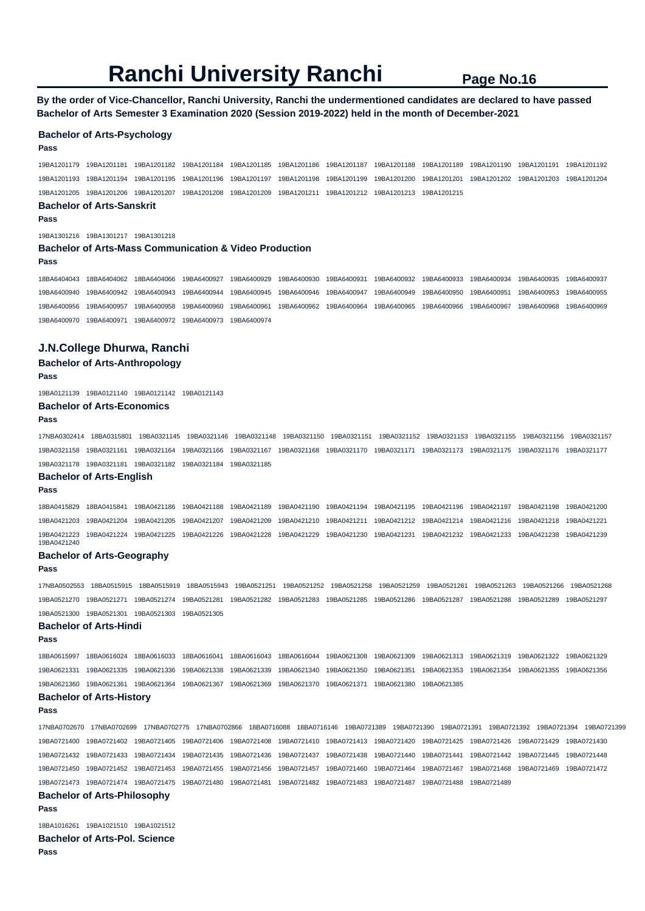**By the order of Vice-Chancellor, Ranchi University, Ranchi the undermentioned candidates are declared to have passed Bachelor of Arts Semester 3 Examination 2020 (Session 2019-2022) held in the month of December-2021** 

#### **Bachelor of Arts-Psychology**

#### **Pass**

19BA1201179 19BA1201181 19BA1201182 19BA1201184 19BA1201185 19BA1201186 19BA1201187 19BA1201188 19BA1201189 19BA1201190 19BA1201191 19BA1201192 19BA1201193 19BA1201194 19BA1201195 19BA1201196 19BA1201197 19BA1201198 19BA1201199 19BA1201200 19BA1201201 19BA1201202 19BA1201203 19BA1201204 19BA1201205 19BA1201206 19BA1201207 19BA1201208 19BA1201209 19BA1201211 19BA1201212 19BA1201213 19BA1201215

## **Bachelor of Arts-Sanskrit**

**Pass** 

19BA1301216 19BA1301217 19BA1301218

### **Bachelor of Arts-Mass Communication & Video Production**

**Pass** 

18BA6404043 18BA6404062 18BA6404066 19BA6400927 19BA6400929 19BA6400930 19BA6400931 19BA6400932 19BA6400933 19BA6400934 19BA6400935 19BA6400937 19BA6400940 19BA6400942 19BA6400943 19BA6400944 19BA6400945 19BA6400946 19BA6400947 19BA6400949 19BA6400950 19BA6400951 19BA6400953 19BA6400955 19BA6400956 19BA6400957 19BA6400958 19BA6400960 19BA6400961 19BA6400962 19BA6400964 19BA6400965 19BA6400966 19BA6400967 19BA6400968 19BA6400969 19BA6400970 19BA6400971 19BA6400972 19BA6400973 19BA6400974

### **J.N.College Dhurwa, Ranchi**

### **Bachelor of Arts-Anthropology**

#### **Pass**

19BA0121139 19BA0121140 19BA0121142 19BA0121143

#### **Bachelor of Arts-Economics**

#### **Pass**

17NBA0302414 18BA0315801 19BA0321145 19BA0321146 19BA0321148 19BA0321150 19BA0321151 19BA0321152 19BA0321153 19BA0321155 19BA0321156 19BA0321157 19BA0321158 19BA0321161 19BA0321164 19BA0321166 19BA0321167 19BA0321168 19BA0321170 19BA0321171 19BA0321173 19BA0321175 19BA0321176 19BA0321177 19BA0321178 19BA0321181 19BA0321182 19BA0321184 19BA0321185

#### **Bachelor of Arts-English**

**Pass** 

18BA0415829 18BA0415841 19BA0421186 19BA0421188 19BA0421189 19BA0421190 19BA0421194 19BA0421195 19BA0421196 19BA0421197 19BA0421198 19BA0421200 19BA0421203 19BA0421204 19BA0421205 19BA0421207 19BA0421209 19BA0421210 19BA0421211 19BA0421212 19BA0421214 19BA0421216 19BA0421218 19BA0421221 19BA0421223 19BA0421224 19BA0421225 19BA0421226 19BA0421228 19BA0421229 19BA0421230 19BA0421231 19BA0421232 19BA0421233 19BA0421238 19BA0421239 19BA0421240

#### **Bachelor of Arts-Geography**

**Pass** 

17NBA0502553 18BA0515915 18BA0515919 18BA0515943 19BA0521251 19BA0521252 19BA0521258 19BA0521259 19BA0521261 19BA0521263 19BA0521266 19BA0521268 19BA0521270 19BA0521271 19BA0521274 19BA0521281 19BA0521282 19BA0521283 19BA0521285 19BA0521286 19BA0521287 19BA0521288 19BA0521289 19BA0521297 19BA0521300 19BA0521301 19BA0521303 19BA0521305

#### **Bachelor of Arts-Hindi**

**Pass** 

18BA0615997 18BA0616024 18BA0616033 18BA0616041 18BA0616043 18BA0616044 19BA0621308 19BA0621309 19BA0621313 19BA0621319 19BA0621322 19BA0621329 19BA0621331 19BA0621335 19BA0621336 19BA0621338 19BA0621339 19BA0621340 19BA0621350 19BA0621351 19BA0621353 19BA0621354 19BA0621355 19BA0621356 19BA0621360 19BA0621361 19BA0621364 19BA0621367 19BA0621369 19BA0621370 19BA0621371 19BA0621380 19BA0621385

#### **Bachelor of Arts-History**

**Pass** 

17NBA0702670 17NBA0702699 17NBA0702775 17NBA0702866 18BA0716088 18BA0716146 19BA0721389 19BA0721390 19BA0721391 19BA0721392 19BA0721394 19BA0721399 19BA0721400 19BA0721402 19BA0721405 19BA0721406 19BA0721408 19BA0721410 19BA0721413 19BA0721420 19BA0721425 19BA0721426 19BA0721429 19BA0721430 19BA0721432 19BA0721433 19BA0721434 19BA0721435 19BA0721436 19BA0721437 19BA0721438 19BA0721440 19BA0721441 19BA0721442 19BA0721445 19BA0721448 19BA0721450 19BA0721452 19BA0721453 19BA0721455 19BA0721456 19BA0721457 19BA0721460 19BA0721464 19BA0721467 19BA0721468 19BA0721469 19BA0721472 19BA0721473 19BA0721474 19BA0721475 19BA0721480 19BA0721481 19BA0721482 19BA0721483 19BA0721487 19BA0721488 19BA0721489

#### **Bachelor of Arts-Philosophy Pass**

18BA1016261 19BA1021510 19BA1021512 **Bachelor of Arts-Pol. Science Pass**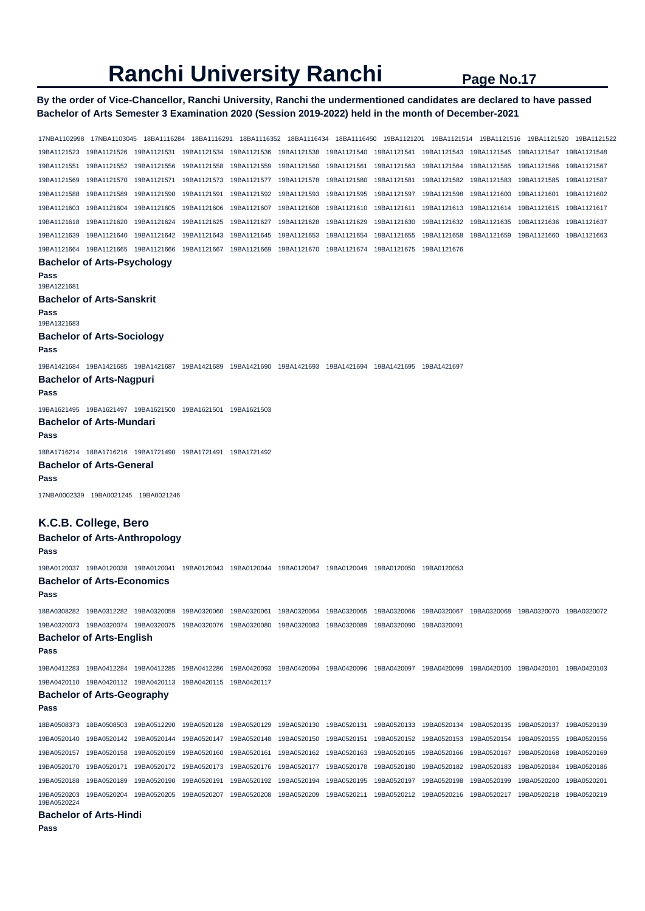## **By the order of Vice-Chancellor, Ranchi University, Ranchi the undermentioned candidates are declared to have passed Bachelor of Arts Semester 3 Examination 2020 (Session 2019-2022) held in the month of December-2021**

17NBA1102998 17NBA1103045 18BA1116284 18BA1116291 18BA1116352 18BA1116434 18BA1116450 19BA1121201 19BA1121514 19BA1121516 19BA1121520 19BA1121522 19BA1121523 19BA1121526 19BA1121531 19BA1121534 19BA1121536 19BA1121538 19BA1121540 19BA1121541 19BA1121543 19BA1121545 19BA1121547 19BA1121548 19BA1121551 19BA1121552 19BA1121556 19BA1121558 19BA1121559 19BA1121560 19BA1121561 19BA1121563 19BA1121564 19BA1121565 19BA1121566 19BA1121567 19BA1121569 19BA1121570 19BA1121571 19BA1121573 19BA1121577 19BA1121578 19BA1121580 19BA1121581 19BA1121582 19BA1121583 19BA1121585 19BA1121587 19BA1121588 19BA1121589 19BA1121590 19BA1121591 19BA1121592 19BA1121593 19BA1121595 19BA1121597 19BA1121598 19BA1121600 19BA1121601 19BA1121602 19BA1121603 19BA1121604 19BA1121605 19BA1121606 19BA1121607 19BA1121608 19BA1121610 19BA1121611 19BA1121613 19BA1121614 19BA1121615 19BA1121617 19BA1121618 19BA1121620 19BA1121624 19BA1121625 19BA1121627 19BA1121628 19BA1121629 19BA1121630 19BA1121632 19BA1121635 19BA1121636 19BA1121637 19BA1121639 19BA1121640 19BA1121642 19BA1121643 19BA1121645 19BA1121653 19BA1121654 19BA1121655 19BA1121658 19BA1121659 19BA1121660 19BA1121663 19BA1121664 19BA1121665 19BA1121666 19BA1121667 19BA1121669 19BA1121670 19BA1121674 19BA1121675 19BA1121676 **Bachelor of Arts-Psychology Pass**  19BA1221681 **Bachelor of Arts-Sanskrit Pass**  19BA1321683 **Bachelor of Arts-Sociology Pass**  19BA1421684 19BA1421685 19BA1421687 19BA1421689 19BA1421690 19BA1421693 19BA1421694 19BA1421695 19BA1421697 **Bachelor of Arts-Nagpuri Pass**  19BA1621495 19BA1621497 19BA1621500 19BA1621501 19BA1621503 **Bachelor of Arts-Mundari Pass**  18BA1716214 18BA1716216 19BA1721490 19BA1721491 19BA1721492 **Bachelor of Arts-General Pass**  17NBA0002339 19BA0021245 19BA0021246 **K.C.B. College, Bero Bachelor of Arts-Anthropology Pass**  19BA0120037 19BA0120038 19BA0120041 19BA0120043 19BA0120044 19BA0120047 19BA0120049 19BA0120050 19BA0120053 **Bachelor of Arts-Economics Pass**  18BA0308282 19BA0312282 19BA0320059 19BA0320060 19BA0320061 19BA0320064 19BA0320065 19BA0320066 19BA0320067 19BA0320068 19BA0320070 19BA0320072 19BA0320073 19BA0320074 19BA0320075 19BA0320076 19BA0320080 19BA0320083 19BA0320089 19BA0320090 19BA0320091 **Bachelor of Arts-English Pass**  19BA0412283 19BA0412284 19BA0412285 19BA0412286 19BA0420093 19BA0420094 19BA0420096 19BA0420097 19BA0420099 19BA0420100 19BA0420101 19BA0420103 19BA0420110 19BA0420112 19BA0420113 19BA0420115 19BA0420117 **Bachelor of Arts-Geography Pass**  18BA0508373 18BA0508503 19BA0512290 19BA0520128 19BA0520129 19BA0520130 19BA0520131 19BA0520133 19BA0520134 19BA0520135 19BA0520137 19BA0520139 19BA0520140 19BA0520142 19BA0520144 19BA0520147 19BA0520148 19BA0520150 19BA0520151 19BA0520152 19BA0520153 19BA0520154 19BA0520155 19BA0520156 19BA0520157 19BA0520158 19BA0520159 19BA0520160 19BA0520161 19BA0520162 19BA0520163 19BA0520165 19BA0520166 19BA0520167 19BA0520168 19BA0520169 19BA0520170 19BA0520171 19BA0520172 19BA0520173 19BA0520176 19BA0520177 19BA0520178 19BA0520180 19BA0520182 19BA0520183 19BA0520184 19BA0520186 19BA0520188 19BA0520189 19BA0520190 19BA0520191 19BA0520192 19BA0520194 19BA0520195 19BA0520197 19BA0520198 19BA0520199 19BA0520200 19BA0520201 19BA0520203 19BA0520204 19BA0520205 19BA0520207 19BA0520208 19BA0520209 19BA0520211 19BA0520212 19BA0520216 19BA0520217 19BA0520218 19BA0520219 19BA0520224 **Bachelor of Arts-Hindi**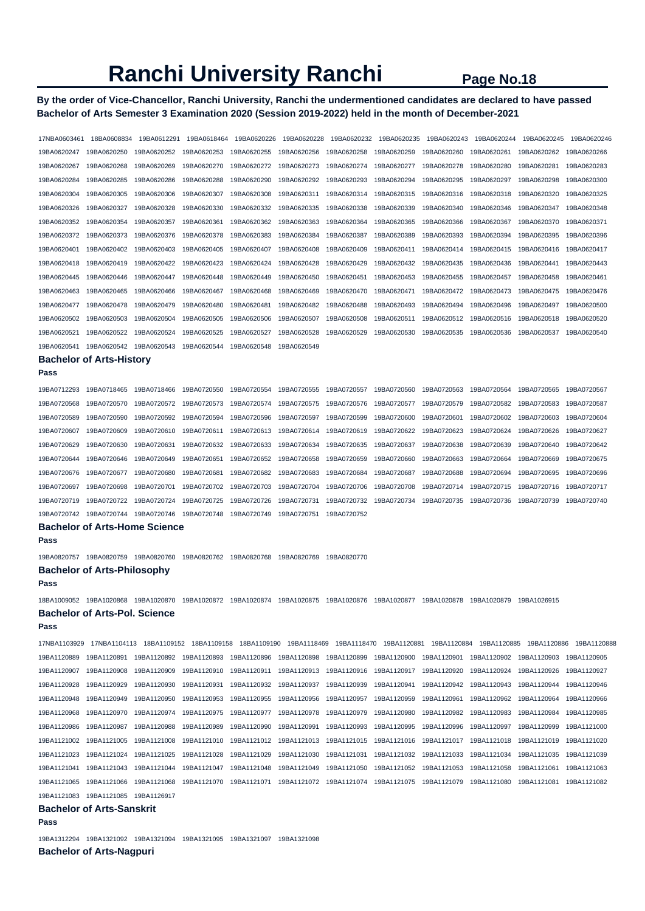## **By the order of Vice-Chancellor, Ranchi University, Ranchi the undermentioned candidates are declared to have passed Bachelor of Arts Semester 3 Examination 2020 (Session 2019-2022) held in the month of December-2021**

| 19BA0620247<br>19BA0620250<br>19BA0620252<br>19BA0620253<br>19BA0620255<br>19BA0620256<br>19BA0620258<br>19BA0620259<br>19BA0620260<br>19BA0620261<br>19BA0620262<br>19BA0620269<br>19BA0620280<br>19BA0620267<br>19BA0620268<br>19BA0620270<br>19BA0620272<br>19BA0620273<br>19BA0620274<br>19BA0620277<br>19BA0620278<br>19BA0620281<br>19BA0620284<br>19BA0620285<br>19BA0620286<br>19BA0620288<br>19BA0620290<br>19BA0620292<br>19BA0620293<br>19BA0620294<br>19BA0620295<br>19BA0620297<br>19BA0620298<br>19BA0620304<br>19BA0620305<br>19BA0620306<br>19BA0620307<br>19BA0620308<br>19BA0620311<br>19BA0620314<br>19BA0620315<br>19BA0620316<br>19BA0620318<br>19BA0620320<br>19BA0620326<br>19BA0620327<br>19BA0620328<br>19BA0620330<br>19BA0620332<br>19BA0620335<br>19BA0620338<br>19BA0620339<br>19BA0620340<br>19BA0620346<br>19BA0620347<br>19BA0620352<br>19BA0620354<br>19BA0620357<br>19BA0620361<br>19BA0620362<br>19BA0620363<br>19BA0620364<br>19BA0620365<br>19BA0620366<br>19BA0620367<br>19BA0620370<br>19BA0620372<br>19BA0620373<br>19BA0620376<br>19BA0620378<br>19BA0620383<br>19BA0620384<br>19BA0620387<br>19BA0620389<br>19BA0620393<br>19BA0620394<br>19BA0620395<br>19BA0620401<br>19BA0620402<br>19BA0620403<br>19BA0620405<br>19BA0620407<br>19BA0620408<br>19BA0620409<br>19BA0620411<br>19BA0620414<br>19BA0620415<br>19BA0620416<br>19BA0620418<br>19BA0620419<br>19BA0620422<br>19BA0620423<br>19BA0620424<br>19BA0620428<br>19BA0620429<br>19BA0620432<br>19BA0620435<br>19BA0620436<br>19BA0620441<br>19BA0620446<br>19BA0620447<br>19BA0620448<br>19BA0620450<br>19BA0620453<br>19BA0620455<br>19BA0620458<br>19BA0620445<br>19BA0620449<br>19BA0620451<br>19BA0620457<br>19BA0620469<br>19BA0620463<br>19BA0620465<br>19BA0620466<br>19BA0620467<br>19BA0620468<br>19BA0620470<br>19BA0620471<br>19BA0620472<br>19BA0620473<br>19BA0620475 | 19BA0620266<br>19BA0620283<br>19BA0620300<br>19BA0620325<br>19BA0620348<br>19BA0620371<br>19BA0620396<br>19BA0620417<br>19BA0620443<br>19BA0620461 |
|-------------------------------------------------------------------------------------------------------------------------------------------------------------------------------------------------------------------------------------------------------------------------------------------------------------------------------------------------------------------------------------------------------------------------------------------------------------------------------------------------------------------------------------------------------------------------------------------------------------------------------------------------------------------------------------------------------------------------------------------------------------------------------------------------------------------------------------------------------------------------------------------------------------------------------------------------------------------------------------------------------------------------------------------------------------------------------------------------------------------------------------------------------------------------------------------------------------------------------------------------------------------------------------------------------------------------------------------------------------------------------------------------------------------------------------------------------------------------------------------------------------------------------------------------------------------------------------------------------------------------------------------------------------------------------------------------------------------------------------------------------------------------------------------------------------------------------------------------------------------------------------|----------------------------------------------------------------------------------------------------------------------------------------------------|
|                                                                                                                                                                                                                                                                                                                                                                                                                                                                                                                                                                                                                                                                                                                                                                                                                                                                                                                                                                                                                                                                                                                                                                                                                                                                                                                                                                                                                                                                                                                                                                                                                                                                                                                                                                                                                                                                                     |                                                                                                                                                    |
|                                                                                                                                                                                                                                                                                                                                                                                                                                                                                                                                                                                                                                                                                                                                                                                                                                                                                                                                                                                                                                                                                                                                                                                                                                                                                                                                                                                                                                                                                                                                                                                                                                                                                                                                                                                                                                                                                     |                                                                                                                                                    |
|                                                                                                                                                                                                                                                                                                                                                                                                                                                                                                                                                                                                                                                                                                                                                                                                                                                                                                                                                                                                                                                                                                                                                                                                                                                                                                                                                                                                                                                                                                                                                                                                                                                                                                                                                                                                                                                                                     |                                                                                                                                                    |
|                                                                                                                                                                                                                                                                                                                                                                                                                                                                                                                                                                                                                                                                                                                                                                                                                                                                                                                                                                                                                                                                                                                                                                                                                                                                                                                                                                                                                                                                                                                                                                                                                                                                                                                                                                                                                                                                                     |                                                                                                                                                    |
|                                                                                                                                                                                                                                                                                                                                                                                                                                                                                                                                                                                                                                                                                                                                                                                                                                                                                                                                                                                                                                                                                                                                                                                                                                                                                                                                                                                                                                                                                                                                                                                                                                                                                                                                                                                                                                                                                     |                                                                                                                                                    |
|                                                                                                                                                                                                                                                                                                                                                                                                                                                                                                                                                                                                                                                                                                                                                                                                                                                                                                                                                                                                                                                                                                                                                                                                                                                                                                                                                                                                                                                                                                                                                                                                                                                                                                                                                                                                                                                                                     |                                                                                                                                                    |
|                                                                                                                                                                                                                                                                                                                                                                                                                                                                                                                                                                                                                                                                                                                                                                                                                                                                                                                                                                                                                                                                                                                                                                                                                                                                                                                                                                                                                                                                                                                                                                                                                                                                                                                                                                                                                                                                                     |                                                                                                                                                    |
|                                                                                                                                                                                                                                                                                                                                                                                                                                                                                                                                                                                                                                                                                                                                                                                                                                                                                                                                                                                                                                                                                                                                                                                                                                                                                                                                                                                                                                                                                                                                                                                                                                                                                                                                                                                                                                                                                     |                                                                                                                                                    |
|                                                                                                                                                                                                                                                                                                                                                                                                                                                                                                                                                                                                                                                                                                                                                                                                                                                                                                                                                                                                                                                                                                                                                                                                                                                                                                                                                                                                                                                                                                                                                                                                                                                                                                                                                                                                                                                                                     |                                                                                                                                                    |
|                                                                                                                                                                                                                                                                                                                                                                                                                                                                                                                                                                                                                                                                                                                                                                                                                                                                                                                                                                                                                                                                                                                                                                                                                                                                                                                                                                                                                                                                                                                                                                                                                                                                                                                                                                                                                                                                                     |                                                                                                                                                    |
|                                                                                                                                                                                                                                                                                                                                                                                                                                                                                                                                                                                                                                                                                                                                                                                                                                                                                                                                                                                                                                                                                                                                                                                                                                                                                                                                                                                                                                                                                                                                                                                                                                                                                                                                                                                                                                                                                     | 19BA0620476                                                                                                                                        |
| 19BA0620477<br>19BA0620478<br>19BA0620479<br>19BA0620480<br>19BA0620481<br>19BA0620482<br>19BA0620488<br>19BA0620493<br>19BA0620494<br>19BA0620496<br>19BA0620497                                                                                                                                                                                                                                                                                                                                                                                                                                                                                                                                                                                                                                                                                                                                                                                                                                                                                                                                                                                                                                                                                                                                                                                                                                                                                                                                                                                                                                                                                                                                                                                                                                                                                                                   | 19BA0620500                                                                                                                                        |
| 19BA0620502<br>19BA0620503<br>19BA0620504<br>19BA0620505<br>19BA0620506<br>19BA0620507<br>19BA0620508<br>19BA0620511<br>19BA0620512<br>19BA0620516<br>19BA0620518                                                                                                                                                                                                                                                                                                                                                                                                                                                                                                                                                                                                                                                                                                                                                                                                                                                                                                                                                                                                                                                                                                                                                                                                                                                                                                                                                                                                                                                                                                                                                                                                                                                                                                                   | 19BA0620520                                                                                                                                        |
| 19BA0620521<br>19BA0620522<br>19BA0620524<br>19BA0620525<br>19BA0620527<br>19BA0620528<br>19BA0620529<br>19BA0620530<br>19BA0620535<br>19BA0620536<br>19BA0620537                                                                                                                                                                                                                                                                                                                                                                                                                                                                                                                                                                                                                                                                                                                                                                                                                                                                                                                                                                                                                                                                                                                                                                                                                                                                                                                                                                                                                                                                                                                                                                                                                                                                                                                   | 19BA0620540                                                                                                                                        |
| 19BA0620542<br>19BA0620543<br>19BA0620541<br>19BA0620544<br>19BA0620548<br>19BA0620549                                                                                                                                                                                                                                                                                                                                                                                                                                                                                                                                                                                                                                                                                                                                                                                                                                                                                                                                                                                                                                                                                                                                                                                                                                                                                                                                                                                                                                                                                                                                                                                                                                                                                                                                                                                              |                                                                                                                                                    |
| <b>Bachelor of Arts-History</b>                                                                                                                                                                                                                                                                                                                                                                                                                                                                                                                                                                                                                                                                                                                                                                                                                                                                                                                                                                                                                                                                                                                                                                                                                                                                                                                                                                                                                                                                                                                                                                                                                                                                                                                                                                                                                                                     |                                                                                                                                                    |
| Pass                                                                                                                                                                                                                                                                                                                                                                                                                                                                                                                                                                                                                                                                                                                                                                                                                                                                                                                                                                                                                                                                                                                                                                                                                                                                                                                                                                                                                                                                                                                                                                                                                                                                                                                                                                                                                                                                                |                                                                                                                                                    |
| 19BA0712293<br>19BA0718465<br>19BA0718466<br>19BA0720550<br>19BA0720554<br>19BA0720555<br>19BA0720557<br>19BA0720560<br>19BA0720563<br>19BA0720564<br>19BA0720565                                                                                                                                                                                                                                                                                                                                                                                                                                                                                                                                                                                                                                                                                                                                                                                                                                                                                                                                                                                                                                                                                                                                                                                                                                                                                                                                                                                                                                                                                                                                                                                                                                                                                                                   | 19BA0720567                                                                                                                                        |
| 19BA0720568<br>19BA0720570<br>19BA0720572<br>19BA0720573<br>19BA0720574<br>19BA0720575<br>19BA0720576<br>19BA0720577<br>19BA0720579<br>19BA0720582<br>19BA0720583                                                                                                                                                                                                                                                                                                                                                                                                                                                                                                                                                                                                                                                                                                                                                                                                                                                                                                                                                                                                                                                                                                                                                                                                                                                                                                                                                                                                                                                                                                                                                                                                                                                                                                                   |                                                                                                                                                    |
| 19BA0720589<br>19BA0720590<br>19BA0720592<br>19BA0720594<br>19BA0720596<br>19BA0720597<br>19BA0720599<br>19BA0720600<br>19BA0720601<br>19BA0720602<br>19BA0720603                                                                                                                                                                                                                                                                                                                                                                                                                                                                                                                                                                                                                                                                                                                                                                                                                                                                                                                                                                                                                                                                                                                                                                                                                                                                                                                                                                                                                                                                                                                                                                                                                                                                                                                   | 19BA0720587                                                                                                                                        |
| 19BA0720623<br>19BA0720607<br>19BA0720609<br>19BA0720610<br>19BA0720611<br>19BA0720613<br>19BA0720614<br>19BA0720619<br>19BA0720622<br>19BA0720624<br>19BA0720626                                                                                                                                                                                                                                                                                                                                                                                                                                                                                                                                                                                                                                                                                                                                                                                                                                                                                                                                                                                                                                                                                                                                                                                                                                                                                                                                                                                                                                                                                                                                                                                                                                                                                                                   | 19BA0720604                                                                                                                                        |
| 19BA0720629<br>19BA0720630<br>19BA0720631<br>19BA0720632<br>19BA0720633<br>19BA0720634<br>19BA0720635<br>19BA0720637<br>19BA0720638<br>19BA0720639<br>19BA0720640                                                                                                                                                                                                                                                                                                                                                                                                                                                                                                                                                                                                                                                                                                                                                                                                                                                                                                                                                                                                                                                                                                                                                                                                                                                                                                                                                                                                                                                                                                                                                                                                                                                                                                                   | 19BA0720627                                                                                                                                        |
| 19BA0720646<br>19BA0720649<br>19BA0720651<br>19BA0720658<br>19BA0720659<br>19BA0720660<br>19BA0720663<br>19BA0720644<br>19BA0720652<br>19BA0720664<br>19BA0720669                                                                                                                                                                                                                                                                                                                                                                                                                                                                                                                                                                                                                                                                                                                                                                                                                                                                                                                                                                                                                                                                                                                                                                                                                                                                                                                                                                                                                                                                                                                                                                                                                                                                                                                   | 19BA0720642                                                                                                                                        |
|                                                                                                                                                                                                                                                                                                                                                                                                                                                                                                                                                                                                                                                                                                                                                                                                                                                                                                                                                                                                                                                                                                                                                                                                                                                                                                                                                                                                                                                                                                                                                                                                                                                                                                                                                                                                                                                                                     | 19BA0720675                                                                                                                                        |
| 19BA0720680<br>19BA0720681<br>19BA0720684<br>19BA0720676<br>19BA0720677<br>19BA0720682<br>19BA0720683<br>19BA0720687<br>19BA0720688<br>19BA0720694<br>19BA0720695                                                                                                                                                                                                                                                                                                                                                                                                                                                                                                                                                                                                                                                                                                                                                                                                                                                                                                                                                                                                                                                                                                                                                                                                                                                                                                                                                                                                                                                                                                                                                                                                                                                                                                                   | 19BA0720696                                                                                                                                        |
| 19BA0720697<br>19BA0720698<br>19BA0720701<br>19BA0720702<br>19BA0720703<br>19BA0720704<br>19BA0720706<br>19BA0720708<br>19BA0720714<br>19BA0720715<br>19BA0720716                                                                                                                                                                                                                                                                                                                                                                                                                                                                                                                                                                                                                                                                                                                                                                                                                                                                                                                                                                                                                                                                                                                                                                                                                                                                                                                                                                                                                                                                                                                                                                                                                                                                                                                   | 19BA0720717                                                                                                                                        |
| 19BA0720719<br>19BA0720722<br>19BA0720724<br>19BA0720725<br>19BA0720726<br>19BA0720731<br>19BA0720732<br>19BA0720734<br>19BA0720735<br>19BA0720736<br>19BA0720739                                                                                                                                                                                                                                                                                                                                                                                                                                                                                                                                                                                                                                                                                                                                                                                                                                                                                                                                                                                                                                                                                                                                                                                                                                                                                                                                                                                                                                                                                                                                                                                                                                                                                                                   | 19BA0720740                                                                                                                                        |
| 19BA0720744<br>19BA0720746<br>19BA0720742<br>19BA0720748<br>19BA0720749<br>19BA0720751<br>19BA0720752                                                                                                                                                                                                                                                                                                                                                                                                                                                                                                                                                                                                                                                                                                                                                                                                                                                                                                                                                                                                                                                                                                                                                                                                                                                                                                                                                                                                                                                                                                                                                                                                                                                                                                                                                                               |                                                                                                                                                    |
| <b>Bachelor of Arts-Home Science</b>                                                                                                                                                                                                                                                                                                                                                                                                                                                                                                                                                                                                                                                                                                                                                                                                                                                                                                                                                                                                                                                                                                                                                                                                                                                                                                                                                                                                                                                                                                                                                                                                                                                                                                                                                                                                                                                |                                                                                                                                                    |
| Pass                                                                                                                                                                                                                                                                                                                                                                                                                                                                                                                                                                                                                                                                                                                                                                                                                                                                                                                                                                                                                                                                                                                                                                                                                                                                                                                                                                                                                                                                                                                                                                                                                                                                                                                                                                                                                                                                                |                                                                                                                                                    |
| 19BA0820757  19BA0820759  19BA0820760<br>19BA0820762<br>19BA0820768<br>19BA0820769<br>19BA0820770                                                                                                                                                                                                                                                                                                                                                                                                                                                                                                                                                                                                                                                                                                                                                                                                                                                                                                                                                                                                                                                                                                                                                                                                                                                                                                                                                                                                                                                                                                                                                                                                                                                                                                                                                                                   |                                                                                                                                                    |
|                                                                                                                                                                                                                                                                                                                                                                                                                                                                                                                                                                                                                                                                                                                                                                                                                                                                                                                                                                                                                                                                                                                                                                                                                                                                                                                                                                                                                                                                                                                                                                                                                                                                                                                                                                                                                                                                                     |                                                                                                                                                    |
| <b>Bachelor of Arts-Philosophy</b><br>Pass                                                                                                                                                                                                                                                                                                                                                                                                                                                                                                                                                                                                                                                                                                                                                                                                                                                                                                                                                                                                                                                                                                                                                                                                                                                                                                                                                                                                                                                                                                                                                                                                                                                                                                                                                                                                                                          |                                                                                                                                                    |
|                                                                                                                                                                                                                                                                                                                                                                                                                                                                                                                                                                                                                                                                                                                                                                                                                                                                                                                                                                                                                                                                                                                                                                                                                                                                                                                                                                                                                                                                                                                                                                                                                                                                                                                                                                                                                                                                                     |                                                                                                                                                    |
| 19BA1020868<br>19BA1020870<br>19BA1020872 19BA1020874<br>19BA1020877 19BA1020878<br>18BA1009052<br>19BA1020875<br>19BA1020876<br>19BA1020879<br>19BA1026915                                                                                                                                                                                                                                                                                                                                                                                                                                                                                                                                                                                                                                                                                                                                                                                                                                                                                                                                                                                                                                                                                                                                                                                                                                                                                                                                                                                                                                                                                                                                                                                                                                                                                                                         |                                                                                                                                                    |
| <b>Bachelor of Arts-Pol. Science</b><br>Pass                                                                                                                                                                                                                                                                                                                                                                                                                                                                                                                                                                                                                                                                                                                                                                                                                                                                                                                                                                                                                                                                                                                                                                                                                                                                                                                                                                                                                                                                                                                                                                                                                                                                                                                                                                                                                                        |                                                                                                                                                    |
|                                                                                                                                                                                                                                                                                                                                                                                                                                                                                                                                                                                                                                                                                                                                                                                                                                                                                                                                                                                                                                                                                                                                                                                                                                                                                                                                                                                                                                                                                                                                                                                                                                                                                                                                                                                                                                                                                     |                                                                                                                                                    |
| 17NBA1104113 18BA1109152 18BA1109158 18BA1109190 19BA1118469 19BA1118470 19BA1120881 19BA1120884 19BA1120885 19BA1120886<br>17NBA1103929                                                                                                                                                                                                                                                                                                                                                                                                                                                                                                                                                                                                                                                                                                                                                                                                                                                                                                                                                                                                                                                                                                                                                                                                                                                                                                                                                                                                                                                                                                                                                                                                                                                                                                                                            | 19BA1120888                                                                                                                                        |
| 19BA1120901 19BA1120902<br>19BA1120889<br>19BA1120891<br>19BA1120892 19BA1120893<br>19BA1120896<br>19BA1120898<br>19BA1120899<br>19BA1120900<br>19BA1120903                                                                                                                                                                                                                                                                                                                                                                                                                                                                                                                                                                                                                                                                                                                                                                                                                                                                                                                                                                                                                                                                                                                                                                                                                                                                                                                                                                                                                                                                                                                                                                                                                                                                                                                         | 19BA1120905                                                                                                                                        |
| 19BA1120910<br>19BA1120920<br>19BA1120924<br>19BA1120907<br>19BA1120908<br>19BA1120909<br>19BA1120911<br>19BA1120913<br>19BA1120916<br>19BA1120917<br>19BA1120926                                                                                                                                                                                                                                                                                                                                                                                                                                                                                                                                                                                                                                                                                                                                                                                                                                                                                                                                                                                                                                                                                                                                                                                                                                                                                                                                                                                                                                                                                                                                                                                                                                                                                                                   | 19BA1120927                                                                                                                                        |
| 19BA1120943<br>19BA1120928<br>19BA1120929<br>19BA1120930<br>19BA1120931<br>19BA1120932<br>19BA1120937<br>19BA1120939<br>19BA1120941<br>19BA1120942<br>19BA1120944                                                                                                                                                                                                                                                                                                                                                                                                                                                                                                                                                                                                                                                                                                                                                                                                                                                                                                                                                                                                                                                                                                                                                                                                                                                                                                                                                                                                                                                                                                                                                                                                                                                                                                                   | 19BA1120946                                                                                                                                        |
| 19BA1120949<br>19BA1120953<br>19BA1120956<br>19BA1120959<br>19BA1120948<br>19BA1120950<br>19BA1120955<br>19BA1120957<br>19BA1120961<br>19BA1120962<br>19BA1120964                                                                                                                                                                                                                                                                                                                                                                                                                                                                                                                                                                                                                                                                                                                                                                                                                                                                                                                                                                                                                                                                                                                                                                                                                                                                                                                                                                                                                                                                                                                                                                                                                                                                                                                   | 19BA1120966                                                                                                                                        |
| 19BA1120968<br>19BA1120970<br>19BA1120974<br>19BA1120975<br>19BA1120977<br>19BA1120978<br>19BA1120979<br>19BA1120980<br>19BA1120982<br>19BA1120983<br>19BA1120984                                                                                                                                                                                                                                                                                                                                                                                                                                                                                                                                                                                                                                                                                                                                                                                                                                                                                                                                                                                                                                                                                                                                                                                                                                                                                                                                                                                                                                                                                                                                                                                                                                                                                                                   | 19BA1120985                                                                                                                                        |
| 19BA1120986<br>19BA1120987<br>19BA1120988<br>19BA1120989<br>19BA1120990<br>19BA1120991<br>19BA1120993<br>19BA1120995<br>19BA1120996<br>19BA1120997<br>19BA1120999                                                                                                                                                                                                                                                                                                                                                                                                                                                                                                                                                                                                                                                                                                                                                                                                                                                                                                                                                                                                                                                                                                                                                                                                                                                                                                                                                                                                                                                                                                                                                                                                                                                                                                                   | 19BA1121000                                                                                                                                        |
| 19BA1121005<br>19BA1121010<br>19BA1121017<br>19BA1121018<br>19BA1121002<br>19BA1121008<br>19BA1121012<br>19BA1121013<br>19BA1121015<br>19BA1121016<br>19BA1121019                                                                                                                                                                                                                                                                                                                                                                                                                                                                                                                                                                                                                                                                                                                                                                                                                                                                                                                                                                                                                                                                                                                                                                                                                                                                                                                                                                                                                                                                                                                                                                                                                                                                                                                   | 19BA1121020                                                                                                                                        |
| 19BA1121023<br>19BA1121024<br>19BA1121025<br>19BA1121028<br>19BA1121029<br>19BA1121030<br>19BA1121031<br>19BA1121032<br>19BA1121033<br>19BA1121034<br>19BA1121035                                                                                                                                                                                                                                                                                                                                                                                                                                                                                                                                                                                                                                                                                                                                                                                                                                                                                                                                                                                                                                                                                                                                                                                                                                                                                                                                                                                                                                                                                                                                                                                                                                                                                                                   | 19BA1121039                                                                                                                                        |
| 19BA1121041<br>19BA1121043<br>19BA1121044<br>19BA1121047<br>19BA1121048<br>19BA1121049<br>19BA1121050<br>19BA1121052<br>19BA1121053<br>19BA1121058<br>19BA1121061                                                                                                                                                                                                                                                                                                                                                                                                                                                                                                                                                                                                                                                                                                                                                                                                                                                                                                                                                                                                                                                                                                                                                                                                                                                                                                                                                                                                                                                                                                                                                                                                                                                                                                                   | 19BA1121063                                                                                                                                        |
| 19BA1121065<br>19BA1121066<br>19BA1121068<br>19BA1121070 19BA1121071<br>19BA1121081                                                                                                                                                                                                                                                                                                                                                                                                                                                                                                                                                                                                                                                                                                                                                                                                                                                                                                                                                                                                                                                                                                                                                                                                                                                                                                                                                                                                                                                                                                                                                                                                                                                                                                                                                                                                 | 19BA1121082                                                                                                                                        |
| 19BA1121083  19BA1121085  19BA1126917<br><b>Bachelor of Arts-Sanskrit</b>                                                                                                                                                                                                                                                                                                                                                                                                                                                                                                                                                                                                                                                                                                                                                                                                                                                                                                                                                                                                                                                                                                                                                                                                                                                                                                                                                                                                                                                                                                                                                                                                                                                                                                                                                                                                           |                                                                                                                                                    |

19BA1312294 19BA1321092 19BA1321094 19BA1321095 19BA1321097 19BA1321098

**Bachelor of Arts-Nagpuri**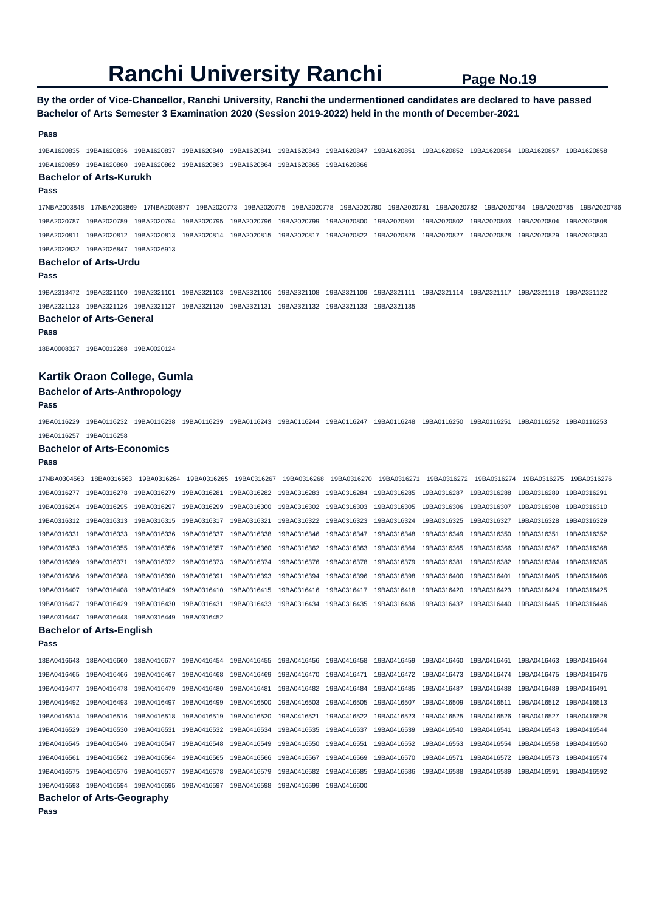## **By the order of Vice-Chancellor, Ranchi University, Ranchi the undermentioned candidates are declared to have passed Bachelor of Arts Semester 3 Examination 2020 (Session 2019-2022) held in the month of December-2021**

#### **Pass**

19BA1620835 19BA1620836 19BA1620837 19BA1620840 19BA1620841 19BA1620843 19BA1620847 19BA1620851 19BA1620852 19BA1620854 19BA1620857 19BA1620858 19BA1620859 19BA1620860 19BA1620862 19BA1620863 19BA1620864 19BA1620865 19BA1620866

#### **Bachelor of Arts-Kurukh**

#### **Pass**

17NBA2003848 17NBA2003869 17NBA2003877 19BA2020773 19BA2020775 19BA2020778 19BA2020780 19BA2020781 19BA2020782 19BA2020784 19BA2020785 19BA2020786 19BA2020787 19BA2020789 19BA2020794 19BA2020795 19BA2020796 19BA2020799 19BA2020800 19BA2020801 19BA2020802 19BA2020803 19BA2020804 19BA2020808 19BA2020811 19BA2020812 19BA2020813 19BA2020814 19BA2020815 19BA2020817 19BA2020822 19BA2020826 19BA2020827 19BA2020828 19BA2020829 19BA2020830 19BA2020832 19BA2026847 19BA2026913

#### **Bachelor of Arts-Urdu**

**Pass** 

19BA2318472 19BA2321100 19BA2321101 19BA2321103 19BA2321106 19BA2321108 19BA2321109 19BA2321111 19BA2321114 19BA2321117 19BA2321118 19BA2321122 19BA2321123 19BA2321126 19BA2321127 19BA2321130 19BA2321131 19BA2321132 19BA2321133 19BA2321135

#### **Bachelor of Arts-General**

**Pass** 

18BA0008327 19BA0012288 19BA0020124

## **Kartik Oraon College, Gumla**

**Bachelor of Arts-Anthropology** 

#### **Pass**

19BA0116229 19BA0116232 19BA0116238 19BA0116239 19BA0116243 19BA0116244 19BA0116247 19BA0116248 19BA0116250 19BA0116251 19BA0116252 19BA0116253 19BA0116257 19BA0116258

#### **Bachelor of Arts-Economics**

#### **Pass**

17NBA0304563 18BA0316563 19BA0316264 19BA0316265 19BA0316267 19BA0316268 19BA0316270 19BA0316271 19BA0316272 19BA0316274 19BA0316275 19BA0316276 19BA0316277 19BA0316278 19BA0316279 19BA0316281 19BA0316282 19BA0316283 19BA0316284 19BA0316285 19BA0316287 19BA0316288 19BA0316289 19BA0316291 19BA0316294 19BA0316295 19BA0316297 19BA0316299 19BA0316300 19BA0316302 19BA0316303 19BA0316305 19BA0316306 19BA0316307 19BA0316308 19BA0316310 19BA0316312 19BA0316313 19BA0316315 19BA0316317 19BA0316321 19BA0316322 19BA0316323 19BA0316324 19BA0316325 19BA0316327 19BA0316328 19BA0316329 19BA0316331 19BA0316333 19BA0316336 19BA0316337 19BA0316338 19BA0316346 19BA0316347 19BA0316348 19BA0316349 19BA0316350 19BA0316351 19BA0316352 19BA0316353 19BA0316355 19BA0316356 19BA0316357 19BA0316360 19BA0316362 19BA0316363 19BA0316364 19BA0316365 19BA0316366 19BA0316367 19BA0316368 19BA0316369 19BA0316371 19BA0316372 19BA0316373 19BA0316374 19BA0316376 19BA0316378 19BA0316379 19BA0316381 19BA0316382 19BA0316384 19BA0316385 19BA0316386 19BA0316388 19BA0316390 19BA0316391 19BA0316393 19BA0316394 19BA0316396 19BA0316398 19BA0316400 19BA0316401 19BA0316405 19BA0316406 19BA0316407 19BA0316408 19BA0316409 19BA0316410 19BA0316415 19BA0316416 19BA0316417 19BA0316418 19BA0316420 19BA0316423 19BA0316424 19BA0316425 19BA0316427 19BA0316429 19BA0316430 19BA0316431 19BA0316433 19BA0316434 19BA0316435 19BA0316436 19BA0316437 19BA0316440 19BA0316445 19BA0316446 19BA0316447 19BA0316448 19BA0316449 19BA0316452 **Bachelor of Arts-English** 

## **Pass**

18BA0416643 18BA0416660 18BA0416677 19BA0416454 19BA0416455 19BA0416456 19BA0416458 19BA0416459 19BA0416460 19BA0416461 19BA0416463 19BA0416464 19BA0416465 19BA0416466 19BA0416467 19BA0416468 19BA0416469 19BA0416470 19BA0416471 19BA0416472 19BA0416473 19BA0416474 19BA0416475 19BA0416476 19BA0416477 19BA0416478 19BA0416479 19BA0416480 19BA0416481 19BA0416482 19BA0416484 19BA0416485 19BA0416487 19BA0416488 19BA0416489 19BA0416491 19BA0416492 19BA0416493 19BA0416497 19BA0416499 19BA0416500 19BA0416503 19BA0416505 19BA0416507 19BA0416509 19BA0416511 19BA0416512 19BA0416513 19BA0416514 19BA0416516 19BA0416518 19BA0416519 19BA0416520 19BA0416521 19BA0416522 19BA0416523 19BA0416525 19BA0416526 19BA0416527 19BA0416528 19BA0416529 19BA0416530 19BA0416531 19BA0416532 19BA0416534 19BA0416535 19BA0416537 19BA0416539 19BA0416540 19BA0416541 19BA0416543 19BA0416544 19BA0416545 19BA0416546 19BA0416547 19BA0416548 19BA0416549 19BA0416550 19BA0416551 19BA0416552 19BA0416553 19BA0416554 19BA0416558 19BA0416560 19BA0416561 19BA0416562 19BA0416564 19BA0416565 19BA0416566 19BA0416567 19BA0416569 19BA0416570 19BA0416571 19BA0416572 19BA0416573 19BA0416574 19BA0416575 19BA0416576 19BA0416577 19BA0416578 19BA0416579 19BA0416582 19BA0416585 19BA0416586 19BA0416588 19BA0416589 19BA0416591 19BA0416592 19BA0416593 19BA0416594 19BA0416595 19BA0416597 19BA0416598 19BA0416599 19BA0416600

## **Bachelor of Arts-Geography**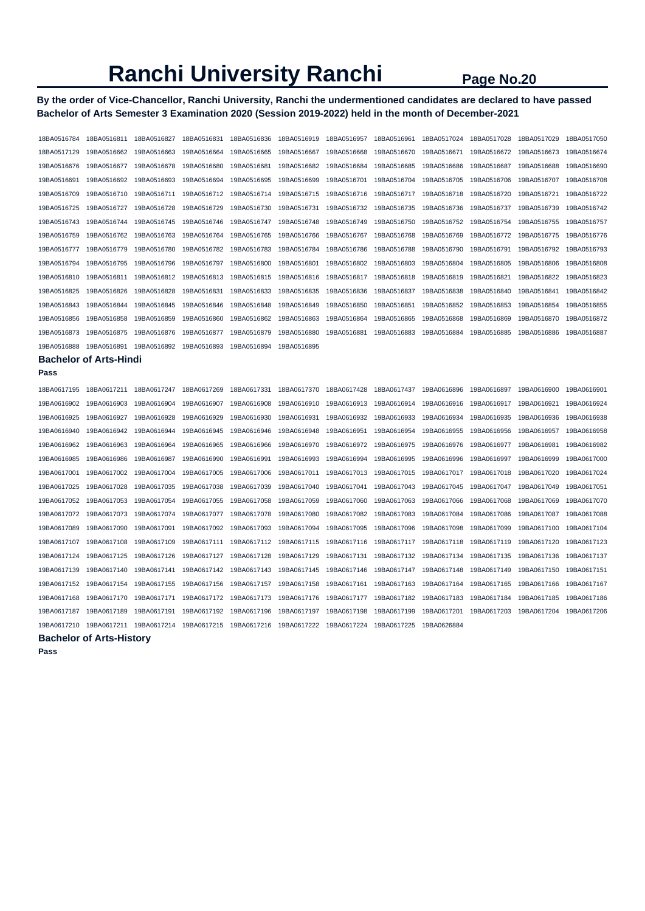**By the order of Vice-Chancellor, Ranchi University, Ranchi the undermentioned candidates are declared to have passed Bachelor of Arts Semester 3 Examination 2020 (Session 2019-2022) held in the month of December-2021** 

| 18BA0517129<br>19BA0516662<br>19BA0516663<br>19BA0516664<br>19BA0516665<br>19BA0516667<br>19BA0516668<br>19BA0516670<br>19BA0516671<br>19BA0516672<br>19BA0516673<br>19BA0516676<br>19BA0516677<br>19BA0516678<br>19BA0516680<br>19BA0516681<br>19BA0516682<br>19BA0516684<br>19BA0516685<br>19BA0516686<br>19BA0516687<br>19BA0516688<br>19BA0516691<br>19BA0516692<br>19BA0516693<br>19BA0516694<br>19BA0516695<br>19BA0516699<br>19BA0516701<br>19BA0516704<br>19BA0516705<br>19BA0516706<br>19BA0516707<br>19BA0516711<br>19BA0516712<br>19BA0516715<br>19BA0516718<br>19BA0516720<br>19BA0516709<br>19BA0516710<br>19BA0516714<br>19BA0516716<br>19BA0516717<br>19BA0516721<br>19BA0516731<br>19BA0516739<br>19BA0516725<br>19BA0516727<br>19BA0516728<br>19BA0516729<br>19BA0516730<br>19BA0516732<br>19BA0516735<br>19BA0516736<br>19BA0516737<br>19BA0516743<br>19BA0516744<br>19BA0516745<br>19BA0516746<br>19BA0516747<br>19BA0516748<br>19BA0516749<br>19BA0516750<br>19BA0516752<br>19BA0516754<br>19BA0516755<br>19BA0516759<br>19BA0516762<br>19BA0516763<br>19BA0516764<br>19BA0516765<br>19BA0516766<br>19BA0516767<br>19BA0516768<br>19BA0516769<br>19BA0516772<br>19BA0516775<br>19BA0516777<br>19BA0516779<br>19BA0516780<br>19BA0516782<br>19BA0516783<br>19BA0516784<br>19BA0516786<br>19BA0516788<br>19BA0516790<br>19BA0516791<br>19BA0516792<br>19BA0516794<br>19BA0516795<br>19BA0516797<br>19BA0516800<br>19BA0516801<br>19BA0516803<br>19BA0516804<br>19BA0516806<br>19BA0516796<br>19BA0516802<br>19BA0516805<br>19BA0516810<br>19BA0516811<br>19BA0516812<br>19BA0516813<br>19BA0516815<br>19BA0516816<br>19BA0516817<br>19BA0516818<br>19BA0516819<br>19BA0516821<br>19BA0516822<br>19BA0516825<br>19BA0516826<br>19BA0516828<br>19BA0516831<br>19BA0516833<br>19BA0516835<br>19BA0516836<br>19BA0516837<br>19BA0516838<br>19BA0516840<br>19BA0516841<br>19BA0516843<br>19BA0516844<br>19BA0516845<br>19BA0516846<br>19BA0516849<br>19BA0516851<br>19BA0516852<br>19BA0516853<br>19BA0516854<br>19BA0516848<br>19BA0516850<br>19BA0516856<br>19BA0516858<br>19BA0516859<br>19BA0516860<br>19BA0516862<br>19BA0516863<br>19BA0516864<br>19BA0516865<br>19BA0516868<br>19BA0516869<br>19BA0516870<br>19BA0516873<br>19BA0516875<br>19BA0516876<br>19BA0516877<br>19BA0516879<br>19BA0516880<br>19BA0516881<br>19BA0516883<br>19BA0516884<br>19BA0516885<br>19BA0516886<br>19BA0516888<br>19BA0516891<br>19BA0516892<br>19BA0516893<br>19BA0516894<br>19BA0516895<br><b>Bachelor of Arts-Hindi</b><br>Pass<br>18BA0617195<br>18BA0617211<br>18BA0617247<br>18BA0617269<br>18BA0617331<br>18BA0617370<br>18BA0617428<br>18BA0617437<br>19BA0616896<br>19BA0616897<br>19BA0616900<br>19BA0616903<br>19BA0616910<br>19BA0616917<br>19BA0616902<br>19BA0616904<br>19BA0616907<br>19BA0616908<br>19BA0616913<br>19BA0616914<br>19BA0616916<br>19BA0616921<br>19BA0616925<br>19BA0616927<br>19BA0616928<br>19BA0616929<br>19BA0616930<br>19BA0616931<br>19BA0616932<br>19BA0616933<br>19BA0616934<br>19BA0616935<br>19BA0616936<br>19BA0616940<br>19BA0616942<br>19BA0616944<br>19BA0616945<br>19BA0616946<br>19BA0616948<br>19BA0616951<br>19BA0616954<br>19BA0616955<br>19BA0616956<br>19BA0616957<br>19BA0616962<br>19BA0616965<br>19BA0616981<br>19BA0616963<br>19BA0616964<br>19BA0616966<br>19BA0616970<br>19BA0616972<br>19BA0616975<br>19BA0616976<br>19BA0616977<br>19BA0616985<br>19BA0616993<br>19BA0616995<br>19BA0616996<br>19BA0616999<br>19BA0616986<br>19BA0616987<br>19BA0616990<br>19BA0616991<br>19BA0616994<br>19BA0616997<br>19BA0617001<br>19BA0617002<br>19BA0617004<br>19BA0617005<br>19BA0617006<br>19BA0617011<br>19BA0617013<br>19BA0617015<br>19BA0617017<br>19BA0617018<br>19BA0617020<br>19BA0617025<br>19BA0617028<br>19BA0617035<br>19BA0617038<br>19BA0617039<br>19BA0617040<br>19BA0617041<br>19BA0617043<br>19BA0617045<br>19BA0617047<br>19BA0617049<br>19BA0617052<br>19BA0617053<br>19BA0617054<br>19BA0617055<br>19BA0617058<br>19BA0617059<br>19BA0617063<br>19BA0617066<br>19BA0617068<br>19BA0617069<br>19BA0617060<br>19BA0617077<br>19BA0617080<br>19BA0617083<br>19BA0617084<br>19BA0617086<br>19BA0617087<br>19BA0617072<br>19BA0617073<br>19BA0617074<br>19BA0617078<br>19BA0617082<br>19BA0617091<br>19BA0617092<br>19BA0617100<br>19BA0617089<br>19BA0617090<br>19BA0617093<br>19BA0617094<br>19BA0617095<br>19BA0617096<br>19BA0617098<br>19BA0617099<br>19BA0617107<br>19BA0617108<br>19BA0617109<br>19BA0617111<br>19BA0617112<br>19BA0617115<br>19BA0617116<br>19BA0617117<br>19BA0617118<br>19BA0617119<br>19BA0617120<br>19BA0617124<br>19BA0617125<br>19BA0617126<br>19BA0617127<br>19BA0617128<br>19BA0617129<br>19BA0617131<br>19BA0617132<br>19BA0617134<br>19BA0617135<br>19BA0617136<br>19BA0617139<br>19BA0617140<br>19BA0617141<br>19BA0617142<br>19BA0617143<br>19BA0617145<br>19BA0617146<br>19BA0617147<br>19BA0617148<br>19BA0617149<br>19BA0617150<br>19BA0617152<br>19BA0617154<br>19BA0617155<br>19BA0617156<br>19BA0617157<br>19BA0617158<br>19BA0617161<br>19BA0617163<br>19BA0617164<br>19BA0617165<br>19BA0617166<br>19BA0617171<br>19BA0617172<br>19BA0617168<br>19BA0617170<br>19BA0617173<br>19BA0617176<br>19BA0617177<br>19BA0617182<br>19BA0617183<br>19BA0617184<br>19BA0617185<br>19BA0617189<br>19BA0617201<br>19BA0617204<br>19BA0617187<br>19BA0617191<br>19BA0617192<br>19BA0617196<br>19BA0617197<br>19BA0617198<br>19BA0617199<br>19BA0617203<br>19BA0617210<br>19BA0617211<br>19BA0617214<br>19BA0617215<br>19BA0617216<br>19BA0617222<br>19BA0617224<br>19BA0617225<br>19BA0626884 | 18BA0516784 | 18BA0516811 | 18BA0516827 | 18BA0516831 | 18BA0516836 | 18BA0516919 | 18BA0516957 | 18BA0516961 | 18BA0517024 | 18BA0517028 | 18BA0517029 | 18BA0517050 |
|---------------------------------------------------------------------------------------------------------------------------------------------------------------------------------------------------------------------------------------------------------------------------------------------------------------------------------------------------------------------------------------------------------------------------------------------------------------------------------------------------------------------------------------------------------------------------------------------------------------------------------------------------------------------------------------------------------------------------------------------------------------------------------------------------------------------------------------------------------------------------------------------------------------------------------------------------------------------------------------------------------------------------------------------------------------------------------------------------------------------------------------------------------------------------------------------------------------------------------------------------------------------------------------------------------------------------------------------------------------------------------------------------------------------------------------------------------------------------------------------------------------------------------------------------------------------------------------------------------------------------------------------------------------------------------------------------------------------------------------------------------------------------------------------------------------------------------------------------------------------------------------------------------------------------------------------------------------------------------------------------------------------------------------------------------------------------------------------------------------------------------------------------------------------------------------------------------------------------------------------------------------------------------------------------------------------------------------------------------------------------------------------------------------------------------------------------------------------------------------------------------------------------------------------------------------------------------------------------------------------------------------------------------------------------------------------------------------------------------------------------------------------------------------------------------------------------------------------------------------------------------------------------------------------------------------------------------------------------------------------------------------------------------------------------------------------------------------------------------------------------------------------------------------------------------------------------------------------------------------------------------------------------------------------------------------------------------------------------------------------------------------------------------------------------------------------------------------------------------------------------------------------------------------------------------------------------------------------------------------------------------------------------------------------------------------------------------------------------------------------------------------------------------------------------------------------------------------------------------------------------------------------------------------------------------------------------------------------------------------------------------------------------------------------------------------------------------------------------------------------------------------------------------------------------------------------------------------------------------------------------------------------------------------------------------------------------------------------------------------------------------------------------------------------------------------------------------------------------------------------------------------------------------------------------------------------------------------------------------------------------------------------------------------------------------------------------------------------------------------------------------------------------------------------------------------------------------------------------------------------------------------------------------------------------------------------------------------------------------------------------------------------------------------------------------------------------------------------------------------------------------------------------------------------------------------------------------------------------------------------------------------------------------------------------------------------------------------------------------------------------------------------------------------------------------------------------------------------------------------------------------------------------------------------------------------------------------------------------|-------------|-------------|-------------|-------------|-------------|-------------|-------------|-------------|-------------|-------------|-------------|-------------|
|                                                                                                                                                                                                                                                                                                                                                                                                                                                                                                                                                                                                                                                                                                                                                                                                                                                                                                                                                                                                                                                                                                                                                                                                                                                                                                                                                                                                                                                                                                                                                                                                                                                                                                                                                                                                                                                                                                                                                                                                                                                                                                                                                                                                                                                                                                                                                                                                                                                                                                                                                                                                                                                                                                                                                                                                                                                                                                                                                                                                                                                                                                                                                                                                                                                                                                                                                                                                                                                                                                                                                                                                                                                                                                                                                                                                                                                                                                                                                                                                                                                                                                                                                                                                                                                                                                                                                                                                                                                                                                                                                                                                                                                                                                                                                                                                                                                                                                                                                                                                                                                                                                                                                                                                                                                                                                                                                                                                                                                                                                                                                                                                   |             |             |             |             |             |             |             |             |             |             |             | 19BA0516674 |
|                                                                                                                                                                                                                                                                                                                                                                                                                                                                                                                                                                                                                                                                                                                                                                                                                                                                                                                                                                                                                                                                                                                                                                                                                                                                                                                                                                                                                                                                                                                                                                                                                                                                                                                                                                                                                                                                                                                                                                                                                                                                                                                                                                                                                                                                                                                                                                                                                                                                                                                                                                                                                                                                                                                                                                                                                                                                                                                                                                                                                                                                                                                                                                                                                                                                                                                                                                                                                                                                                                                                                                                                                                                                                                                                                                                                                                                                                                                                                                                                                                                                                                                                                                                                                                                                                                                                                                                                                                                                                                                                                                                                                                                                                                                                                                                                                                                                                                                                                                                                                                                                                                                                                                                                                                                                                                                                                                                                                                                                                                                                                                                                   |             |             |             |             |             |             |             |             |             |             |             | 19BA0516690 |
|                                                                                                                                                                                                                                                                                                                                                                                                                                                                                                                                                                                                                                                                                                                                                                                                                                                                                                                                                                                                                                                                                                                                                                                                                                                                                                                                                                                                                                                                                                                                                                                                                                                                                                                                                                                                                                                                                                                                                                                                                                                                                                                                                                                                                                                                                                                                                                                                                                                                                                                                                                                                                                                                                                                                                                                                                                                                                                                                                                                                                                                                                                                                                                                                                                                                                                                                                                                                                                                                                                                                                                                                                                                                                                                                                                                                                                                                                                                                                                                                                                                                                                                                                                                                                                                                                                                                                                                                                                                                                                                                                                                                                                                                                                                                                                                                                                                                                                                                                                                                                                                                                                                                                                                                                                                                                                                                                                                                                                                                                                                                                                                                   |             |             |             |             |             |             |             |             |             |             |             | 19BA0516708 |
|                                                                                                                                                                                                                                                                                                                                                                                                                                                                                                                                                                                                                                                                                                                                                                                                                                                                                                                                                                                                                                                                                                                                                                                                                                                                                                                                                                                                                                                                                                                                                                                                                                                                                                                                                                                                                                                                                                                                                                                                                                                                                                                                                                                                                                                                                                                                                                                                                                                                                                                                                                                                                                                                                                                                                                                                                                                                                                                                                                                                                                                                                                                                                                                                                                                                                                                                                                                                                                                                                                                                                                                                                                                                                                                                                                                                                                                                                                                                                                                                                                                                                                                                                                                                                                                                                                                                                                                                                                                                                                                                                                                                                                                                                                                                                                                                                                                                                                                                                                                                                                                                                                                                                                                                                                                                                                                                                                                                                                                                                                                                                                                                   |             |             |             |             |             |             |             |             |             |             |             | 19BA0516722 |
|                                                                                                                                                                                                                                                                                                                                                                                                                                                                                                                                                                                                                                                                                                                                                                                                                                                                                                                                                                                                                                                                                                                                                                                                                                                                                                                                                                                                                                                                                                                                                                                                                                                                                                                                                                                                                                                                                                                                                                                                                                                                                                                                                                                                                                                                                                                                                                                                                                                                                                                                                                                                                                                                                                                                                                                                                                                                                                                                                                                                                                                                                                                                                                                                                                                                                                                                                                                                                                                                                                                                                                                                                                                                                                                                                                                                                                                                                                                                                                                                                                                                                                                                                                                                                                                                                                                                                                                                                                                                                                                                                                                                                                                                                                                                                                                                                                                                                                                                                                                                                                                                                                                                                                                                                                                                                                                                                                                                                                                                                                                                                                                                   |             |             |             |             |             |             |             |             |             |             |             | 19BA0516742 |
|                                                                                                                                                                                                                                                                                                                                                                                                                                                                                                                                                                                                                                                                                                                                                                                                                                                                                                                                                                                                                                                                                                                                                                                                                                                                                                                                                                                                                                                                                                                                                                                                                                                                                                                                                                                                                                                                                                                                                                                                                                                                                                                                                                                                                                                                                                                                                                                                                                                                                                                                                                                                                                                                                                                                                                                                                                                                                                                                                                                                                                                                                                                                                                                                                                                                                                                                                                                                                                                                                                                                                                                                                                                                                                                                                                                                                                                                                                                                                                                                                                                                                                                                                                                                                                                                                                                                                                                                                                                                                                                                                                                                                                                                                                                                                                                                                                                                                                                                                                                                                                                                                                                                                                                                                                                                                                                                                                                                                                                                                                                                                                                                   |             |             |             |             |             |             |             |             |             |             |             | 19BA0516757 |
|                                                                                                                                                                                                                                                                                                                                                                                                                                                                                                                                                                                                                                                                                                                                                                                                                                                                                                                                                                                                                                                                                                                                                                                                                                                                                                                                                                                                                                                                                                                                                                                                                                                                                                                                                                                                                                                                                                                                                                                                                                                                                                                                                                                                                                                                                                                                                                                                                                                                                                                                                                                                                                                                                                                                                                                                                                                                                                                                                                                                                                                                                                                                                                                                                                                                                                                                                                                                                                                                                                                                                                                                                                                                                                                                                                                                                                                                                                                                                                                                                                                                                                                                                                                                                                                                                                                                                                                                                                                                                                                                                                                                                                                                                                                                                                                                                                                                                                                                                                                                                                                                                                                                                                                                                                                                                                                                                                                                                                                                                                                                                                                                   |             |             |             |             |             |             |             |             |             |             |             | 19BA0516776 |
|                                                                                                                                                                                                                                                                                                                                                                                                                                                                                                                                                                                                                                                                                                                                                                                                                                                                                                                                                                                                                                                                                                                                                                                                                                                                                                                                                                                                                                                                                                                                                                                                                                                                                                                                                                                                                                                                                                                                                                                                                                                                                                                                                                                                                                                                                                                                                                                                                                                                                                                                                                                                                                                                                                                                                                                                                                                                                                                                                                                                                                                                                                                                                                                                                                                                                                                                                                                                                                                                                                                                                                                                                                                                                                                                                                                                                                                                                                                                                                                                                                                                                                                                                                                                                                                                                                                                                                                                                                                                                                                                                                                                                                                                                                                                                                                                                                                                                                                                                                                                                                                                                                                                                                                                                                                                                                                                                                                                                                                                                                                                                                                                   |             |             |             |             |             |             |             |             |             |             |             | 19BA0516793 |
|                                                                                                                                                                                                                                                                                                                                                                                                                                                                                                                                                                                                                                                                                                                                                                                                                                                                                                                                                                                                                                                                                                                                                                                                                                                                                                                                                                                                                                                                                                                                                                                                                                                                                                                                                                                                                                                                                                                                                                                                                                                                                                                                                                                                                                                                                                                                                                                                                                                                                                                                                                                                                                                                                                                                                                                                                                                                                                                                                                                                                                                                                                                                                                                                                                                                                                                                                                                                                                                                                                                                                                                                                                                                                                                                                                                                                                                                                                                                                                                                                                                                                                                                                                                                                                                                                                                                                                                                                                                                                                                                                                                                                                                                                                                                                                                                                                                                                                                                                                                                                                                                                                                                                                                                                                                                                                                                                                                                                                                                                                                                                                                                   |             |             |             |             |             |             |             |             |             |             |             | 19BA0516808 |
|                                                                                                                                                                                                                                                                                                                                                                                                                                                                                                                                                                                                                                                                                                                                                                                                                                                                                                                                                                                                                                                                                                                                                                                                                                                                                                                                                                                                                                                                                                                                                                                                                                                                                                                                                                                                                                                                                                                                                                                                                                                                                                                                                                                                                                                                                                                                                                                                                                                                                                                                                                                                                                                                                                                                                                                                                                                                                                                                                                                                                                                                                                                                                                                                                                                                                                                                                                                                                                                                                                                                                                                                                                                                                                                                                                                                                                                                                                                                                                                                                                                                                                                                                                                                                                                                                                                                                                                                                                                                                                                                                                                                                                                                                                                                                                                                                                                                                                                                                                                                                                                                                                                                                                                                                                                                                                                                                                                                                                                                                                                                                                                                   |             |             |             |             |             |             |             |             |             |             |             | 19BA0516823 |
|                                                                                                                                                                                                                                                                                                                                                                                                                                                                                                                                                                                                                                                                                                                                                                                                                                                                                                                                                                                                                                                                                                                                                                                                                                                                                                                                                                                                                                                                                                                                                                                                                                                                                                                                                                                                                                                                                                                                                                                                                                                                                                                                                                                                                                                                                                                                                                                                                                                                                                                                                                                                                                                                                                                                                                                                                                                                                                                                                                                                                                                                                                                                                                                                                                                                                                                                                                                                                                                                                                                                                                                                                                                                                                                                                                                                                                                                                                                                                                                                                                                                                                                                                                                                                                                                                                                                                                                                                                                                                                                                                                                                                                                                                                                                                                                                                                                                                                                                                                                                                                                                                                                                                                                                                                                                                                                                                                                                                                                                                                                                                                                                   |             |             |             |             |             |             |             |             |             |             |             | 19BA0516842 |
|                                                                                                                                                                                                                                                                                                                                                                                                                                                                                                                                                                                                                                                                                                                                                                                                                                                                                                                                                                                                                                                                                                                                                                                                                                                                                                                                                                                                                                                                                                                                                                                                                                                                                                                                                                                                                                                                                                                                                                                                                                                                                                                                                                                                                                                                                                                                                                                                                                                                                                                                                                                                                                                                                                                                                                                                                                                                                                                                                                                                                                                                                                                                                                                                                                                                                                                                                                                                                                                                                                                                                                                                                                                                                                                                                                                                                                                                                                                                                                                                                                                                                                                                                                                                                                                                                                                                                                                                                                                                                                                                                                                                                                                                                                                                                                                                                                                                                                                                                                                                                                                                                                                                                                                                                                                                                                                                                                                                                                                                                                                                                                                                   |             |             |             |             |             |             |             |             |             |             |             | 19BA0516855 |
|                                                                                                                                                                                                                                                                                                                                                                                                                                                                                                                                                                                                                                                                                                                                                                                                                                                                                                                                                                                                                                                                                                                                                                                                                                                                                                                                                                                                                                                                                                                                                                                                                                                                                                                                                                                                                                                                                                                                                                                                                                                                                                                                                                                                                                                                                                                                                                                                                                                                                                                                                                                                                                                                                                                                                                                                                                                                                                                                                                                                                                                                                                                                                                                                                                                                                                                                                                                                                                                                                                                                                                                                                                                                                                                                                                                                                                                                                                                                                                                                                                                                                                                                                                                                                                                                                                                                                                                                                                                                                                                                                                                                                                                                                                                                                                                                                                                                                                                                                                                                                                                                                                                                                                                                                                                                                                                                                                                                                                                                                                                                                                                                   |             |             |             |             |             |             |             |             |             |             |             | 19BA0516872 |
|                                                                                                                                                                                                                                                                                                                                                                                                                                                                                                                                                                                                                                                                                                                                                                                                                                                                                                                                                                                                                                                                                                                                                                                                                                                                                                                                                                                                                                                                                                                                                                                                                                                                                                                                                                                                                                                                                                                                                                                                                                                                                                                                                                                                                                                                                                                                                                                                                                                                                                                                                                                                                                                                                                                                                                                                                                                                                                                                                                                                                                                                                                                                                                                                                                                                                                                                                                                                                                                                                                                                                                                                                                                                                                                                                                                                                                                                                                                                                                                                                                                                                                                                                                                                                                                                                                                                                                                                                                                                                                                                                                                                                                                                                                                                                                                                                                                                                                                                                                                                                                                                                                                                                                                                                                                                                                                                                                                                                                                                                                                                                                                                   |             |             |             |             |             |             |             |             |             |             |             | 19BA0516887 |
|                                                                                                                                                                                                                                                                                                                                                                                                                                                                                                                                                                                                                                                                                                                                                                                                                                                                                                                                                                                                                                                                                                                                                                                                                                                                                                                                                                                                                                                                                                                                                                                                                                                                                                                                                                                                                                                                                                                                                                                                                                                                                                                                                                                                                                                                                                                                                                                                                                                                                                                                                                                                                                                                                                                                                                                                                                                                                                                                                                                                                                                                                                                                                                                                                                                                                                                                                                                                                                                                                                                                                                                                                                                                                                                                                                                                                                                                                                                                                                                                                                                                                                                                                                                                                                                                                                                                                                                                                                                                                                                                                                                                                                                                                                                                                                                                                                                                                                                                                                                                                                                                                                                                                                                                                                                                                                                                                                                                                                                                                                                                                                                                   |             |             |             |             |             |             |             |             |             |             |             |             |
|                                                                                                                                                                                                                                                                                                                                                                                                                                                                                                                                                                                                                                                                                                                                                                                                                                                                                                                                                                                                                                                                                                                                                                                                                                                                                                                                                                                                                                                                                                                                                                                                                                                                                                                                                                                                                                                                                                                                                                                                                                                                                                                                                                                                                                                                                                                                                                                                                                                                                                                                                                                                                                                                                                                                                                                                                                                                                                                                                                                                                                                                                                                                                                                                                                                                                                                                                                                                                                                                                                                                                                                                                                                                                                                                                                                                                                                                                                                                                                                                                                                                                                                                                                                                                                                                                                                                                                                                                                                                                                                                                                                                                                                                                                                                                                                                                                                                                                                                                                                                                                                                                                                                                                                                                                                                                                                                                                                                                                                                                                                                                                                                   |             |             |             |             |             |             |             |             |             |             |             |             |
|                                                                                                                                                                                                                                                                                                                                                                                                                                                                                                                                                                                                                                                                                                                                                                                                                                                                                                                                                                                                                                                                                                                                                                                                                                                                                                                                                                                                                                                                                                                                                                                                                                                                                                                                                                                                                                                                                                                                                                                                                                                                                                                                                                                                                                                                                                                                                                                                                                                                                                                                                                                                                                                                                                                                                                                                                                                                                                                                                                                                                                                                                                                                                                                                                                                                                                                                                                                                                                                                                                                                                                                                                                                                                                                                                                                                                                                                                                                                                                                                                                                                                                                                                                                                                                                                                                                                                                                                                                                                                                                                                                                                                                                                                                                                                                                                                                                                                                                                                                                                                                                                                                                                                                                                                                                                                                                                                                                                                                                                                                                                                                                                   |             |             |             |             |             |             |             |             |             |             |             |             |
|                                                                                                                                                                                                                                                                                                                                                                                                                                                                                                                                                                                                                                                                                                                                                                                                                                                                                                                                                                                                                                                                                                                                                                                                                                                                                                                                                                                                                                                                                                                                                                                                                                                                                                                                                                                                                                                                                                                                                                                                                                                                                                                                                                                                                                                                                                                                                                                                                                                                                                                                                                                                                                                                                                                                                                                                                                                                                                                                                                                                                                                                                                                                                                                                                                                                                                                                                                                                                                                                                                                                                                                                                                                                                                                                                                                                                                                                                                                                                                                                                                                                                                                                                                                                                                                                                                                                                                                                                                                                                                                                                                                                                                                                                                                                                                                                                                                                                                                                                                                                                                                                                                                                                                                                                                                                                                                                                                                                                                                                                                                                                                                                   |             |             |             |             |             |             |             |             |             |             |             | 19BA0616901 |
|                                                                                                                                                                                                                                                                                                                                                                                                                                                                                                                                                                                                                                                                                                                                                                                                                                                                                                                                                                                                                                                                                                                                                                                                                                                                                                                                                                                                                                                                                                                                                                                                                                                                                                                                                                                                                                                                                                                                                                                                                                                                                                                                                                                                                                                                                                                                                                                                                                                                                                                                                                                                                                                                                                                                                                                                                                                                                                                                                                                                                                                                                                                                                                                                                                                                                                                                                                                                                                                                                                                                                                                                                                                                                                                                                                                                                                                                                                                                                                                                                                                                                                                                                                                                                                                                                                                                                                                                                                                                                                                                                                                                                                                                                                                                                                                                                                                                                                                                                                                                                                                                                                                                                                                                                                                                                                                                                                                                                                                                                                                                                                                                   |             |             |             |             |             |             |             |             |             |             |             | 19BA0616924 |
|                                                                                                                                                                                                                                                                                                                                                                                                                                                                                                                                                                                                                                                                                                                                                                                                                                                                                                                                                                                                                                                                                                                                                                                                                                                                                                                                                                                                                                                                                                                                                                                                                                                                                                                                                                                                                                                                                                                                                                                                                                                                                                                                                                                                                                                                                                                                                                                                                                                                                                                                                                                                                                                                                                                                                                                                                                                                                                                                                                                                                                                                                                                                                                                                                                                                                                                                                                                                                                                                                                                                                                                                                                                                                                                                                                                                                                                                                                                                                                                                                                                                                                                                                                                                                                                                                                                                                                                                                                                                                                                                                                                                                                                                                                                                                                                                                                                                                                                                                                                                                                                                                                                                                                                                                                                                                                                                                                                                                                                                                                                                                                                                   |             |             |             |             |             |             |             |             |             |             |             | 19BA0616938 |
|                                                                                                                                                                                                                                                                                                                                                                                                                                                                                                                                                                                                                                                                                                                                                                                                                                                                                                                                                                                                                                                                                                                                                                                                                                                                                                                                                                                                                                                                                                                                                                                                                                                                                                                                                                                                                                                                                                                                                                                                                                                                                                                                                                                                                                                                                                                                                                                                                                                                                                                                                                                                                                                                                                                                                                                                                                                                                                                                                                                                                                                                                                                                                                                                                                                                                                                                                                                                                                                                                                                                                                                                                                                                                                                                                                                                                                                                                                                                                                                                                                                                                                                                                                                                                                                                                                                                                                                                                                                                                                                                                                                                                                                                                                                                                                                                                                                                                                                                                                                                                                                                                                                                                                                                                                                                                                                                                                                                                                                                                                                                                                                                   |             |             |             |             |             |             |             |             |             |             |             | 19BA0616958 |
|                                                                                                                                                                                                                                                                                                                                                                                                                                                                                                                                                                                                                                                                                                                                                                                                                                                                                                                                                                                                                                                                                                                                                                                                                                                                                                                                                                                                                                                                                                                                                                                                                                                                                                                                                                                                                                                                                                                                                                                                                                                                                                                                                                                                                                                                                                                                                                                                                                                                                                                                                                                                                                                                                                                                                                                                                                                                                                                                                                                                                                                                                                                                                                                                                                                                                                                                                                                                                                                                                                                                                                                                                                                                                                                                                                                                                                                                                                                                                                                                                                                                                                                                                                                                                                                                                                                                                                                                                                                                                                                                                                                                                                                                                                                                                                                                                                                                                                                                                                                                                                                                                                                                                                                                                                                                                                                                                                                                                                                                                                                                                                                                   |             |             |             |             |             |             |             |             |             |             |             | 19BA0616982 |
|                                                                                                                                                                                                                                                                                                                                                                                                                                                                                                                                                                                                                                                                                                                                                                                                                                                                                                                                                                                                                                                                                                                                                                                                                                                                                                                                                                                                                                                                                                                                                                                                                                                                                                                                                                                                                                                                                                                                                                                                                                                                                                                                                                                                                                                                                                                                                                                                                                                                                                                                                                                                                                                                                                                                                                                                                                                                                                                                                                                                                                                                                                                                                                                                                                                                                                                                                                                                                                                                                                                                                                                                                                                                                                                                                                                                                                                                                                                                                                                                                                                                                                                                                                                                                                                                                                                                                                                                                                                                                                                                                                                                                                                                                                                                                                                                                                                                                                                                                                                                                                                                                                                                                                                                                                                                                                                                                                                                                                                                                                                                                                                                   |             |             |             |             |             |             |             |             |             |             |             | 19BA0617000 |
|                                                                                                                                                                                                                                                                                                                                                                                                                                                                                                                                                                                                                                                                                                                                                                                                                                                                                                                                                                                                                                                                                                                                                                                                                                                                                                                                                                                                                                                                                                                                                                                                                                                                                                                                                                                                                                                                                                                                                                                                                                                                                                                                                                                                                                                                                                                                                                                                                                                                                                                                                                                                                                                                                                                                                                                                                                                                                                                                                                                                                                                                                                                                                                                                                                                                                                                                                                                                                                                                                                                                                                                                                                                                                                                                                                                                                                                                                                                                                                                                                                                                                                                                                                                                                                                                                                                                                                                                                                                                                                                                                                                                                                                                                                                                                                                                                                                                                                                                                                                                                                                                                                                                                                                                                                                                                                                                                                                                                                                                                                                                                                                                   |             |             |             |             |             |             |             |             |             |             |             | 19BA0617024 |
|                                                                                                                                                                                                                                                                                                                                                                                                                                                                                                                                                                                                                                                                                                                                                                                                                                                                                                                                                                                                                                                                                                                                                                                                                                                                                                                                                                                                                                                                                                                                                                                                                                                                                                                                                                                                                                                                                                                                                                                                                                                                                                                                                                                                                                                                                                                                                                                                                                                                                                                                                                                                                                                                                                                                                                                                                                                                                                                                                                                                                                                                                                                                                                                                                                                                                                                                                                                                                                                                                                                                                                                                                                                                                                                                                                                                                                                                                                                                                                                                                                                                                                                                                                                                                                                                                                                                                                                                                                                                                                                                                                                                                                                                                                                                                                                                                                                                                                                                                                                                                                                                                                                                                                                                                                                                                                                                                                                                                                                                                                                                                                                                   |             |             |             |             |             |             |             |             |             |             |             | 19BA0617051 |
|                                                                                                                                                                                                                                                                                                                                                                                                                                                                                                                                                                                                                                                                                                                                                                                                                                                                                                                                                                                                                                                                                                                                                                                                                                                                                                                                                                                                                                                                                                                                                                                                                                                                                                                                                                                                                                                                                                                                                                                                                                                                                                                                                                                                                                                                                                                                                                                                                                                                                                                                                                                                                                                                                                                                                                                                                                                                                                                                                                                                                                                                                                                                                                                                                                                                                                                                                                                                                                                                                                                                                                                                                                                                                                                                                                                                                                                                                                                                                                                                                                                                                                                                                                                                                                                                                                                                                                                                                                                                                                                                                                                                                                                                                                                                                                                                                                                                                                                                                                                                                                                                                                                                                                                                                                                                                                                                                                                                                                                                                                                                                                                                   |             |             |             |             |             |             |             |             |             |             |             | 19BA0617070 |
|                                                                                                                                                                                                                                                                                                                                                                                                                                                                                                                                                                                                                                                                                                                                                                                                                                                                                                                                                                                                                                                                                                                                                                                                                                                                                                                                                                                                                                                                                                                                                                                                                                                                                                                                                                                                                                                                                                                                                                                                                                                                                                                                                                                                                                                                                                                                                                                                                                                                                                                                                                                                                                                                                                                                                                                                                                                                                                                                                                                                                                                                                                                                                                                                                                                                                                                                                                                                                                                                                                                                                                                                                                                                                                                                                                                                                                                                                                                                                                                                                                                                                                                                                                                                                                                                                                                                                                                                                                                                                                                                                                                                                                                                                                                                                                                                                                                                                                                                                                                                                                                                                                                                                                                                                                                                                                                                                                                                                                                                                                                                                                                                   |             |             |             |             |             |             |             |             |             |             |             | 19BA0617088 |
|                                                                                                                                                                                                                                                                                                                                                                                                                                                                                                                                                                                                                                                                                                                                                                                                                                                                                                                                                                                                                                                                                                                                                                                                                                                                                                                                                                                                                                                                                                                                                                                                                                                                                                                                                                                                                                                                                                                                                                                                                                                                                                                                                                                                                                                                                                                                                                                                                                                                                                                                                                                                                                                                                                                                                                                                                                                                                                                                                                                                                                                                                                                                                                                                                                                                                                                                                                                                                                                                                                                                                                                                                                                                                                                                                                                                                                                                                                                                                                                                                                                                                                                                                                                                                                                                                                                                                                                                                                                                                                                                                                                                                                                                                                                                                                                                                                                                                                                                                                                                                                                                                                                                                                                                                                                                                                                                                                                                                                                                                                                                                                                                   |             |             |             |             |             |             |             |             |             |             |             | 19BA0617104 |
|                                                                                                                                                                                                                                                                                                                                                                                                                                                                                                                                                                                                                                                                                                                                                                                                                                                                                                                                                                                                                                                                                                                                                                                                                                                                                                                                                                                                                                                                                                                                                                                                                                                                                                                                                                                                                                                                                                                                                                                                                                                                                                                                                                                                                                                                                                                                                                                                                                                                                                                                                                                                                                                                                                                                                                                                                                                                                                                                                                                                                                                                                                                                                                                                                                                                                                                                                                                                                                                                                                                                                                                                                                                                                                                                                                                                                                                                                                                                                                                                                                                                                                                                                                                                                                                                                                                                                                                                                                                                                                                                                                                                                                                                                                                                                                                                                                                                                                                                                                                                                                                                                                                                                                                                                                                                                                                                                                                                                                                                                                                                                                                                   |             |             |             |             |             |             |             |             |             |             |             | 19BA0617123 |
|                                                                                                                                                                                                                                                                                                                                                                                                                                                                                                                                                                                                                                                                                                                                                                                                                                                                                                                                                                                                                                                                                                                                                                                                                                                                                                                                                                                                                                                                                                                                                                                                                                                                                                                                                                                                                                                                                                                                                                                                                                                                                                                                                                                                                                                                                                                                                                                                                                                                                                                                                                                                                                                                                                                                                                                                                                                                                                                                                                                                                                                                                                                                                                                                                                                                                                                                                                                                                                                                                                                                                                                                                                                                                                                                                                                                                                                                                                                                                                                                                                                                                                                                                                                                                                                                                                                                                                                                                                                                                                                                                                                                                                                                                                                                                                                                                                                                                                                                                                                                                                                                                                                                                                                                                                                                                                                                                                                                                                                                                                                                                                                                   |             |             |             |             |             |             |             |             |             |             |             | 19BA0617137 |
|                                                                                                                                                                                                                                                                                                                                                                                                                                                                                                                                                                                                                                                                                                                                                                                                                                                                                                                                                                                                                                                                                                                                                                                                                                                                                                                                                                                                                                                                                                                                                                                                                                                                                                                                                                                                                                                                                                                                                                                                                                                                                                                                                                                                                                                                                                                                                                                                                                                                                                                                                                                                                                                                                                                                                                                                                                                                                                                                                                                                                                                                                                                                                                                                                                                                                                                                                                                                                                                                                                                                                                                                                                                                                                                                                                                                                                                                                                                                                                                                                                                                                                                                                                                                                                                                                                                                                                                                                                                                                                                                                                                                                                                                                                                                                                                                                                                                                                                                                                                                                                                                                                                                                                                                                                                                                                                                                                                                                                                                                                                                                                                                   |             |             |             |             |             |             |             |             |             |             |             | 19BA0617151 |
|                                                                                                                                                                                                                                                                                                                                                                                                                                                                                                                                                                                                                                                                                                                                                                                                                                                                                                                                                                                                                                                                                                                                                                                                                                                                                                                                                                                                                                                                                                                                                                                                                                                                                                                                                                                                                                                                                                                                                                                                                                                                                                                                                                                                                                                                                                                                                                                                                                                                                                                                                                                                                                                                                                                                                                                                                                                                                                                                                                                                                                                                                                                                                                                                                                                                                                                                                                                                                                                                                                                                                                                                                                                                                                                                                                                                                                                                                                                                                                                                                                                                                                                                                                                                                                                                                                                                                                                                                                                                                                                                                                                                                                                                                                                                                                                                                                                                                                                                                                                                                                                                                                                                                                                                                                                                                                                                                                                                                                                                                                                                                                                                   |             |             |             |             |             |             |             |             |             |             |             | 19BA0617167 |
|                                                                                                                                                                                                                                                                                                                                                                                                                                                                                                                                                                                                                                                                                                                                                                                                                                                                                                                                                                                                                                                                                                                                                                                                                                                                                                                                                                                                                                                                                                                                                                                                                                                                                                                                                                                                                                                                                                                                                                                                                                                                                                                                                                                                                                                                                                                                                                                                                                                                                                                                                                                                                                                                                                                                                                                                                                                                                                                                                                                                                                                                                                                                                                                                                                                                                                                                                                                                                                                                                                                                                                                                                                                                                                                                                                                                                                                                                                                                                                                                                                                                                                                                                                                                                                                                                                                                                                                                                                                                                                                                                                                                                                                                                                                                                                                                                                                                                                                                                                                                                                                                                                                                                                                                                                                                                                                                                                                                                                                                                                                                                                                                   |             |             |             |             |             |             |             |             |             |             |             | 19BA0617186 |
|                                                                                                                                                                                                                                                                                                                                                                                                                                                                                                                                                                                                                                                                                                                                                                                                                                                                                                                                                                                                                                                                                                                                                                                                                                                                                                                                                                                                                                                                                                                                                                                                                                                                                                                                                                                                                                                                                                                                                                                                                                                                                                                                                                                                                                                                                                                                                                                                                                                                                                                                                                                                                                                                                                                                                                                                                                                                                                                                                                                                                                                                                                                                                                                                                                                                                                                                                                                                                                                                                                                                                                                                                                                                                                                                                                                                                                                                                                                                                                                                                                                                                                                                                                                                                                                                                                                                                                                                                                                                                                                                                                                                                                                                                                                                                                                                                                                                                                                                                                                                                                                                                                                                                                                                                                                                                                                                                                                                                                                                                                                                                                                                   |             |             |             |             |             |             |             |             |             |             |             | 19BA0617206 |
|                                                                                                                                                                                                                                                                                                                                                                                                                                                                                                                                                                                                                                                                                                                                                                                                                                                                                                                                                                                                                                                                                                                                                                                                                                                                                                                                                                                                                                                                                                                                                                                                                                                                                                                                                                                                                                                                                                                                                                                                                                                                                                                                                                                                                                                                                                                                                                                                                                                                                                                                                                                                                                                                                                                                                                                                                                                                                                                                                                                                                                                                                                                                                                                                                                                                                                                                                                                                                                                                                                                                                                                                                                                                                                                                                                                                                                                                                                                                                                                                                                                                                                                                                                                                                                                                                                                                                                                                                                                                                                                                                                                                                                                                                                                                                                                                                                                                                                                                                                                                                                                                                                                                                                                                                                                                                                                                                                                                                                                                                                                                                                                                   |             |             |             |             |             |             |             |             |             |             |             |             |

**Bachelor of Arts-History**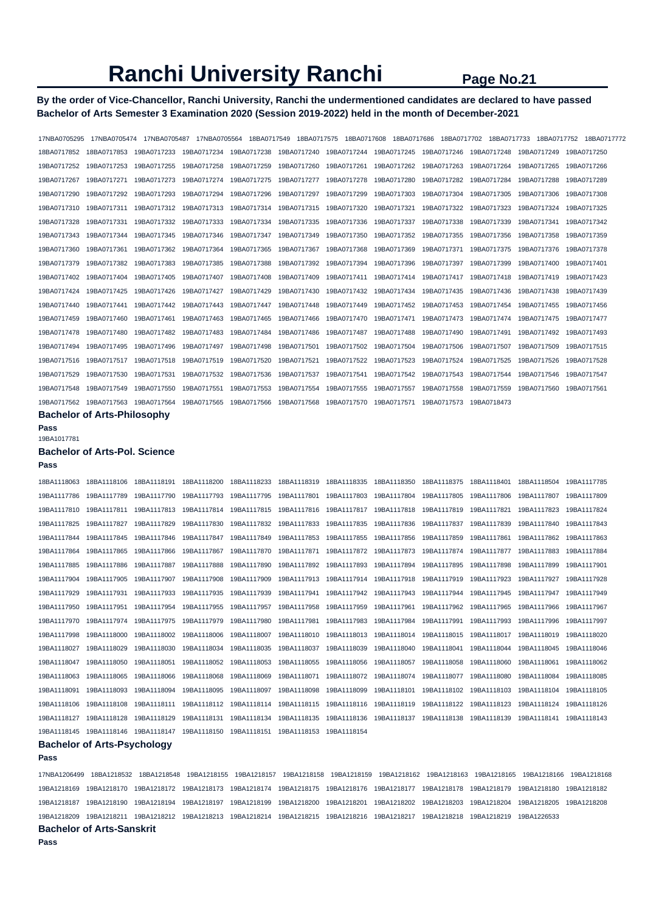## **By the order of Vice-Chancellor, Ranchi University, Ranchi the undermentioned candidates are declared to have passed Bachelor of Arts Semester 3 Examination 2020 (Session 2019-2022) held in the month of December-2021**

| 17NBA0705295 | 17NBA0705474 | 17NBA0705487                                                                                                            | 17NBA0705564 |             | 18BA0717549 18BA0717575 |             | 18BA0717608 18BA0717686 | 18BA0717702                                     | 18BA0717733             | 18BA0717752                                                                                                             | 18BA0717772 |
|--------------|--------------|-------------------------------------------------------------------------------------------------------------------------|--------------|-------------|-------------------------|-------------|-------------------------|-------------------------------------------------|-------------------------|-------------------------------------------------------------------------------------------------------------------------|-------------|
| 18BA0717852  | 18BA0717853  |                                                                                                                         |              |             |                         |             |                         |                                                 |                         | 19BA0717233 19BA0717234 19BA0717238 19BA0717240 19BA0717244 19BA0717245 19BA0717246 19BA0717248 19BA0717249 19BA0717250 |             |
| 19BA0717252  | 19BA0717253  | 19BA0717255                                                                                                             | 19BA0717258  | 19BA0717259 | 19BA0717260             | 19BA0717261 | 19BA0717262             | 19BA0717263                                     | 19BA0717264 19BA0717265 |                                                                                                                         | 19BA0717266 |
| 19BA0717267  | 19BA0717271  | 19BA0717273                                                                                                             |              |             |                         |             | 19BA0717280             |                                                 |                         |                                                                                                                         | 19BA0717289 |
| 19BA0717290  | 19BA0717292  | 19BA0717293                                                                                                             |              |             |                         | 19BA0717299 | 19BA0717303             | 19BA0717304                                     | 19BA0717305 19BA0717306 |                                                                                                                         | 19BA0717308 |
| 19BA0717310  |              | 19BA0717311 19BA0717312 19BA0717313 19BA0717314 19BA0717315 19BA0717320                                                 |              |             |                         |             | 19BA0717321             |                                                 |                         |                                                                                                                         | 19BA0717325 |
| 19BA0717328  | 19BA0717331  | 19BA0717332 19BA0717333                                                                                                 |              | 19BA0717334 | 19BA0717335 19BA0717336 |             | 19BA0717337             | 19BA0717338 19BA0717339                         |                         | 19BA0717341                                                                                                             | 19BA0717342 |
| 19BA0717343  | 19BA0717344  | 19BA0717345                                                                                                             |              |             |                         |             |                         | 19BA0717352 19BA0717355 19BA0717356 19BA0717358 |                         |                                                                                                                         | 19BA0717359 |
| 19BA0717360  |              | 19BA0717361 19BA0717362 19BA0717364 19BA0717365 19BA0717367 19BA0717368                                                 |              |             |                         |             |                         |                                                 |                         | 19BA0717369  19BA0717371  19BA0717375  19BA0717376  19BA0717378                                                         |             |
| 19BA0717379  |              |                                                                                                                         |              | 19BA0717388 | 19BA0717392 19BA0717394 |             |                         |                                                 |                         | 19BA0717396    19BA0717397    19BA0717399    19BA0717400    19BA0717401                                                 |             |
| 19BA0717402  | 19BA0717404  | 19BA0717405                                                                                                             | 19BA0717407  | 19BA0717408 | 19BA0717409             | 19BA0717411 |                         |                                                 |                         |                                                                                                                         | 19BA0717423 |
| 19BA0717424  | 19BA0717425  | 19BA0717426                                                                                                             | 19BA0717427  | 19BA0717429 | 19BA0717430             | 19BA0717432 | 19BA0717434             | 19BA0717435                                     | 19BA0717436             | 19BA0717438                                                                                                             | 19BA0717439 |
| 19BA0717440  | 19BA0717441  | 19BA0717442                                                                                                             | 19BA0717443  | 19BA0717447 | 19BA0717448             | 19BA0717449 | 19BA0717452             | 19BA0717453 19BA0717454 19BA0717455             |                         |                                                                                                                         | 19BA0717456 |
| 19BA0717459  | 19BA0717460  | 19BA0717461                                                                                                             | 19BA0717463  | 19BA0717465 | 19BA0717466             | 19BA0717470 | 19BA0717471             | 19BA0717473                                     | 19BA0717474 19BA0717475 |                                                                                                                         | 19BA0717477 |
| 19BA0717478  | 19BA0717480  | 19BA0717482 19BA0717483                                                                                                 |              | 19BA0717484 | 19BA0717486             | 19BA0717487 | 19BA0717488             | 19BA0717490 19BA0717491                         |                         | 19BA0717492                                                                                                             | 19BA0717493 |
| 19BA0717494  | 19BA0717495  | 19BA0717496                                                                                                             | 19BA0717497  | 19BA0717498 | 19BA0717501             | 19BA0717502 | 19BA0717504             | 19BA0717506                                     | 19BA0717507             | 19BA0717509                                                                                                             | 19BA0717515 |
| 19BA0717516  | 19BA0717517  | 19BA0717518                                                                                                             | 19BA0717519  | 19BA0717520 | 19BA0717521             | 19BA0717522 | 19BA0717523             | 19BA0717524 19BA0717525                         |                         | 19BA0717526                                                                                                             | 19BA0717528 |
| 19BA0717529  | 19BA0717530  | 19BA0717531  19BA0717532  19BA0717536                                                                                   |              |             | 19BA0717537             | 19BA0717541 | 19BA0717542             |                                                 |                         |                                                                                                                         |             |
| 19BA0717548  | 19BA0717549  | 19BA0717550                                                                                                             |              |             |                         |             | 19BA0717557             | 19BA0717558                                     |                         | 19BA0717559 19BA0717560 19BA0717561                                                                                     |             |
|              |              | 19BA0717562 19BA0717563 19BA0717564 19BA0717565 19BA0717566 19BA0717568 19BA0717570 19BA0717571 19BA0717573 19BA0718473 |              |             |                         |             |                         |                                                 |                         |                                                                                                                         |             |

**Bachelor of Arts-Philosophy** 

**Pass** 

## 19BA1017781

## **Bachelor of Arts-Pol. Science**

**Pass**  18BA1118063 18BA1118106 18BA1118191 18BA1118200 18BA1118233 18BA1118319 18BA1118335 18BA1118350 18BA1118375 18BA1118401 18BA1118504 19BA1117785 19BA1117786 19BA1117789 19BA1117790 19BA1117793 19BA1117795 19BA1117801 19BA1117803 19BA1117804 19BA1117805 19BA1117806 19BA1117807 19BA1117809 19BA1117810 19BA1117811 19BA1117813 19BA1117814 19BA1117815 19BA1117816 19BA1117817 19BA1117818 19BA1117819 19BA1117821 19BA1117823 19BA1117824 19BA1117825 19BA1117827 19BA1117829 19BA1117830 19BA1117832 19BA1117833 19BA1117835 19BA1117836 19BA1117837 19BA1117839 19BA1117840 19BA1117843 19BA1117844 19BA1117845 19BA1117846 19BA1117847 19BA1117849 19BA1117853 19BA1117855 19BA1117856 19BA1117859 19BA1117861 19BA1117862 19BA1117863 19BA1117864 19BA1117865 19BA1117866 19BA1117867 19BA1117870 19BA1117871 19BA1117872 19BA1117873 19BA1117874 19BA1117877 19BA1117883 19BA1117884 19BA1117885 19BA1117886 19BA1117887 19BA1117888 19BA1117890 19BA1117892 19BA1117893 19BA1117894 19BA1117895 19BA1117898 19BA1117899 19BA1117901 19BA1117904 19BA1117905 19BA1117907 19BA1117908 19BA1117909 19BA1117913 19BA1117914 19BA1117918 19BA1117919 19BA1117923 19BA1117927 19BA1117928 19BA1118091 19BA1118093 19BA1118094 19BA1118095 19BA1118097 19BA1118098 19BA1118099 19BA1118101 19BA1118102 19BA1118103 19BA1118104 19BA1118105

19BA1117929 19BA1117931 19BA1117933 19BA1117935 19BA1117939 19BA1117941 19BA1117942 19BA1117943 19BA1117944 19BA1117945 19BA1117947 19BA1117949 19BA1117950 19BA1117951 19BA1117954 19BA1117955 19BA1117957 19BA1117958 19BA1117959 19BA1117961 19BA1117962 19BA1117965 19BA1117966 19BA1117967 19BA1117970 19BA1117974 19BA1117975 19BA1117979 19BA1117980 19BA1117981 19BA1117983 19BA1117984 19BA1117991 19BA1117993 19BA1117996 19BA1117997 19BA1117998 19BA1118000 19BA1118002 19BA1118006 19BA1118007 19BA1118010 19BA1118013 19BA1118014 19BA1118015 19BA1118017 19BA1118019 19BA1118020 19BA1118027 19BA1118029 19BA1118030 19BA1118034 19BA1118035 19BA1118037 19BA1118039 19BA1118040 19BA1118041 19BA1118044 19BA1118045 19BA1118046 19BA1118047 19BA1118050 19BA1118051 19BA1118052 19BA1118053 19BA1118055 19BA1118056 19BA1118057 19BA1118058 19BA1118060 19BA1118061 19BA1118062 19BA1118063 19BA1118065 19BA1118066 19BA1118068 19BA1118069 19BA1118071 19BA1118072 19BA1118074 19BA1118077 19BA1118080 19BA1118084 19BA1118085

## 19BA1118127 19BA1118128 19BA1118129 19BA1118131 19BA1118134 19BA1118135 19BA1118136 19BA1118137 19BA1118138 19BA1118139 19BA1118141 19BA1118143 19BA1118145 19BA1118146 19BA1118147 19BA1118150 19BA1118151 19BA1118153 19BA1118154 **Bachelor of Arts-Psychology**

#### **Pass**

17NBA1206499 18BA1218532 18BA1218548 19BA1218155 19BA1218157 19BA1218158 19BA1218159 19BA1218162 19BA1218163 19BA1218165 19BA1218166 19BA1218168 19BA1218169 19BA1218170 19BA1218172 19BA1218173 19BA1218174 19BA1218175 19BA1218176 19BA1218177 19BA1218178 19BA1218179 19BA1218180 19BA1218182 19BA1218187 19BA1218190 19BA1218194 19BA1218197 19BA1218199 19BA1218200 19BA1218201 19BA1218202 19BA1218203 19BA1218204 19BA1218205 19BA1218208 19BA1218209 19BA1218211 19BA1218212 19BA1218213 19BA1218214 19BA1218215 19BA1218216 19BA1218217 19BA1218218 19BA1218219 19BA1226533

19BA1118106 19BA1118108 19BA1118111 19BA1118112 19BA1118114 19BA1118115 19BA1118116 19BA1118119 19BA1118122 19BA1118123 19BA1118124 19BA1118126

**Bachelor of Arts-Sanskrit**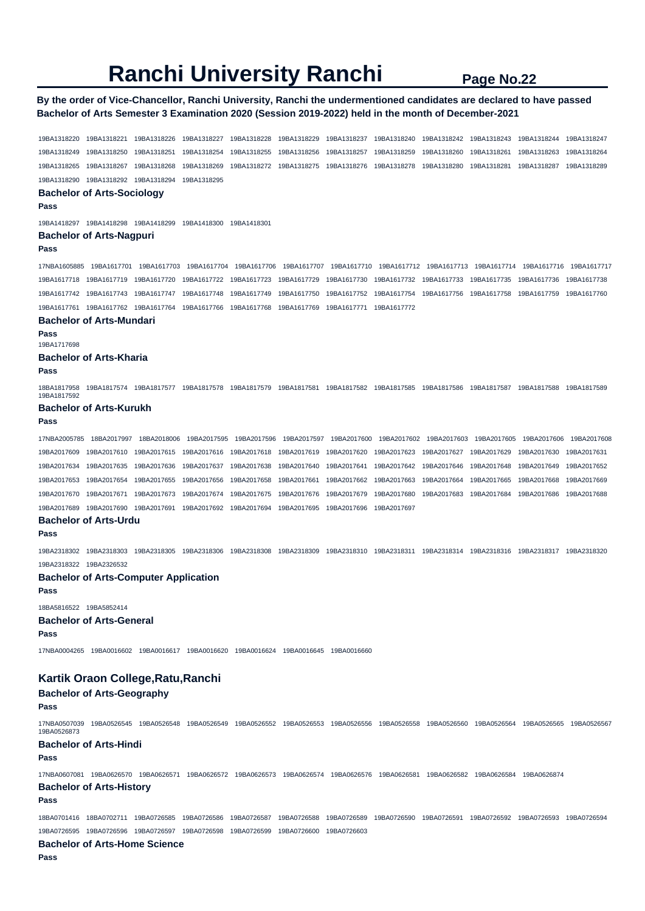### **By the order of Vice-Chancellor, Ranchi University, Ranchi the undermentioned candidates are declared to have passed Bachelor of Arts Semester 3 Examination 2020 (Session 2019-2022) held in the month of December-2021**

19BA1318220 19BA1318221 19BA1318226 19BA1318227 19BA1318228 19BA1318229 19BA1318237 19BA1318240 19BA1318242 19BA1318243 19BA1318244 19BA1318247 19BA1318249 19BA1318250 19BA1318251 19BA1318254 19BA1318255 19BA1318256 19BA1318257 19BA1318259 19BA1318260 19BA1318261 19BA1318263 19BA1318264 19BA1318265 19BA1318267 19BA1318268 19BA1318269 19BA1318272 19BA1318275 19BA1318276 19BA1318278 19BA1318280 19BA1318281 19BA1318287 19BA1318289 19BA1318290 19BA1318292 19BA1318294 19BA1318295 **Bachelor of Arts-Sociology Pass**  19BA1418297 19BA1418298 19BA1418299 19BA1418300 19BA1418301 **Bachelor of Arts-Nagpuri Pass**  17NBA1605885 19BA1617701 19BA1617703 19BA1617704 19BA1617706 19BA1617707 19BA1617710 19BA1617712 19BA1617713 19BA1617714 19BA1617716 19BA1617717 19BA1617718 19BA1617719 19BA1617720 19BA1617722 19BA1617723 19BA1617729 19BA1617730 19BA1617732 19BA1617733 19BA1617735 19BA1617736 19BA1617738 19BA1617742 19BA1617743 19BA1617747 19BA1617748 19BA1617749 19BA1617750 19BA1617752 19BA1617754 19BA1617756 19BA1617758 19BA1617759 19BA1617760 19BA1617761 19BA1617762 19BA1617764 19BA1617766 19BA1617768 19BA1617769 19BA1617771 19BA1617772 **Bachelor of Arts-Mundari Pass**  19BA1717698 **Bachelor of Arts-Kharia Pass**  18BA1817958 19BA1817574 19BA1817577 19BA1817578 19BA1817579 19BA1817581 19BA1817582 19BA1817585 19BA1817586 19BA1817587 19BA1817588 19BA1817589 19BA1817592 **Bachelor of Arts-Kurukh Pass**  17NBA2005785 18BA2017997 18BA2018006 19BA2017595 19BA2017596 19BA2017597 19BA2017600 19BA2017602 19BA2017603 19BA2017605 19BA2017606 19BA2017608 19BA2017609 19BA2017610 19BA2017615 19BA2017616 19BA2017618 19BA2017619 19BA2017620 19BA2017623 19BA2017627 19BA2017629 19BA2017630 19BA2017631 19BA2017634 19BA2017635 19BA2017636 19BA2017637 19BA2017638 19BA2017640 19BA2017641 19BA2017642 19BA2017646 19BA2017648 19BA2017649 19BA2017652 19BA2017653 19BA2017654 19BA2017655 19BA2017656 19BA2017658 19BA2017661 19BA2017662 19BA2017663 19BA2017664 19BA2017665 19BA2017668 19BA2017669 19BA2017670 19BA2017671 19BA2017673 19BA2017674 19BA2017675 19BA2017676 19BA2017679 19BA2017680 19BA2017683 19BA2017684 19BA2017686 19BA2017688 19BA2017689 19BA2017690 19BA2017691 19BA2017692 19BA2017694 19BA2017695 19BA2017696 19BA2017697 **Bachelor of Arts-Urdu Pass**  19BA2318302 19BA2318303 19BA2318305 19BA2318306 19BA2318308 19BA2318309 19BA2318310 19BA2318311 19BA2318314 19BA2318316 19BA2318317 19BA2318320 19BA2318322 19BA2326532 **Bachelor of Arts-Computer Application Pass**  18BA5816522 19BA5852414 **Bachelor of Arts-General Pass**  17NBA0004265 19BA0016602 19BA0016617 19BA0016620 19BA0016624 19BA0016645 19BA0016660 **Kartik Oraon College,Ratu,Ranchi Bachelor of Arts-Geography Pass**  17NBA0507039 19BA0526545 19BA0526548 19BA0526549 19BA0526552 19BA0526553 19BA0526556 19BA0526558 19BA0526560 19BA0526564 19BA0526565 19BA0526567 19BA0526873 **Bachelor of Arts-Hindi Pass**  17NBA0607081 19BA0626570 19BA0626571 19BA0626572 19BA0626573 19BA0626574 19BA0626576 19BA0626581 19BA0626582 19BA0626584 19BA0626874 **Bachelor of Arts-History Pass**  18BA0701416 18BA0702711 19BA0726585 19BA0726586 19BA0726587 19BA0726588 19BA0726589 19BA0726590 19BA0726591 19BA0726592 19BA0726593 19BA0726594 19BA0726595 19BA0726596 19BA0726597 19BA0726598 19BA0726599 19BA0726600 19BA0726603 **Bachelor of Arts-Home Science Pass**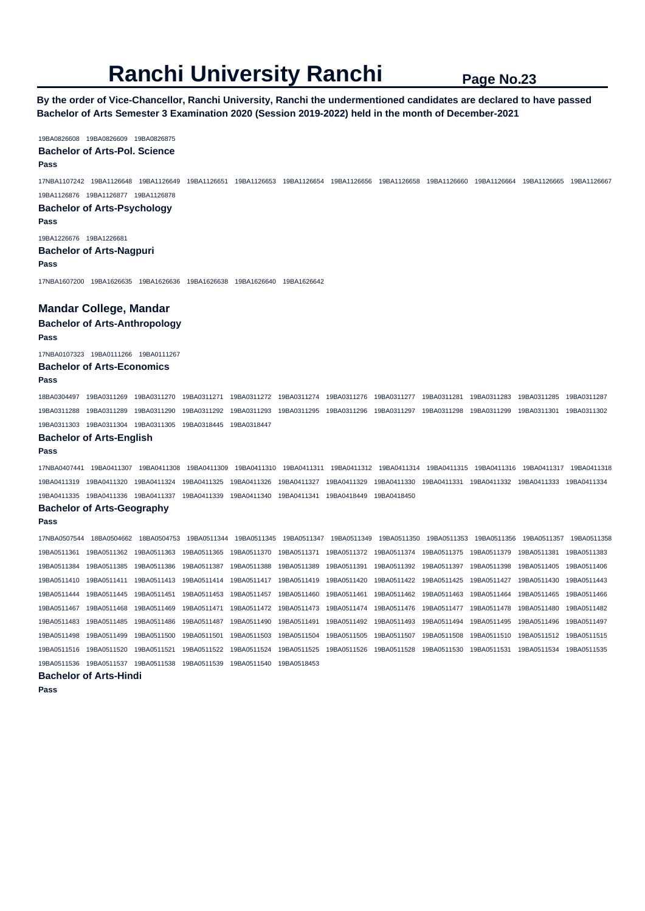**By the order of Vice-Chancellor, Ranchi University, Ranchi the undermentioned candidates are declared to have passed Bachelor of Arts Semester 3 Examination 2020 (Session 2019-2022) held in the month of December-2021** 

#### 19BA0826608 19BA0826609 19BA0826875 **Bachelor of Arts-Pol. Science Pass**

17NBA1107242 19BA1126648 19BA1126649 19BA1126651 19BA1126653 19BA1126654 19BA1126656 19BA1126658 19BA1126660 19BA1126664 19BA1126665 19BA1126667 19BA1126876 19BA1126877 19BA1126878

## **Bachelor of Arts-Psychology Pass**

19BA1226676 19BA1226681

#### **Bachelor of Arts-Nagpuri Pass**

17NBA1607200 19BA1626635 19BA1626636 19BA1626638 19BA1626640 19BA1626642

### **Mandar College, Mandar**

**Bachelor of Arts-Anthropology Pass** 

17NBA0107323 19BA0111266 19BA0111267

## **Bachelor of Arts-Economics**

#### **Pass**

18BA0304497 19BA0311269 19BA0311270 19BA0311271 19BA0311272 19BA0311274 19BA0311276 19BA0311277 19BA0311281 19BA0311283 19BA0311285 19BA0311287 19BA0311288 19BA0311289 19BA0311290 19BA0311292 19BA0311293 19BA0311295 19BA0311296 19BA0311297 19BA0311298 19BA0311299 19BA0311301 19BA0311302 19BA0311303 19BA0311304 19BA0311305 19BA0318445 19BA0318447

## **Bachelor of Arts-English**

#### **Pass**

17NBA0407441 19BA0411307 19BA0411308 19BA0411309 19BA0411310 19BA0411311 19BA0411312 19BA0411314 19BA0411315 19BA0411316 19BA0411317 19BA0411318 19BA0411319 19BA0411320 19BA0411324 19BA0411325 19BA0411326 19BA0411327 19BA0411329 19BA0411330 19BA0411331 19BA0411332 19BA0411333 19BA0411334 19BA0411335 19BA0411336 19BA0411337 19BA0411339 19BA0411340 19BA0411341 19BA0418449 19BA0418450

#### **Bachelor of Arts-Geography**

**Pass** 

17NBA0507544 18BA0504662 18BA0504753 19BA0511344 19BA0511345 19BA0511347 19BA0511349 19BA0511350 19BA0511353 19BA0511356 19BA0511357 19BA0511358 19BA0511361 19BA0511362 19BA0511363 19BA0511365 19BA0511370 19BA0511371 19BA0511372 19BA0511374 19BA0511375 19BA0511379 19BA0511381 19BA0511383 19BA0511384 19BA0511385 19BA0511386 19BA0511387 19BA0511388 19BA0511389 19BA0511391 19BA0511392 19BA0511397 19BA0511398 19BA0511405 19BA0511406 19BA0511410 19BA0511411 19BA0511413 19BA0511414 19BA0511417 19BA0511419 19BA0511420 19BA0511422 19BA0511425 19BA0511427 19BA0511430 19BA0511443 19BA0511444 19BA0511445 19BA0511451 19BA0511453 19BA0511457 19BA0511460 19BA0511461 19BA0511462 19BA0511463 19BA0511464 19BA0511465 19BA0511466 19BA0511467 19BA0511468 19BA0511469 19BA0511471 19BA0511472 19BA0511473 19BA0511474 19BA0511476 19BA0511477 19BA0511478 19BA0511480 19BA0511482 19BA0511483 19BA0511485 19BA0511486 19BA0511487 19BA0511490 19BA0511491 19BA0511492 19BA0511493 19BA0511494 19BA0511495 19BA0511496 19BA0511497 19BA0511498 19BA0511499 19BA0511500 19BA0511501 19BA0511503 19BA0511504 19BA0511505 19BA0511507 19BA0511508 19BA0511510 19BA0511512 19BA0511515 19BA0511516 19BA0511520 19BA0511521 19BA0511522 19BA0511524 19BA0511525 19BA0511526 19BA0511528 19BA0511530 19BA0511531 19BA0511534 19BA0511535 19BA0511536 19BA0511537 19BA0511538 19BA0511539 19BA0511540 19BA0518453

```
Bachelor of Arts-Hindi
```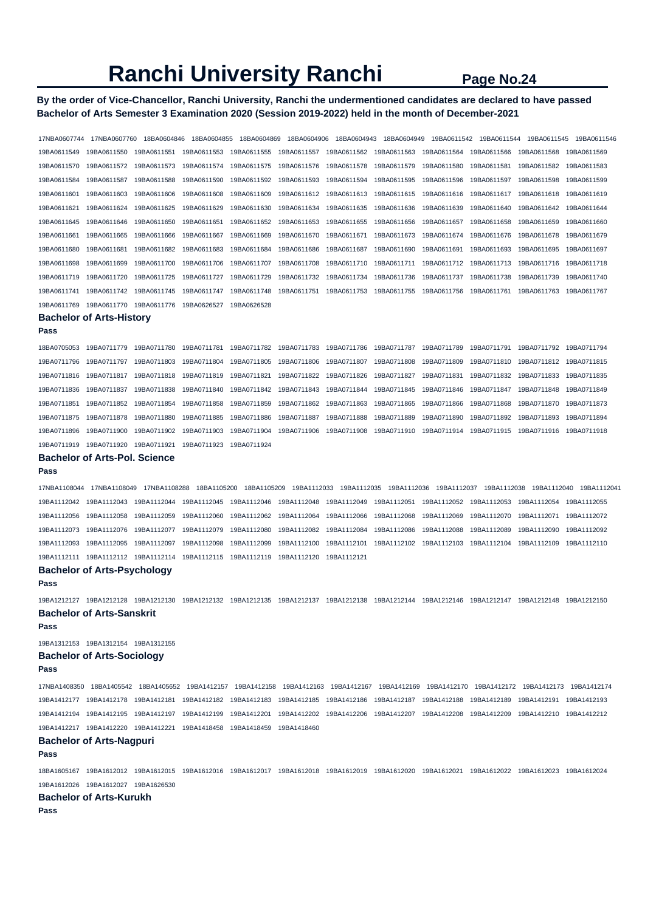## **By the order of Vice-Chancellor, Ranchi University, Ranchi the undermentioned candidates are declared to have passed Bachelor of Arts Semester 3 Examination 2020 (Session 2019-2022) held in the month of December-2021**

| 17NBA0607744 | 17NBA0607760                          | 18BA0604846  | 18BA0604855             | 18BA0604869                                                                                                                                      | 18BA0604906 | 18BA0604943             | 18BA0604949 | 19BA0611542 | 19BA0611544             | 19BA0611545 | 19BA0611546 |
|--------------|---------------------------------------|--------------|-------------------------|--------------------------------------------------------------------------------------------------------------------------------------------------|-------------|-------------------------|-------------|-------------|-------------------------|-------------|-------------|
| 19BA0611549  | 19BA0611550                           | 19BA0611551  | 19BA0611553             | 19BA0611555                                                                                                                                      | 19BA0611557 | 19BA0611562             | 19BA0611563 | 19BA0611564 | 19BA0611566             | 19BA0611568 | 19BA0611569 |
| 19BA0611570  | 19BA0611572                           | 19BA0611573  | 19BA0611574             | 19BA0611575                                                                                                                                      | 19BA0611576 | 19BA0611578             | 19BA0611579 | 19BA0611580 | 19BA0611581             | 19BA0611582 | 19BA0611583 |
| 19BA0611584  | 19BA0611587                           | 19BA0611588  | 19BA0611590             | 19BA0611592                                                                                                                                      | 19BA0611593 | 19BA0611594             | 19BA0611595 | 19BA0611596 | 19BA0611597             | 19BA0611598 | 19BA0611599 |
| 19BA0611601  | 19BA0611603                           | 19BA0611606  | 19BA0611608             | 19BA0611609                                                                                                                                      | 19BA0611612 | 19BA0611613             | 19BA0611615 | 19BA0611616 | 19BA0611617             | 19BA0611618 | 19BA0611619 |
| 19BA0611621  | 19BA0611624                           | 19BA0611625  | 19BA0611629             | 19BA0611630                                                                                                                                      | 19BA0611634 | 19BA0611635             | 19BA0611636 | 19BA0611639 | 19BA0611640             | 19BA0611642 | 19BA0611644 |
| 19BA0611645  | 19BA0611646                           | 19BA0611650  | 19BA0611651             | 19BA0611652                                                                                                                                      | 19BA0611653 | 19BA0611655             | 19BA0611656 | 19BA0611657 | 19BA0611658             | 19BA0611659 | 19BA0611660 |
| 19BA0611661  | 19BA0611665                           | 19BA0611666  | 19BA0611667             | 19BA0611669                                                                                                                                      | 19BA0611670 | 19BA0611671             | 19BA0611673 | 19BA0611674 | 19BA0611676             | 19BA0611678 | 19BA0611679 |
| 19BA0611680  | 19BA0611681                           | 19BA0611682  | 19BA0611683             | 19BA0611684                                                                                                                                      | 19BA0611686 | 19BA0611687             | 19BA0611690 | 19BA0611691 | 19BA0611693             | 19BA0611695 | 19BA0611697 |
| 19BA0611698  | 19BA0611699                           | 19BA0611700  | 19BA0611706             | 19BA0611707                                                                                                                                      | 19BA0611708 | 19BA0611710             | 19BA0611711 | 19BA0611712 | 19BA0611713             | 19BA0611716 | 19BA0611718 |
| 19BA0611719  | 19BA0611720                           | 19BA0611725  | 19BA0611727             | 19BA0611729                                                                                                                                      | 19BA0611732 | 19BA0611734             | 19BA0611736 | 19BA0611737 | 19BA0611738             | 19BA0611739 | 19BA0611740 |
| 19BA0611741  | 19BA0611742                           | 19BA0611745  | 19BA0611747             | 19BA0611748                                                                                                                                      | 19BA0611751 | 19BA0611753             | 19BA0611755 | 19BA0611756 | 19BA0611761             | 19BA0611763 | 19BA0611767 |
| 19BA0611769  | 19BA0611770                           | 19BA0611776  | 19BA0626527             | 19BA0626528                                                                                                                                      |             |                         |             |             |                         |             |             |
|              | <b>Bachelor of Arts-History</b>       |              |                         |                                                                                                                                                  |             |                         |             |             |                         |             |             |
| Pass         |                                       |              |                         |                                                                                                                                                  |             |                         |             |             |                         |             |             |
| 18BA0705053  | 19BA0711779                           | 19BA0711780  | 19BA0711781             | 19BA0711782                                                                                                                                      | 19BA0711783 | 19BA0711786             | 19BA0711787 | 19BA0711789 | 19BA0711791             | 19BA0711792 | 19BA0711794 |
| 19BA0711796  | 19BA0711797                           | 19BA0711803  | 19BA0711804             | 19BA0711805                                                                                                                                      | 19BA0711806 | 19BA0711807             | 19BA0711808 | 19BA0711809 | 19BA0711810             | 19BA0711812 | 19BA0711815 |
| 19BA0711816  | 19BA0711817                           | 19BA0711818  | 19BA0711819             | 19BA0711821                                                                                                                                      | 19BA0711822 | 19BA0711826             | 19BA0711827 | 19BA0711831 | 19BA0711832             | 19BA0711833 | 19BA0711835 |
| 19BA0711836  | 19BA0711837                           | 19BA0711838  | 19BA0711840             | 19BA0711842                                                                                                                                      | 19BA0711843 | 19BA0711844             | 19BA0711845 | 19BA0711846 | 19BA0711847             | 19BA0711848 | 19BA0711849 |
| 19BA0711851  | 19BA0711852                           | 19BA0711854  | 19BA0711858             | 19BA0711859                                                                                                                                      | 19BA0711862 | 19BA0711863             | 19BA0711865 | 19BA0711866 | 19BA0711868             | 19BA0711870 | 19BA0711873 |
| 19BA0711875  | 19BA0711878                           | 19BA0711880  | 19BA0711885             | 19BA0711886                                                                                                                                      | 19BA0711887 | 19BA0711888             | 19BA0711889 | 19BA0711890 | 19BA0711892             | 19BA0711893 | 19BA0711894 |
| 19BA0711896  | 19BA0711900                           | 19BA0711902  | 19BA0711903             | 19BA0711904                                                                                                                                      | 19BA0711906 | 19BA0711908             | 19BA0711910 | 19BA0711914 | 19BA0711915             | 19BA0711916 | 19BA0711918 |
| 19BA0711919  | 19BA0711920                           | 19BA0711921  | 19BA0711923             | 19BA0711924                                                                                                                                      |             |                         |             |             |                         |             |             |
| Pass         | <b>Bachelor of Arts-Pol. Science</b>  |              |                         |                                                                                                                                                  |             |                         |             |             |                         |             |             |
| 17NBA1108044 | 17NBA1108049                          | 17NBA1108288 | 18BA1105200             | 18BA1105209                                                                                                                                      |             | 19BA1112033 19BA1112035 |             |             |                         | 19BA1112040 | 19BA1112041 |
| 19BA1112042  | 19BA1112043                           | 19BA1112044  | 19BA1112045             | 19BA1112046                                                                                                                                      | 19BA1112048 | 19BA1112049             | 19BA1112051 | 19BA1112052 | 19BA1112053             | 19BA1112054 | 19BA1112055 |
| 19BA1112056  | 19BA1112058                           | 19BA1112059  | 19BA1112060             | 19BA1112062                                                                                                                                      | 19BA1112064 | 19BA1112066             | 19BA1112068 | 19BA1112069 | 19BA1112070             | 19BA1112071 | 19BA1112072 |
| 19BA1112073  | 19BA1112076                           | 19BA1112077  | 19BA1112079             | 19BA1112080                                                                                                                                      | 19BA1112082 | 19BA1112084             | 19BA1112086 | 19BA1112088 | 19BA1112089             | 19BA1112090 | 19BA1112092 |
| 19BA1112093  | 19BA1112095                           | 19BA1112097  | 19BA1112098             | 19BA1112099                                                                                                                                      | 19BA1112100 | 19BA1112101             | 19BA1112102 | 19BA1112103 | 19BA1112104             | 19BA1112109 | 19BA1112110 |
|              |                                       |              | 19BA1112115             | 19BA1112119                                                                                                                                      | 19BA1112120 | 19BA1112121             |             |             |                         |             |             |
| Pass         | <b>Bachelor of Arts-Psychology</b>    |              |                         |                                                                                                                                                  |             |                         |             |             |                         |             |             |
| 19BA1212127  | 19BA1212128                           | 19BA1212130  | 19BA1212132 19BA1212135 |                                                                                                                                                  |             |                         |             |             | 19BA1212147 19BA1212148 |             | 19BA1212150 |
|              | <b>Bachelor of Arts-Sanskrit</b>      |              |                         |                                                                                                                                                  |             |                         |             |             |                         |             |             |
| Pass         |                                       |              |                         |                                                                                                                                                  |             |                         |             |             |                         |             |             |
|              | 19BA1312153 19BA1312154 19BA1312155   |              |                         |                                                                                                                                                  |             |                         |             |             |                         |             |             |
| Pass         | <b>Bachelor of Arts-Sociology</b>     |              |                         |                                                                                                                                                  |             |                         |             |             |                         |             |             |
|              |                                       |              |                         | 17NBA1408350 18BA1405542 18BA1405652 19BA1412157 19BA1412158 19BA1412163 19BA1412167 19BA1412169 19BA1412170 19BA1412172 19BA1412173 19BA1412174 |             |                         |             |             |                         |             |             |
|              |                                       |              |                         | 19BA1412177 19BA1412178 19BA1412181 19BA1412182 19BA1412183 19BA1412185 19BA1412186 19BA1412187 19BA1412188 19BA1412189 19BA1412191 19BA1412193  |             |                         |             |             |                         |             |             |
|              |                                       |              |                         | 19BA1412194 19BA1412195 19BA1412197 19BA1412199 19BA1412201 19BA1412202 19BA1412206 19BA1412207 19BA1412208 19BA1412209 19BA1412210 19BA1412212  |             |                         |             |             |                         |             |             |
|              |                                       |              |                         | 19BA1412217  19BA1412220  19BA1412221  19BA1418458  19BA1418459  19BA1418460                                                                     |             |                         |             |             |                         |             |             |
|              | <b>Bachelor of Arts-Nagpuri</b>       |              |                         |                                                                                                                                                  |             |                         |             |             |                         |             |             |
| Pass         |                                       |              |                         |                                                                                                                                                  |             |                         |             |             |                         |             |             |
|              |                                       |              |                         | 18BA1605167 19BA1612012 19BA1612015 19BA1612016 19BA1612017 19BA1612018 19BA1612019 19BA1612020 19BA1612021 19BA1612022 19BA1612023 19BA1612023  |             |                         |             |             |                         |             |             |
|              | 19BA1612026  19BA1612027  19BA1626530 |              |                         |                                                                                                                                                  |             |                         |             |             |                         |             |             |
| Pass         | <b>Bachelor of Arts-Kurukh</b>        |              |                         |                                                                                                                                                  |             |                         |             |             |                         |             |             |
|              |                                       |              |                         |                                                                                                                                                  |             |                         |             |             |                         |             |             |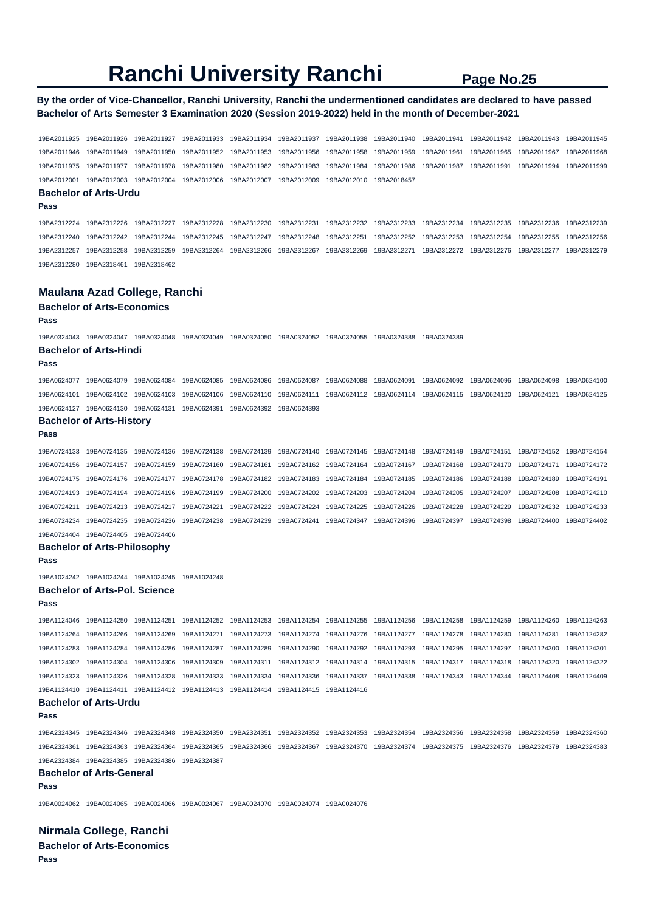## **By the order of Vice-Chancellor, Ranchi University, Ranchi the undermentioned candidates are declared to have passed Bachelor of Arts Semester 3 Examination 2020 (Session 2019-2022) held in the month of December-2021**

19BA2011925 19BA2011926 19BA2011927 19BA2011933 19BA2011934 19BA2011937 19BA2011938 19BA2011940 19BA2011941 19BA2011942 19BA2011943 19BA2011945 19BA2011946 19BA2011949 19BA2011950 19BA2011952 19BA2011953 19BA2011956 19BA2011958 19BA2011959 19BA2011961 19BA2011965 19BA2011967 19BA2011968 19BA2011975 19BA2011977 19BA2011978 19BA2011980 19BA2011982 19BA2011983 19BA2011984 19BA2011986 19BA2011987 19BA2011991 19BA2011994 19BA2011999 19BA2012001 19BA2012003 19BA2012004 19BA2012006 19BA2012007 19BA2012009 19BA2012010 19BA2018457 **Bachelor of Arts-Urdu Pass**  19BA2312224 19BA2312226 19BA2312227 19BA2312228 19BA2312230 19BA2312231 19BA2312232 19BA2312233 19BA2312234 19BA2312235 19BA2312236 19BA2312239 19BA2312240 19BA2312242 19BA2312244 19BA2312245 19BA2312247 19BA2312248 19BA2312251 19BA2312252 19BA2312253 19BA2312254 19BA2312255 19BA2312256 19BA2312257 19BA2312258 19BA2312259 19BA2312264 19BA2312266 19BA2312267 19BA2312269 19BA2312271 19BA2312272 19BA2312276 19BA2312277 19BA2312279 19BA2312280 19BA2318461 19BA2318462 **Maulana Azad College, Ranchi Bachelor of Arts-Economics Pass**  19BA0324043 19BA0324047 19BA0324048 19BA0324049 19BA0324050 19BA0324052 19BA0324055 19BA0324388 19BA0324389 **Bachelor of Arts-Hindi Pass**  19BA0624077 19BA0624079 19BA0624084 19BA0624085 19BA0624086 19BA0624087 19BA0624088 19BA0624091 19BA0624092 19BA0624096 19BA0624098 19BA0624100 19BA0624101 19BA0624102 19BA0624103 19BA0624106 19BA0624110 19BA0624111 19BA0624112 19BA0624114 19BA0624115 19BA0624120 19BA0624121 19BA0624125 19BA0624127 19BA0624130 19BA0624131 19BA0624391 19BA0624392 19BA0624393 **Bachelor of Arts-History Pass**  19BA0724133 19BA0724135 19BA0724136 19BA0724138 19BA0724139 19BA0724140 19BA0724145 19BA0724148 19BA0724149 19BA0724151 19BA0724152 19BA0724154 19BA0724156 19BA0724157 19BA0724159 19BA0724160 19BA0724161 19BA0724162 19BA0724164 19BA0724167 19BA0724168 19BA0724170 19BA0724171 19BA0724172 19BA0724175 19BA0724176 19BA0724177 19BA0724178 19BA0724182 19BA0724183 19BA0724184 19BA0724185 19BA0724186 19BA0724188 19BA0724189 19BA0724191 19BA0724193 19BA0724194 19BA0724196 19BA0724199 19BA0724200 19BA0724202 19BA0724203 19BA0724204 19BA0724205 19BA0724207 19BA0724208 19BA0724210 19BA0724211 19BA0724213 19BA0724217 19BA0724221 19BA0724222 19BA0724224 19BA0724225 19BA0724226 19BA0724228 19BA0724229 19BA0724232 19BA0724233 19BA0724234 19BA0724235 19BA0724236 19BA0724238 19BA0724239 19BA0724241 19BA0724347 19BA0724396 19BA0724397 19BA0724398 19BA0724400 19BA0724402 19BA0724404 19BA0724405 19BA0724406 **Bachelor of Arts-Philosophy Pass**  19BA1024242 19BA1024244 19BA1024245 19BA1024248 **Bachelor of Arts-Pol. Science Pass**  19BA1124046 19BA1124250 19BA1124251 19BA1124252 19BA1124253 19BA1124254 19BA1124255 19BA1124256 19BA1124258 19BA1124259 19BA1124260 19BA1124263 19BA1124264 19BA1124266 19BA1124269 19BA1124271 19BA1124273 19BA1124274 19BA1124276 19BA1124277 19BA1124278 19BA1124280 19BA1124281 19BA1124282 19BA1124283 19BA1124284 19BA1124286 19BA1124287 19BA1124289 19BA1124290 19BA1124292 19BA1124293 19BA1124295 19BA1124297 19BA1124300 19BA1124301 19BA1124302 19BA1124304 19BA1124306 19BA1124309 19BA1124311 19BA1124312 19BA1124314 19BA1124315 19BA1124317 19BA1124318 19BA1124320 19BA1124322 19BA1124323 19BA1124326 19BA1124328 19BA1124333 19BA1124334 19BA1124336 19BA1124337 19BA1124338 19BA1124343 19BA1124344 19BA1124408 19BA1124409 19BA1124410 19BA1124411 19BA1124412 19BA1124413 19BA1124414 19BA1124415 19BA1124416 **Bachelor of Arts-Urdu Pass**  19BA2324345 19BA2324346 19BA2324348 19BA2324350 19BA2324351 19BA2324352 19BA2324353 19BA2324354 19BA2324356 19BA2324358 19BA2324359 19BA2324360 19BA2324361 19BA2324363 19BA2324364 19BA2324365 19BA2324366 19BA2324367 19BA2324370 19BA2324374 19BA2324375 19BA2324376 19BA2324379 19BA2324383 19BA2324384 19BA2324385 19BA2324386 19BA2324387 **Bachelor of Arts-General Pass**  19BA0024062 19BA0024065 19BA0024066 19BA0024067 19BA0024070 19BA0024074 19BA0024076

**Nirmala College, Ranchi Bachelor of Arts-Economics Pass**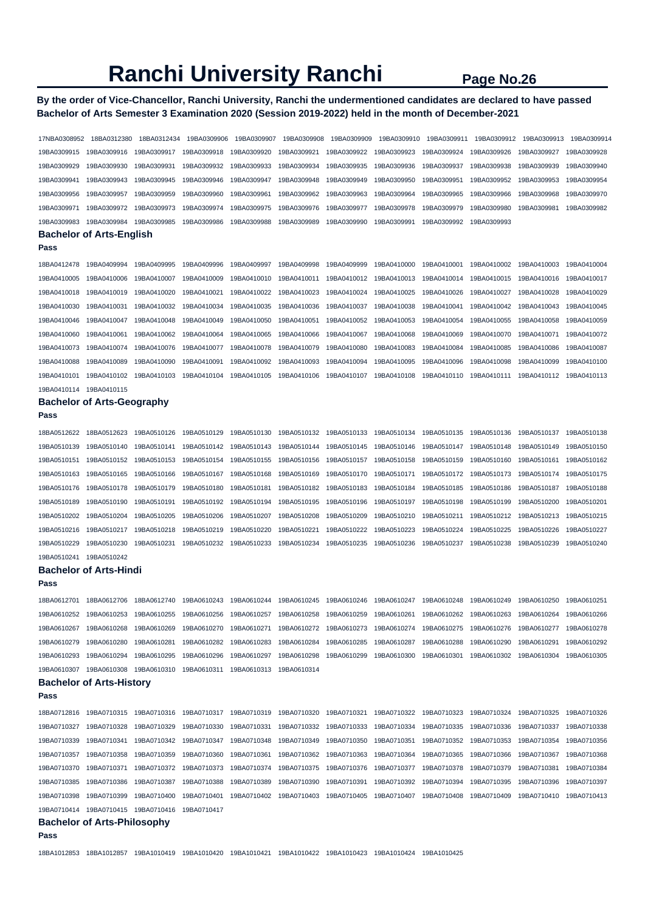## **By the order of Vice-Chancellor, Ranchi University, Ranchi the undermentioned candidates are declared to have passed Bachelor of Arts Semester 3 Examination 2020 (Session 2019-2022) held in the month of December-2021**

| 17NBA0308952            | 18BA0312380                        | 18BA0312434 | 19BA0309906 | 19BA0309907 | 19BA0309908 | 19BA0309909                                     | 19BA0309910 | 19BA0309911 | 19BA0309912 | 19BA0309913 | 19BA0309914 |
|-------------------------|------------------------------------|-------------|-------------|-------------|-------------|-------------------------------------------------|-------------|-------------|-------------|-------------|-------------|
| 19BA0309915             | 19BA0309916                        | 19BA0309917 | 19BA0309918 | 19BA0309920 | 19BA0309921 | 19BA0309922                                     | 19BA0309923 | 19BA0309924 | 19BA0309926 | 19BA0309927 | 19BA0309928 |
| 19BA0309929             | 19BA0309930                        | 19BA0309931 | 19BA0309932 | 19BA0309933 | 19BA0309934 | 19BA0309935                                     | 19BA0309936 | 19BA0309937 | 19BA0309938 | 19BA0309939 | 19BA0309940 |
| 19BA0309941             | 19BA0309943                        | 19BA0309945 | 19BA0309946 | 19BA0309947 | 19BA0309948 | 19BA0309949                                     | 19BA0309950 | 19BA0309951 | 19BA0309952 | 19BA0309953 | 19BA0309954 |
| 19BA0309956             | 19BA0309957                        | 19BA0309959 | 19BA0309960 | 19BA0309961 | 19BA0309962 | 19BA0309963                                     | 19BA0309964 | 19BA0309965 | 19BA0309966 | 19BA0309968 | 19BA0309970 |
| 19BA0309971             | 19BA0309972                        | 19BA0309973 | 19BA0309974 | 19BA0309975 | 19BA0309976 | 19BA0309977                                     | 19BA0309978 | 19BA0309979 | 19BA0309980 | 19BA0309981 | 19BA0309982 |
| 19BA0309983             | 19BA0309984                        | 19BA0309985 | 19BA0309986 | 19BA0309988 | 19BA0309989 | 19BA0309990                                     | 19BA0309991 | 19BA0309992 | 19BA0309993 |             |             |
|                         | <b>Bachelor of Arts-English</b>    |             |             |             |             |                                                 |             |             |             |             |             |
| Pass                    |                                    |             |             |             |             |                                                 |             |             |             |             |             |
| 18BA0412478             | 19BA0409994                        | 19BA0409995 | 19BA0409996 | 19BA0409997 | 19BA0409998 | 19BA0409999                                     | 19BA0410000 | 19BA0410001 | 19BA0410002 | 19BA0410003 | 19BA0410004 |
| 19BA0410005             | 19BA0410006                        | 19BA0410007 | 19BA0410009 | 19BA0410010 | 19BA0410011 | 19BA0410012                                     | 19BA0410013 | 19BA0410014 | 19BA0410015 | 19BA0410016 | 19BA0410017 |
| 19BA0410018             | 19BA0410019                        | 19BA0410020 | 19BA0410021 | 19BA0410022 | 19BA0410023 | 19BA0410024                                     | 19BA0410025 | 19BA0410026 | 19BA0410027 | 19BA0410028 | 19BA0410029 |
| 19BA0410030             | 19BA0410031                        | 19BA0410032 | 19BA0410034 | 19BA0410035 | 19BA0410036 | 19BA0410037                                     | 19BA0410038 | 19BA0410041 | 19BA0410042 | 19BA0410043 | 19BA0410045 |
| 19BA0410046             | 19BA0410047                        | 19BA0410048 | 19BA0410049 | 19BA0410050 | 19BA0410051 | 19BA0410052                                     | 19BA0410053 | 19BA0410054 | 19BA0410055 | 19BA0410058 | 19BA0410059 |
| 19BA0410060             | 19BA0410061                        | 19BA0410062 | 19BA0410064 | 19BA0410065 | 19BA0410066 | 19BA0410067                                     | 19BA0410068 | 19BA0410069 | 19BA0410070 | 19BA0410071 | 19BA0410072 |
| 19BA0410073             | 19BA0410074                        | 19BA0410076 | 19BA0410077 | 19BA0410078 | 19BA0410079 | 19BA0410080                                     | 19BA0410083 | 19BA0410084 | 19BA0410085 | 19BA0410086 | 19BA0410087 |
| 19BA0410088             | 19BA0410089                        | 19BA0410090 | 19BA0410091 | 19BA0410092 | 19BA0410093 | 19BA0410094                                     | 19BA0410095 | 19BA0410096 | 19BA0410098 | 19BA0410099 | 19BA0410100 |
| 19BA0410101             | 19BA0410102                        | 19BA0410103 | 19BA0410104 | 19BA0410105 | 19BA0410106 | 19BA0410107                                     | 19BA0410108 | 19BA0410110 | 19BA0410111 | 19BA0410112 | 19BA0410113 |
| 19BA0410114             | 19BA0410115                        |             |             |             |             |                                                 |             |             |             |             |             |
|                         | <b>Bachelor of Arts-Geography</b>  |             |             |             |             |                                                 |             |             |             |             |             |
| Pass                    |                                    |             |             |             |             |                                                 |             |             |             |             |             |
| 18BA0512622             | 18BA0512623                        | 19BA0510126 | 19BA0510129 | 19BA0510130 | 19BA0510132 | 19BA0510133                                     | 19BA0510134 | 19BA0510135 | 19BA0510136 | 19BA0510137 | 19BA0510138 |
| 19BA0510139             | 19BA0510140                        | 19BA0510141 | 19BA0510142 | 19BA0510143 | 19BA0510144 | 19BA0510145                                     | 19BA0510146 | 19BA0510147 | 19BA0510148 | 19BA0510149 | 19BA0510150 |
| 19BA0510151             | 19BA0510152                        | 19BA0510153 | 19BA0510154 | 19BA0510155 | 19BA0510156 | 19BA0510157                                     | 19BA0510158 | 19BA0510159 | 19BA0510160 | 19BA0510161 | 19BA0510162 |
| 19BA0510163             | 19BA0510165                        | 19BA0510166 | 19BA0510167 | 19BA0510168 | 19BA0510169 | 19BA0510170                                     | 19BA0510171 | 19BA0510172 | 19BA0510173 | 19BA0510174 | 19BA0510175 |
| 19BA0510176             | 19BA0510178                        | 19BA0510179 | 19BA0510180 | 19BA0510181 | 19BA0510182 | 19BA0510183                                     | 19BA0510184 | 19BA0510185 | 19BA0510186 | 19BA0510187 | 19BA0510188 |
| 19BA0510189             | 19BA0510190                        | 19BA0510191 | 19BA0510192 | 19BA0510194 | 19BA0510195 | 19BA0510196                                     | 19BA0510197 | 19BA0510198 | 19BA0510199 | 19BA0510200 | 19BA0510201 |
| 19BA0510202             | 19BA0510204                        | 19BA0510205 | 19BA0510206 | 19BA0510207 | 19BA0510208 | 19BA0510209                                     | 19BA0510210 | 19BA0510211 | 19BA0510212 | 19BA0510213 | 19BA0510215 |
| 19BA0510216             | 19BA0510217                        | 19BA0510218 | 19BA0510219 | 19BA0510220 | 19BA0510221 | 19BA0510222                                     | 19BA0510223 | 19BA0510224 | 19BA0510225 | 19BA0510226 | 19BA0510227 |
| 19BA0510229             | 19BA0510230                        | 19BA0510231 | 19BA0510232 | 19BA0510233 | 19BA0510234 | 19BA0510235                                     | 19BA0510236 | 19BA0510237 | 19BA0510238 | 19BA0510239 | 19BA0510240 |
| 19BA0510241             | 19BA0510242                        |             |             |             |             |                                                 |             |             |             |             |             |
|                         | <b>Bachelor of Arts-Hindi</b>      |             |             |             |             |                                                 |             |             |             |             |             |
| Pass                    |                                    |             |             |             |             |                                                 |             |             |             |             |             |
| 18BA0612701             | 18BA0612706                        | 18BA0612740 | 19BA0610243 | 19BA0610244 | 19BA0610245 | 19BA0610246                                     | 19BA0610247 | 19BA0610248 | 19BA0610249 | 19BA0610250 | 19BA0610251 |
| 19BA0610252             | 19BA0610253                        | 19BA0610255 | 19BA0610256 | 19BA0610257 | 19BA0610258 | 19BA0610259                                     | 19BA0610261 | 19BA0610262 | 19BA0610263 | 19BA0610264 | 19BA0610266 |
| 19BA0610267             | 19BA0610268                        | 19BA0610269 | 19BA0610270 | 19BA0610271 | 19BA0610272 | 19BA0610273                                     | 19BA0610274 | 19BA0610275 | 19BA0610276 | 19BA0610277 | 19BA0610278 |
| 19BA0610279             | 19BA0610280                        | 19BA0610281 | 19BA0610282 | 19BA0610283 | 19BA0610284 | 19BA0610285                                     | 19BA0610287 | 19BA0610288 | 19BA0610290 | 19BA0610291 | 19BA0610292 |
| 19BA0610293             | 19BA0610294                        | 19BA0610295 | 19BA0610296 | 19BA0610297 | 19BA0610298 | 19BA0610299                                     | 19BA0610300 | 19BA0610301 | 19BA0610302 | 19BA0610304 | 19BA0610305 |
| 19BA0610307             | 19BA0610308                        | 19BA0610310 | 19BA0610311 | 19BA0610313 | 19BA0610314 |                                                 |             |             |             |             |             |
|                         | <b>Bachelor of Arts-History</b>    |             |             |             |             |                                                 |             |             |             |             |             |
| Pass                    |                                    |             |             |             |             |                                                 |             |             |             |             |             |
| 18BA0712816             | 19BA0710315                        | 19BA0710316 | 19BA0710317 | 19BA0710319 | 19BA0710320 | 19BA0710321                                     | 19BA0710322 | 19BA0710323 | 19BA0710324 | 19BA0710325 | 19BA0710326 |
| 19BA0710327             | 19BA0710328                        | 19BA0710329 | 19BA0710330 | 19BA0710331 | 19BA0710332 | 19BA0710333                                     | 19BA0710334 | 19BA0710335 | 19BA0710336 | 19BA0710337 | 19BA0710338 |
| 19BA0710339             | 19BA0710341                        | 19BA0710342 | 19BA0710347 | 19BA0710348 | 19BA0710349 | 19BA0710350                                     | 19BA0710351 | 19BA0710352 | 19BA0710353 | 19BA0710354 | 19BA0710356 |
| 19BA0710357             | 19BA0710358                        | 19BA0710359 | 19BA0710360 | 19BA0710361 | 19BA0710362 | 19BA0710363                                     | 19BA0710364 | 19BA0710365 | 19BA0710366 | 19BA0710367 | 19BA0710368 |
| 19BA0710370             | 19BA0710371                        | 19BA0710372 | 19BA0710373 | 19BA0710374 | 19BA0710375 | 19BA0710376                                     | 19BA0710377 | 19BA0710378 | 19BA0710379 | 19BA0710381 | 19BA0710384 |
| 19BA0710385             | 19BA0710386                        | 19BA0710387 | 19BA0710388 | 19BA0710389 | 19BA0710390 | 19BA0710391                                     | 19BA0710392 | 19BA0710394 | 19BA0710395 | 19BA0710396 | 19BA0710397 |
| 19BA0710398             | 19BA0710399                        | 19BA0710400 | 19BA0710401 | 19BA0710402 | 19BA0710403 | 19BA0710405                                     | 19BA0710407 | 19BA0710408 | 19BA0710409 | 19BA0710410 | 19BA0710413 |
| 19BA0710414 19BA0710415 |                                    | 19BA0710416 | 19BA0710417 |             |             |                                                 |             |             |             |             |             |
|                         | <b>Bachelor of Arts-Philosophy</b> |             |             |             |             |                                                 |             |             |             |             |             |
| Pass                    |                                    |             |             |             |             |                                                 |             |             |             |             |             |
| 18BA1012853             | 18BA1012857 19BA1010419            |             | 19BA1010420 | 19BA1010421 |             | 19BA1010422 19BA1010423 19BA1010424 19BA1010425 |             |             |             |             |             |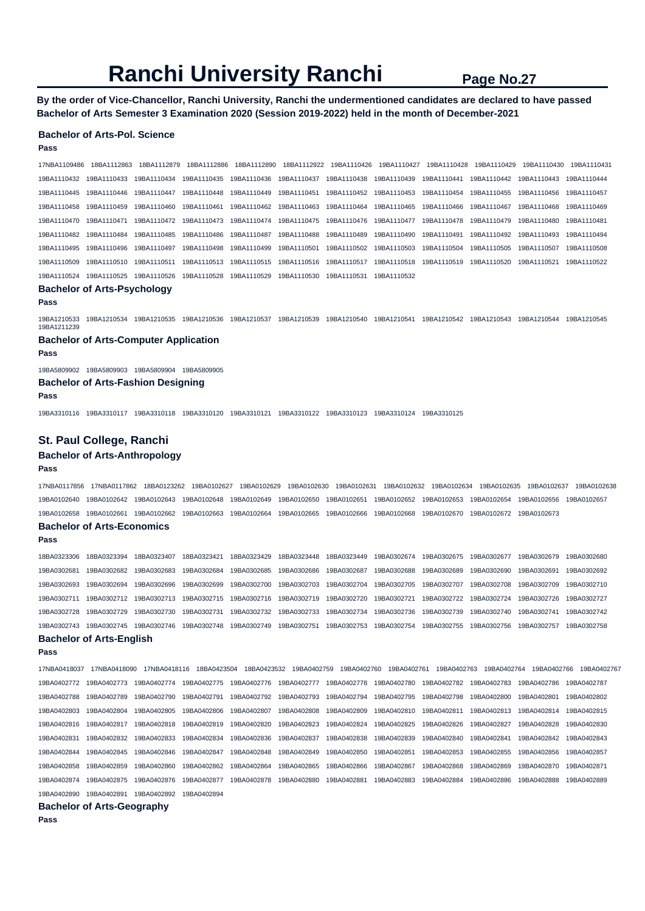**By the order of Vice-Chancellor, Ranchi University, Ranchi the undermentioned candidates are declared to have passed Bachelor of Arts Semester 3 Examination 2020 (Session 2019-2022) held in the month of December-2021** 

#### **Bachelor of Arts-Pol. Science**

#### **Pass**

17NBA1109486 18BA1112863 18BA1112879 18BA1112886 18BA1112890 18BA1112922 19BA1110426 19BA1110427 19BA1110428 19BA1110429 19BA1110430 19BA1110431 19BA1110432 19BA1110433 19BA1110434 19BA1110435 19BA1110436 19BA1110437 19BA1110438 19BA1110439 19BA1110441 19BA1110442 19BA1110443 19BA1110444 19BA1110445 19BA1110446 19BA1110447 19BA1110448 19BA1110449 19BA1110451 19BA1110452 19BA1110453 19BA1110454 19BA1110455 19BA1110456 19BA1110457 19BA1110458 19BA1110459 19BA1110460 19BA1110461 19BA1110462 19BA1110463 19BA1110464 19BA1110465 19BA1110466 19BA1110467 19BA1110468 19BA1110469 19BA1110470 19BA1110471 19BA1110472 19BA1110473 19BA1110474 19BA1110475 19BA1110476 19BA1110477 19BA1110478 19BA1110479 19BA1110480 19BA1110481 19BA1110482 19BA1110484 19BA1110485 19BA1110486 19BA1110487 19BA1110488 19BA1110489 19BA1110490 19BA1110491 19BA1110492 19BA1110493 19BA1110494 19BA1110495 19BA1110496 19BA1110497 19BA1110498 19BA1110499 19BA1110501 19BA1110502 19BA1110503 19BA1110504 19BA1110505 19BA1110507 19BA1110508 19BA1110509 19BA1110510 19BA1110511 19BA1110513 19BA1110515 19BA1110516 19BA1110517 19BA1110518 19BA1110519 19BA1110520 19BA1110521 19BA1110522 19BA1110524 19BA1110525 19BA1110526 19BA1110528 19BA1110529 19BA1110530 19BA1110531 19BA1110532

## **Bachelor of Arts-Psychology**

#### **Pass**

19BA1210533 19BA1210534 19BA1210535 19BA1210536 19BA1210537 19BA1210539 19BA1210540 19BA1210541 19BA1210542 19BA1210543 19BA1210544 19BA1210545 19BA1211239

## **Bachelor of Arts-Computer Application**

**Pass** 

19BA5809902 19BA5809903 19BA5809904 19BA5809905

#### **Bachelor of Arts-Fashion Designing**

#### **Pass**

19BA3310116 19BA3310117 19BA3310118 19BA3310120 19BA3310121 19BA3310122 19BA3310123 19BA3310124 19BA3310125

### **St. Paul College, Ranchi**

#### **Bachelor of Arts-Anthropology**

#### **Pass**

17NBA0117856 17NBA0117862 18BA0123262 19BA0102627 19BA0102629 19BA0102630 19BA0102631 19BA0102632 19BA0102634 19BA0102635 19BA0102637 19BA0102638 19BA0102640 19BA0102642 19BA0102643 19BA0102648 19BA0102649 19BA0102650 19BA0102651 19BA0102652 19BA0102653 19BA0102654 19BA0102656 19BA0102657 19BA0102658 19BA0102661 19BA0102662 19BA0102663 19BA0102664 19BA0102665 19BA0102666 19BA0102668 19BA0102670 19BA0102672 19BA0102673

#### **Bachelor of Arts-Economics**

**Pass** 

18BA0323306 18BA0323394 18BA0323407 18BA0323421 18BA0323429 18BA0323448 18BA0323449 19BA0302674 19BA0302675 19BA0302677 19BA0302679 19BA0302680 19BA0302681 19BA0302682 19BA0302683 19BA0302684 19BA0302685 19BA0302686 19BA0302687 19BA0302688 19BA0302689 19BA0302690 19BA0302691 19BA0302692 19BA0302693 19BA0302694 19BA0302696 19BA0302699 19BA0302700 19BA0302703 19BA0302704 19BA0302705 19BA0302707 19BA0302708 19BA0302709 19BA0302710 19BA0302711 19BA0302712 19BA0302713 19BA0302715 19BA0302716 19BA0302719 19BA0302720 19BA0302721 19BA0302722 19BA0302724 19BA0302726 19BA0302727 19BA0302728 19BA0302729 19BA0302730 19BA0302731 19BA0302732 19BA0302733 19BA0302734 19BA0302736 19BA0302739 19BA0302740 19BA0302741 19BA0302742 19BA0302743 19BA0302745 19BA0302746 19BA0302748 19BA0302749 19BA0302751 19BA0302753 19BA0302754 19BA0302755 19BA0302756 19BA0302757 19BA0302758 **Bachelor of Arts-English** 

## **Pass**

17NBA0418037 17NBA0418090 17NBA0418116 18BA0423504 18BA0423532 19BA0402759 19BA0402760 19BA0402761 19BA0402763 19BA0402764 19BA0402766 19BA0402767 19BA0402772 19BA0402773 19BA0402774 19BA0402775 19BA0402776 19BA0402777 19BA0402778 19BA0402780 19BA0402782 19BA0402783 19BA0402786 19BA0402787 19BA0402788 19BA0402789 19BA0402790 19BA0402791 19BA0402792 19BA0402793 19BA0402794 19BA0402795 19BA0402798 19BA0402800 19BA0402801 19BA0402802 19BA0402803 19BA0402804 19BA0402805 19BA0402806 19BA0402807 19BA0402808 19BA0402809 19BA0402810 19BA0402811 19BA0402813 19BA0402814 19BA0402815 19BA0402816 19BA0402817 19BA0402818 19BA0402819 19BA0402820 19BA0402823 19BA0402824 19BA0402825 19BA0402826 19BA0402827 19BA0402828 19BA0402830 19BA0402831 19BA0402832 19BA0402833 19BA0402834 19BA0402836 19BA0402837 19BA0402838 19BA0402839 19BA0402840 19BA0402841 19BA0402842 19BA0402843 19BA0402844 19BA0402845 19BA0402846 19BA0402847 19BA0402848 19BA0402849 19BA0402850 19BA0402851 19BA0402853 19BA0402855 19BA0402856 19BA0402857 19BA0402858 19BA0402859 19BA0402860 19BA0402862 19BA0402864 19BA0402865 19BA0402866 19BA0402867 19BA0402868 19BA0402869 19BA0402870 19BA0402871 19BA0402874 19BA0402875 19BA0402876 19BA0402877 19BA0402878 19BA0402880 19BA0402881 19BA0402883 19BA0402884 19BA0402886 19BA0402888 19BA0402889 19BA0402890 19BA0402891 19BA0402892 19BA0402894

**Bachelor of Arts-Geography**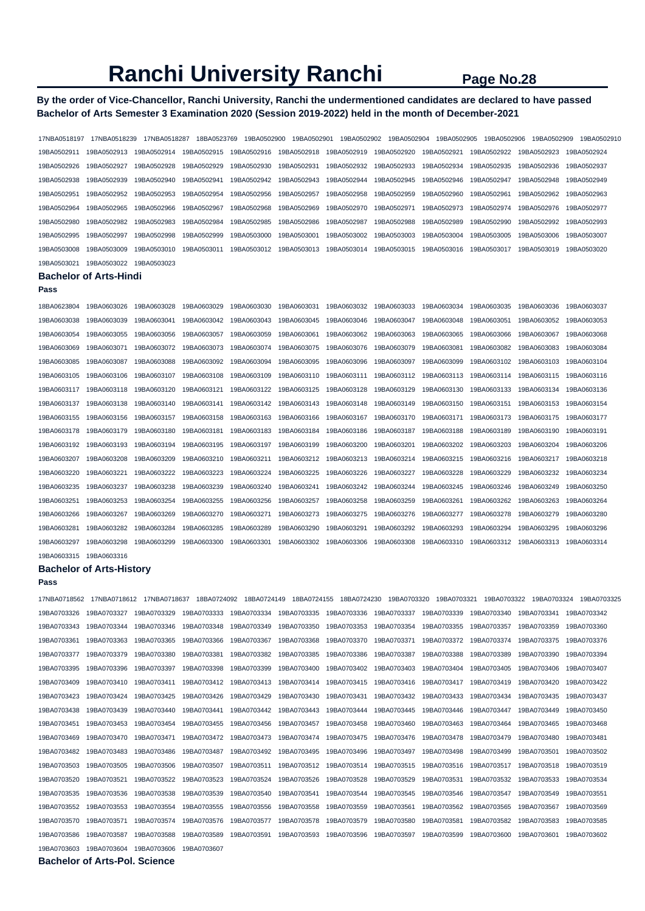## **By the order of Vice-Chancellor, Ranchi University, Ranchi the undermentioned candidates are declared to have passed Bachelor of Arts Semester 3 Examination 2020 (Session 2019-2022) held in the month of December-2021**

17NBA0518197 17NBA0518239 17NBA0518287 18BA0523769 19BA0502900 19BA0502901 19BA0502902 19BA0502904 19BA0502905 19BA0502906 19BA0502909 19BA0502910 19BA0502911 19BA0502913 19BA0502914 19BA0502915 19BA0502916 19BA0502918 19BA0502919 19BA0502920 19BA0502921 19BA0502922 19BA0502923 19BA0502924 19BA0502926 19BA0502927 19BA0502928 19BA0502929 19BA0502930 19BA0502931 19BA0502932 19BA0502933 19BA0502934 19BA0502935 19BA0502936 19BA0502937 19BA0502938 19BA0502939 19BA0502940 19BA0502941 19BA0502942 19BA0502943 19BA0502944 19BA0502945 19BA0502946 19BA0502947 19BA0502948 19BA0502949 19BA0502951 19BA0502952 19BA0502953 19BA0502954 19BA0502956 19BA0502957 19BA0502958 19BA0502959 19BA0502960 19BA0502961 19BA0502962 19BA0502963 19BA0502964 19BA0502965 19BA0502966 19BA0502967 19BA0502968 19BA0502969 19BA0502970 19BA0502971 19BA0502973 19BA0502974 19BA0502976 19BA0502977 19BA0502980 19BA0502982 19BA0502983 19BA0502984 19BA0502985 19BA0502986 19BA0502987 19BA0502988 19BA0502989 19BA0502990 19BA0502992 19BA0502993 19BA0502995 19BA0502997 19BA0502998 19BA0502999 19BA0503000 19BA0503001 19BA0503002 19BA0503003 19BA0503004 19BA0503005 19BA0503006 19BA0503007 19BA0503008 19BA0503009 19BA0503010 19BA0503011 19BA0503012 19BA0503013 19BA0503014 19BA0503015 19BA0503016 19BA0503017 19BA0503019 19BA0503020 19BA0503021 19BA0503022 19BA0503023 **Bachelor of Arts-Hindi Pass**  18BA0623804 19BA0603026 19BA0603028 19BA0603029 19BA0603030 19BA0603031 19BA0603032 19BA0603033 19BA0603034 19BA0603035 19BA0603036 19BA0603037 19BA0603038 19BA0603039 19BA0603041 19BA0603042 19BA0603043 19BA0603045 19BA0603046 19BA0603047 19BA0603048 19BA0603051 19BA0603052 19BA0603053 19BA0603054 19BA0603055 19BA0603056 19BA0603057 19BA0603059 19BA0603061 19BA0603062 19BA0603063 19BA0603065 19BA0603066 19BA0603067 19BA0603068 19BA0603069 19BA0603071 19BA0603072 19BA0603073 19BA0603074 19BA0603075 19BA0603076 19BA0603079 19BA0603081 19BA0603082 19BA0603083 19BA0603084 19BA0603085 19BA0603087 19BA0603088 19BA0603092 19BA0603094 19BA0603095 19BA0603096 19BA0603097 19BA0603099 19BA0603102 19BA0603103 19BA0603104 19BA0603105 19BA0603106 19BA0603107 19BA0603108 19BA0603109 19BA0603110 19BA0603111 19BA0603112 19BA0603113 19BA0603114 19BA0603115 19BA0603116 19BA0603117 19BA0603118 19BA0603120 19BA0603121 19BA0603122 19BA0603125 19BA0603128 19BA0603129 19BA0603130 19BA0603133 19BA0603134 19BA0603136 19BA0603137 19BA0603138 19BA0603140 19BA0603141 19BA0603142 19BA0603143 19BA0603148 19BA0603149 19BA0603150 19BA0603151 19BA0603153 19BA0603154 19BA0603155 19BA0603156 19BA0603157 19BA0603158 19BA0603163 19BA0603166 19BA0603167 19BA0603170 19BA0603171 19BA0603173 19BA0603175 19BA0603177 19BA0603178 19BA0603179 19BA0603180 19BA0603181 19BA0603183 19BA0603184 19BA0603186 19BA0603187 19BA0603188 19BA0603189 19BA0603190 19BA0603191 19BA0603192 19BA0603193 19BA0603194 19BA0603195 19BA0603197 19BA0603199 19BA0603200 19BA0603201 19BA0603202 19BA0603203 19BA0603204 19BA0603206 19BA0603207 19BA0603208 19BA0603209 19BA0603210 19BA0603211 19BA0603212 19BA0603213 19BA0603214 19BA0603215 19BA0603216 19BA0603217 19BA0603218 19BA0603220 19BA0603221 19BA0603222 19BA0603223 19BA0603224 19BA0603225 19BA0603226 19BA0603227 19BA0603228 19BA0603229 19BA0603232 19BA0603234 19BA0603235 19BA0603237 19BA0603238 19BA0603239 19BA0603240 19BA0603241 19BA0603242 19BA0603244 19BA0603245 19BA0603246 19BA0603249 19BA0603250 19BA0603251 19BA0603253 19BA0603254 19BA0603255 19BA0603256 19BA0603257 19BA0603258 19BA0603259 19BA0603261 19BA0603262 19BA0603263 19BA0603264 19BA0603266 19BA0603267 19BA0603269 19BA0603270 19BA0603271 19BA0603273 19BA0603275 19BA0603276 19BA0603277 19BA0603278 19BA0603279 19BA0603280 19BA0603281 19BA0603282 19BA0603284 19BA0603285 19BA0603289 19BA0603290 19BA0603291 19BA0603292 19BA0603293 19BA0603294 19BA0603295 19BA0603296 19BA0603297 19BA0603298 19BA0603299 19BA0603300 19BA0603301 19BA0603302 19BA0603306 19BA0603308 19BA0603310 19BA0603312 19BA0603313 19BA0603314 19BA0603315 19BA0603316

**Bachelor of Arts-History** 

**Pass** 

17NBA0718562 17NBA0718612 17NBA0718637 18BA0724092 18BA0724149 18BA0724155 18BA0724230 19BA0703320 19BA0703321 19BA0703322 19BA0703324 19BA0703325 19BA0703326 19BA0703327 19BA0703329 19BA0703333 19BA0703334 19BA0703335 19BA0703336 19BA0703337 19BA0703339 19BA0703340 19BA0703341 19BA0703342 19BA0703343 19BA0703344 19BA0703346 19BA0703348 19BA0703349 19BA0703350 19BA0703353 19BA0703354 19BA0703355 19BA0703357 19BA0703359 19BA0703360 19BA0703361 19BA0703363 19BA0703365 19BA0703366 19BA0703367 19BA0703368 19BA0703370 19BA0703371 19BA0703372 19BA0703374 19BA0703375 19BA0703376 19BA0703377 19BA0703379 19BA0703380 19BA0703381 19BA0703382 19BA0703385 19BA0703386 19BA0703387 19BA0703388 19BA0703389 19BA0703390 19BA0703394 19BA0703395 19BA0703396 19BA0703397 19BA0703398 19BA0703399 19BA0703400 19BA0703402 19BA0703403 19BA0703404 19BA0703405 19BA0703406 19BA0703407 19BA0703409 19BA0703410 19BA0703411 19BA0703412 19BA0703413 19BA0703414 19BA0703415 19BA0703416 19BA0703417 19BA0703419 19BA0703420 19BA0703422 19BA0703423 19BA0703424 19BA0703425 19BA0703426 19BA0703429 19BA0703430 19BA0703431 19BA0703432 19BA0703433 19BA0703434 19BA0703435 19BA0703437 19BA0703438 19BA0703439 19BA0703440 19BA0703441 19BA0703442 19BA0703443 19BA0703444 19BA0703445 19BA0703446 19BA0703447 19BA0703449 19BA0703450 19BA0703451 19BA0703453 19BA0703454 19BA0703455 19BA0703456 19BA0703457 19BA0703458 19BA0703460 19BA0703463 19BA0703464 19BA0703465 19BA0703468 19BA0703469 19BA0703470 19BA0703471 19BA0703472 19BA0703473 19BA0703474 19BA0703475 19BA0703476 19BA0703478 19BA0703479 19BA0703480 19BA0703481 19BA0703482 19BA0703483 19BA0703486 19BA0703487 19BA0703492 19BA0703495 19BA0703496 19BA0703497 19BA0703498 19BA0703499 19BA0703501 19BA0703502 19BA0703503 19BA0703505 19BA0703506 19BA0703507 19BA0703511 19BA0703512 19BA0703514 19BA0703515 19BA0703516 19BA0703517 19BA0703518 19BA0703519 19BA0703520 19BA0703521 19BA0703522 19BA0703523 19BA0703524 19BA0703526 19BA0703528 19BA0703529 19BA0703531 19BA0703532 19BA0703533 19BA0703534 19BA0703535 19BA0703536 19BA0703538 19BA0703539 19BA0703540 19BA0703541 19BA0703544 19BA0703545 19BA0703546 19BA0703547 19BA0703549 19BA0703551 19BA0703552 19BA0703553 19BA0703554 19BA0703555 19BA0703556 19BA0703558 19BA0703559 19BA0703561 19BA0703562 19BA0703565 19BA0703567 19BA0703569 19BA0703570 19BA0703571 19BA0703574 19BA0703576 19BA0703577 19BA0703578 19BA0703579 19BA0703580 19BA0703581 19BA0703582 19BA0703583 19BA0703585 19BA0703586 19BA0703587 19BA0703588 19BA0703589 19BA0703591 19BA0703593 19BA0703596 19BA0703597 19BA0703599 19BA0703600 19BA0703601 19BA0703602 19BA0703603 19BA0703604 19BA0703606 19BA0703607

**Bachelor of Arts-Pol. Science**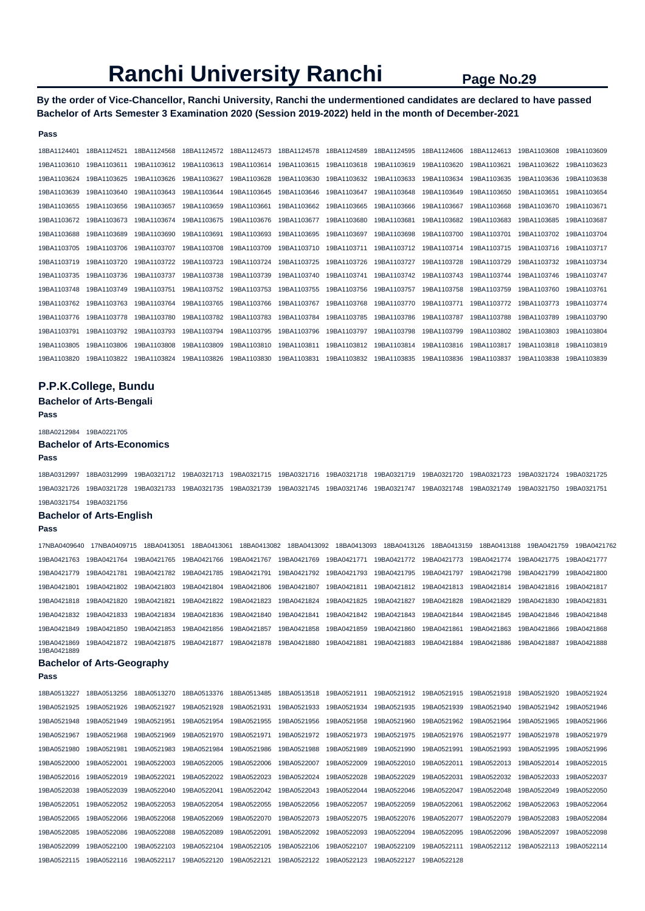**By the order of Vice-Chancellor, Ranchi University, Ranchi the undermentioned candidates are declared to have passed Bachelor of Arts Semester 3 Examination 2020 (Session 2019-2022) held in the month of December-2021** 

#### **Pass**

| 18BA1124401 | 18BA1124521 | 18BA1124568 | 18BA1124572 | 18BA1124573 | 18BA1124578 | 18BA1124589 | 18BA1124595 | 18BA1124606 | 18BA1124613 | 19BA1103608 | 19BA1103609 |
|-------------|-------------|-------------|-------------|-------------|-------------|-------------|-------------|-------------|-------------|-------------|-------------|
| 19BA1103610 | 19BA1103611 | 19BA1103612 | 19BA1103613 | 19BA1103614 | 19BA1103615 | 19BA1103618 | 19BA1103619 | 19BA1103620 | 19BA1103621 | 19BA1103622 | 19BA1103623 |
| 19BA1103624 | 19BA1103625 | 19BA1103626 | 19BA1103627 | 19BA1103628 | 19BA1103630 | 19BA1103632 | 19BA1103633 | 19BA1103634 | 19BA1103635 | 19BA1103636 | 19BA1103638 |
| 19BA1103639 | 19BA1103640 | 19BA1103643 | 19BA1103644 | 19BA1103645 | 19BA1103646 | 19BA1103647 | 19BA1103648 | 19BA1103649 | 19BA1103650 | 19BA1103651 | 19BA1103654 |
| 19BA1103655 | 19BA1103656 | 19BA1103657 | 19BA1103659 | 19BA1103661 | 19BA1103662 | 19BA1103665 | 19BA1103666 | 19BA1103667 | 19BA1103668 | 19BA1103670 | 19BA1103671 |
| 19BA1103672 | 19BA1103673 | 19BA1103674 | 19BA1103675 | 19BA1103676 | 19BA1103677 | 19BA1103680 | 19BA1103681 | 19BA1103682 | 19BA1103683 | 19BA1103685 | 19BA1103687 |
| 19BA1103688 | 19BA1103689 | 19BA1103690 | 19BA1103691 | 19BA1103693 | 19BA1103695 | 19BA1103697 | 19BA1103698 | 19BA1103700 | 19BA1103701 | 19BA1103702 | 19BA1103704 |
| 19BA1103705 | 19BA1103706 | 19BA1103707 | 19BA1103708 | 19BA1103709 | 19BA1103710 | 19BA1103711 | 19BA1103712 | 19BA1103714 | 19BA1103715 | 19BA1103716 | 19BA1103717 |
| 19BA1103719 | 19BA1103720 | 19BA1103722 | 19BA1103723 | 19BA1103724 | 19BA1103725 | 19BA1103726 | 19BA1103727 | 19BA1103728 | 19BA1103729 | 19BA1103732 | 19BA1103734 |
| 19BA1103735 | 19BA1103736 | 19BA1103737 | 19BA1103738 | 19BA1103739 | 19BA1103740 | 19BA1103741 | 19BA1103742 | 19BA1103743 | 19BA1103744 | 19BA1103746 | 19BA1103747 |
| 19BA1103748 | 19BA1103749 | 19BA1103751 | 19BA1103752 | 19BA1103753 | 19BA1103755 | 19BA1103756 | 19BA1103757 | 19BA1103758 | 19BA1103759 | 19BA1103760 | 19BA1103761 |
| 19BA1103762 | 19BA1103763 | 19BA1103764 | 19BA1103765 | 19BA1103766 | 19BA1103767 | 19BA1103768 | 19BA1103770 | 19BA1103771 | 19BA1103772 | 19BA1103773 | 19BA1103774 |
| 19BA1103776 | 19BA1103778 | 19BA1103780 | 19BA1103782 | 19BA1103783 | 19BA1103784 | 19BA1103785 | 19BA1103786 | 19BA1103787 | 19BA1103788 | 19BA1103789 | 19BA1103790 |
| 19BA1103791 | 19BA1103792 | 19BA1103793 | 19BA1103794 | 19BA1103795 | 19BA1103796 | 19BA1103797 | 19BA1103798 | 19BA1103799 | 19BA1103802 | 19BA1103803 | 19BA1103804 |
| 19BA1103805 | 19BA1103806 | 19BA1103808 | 19BA1103809 | 19BA1103810 | 19BA1103811 | 19BA1103812 | 19BA1103814 | 19BA1103816 | 19BA1103817 | 19BA1103818 | 19BA1103819 |
| 19BA1103820 | 19BA1103822 | 19BA1103824 | 19BA1103826 | 19BA1103830 | 19BA1103831 | 19BA1103832 | 19BA1103835 | 19BA1103836 | 19BA1103837 | 19BA1103838 | 19BA1103839 |

## **P.P.K.College, Bundu**

**Bachelor of Arts-Bengali** 

#### **Pass**

18BA0212984 19BA0221705

## **Bachelor of Arts-Economics**

#### **Pass**

18BA0312997 18BA0312999 19BA0321712 19BA0321713 19BA0321715 19BA0321716 19BA0321718 19BA0321719 19BA0321720 19BA0321723 19BA0321724 19BA0321725 19BA0321726 19BA0321728 19BA0321733 19BA0321735 19BA0321739 19BA0321745 19BA0321746 19BA0321747 19BA0321748 19BA0321749 19BA0321750 19BA0321751 19BA0321754 19BA0321756

#### **Bachelor of Arts-English**

#### **Pass**

17NBA0409640 17NBA0409715 18BA0413051 18BA0413061 18BA0413082 18BA0413092 18BA0413093 18BA0413126 18BA0413159 18BA0413188 19BA0421759 19BA0421762 19BA0421763 19BA0421764 19BA0421765 19BA0421766 19BA0421767 19BA0421769 19BA0421771 19BA0421772 19BA0421773 19BA0421774 19BA0421775 19BA0421777 19BA0421779 19BA0421781 19BA0421782 19BA0421785 19BA0421791 19BA0421792 19BA0421793 19BA0421795 19BA0421797 19BA0421798 19BA0421799 19BA0421800 19BA0421801 19BA0421802 19BA0421803 19BA0421804 19BA0421806 19BA0421807 19BA0421811 19BA0421812 19BA0421813 19BA0421814 19BA0421816 19BA0421817 19BA0421818 19BA0421820 19BA0421821 19BA0421822 19BA0421823 19BA0421824 19BA0421825 19BA0421827 19BA0421828 19BA0421829 19BA0421830 19BA0421831 19BA0421832 19BA0421833 19BA0421834 19BA0421836 19BA0421840 19BA0421841 19BA0421842 19BA0421843 19BA0421844 19BA0421845 19BA0421846 19BA0421848 19BA0421849 19BA0421850 19BA0421853 19BA0421856 19BA0421857 19BA0421858 19BA0421859 19BA0421860 19BA0421861 19BA0421863 19BA0421866 19BA0421868 19BA0421869 19BA0421872 19BA0421875 19BA0421877 19BA0421878 19BA0421880 19BA0421881 19BA0421883 19BA0421884 19BA0421886 19BA0421887 19BA0421888 19BA0421889

## **Bachelor of Arts-Geography**

| 18BA0513227 | 18BA0513256 | 18BA0513270 | 18BA0513376 | 18BA0513485 | 18BA0513518 | 19BA0521911 | 19BA0521912 | 19BA0521915 | 19BA0521918 | 19BA0521920 | 19BA0521924 |
|-------------|-------------|-------------|-------------|-------------|-------------|-------------|-------------|-------------|-------------|-------------|-------------|
| 19BA0521925 | 19BA0521926 | 19BA0521927 | 19BA0521928 | 19BA0521931 | 19BA0521933 | 19BA0521934 | 19BA0521935 | 19BA0521939 | 19BA0521940 | 19BA0521942 | 19BA0521946 |
| 19BA0521948 | 19BA0521949 | 19BA0521951 | 19BA0521954 | 19BA0521955 | 19BA0521956 | 19BA0521958 | 19BA0521960 | 19BA0521962 | 19BA0521964 | 19BA0521965 | 19BA0521966 |
| 19BA0521967 | 19BA0521968 | 19BA0521969 | 19BA0521970 | 19BA0521971 | 19BA0521972 | 19BA0521973 | 19BA0521975 | 19BA0521976 | 19BA0521977 | 19BA0521978 | 19BA0521979 |
| 19BA0521980 | 19BA0521981 | 19BA0521983 | 19BA0521984 | 19BA0521986 | 19BA0521988 | 19BA0521989 | 19BA0521990 | 19BA0521991 | 19BA0521993 | 19BA0521995 | 19BA0521996 |
| 19BA0522000 | 19BA0522001 | 19BA0522003 | 19BA0522005 | 19BA0522006 | 19BA0522007 | 19BA0522009 | 19BA0522010 | 19BA0522011 | 19BA0522013 | 19BA0522014 | 19BA0522015 |
| 19BA0522016 | 19BA0522019 | 19BA0522021 | 19BA0522022 | 19BA0522023 | 19BA0522024 | 19BA0522028 | 19BA0522029 | 19BA0522031 | 19BA0522032 | 19BA0522033 | 19BA0522037 |
| 19BA0522038 | 19BA0522039 | 19BA0522040 | 19BA0522041 | 19BA0522042 | 19BA0522043 | 19BA0522044 | 19BA0522046 | 19BA0522047 | 19BA0522048 | 19BA0522049 | 19BA0522050 |
| 19BA0522051 | 19BA0522052 | 19BA0522053 | 19BA0522054 | 19BA0522055 | 19BA0522056 | 19BA0522057 | 19BA0522059 | 19BA0522061 | 19BA0522062 | 19BA0522063 | 19BA0522064 |
| 19BA0522065 | 19BA0522066 | 19BA0522068 | 19BA0522069 | 19BA0522070 | 19BA0522073 | 19BA0522075 | 19BA0522076 | 19BA0522077 | 19BA0522079 | 19BA0522083 | 19BA0522084 |
| 19BA0522085 | 19BA0522086 | 19BA0522088 | 19BA0522089 | 19BA0522091 | 19BA0522092 | 19BA0522093 | 19BA0522094 | 19BA0522095 | 19BA0522096 | 19BA0522097 | 19BA0522098 |
| 19BA0522099 | 19BA0522100 | 19BA0522103 | 19BA0522104 | 19BA0522105 | 19BA0522106 | 19BA0522107 | 19BA0522109 | 19BA0522111 | 19BA0522112 | 19BA0522113 | 19BA0522114 |
| 19BA0522115 | 19BA0522116 | 19BA0522117 | 19BA0522120 | 19BA0522121 | 19BA0522122 | 19BA0522123 | 19BA0522127 | 19BA0522128 |             |             |             |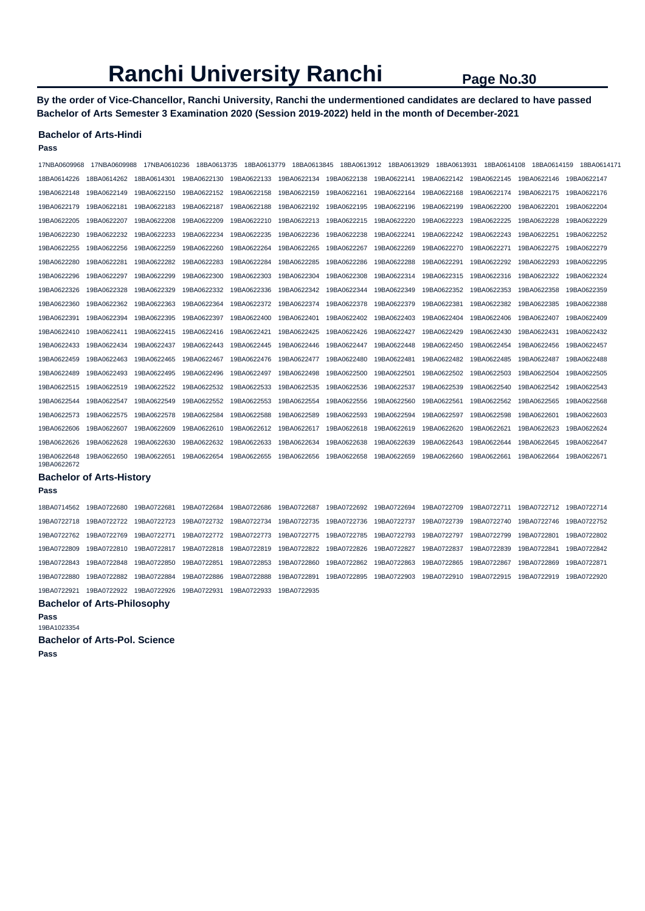**By the order of Vice-Chancellor, Ranchi University, Ranchi the undermentioned candidates are declared to have passed Bachelor of Arts Semester 3 Examination 2020 (Session 2019-2022) held in the month of December-2021** 

#### **Bachelor of Arts-Hindi**

**Pass** 

| 17NBA0609968               | 17NBA0609988 | 17NBA0610236 | 18BA0613735 | 18BA0613779 | 18BA0613845 |             | 18BA0613912 18BA0613929                                                 | 18BA0613931 | 18BA0614108 | 18BA0614159             | 18BA0614171 |
|----------------------------|--------------|--------------|-------------|-------------|-------------|-------------|-------------------------------------------------------------------------|-------------|-------------|-------------------------|-------------|
| 18BA0614226                | 18BA0614262  | 18BA0614301  | 19BA0622130 | 19BA0622133 |             |             | 19BA0622134    19BA0622138    19BA0622141    19BA0622142    19BA0622145 |             |             | 19BA0622146 19BA0622147 |             |
| 19BA0622148                | 19BA0622149  | 19BA0622150  | 19BA0622152 | 19BA0622158 | 19BA0622159 | 19BA0622161 | 19BA0622164                                                             | 19BA0622168 | 19BA0622174 | 19BA0622175             | 19BA0622176 |
| 19BA0622179                | 19BA0622181  | 19BA0622183  | 19BA0622187 | 19BA0622188 | 19BA0622192 | 19BA0622195 | 19BA0622196                                                             | 19BA0622199 | 19BA0622200 | 19BA0622201             | 19BA0622204 |
| 19BA0622205                | 19BA0622207  | 19BA0622208  | 19BA0622209 | 19BA0622210 | 19BA0622213 | 19BA0622215 | 19BA0622220                                                             | 19BA0622223 | 19BA0622225 | 19BA0622228             | 19BA0622229 |
| 19BA0622230                | 19BA0622232  | 19BA0622233  | 19BA0622234 | 19BA0622235 | 19BA0622236 | 19BA0622238 | 19BA0622241                                                             | 19BA0622242 | 19BA0622243 | 19BA0622251             | 19BA0622252 |
| 19BA0622255                | 19BA0622256  | 19BA0622259  | 19BA0622260 | 19BA0622264 | 19BA0622265 | 19BA0622267 | 19BA0622269                                                             | 19BA0622270 | 19BA0622271 | 19BA0622275             | 19BA0622279 |
| 19BA0622280                | 19BA0622281  | 19BA0622282  | 19BA0622283 | 19BA0622284 | 19BA0622285 | 19BA0622286 | 19BA0622288                                                             | 19BA0622291 | 19BA0622292 | 19BA0622293             | 19BA0622295 |
| 19BA0622296                | 19BA0622297  | 19BA0622299  | 19BA0622300 | 19BA0622303 | 19BA0622304 | 19BA0622308 | 19BA0622314                                                             | 19BA0622315 | 19BA0622316 | 19BA0622322             | 19BA0622324 |
| 19BA0622326                | 19BA0622328  | 19BA0622329  | 19BA0622332 | 19BA0622336 | 19BA0622342 | 19BA0622344 | 19BA0622349                                                             | 19BA0622352 | 19BA0622353 | 19BA0622358             | 19BA0622359 |
| 19BA0622360                | 19BA0622362  | 19BA0622363  | 19BA0622364 | 19BA0622372 | 19BA0622374 | 19BA0622378 | 19BA0622379                                                             | 19BA0622381 | 19BA0622382 | 19BA0622385             | 19BA0622388 |
| 19BA0622391                | 19BA0622394  | 19BA0622395  | 19BA0622397 | 19BA0622400 | 19BA0622401 | 19BA0622402 | 19BA0622403                                                             | 19BA0622404 | 19BA0622406 | 19BA0622407             | 19BA0622409 |
| 19BA0622410                | 19BA0622411  | 19BA0622415  | 19BA0622416 | 19BA0622421 | 19BA0622425 | 19BA0622426 | 19BA0622427                                                             | 19BA0622429 | 19BA0622430 | 19BA0622431             | 19BA0622432 |
| 19BA0622433                | 19BA0622434  | 19BA0622437  | 19BA0622443 | 19BA0622445 | 19BA0622446 | 19BA0622447 | 19BA0622448                                                             | 19BA0622450 | 19BA0622454 | 19BA0622456             | 19BA0622457 |
| 19BA0622459                | 19BA0622463  | 19BA0622465  | 19BA0622467 | 19BA0622476 | 19BA0622477 | 19BA0622480 | 19BA0622481                                                             | 19BA0622482 | 19BA0622485 | 19BA0622487             | 19BA0622488 |
| 19BA0622489                | 19BA0622493  | 19BA0622495  | 19BA0622496 | 19BA0622497 | 19BA0622498 | 19BA0622500 | 19BA0622501                                                             | 19BA0622502 | 19BA0622503 | 19BA0622504             | 19BA0622505 |
| 19BA0622515                | 19BA0622519  | 19BA0622522  | 19BA0622532 | 19BA0622533 | 19BA0622535 | 19BA0622536 | 19BA0622537                                                             | 19BA0622539 | 19BA0622540 | 19BA0622542             | 19BA0622543 |
| 19BA0622544                | 19BA0622547  | 19BA0622549  | 19BA0622552 | 19BA0622553 | 19BA0622554 | 19BA0622556 | 19BA0622560                                                             | 19BA0622561 | 19BA0622562 | 19BA0622565             | 19BA0622568 |
| 19BA0622573                | 19BA0622575  | 19BA0622578  | 19BA0622584 | 19BA0622588 | 19BA0622589 | 19BA0622593 | 19BA0622594                                                             | 19BA0622597 | 19BA0622598 | 19BA0622601             | 19BA0622603 |
| 19BA0622606                | 19BA0622607  | 19BA0622609  | 19BA0622610 | 19BA0622612 | 19BA0622617 | 19BA0622618 | 19BA0622619                                                             | 19BA0622620 | 19BA0622621 | 19BA0622623             | 19BA0622624 |
| 19BA0622626                | 19BA0622628  | 19BA0622630  | 19BA0622632 | 19BA0622633 | 19BA0622634 | 19BA0622638 | 19BA0622639                                                             | 19BA0622643 | 19BA0622644 | 19BA0622645             | 19BA0622647 |
| 19BA0622648<br>19BA0622672 | 19BA0622650  | 19BA0622651  | 19BA0622654 | 19BA0622655 | 19BA0622656 | 19BA0622658 | 19BA0622659                                                             | 19BA0622660 | 19BA0622661 | 19BA0622664             | 19BA0622671 |

### **Bachelor of Arts-History**

**Pass** 

18BA0714562 19BA0722680 19BA0722681 19BA0722684 19BA0722686 19BA0722687 19BA0722692 19BA0722694 19BA0722709 19BA0722711 19BA0722712 19BA0722714 19BA0722718 19BA0722722 19BA0722723 19BA0722732 19BA0722734 19BA0722735 19BA0722736 19BA0722737 19BA0722739 19BA0722740 19BA0722746 19BA0722752 19BA0722762 19BA0722769 19BA0722771 19BA0722772 19BA0722773 19BA0722775 19BA0722785 19BA0722793 19BA0722797 19BA0722799 19BA0722801 19BA0722802 19BA0722809 19BA0722810 19BA0722817 19BA0722818 19BA0722819 19BA0722822 19BA0722826 19BA0722827 19BA0722837 19BA0722839 19BA0722841 19BA0722842 19BA0722843 19BA0722848 19BA0722850 19BA0722851 19BA0722853 19BA0722860 19BA0722862 19BA0722863 19BA0722865 19BA0722867 19BA0722869 19BA0722871 19BA0722880 19BA0722882 19BA0722884 19BA0722886 19BA0722888 19BA0722891 19BA0722895 19BA0722903 19BA0722910 19BA0722915 19BA0722919 19BA0722920 19BA0722921 19BA0722922 19BA0722926 19BA0722931 19BA0722933 19BA0722935

#### **Bachelor of Arts-Philosophy**

**Pass** 

19BA1023354

#### **Bachelor of Arts-Pol. Science**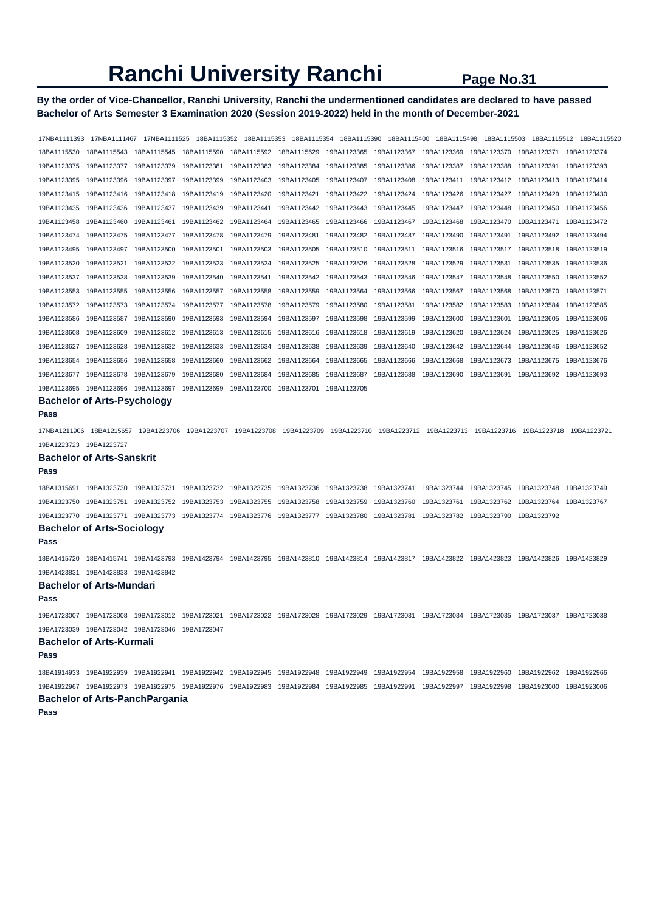## **By the order of Vice-Chancellor, Ranchi University, Ranchi the undermentioned candidates are declared to have passed Bachelor of Arts Semester 3 Examination 2020 (Session 2019-2022) held in the month of December-2021**

17NBA1111393 17NBA1111467 17NBA1111525 18BA1115352 18BA1115353 18BA1115354 18BA1115390 18BA1115400 18BA1115498 18BA1115503 18BA1115512 18BA1115520 18BA1115530 18BA1115543 18BA1115545 18BA1115590 18BA1115592 18BA1115629 19BA1123365 19BA1123367 19BA1123369 19BA1123370 19BA1123371 19BA1123374 19BA1123375 19BA1123377 19BA1123379 19BA1123381 19BA1123383 19BA1123384 19BA1123385 19BA1123386 19BA1123387 19BA1123388 19BA1123391 19BA1123393 19BA1123395 19BA1123396 19BA1123397 19BA1123399 19BA1123403 19BA1123405 19BA1123407 19BA1123408 19BA1123411 19BA1123412 19BA1123413 19BA1123414 19BA1123415 19BA1123416 19BA1123418 19BA1123419 19BA1123420 19BA1123421 19BA1123422 19BA1123424 19BA1123426 19BA1123427 19BA1123429 19BA1123430 19BA1123435 19BA1123436 19BA1123437 19BA1123439 19BA1123441 19BA1123442 19BA1123443 19BA1123445 19BA1123447 19BA1123448 19BA1123450 19BA1123456 19BA1123458 19BA1123460 19BA1123461 19BA1123462 19BA1123464 19BA1123465 19BA1123466 19BA1123467 19BA1123468 19BA1123470 19BA1123471 19BA1123472 19BA1123474 19BA1123475 19BA1123477 19BA1123478 19BA1123479 19BA1123481 19BA1123482 19BA1123487 19BA1123490 19BA1123491 19BA1123492 19BA1123494 19BA1123495 19BA1123497 19BA1123500 19BA1123501 19BA1123503 19BA1123505 19BA1123510 19BA1123511 19BA1123516 19BA1123517 19BA1123518 19BA1123519 19BA1123520 19BA1123521 19BA1123522 19BA1123523 19BA1123524 19BA1123525 19BA1123526 19BA1123528 19BA1123529 19BA1123531 19BA1123535 19BA1123536 19BA1123537 19BA1123538 19BA1123539 19BA1123540 19BA1123541 19BA1123542 19BA1123543 19BA1123546 19BA1123547 19BA1123548 19BA1123550 19BA1123552 19BA1123553 19BA1123555 19BA1123556 19BA1123557 19BA1123558 19BA1123559 19BA1123564 19BA1123566 19BA1123567 19BA1123568 19BA1123570 19BA1123571 19BA1123572 19BA1123573 19BA1123574 19BA1123577 19BA1123578 19BA1123579 19BA1123580 19BA1123581 19BA1123582 19BA1123583 19BA1123584 19BA1123585 19BA1123586 19BA1123587 19BA1123590 19BA1123593 19BA1123594 19BA1123597 19BA1123598 19BA1123599 19BA1123600 19BA1123601 19BA1123605 19BA1123606 19BA1123608 19BA1123609 19BA1123612 19BA1123613 19BA1123615 19BA1123616 19BA1123618 19BA1123619 19BA1123620 19BA1123624 19BA1123625 19BA1123626 19BA1123627 19BA1123628 19BA1123632 19BA1123633 19BA1123634 19BA1123638 19BA1123639 19BA1123640 19BA1123642 19BA1123644 19BA1123646 19BA1123652 19BA1123654 19BA1123656 19BA1123658 19BA1123660 19BA1123662 19BA1123664 19BA1123665 19BA1123666 19BA1123668 19BA1123673 19BA1123675 19BA1123676 19BA1123677 19BA1123678 19BA1123679 19BA1123680 19BA1123684 19BA1123685 19BA1123687 19BA1123688 19BA1123690 19BA1123691 19BA1123692 19BA1123693 19BA1123695 19BA1123696 19BA1123697 19BA1123699 19BA1123700 19BA1123701 19BA1123705 **Bachelor of Arts-Psychology Pass**  17NBA1211906 18BA1215657 19BA1223706 19BA1223707 19BA1223708 19BA1223709 19BA1223710 19BA1223712 19BA1223713 19BA1223716 19BA1223718 19BA1223721 19BA1223723 19BA1223727 **Bachelor of Arts-Sanskrit Pass**  18BA1315691 19BA1323730 19BA1323731 19BA1323732 19BA1323735 19BA1323736 19BA1323738 19BA1323741 19BA1323744 19BA1323745 19BA1323748 19BA1323749 19BA1323750 19BA1323751 19BA1323752 19BA1323753 19BA1323755 19BA1323758 19BA1323759 19BA1323760 19BA1323761 19BA1323762 19BA1323764 19BA1323767 19BA1323770 19BA1323771 19BA1323773 19BA1323774 19BA1323776 19BA1323777 19BA1323780 19BA1323781 19BA1323782 19BA1323790 19BA1323792 **Bachelor of Arts-Sociology Pass**  18BA1415720 18BA1415741 19BA1423793 19BA1423794 19BA1423795 19BA1423810 19BA1423814 19BA1423817 19BA1423822 19BA1423823 19BA1423826 19BA1423829 19BA1423831 19BA1423833 19BA1423842 **Bachelor of Arts-Mundari Pass**  19BA1723007 19BA1723008 19BA1723012 19BA1723021 19BA1723022 19BA1723028 19BA1723029 19BA1723031 19BA1723034 19BA1723035 19BA1723037 19BA1723038 19BA1723039 19BA1723042 19BA1723046 19BA1723047 **Bachelor of Arts-Kurmali Pass**  18BA1914933 19BA1922939 19BA1922941 19BA1922942 19BA1922945 19BA1922948 19BA1922949 19BA1922954 19BA1922958 19BA1922960 19BA1922962 19BA1922966 19BA1922967 19BA1922973 19BA1922975 19BA1922976 19BA1922983 19BA1922984 19BA1922985 19BA1922991 19BA1922997 19BA1922998 19BA1923000 19BA1923006 **Bachelor of Arts-PanchPargania**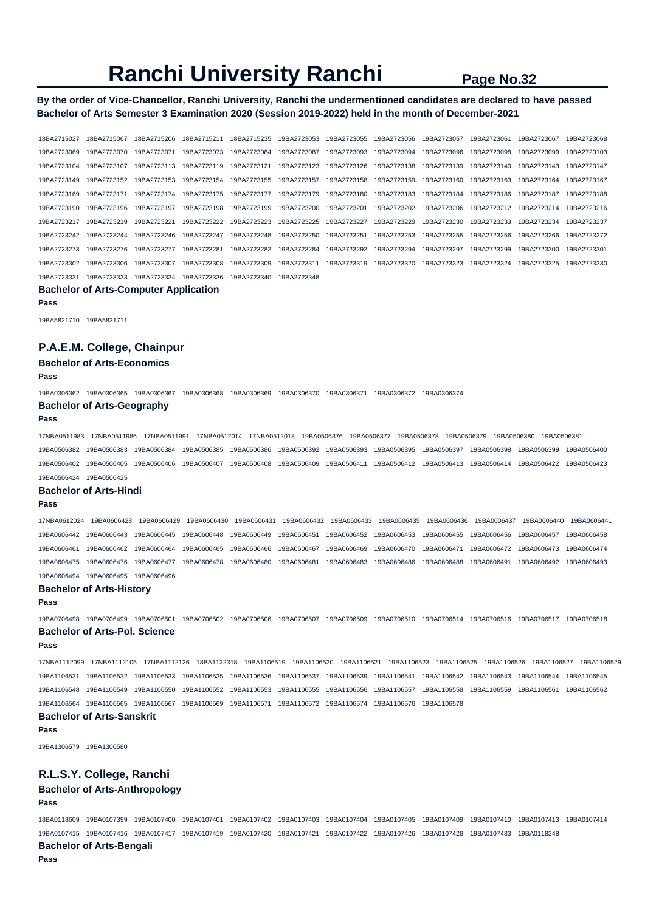**By the order of Vice-Chancellor, Ranchi University, Ranchi the undermentioned candidates are declared to have passed Bachelor of Arts Semester 3 Examination 2020 (Session 2019-2022) held in the month of December-2021** 

18BA2715027 18BA2715067 18BA2715206 18BA2715211 18BA2715235 19BA2723053 19BA2723055 19BA2723056 19BA2723057 19BA2723061 19BA2723067 19BA2723068 19BA2723069 19BA2723070 19BA2723071 19BA2723073 19BA2723084 19BA2723087 19BA2723093 19BA2723094 19BA2723096 19BA2723098 19BA2723099 19BA2723103 19BA2723104 19BA2723107 19BA2723113 19BA2723119 19BA2723121 19BA2723123 19BA2723126 19BA2723138 19BA2723139 19BA2723140 19BA2723143 19BA2723147 19BA2723149 19BA2723152 19BA2723153 19BA2723154 19BA2723155 19BA2723157 19BA2723158 19BA2723159 19BA2723160 19BA2723163 19BA2723164 19BA2723167 19BA2723169 19BA2723171 19BA2723174 19BA2723175 19BA2723177 19BA2723179 19BA2723180 19BA2723183 19BA2723184 19BA2723186 19BA2723187 19BA2723188 19BA2723190 19BA2723196 19BA2723197 19BA2723198 19BA2723199 19BA2723200 19BA2723201 19BA2723202 19BA2723206 19BA2723212 19BA2723214 19BA2723216 19BA2723217 19BA2723219 19BA2723221 19BA2723222 19BA2723223 19BA2723225 19BA2723227 19BA2723229 19BA2723230 19BA2723233 19BA2723234 19BA2723237 19BA2723242 19BA2723244 19BA2723246 19BA2723247 19BA2723248 19BA2723250 19BA2723251 19BA2723253 19BA2723255 19BA2723256 19BA2723266 19BA2723272 19BA2723273 19BA2723276 19BA2723277 19BA2723281 19BA2723282 19BA2723284 19BA2723292 19BA2723294 19BA2723297 19BA2723299 19BA2723300 19BA2723301 19BA2723302 19BA2723306 19BA2723307 19BA2723308 19BA2723309 19BA2723311 19BA2723319 19BA2723320 19BA2723323 19BA2723324 19BA2723325 19BA2723330 19BA2723331 19BA2723333 19BA2723334 19BA2723336 19BA2723340 19BA2723348

#### **Bachelor of Arts-Computer Application**

**Pass** 

19BA5821710 19BA5821711

### **P.A.E.M. College, Chainpur**

**Bachelor of Arts-Economics** 

#### **Pass**

19BA0306362 19BA0306365 19BA0306367 19BA0306368 19BA0306369 19BA0306370 19BA0306371 19BA0306372 19BA0306374 **Bachelor of Arts-Geography** 

#### **Pass**

17NBA0511983 17NBA0511986 17NBA0511991 17NBA0512014 17NBA0512018 19BA0506376 19BA0506377 19BA0506378 19BA0506379 19BA0506380 19BA0506381 19BA0506382 19BA0506383 19BA0506384 19BA0506385 19BA0506386 19BA0506392 19BA0506393 19BA0506395 19BA0506397 19BA0506398 19BA0506399 19BA0506400 19BA0506402 19BA0506405 19BA0506406 19BA0506407 19BA0506408 19BA0506409 19BA0506411 19BA0506412 19BA0506413 19BA0506414 19BA0506422 19BA0506423

#### 19BA0506424 19BA0506425 **Bachelor of Arts-Hindi**

#### **Pass**

17NBA0612024 19BA0606428 19BA0606429 19BA0606430 19BA0606431 19BA0606432 19BA0606433 19BA0606435 19BA0606436 19BA0606437 19BA0606440 19BA0606441 19BA0606442 19BA0606443 19BA0606445 19BA0606448 19BA0606449 19BA0606451 19BA0606452 19BA0606453 19BA0606455 19BA0606456 19BA0606457 19BA0606458 19BA0606461 19BA0606462 19BA0606464 19BA0606465 19BA0606466 19BA0606467 19BA0606469 19BA0606470 19BA0606471 19BA0606472 19BA0606473 19BA0606474 19BA0606475 19BA0606476 19BA0606477 19BA0606478 19BA0606480 19BA0606481 19BA0606483 19BA0606486 19BA0606488 19BA0606491 19BA0606492 19BA0606493 19BA0606494 19BA0606495 19BA0606496

#### **Bachelor of Arts-History**

#### **Pass**

19BA0706498 19BA0706499 19BA0706501 19BA0706502 19BA0706506 19BA0706507 19BA0706509 19BA0706510 19BA0706514 19BA0706516 19BA0706517 19BA0706518 **Bachelor of Arts-Pol. Science** 

#### **Pass**

17NBA1112099 17NBA1112105 17NBA1112126 18BA1122318 19BA1106519 19BA1106520 19BA1106521 19BA1106523 19BA1106525 19BA1106526 19BA1106527 19BA1106529 19BA1106531 19BA1106532 19BA1106533 19BA1106535 19BA1106536 19BA1106537 19BA1106539 19BA1106541 19BA1106542 19BA1106543 19BA1106544 19BA1106545 19BA1106548 19BA1106549 19BA1106550 19BA1106552 19BA1106553 19BA1106555 19BA1106556 19BA1106557 19BA1106558 19BA1106559 19BA1106561 19BA1106562 19BA1106564 19BA1106565 19BA1106567 19BA1106569 19BA1106571 19BA1106572 19BA1106574 19BA1106576 19BA1106578

#### **Bachelor of Arts-Sanskrit**

#### **Pass**

19BA1306579 19BA1306580

### **R.L.S.Y. College, Ranchi**

### **Bachelor of Arts-Anthropology**

### **Pass**

18BA0118609 19BA0107399 19BA0107400 19BA0107401 19BA0107402 19BA0107403 19BA0107404 19BA0107405 19BA0107409 19BA0107410 19BA0107413 19BA0107414 19BA0107415 19BA0107416 19BA0107417 19BA0107419 19BA0107420 19BA0107421 19BA0107422 19BA0107426 19BA0107428 19BA0107433 19BA0118348 **Bachelor of Arts-Bengali**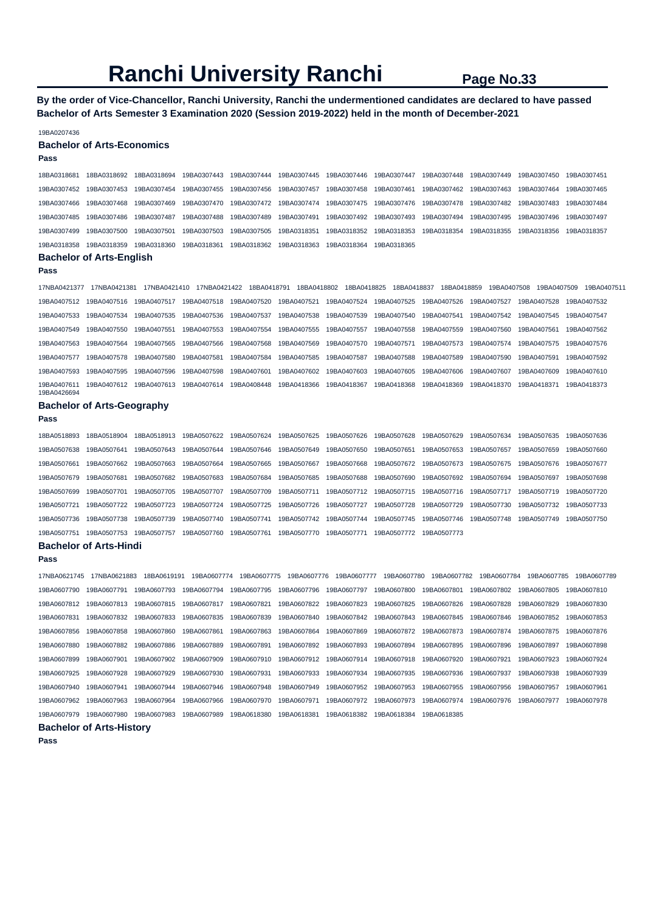**By the order of Vice-Chancellor, Ranchi University, Ranchi the undermentioned candidates are declared to have passed Bachelor of Arts Semester 3 Examination 2020 (Session 2019-2022) held in the month of December-2021** 

#### 19BA0207436

#### **Bachelor of Arts-Economics**

## **Pass**

| 18BA0318681 18BA0318692 18BA0318694 19BA0307443 19BA0307444 19BA0307445 19BA0307446 19BA0307447 19BA0307448 19BA0307449 19BA0307450 19BA0307451             |  |  |  |  |  |
|-------------------------------------------------------------------------------------------------------------------------------------------------------------|--|--|--|--|--|
| 19BA0307452 19BA0307453 19BA0307454 19BA0307455 19BA0307456 19BA0307457 19BA0307458 19BA0307461 19BA0307462 19BA0307463 19BA0307464 19BA0307465             |  |  |  |  |  |
| 19BA0307466 19BA0307468 19BA0307469 19BA0307470 19BA0307472 19BA0307474 19BA0307475 19BA0307476 19BA0307478 19BA0307482 19BA0307483 19BA0307484             |  |  |  |  |  |
| 19BA0307485 19BA0307486 19BA0307487 19BA0307488 19BA0307489 19BA0307491 19BA0307492 19BA0307493 19BA0307494 19BA0307495 19BA0307496 19BA0307497             |  |  |  |  |  |
| 19BA0307499 19BA0307500 19BA0307501 19BA0307503 19BA0307505 19BA0318351 19BA0318352 19BA0318353 19BA0318354 19BA0318355 19BA0318356 19BA0318356 19BA0318357 |  |  |  |  |  |
| 19BA0318358 19BA0318359 19BA0318360 19BA0318361 19BA0318362 19BA0318363 19BA0318364 19BA0318365                                                             |  |  |  |  |  |

#### **Bachelor of Arts-English**

**Pass** 

**Pass** 

17NBA0421377 17NBA0421381 17NBA0421410 17NBA0421422 18BA0418791 18BA0418802 18BA0418825 18BA0418837 18BA0418859 19BA0407508 19BA0407509 19BA0407511 19BA0407512 19BA0407516 19BA0407517 19BA0407518 19BA0407520 19BA0407521 19BA0407524 19BA0407525 19BA0407526 19BA0407527 19BA0407528 19BA0407532 19BA0407533 19BA0407534 19BA0407535 19BA0407536 19BA0407537 19BA0407538 19BA0407539 19BA0407540 19BA0407541 19BA0407542 19BA0407545 19BA0407547 19BA0407549 19BA0407550 19BA0407551 19BA0407553 19BA0407554 19BA0407555 19BA0407557 19BA0407558 19BA0407559 19BA0407560 19BA0407561 19BA0407562 19BA0407563 19BA0407564 19BA0407565 19BA0407566 19BA0407568 19BA0407569 19BA0407570 19BA0407571 19BA0407573 19BA0407574 19BA0407575 19BA0407576 19BA0407577 19BA0407578 19BA0407580 19BA0407581 19BA0407584 19BA0407585 19BA0407587 19BA0407588 19BA0407589 19BA0407590 19BA0407591 19BA0407592 19BA0407593 19BA0407595 19BA0407596 19BA0407598 19BA0407601 19BA0407602 19BA0407603 19BA0407605 19BA0407606 19BA0407607 19BA0407609 19BA0407610 19BA0407611 19BA0407612 19BA0407613 19BA0407614 19BA0408448 19BA0418366 19BA0418367 19BA0418368 19BA0418369 19BA0418370 19BA0418371 19BA0418373 19BA0426694

#### **Bachelor of Arts-Geography**

18BA0518893 18BA0518904 18BA0518913 19BA0507622 19BA0507624 19BA0507625 19BA0507626 19BA0507628 19BA0507629 19BA0507634 19BA0507635 19BA0507636 19BA0507638 19BA0507641 19BA0507643 19BA0507644 19BA0507646 19BA0507649 19BA0507650 19BA0507651 19BA0507653 19BA0507657 19BA0507659 19BA0507660 19BA0507661 19BA0507662 19BA0507663 19BA0507664 19BA0507665 19BA0507667 19BA0507668 19BA0507672 19BA0507673 19BA0507675 19BA0507676 19BA0507677 19BA0507679 19BA0507681 19BA0507682 19BA0507683 19BA0507684 19BA0507685 19BA0507688 19BA0507690 19BA0507692 19BA0507694 19BA0507697 19BA0507698 19BA0507699 19BA0507701 19BA0507705 19BA0507707 19BA0507709 19BA0507711 19BA0507712 19BA0507715 19BA0507716 19BA0507717 19BA0507719 19BA0507720 19BA0507721 19BA0507722 19BA0507723 19BA0507724 19BA0507725 19BA0507726 19BA0507727 19BA0507728 19BA0507729 19BA0507730 19BA0507732 19BA0507733 19BA0507736 19BA0507738 19BA0507739 19BA0507740 19BA0507741 19BA0507742 19BA0507744 19BA0507745 19BA0507746 19BA0507748 19BA0507749 19BA0507750 19BA0507751 19BA0507753 19BA0507757 19BA0507760 19BA0507761 19BA0507770 19BA0507771 19BA0507772 19BA0507773

**Bachelor of Arts-Hindi Pass**  17NBA0621745 17NBA0621883 18BA0619191 19BA0607774 19BA0607775 19BA0607776 19BA0607777 19BA0607780 19BA0607782 19BA0607784 19BA0607785 19BA0607789 19BA0607790 19BA0607791 19BA0607793 19BA0607794 19BA0607795 19BA0607796 19BA0607797 19BA0607800 19BA0607801 19BA0607802 19BA0607805 19BA0607810 19BA0607812 19BA0607813 19BA0607815 19BA0607817 19BA0607821 19BA0607822 19BA0607823 19BA0607825 19BA0607826 19BA0607828 19BA0607829 19BA0607830 19BA0607831 19BA0607832 19BA0607833 19BA0607835 19BA0607839 19BA0607840 19BA0607842 19BA0607843 19BA0607845 19BA0607846 19BA0607852 19BA0607853 19BA0607856 19BA0607858 19BA0607860 19BA0607861 19BA0607863 19BA0607864 19BA0607869 19BA0607872 19BA0607873 19BA0607874 19BA0607875 19BA0607876 19BA0607880 19BA0607882 19BA0607886 19BA0607889 19BA0607891 19BA0607892 19BA0607893 19BA0607894 19BA0607895 19BA0607896 19BA0607897 19BA0607898 19BA0607899 19BA0607901 19BA0607902 19BA0607909 19BA0607910 19BA0607912 19BA0607914 19BA0607918 19BA0607920 19BA0607921 19BA0607923 19BA0607924 19BA0607925 19BA0607928 19BA0607929 19BA0607930 19BA0607931 19BA0607933 19BA0607934 19BA0607935 19BA0607936 19BA0607937 19BA0607938 19BA0607939 19BA0607940 19BA0607941 19BA0607944 19BA0607946 19BA0607948 19BA0607949 19BA0607952 19BA0607953 19BA0607955 19BA0607956 19BA0607957 19BA0607961 19BA0607962 19BA0607963 19BA0607964 19BA0607966 19BA0607970 19BA0607971 19BA0607972 19BA0607973 19BA0607974 19BA0607976 19BA0607977 19BA0607978

19BA0607979 19BA0607980 19BA0607983 19BA0607989 19BA0618380 19BA0618381 19BA0618382 19BA0618384 19BA0618385

**Pass** 

**Bachelor of Arts-History**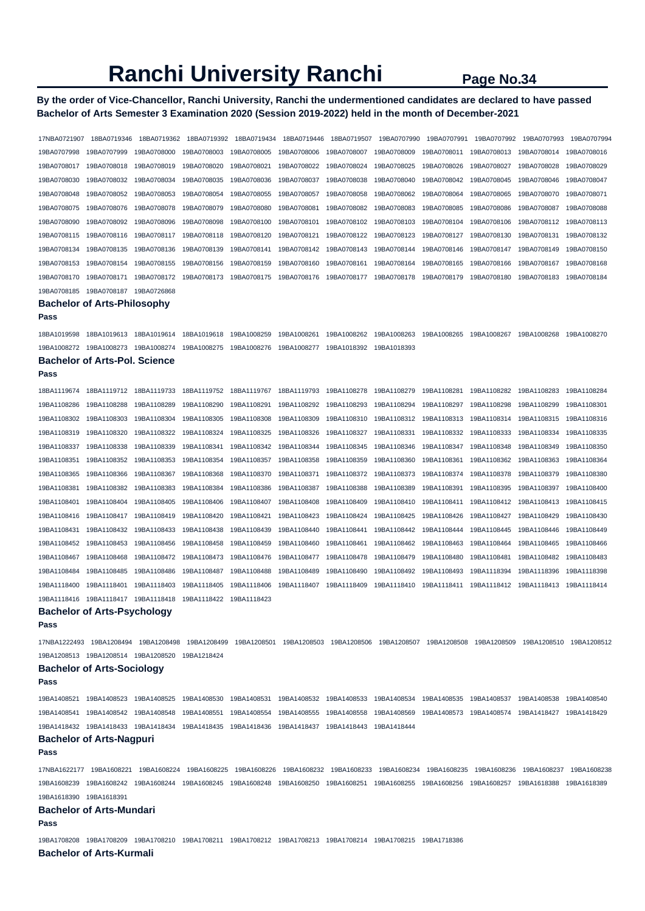## **By the order of Vice-Chancellor, Ranchi University, Ranchi the undermentioned candidates are declared to have passed Bachelor of Arts Semester 3 Examination 2020 (Session 2019-2022) held in the month of December-2021**

| 17NBA0721907               | 18BA0719346                          | 18BA0719362                                                                                                                                                   | 18BA0719392 | 18BA0719434                | 18BA0719446 | 18BA0719507                | 19BA0707990 | 19BA0707991                                     | 19BA0707992 | 19BA0707993 | 19BA0707994                |
|----------------------------|--------------------------------------|---------------------------------------------------------------------------------------------------------------------------------------------------------------|-------------|----------------------------|-------------|----------------------------|-------------|-------------------------------------------------|-------------|-------------|----------------------------|
| 19BA0707998                | 19BA0707999                          | 19BA0708000                                                                                                                                                   | 19BA0708003 | 19BA0708005                | 19BA0708006 | 19BA0708007                | 19BA0708009 | 19BA0708011                                     | 19BA0708013 | 19BA0708014 | 19BA0708016                |
| 19BA0708017                | 19BA0708018                          | 19BA0708019                                                                                                                                                   | 19BA0708020 | 19BA0708021                | 19BA0708022 | 19BA0708024                | 19BA0708025 | 19BA0708026                                     | 19BA0708027 | 19BA0708028 | 19BA0708029                |
| 19BA0708030                | 19BA0708032                          | 19BA0708034                                                                                                                                                   | 19BA0708035 | 19BA0708036                | 19BA0708037 | 19BA0708038                | 19BA0708040 | 19BA0708042                                     | 19BA0708045 | 19BA0708046 | 19BA0708047                |
| 19BA0708048                | 19BA0708052                          | 19BA0708053                                                                                                                                                   | 19BA0708054 | 19BA0708055                | 19BA0708057 | 19BA0708058                | 19BA0708062 | 19BA0708064                                     | 19BA0708065 | 19BA0708070 | 19BA0708071                |
| 19BA0708075                | 19BA0708076                          | 19BA0708078                                                                                                                                                   | 19BA0708079 | 19BA0708080                | 19BA0708081 | 19BA0708082                | 19BA0708083 | 19BA0708085                                     | 19BA0708086 | 19BA0708087 | 19BA0708088                |
| 19BA0708090                | 19BA0708092                          | 19BA0708096                                                                                                                                                   | 19BA0708098 | 19BA0708100                | 19BA0708101 | 19BA0708102                | 19BA0708103 | 19BA0708104                                     | 19BA0708106 | 19BA0708112 | 19BA0708113                |
| 19BA0708115                | 19BA0708116                          | 19BA0708117                                                                                                                                                   | 19BA0708118 | 19BA0708120                | 19BA0708121 | 19BA0708122                | 19BA0708123 | 19BA0708127                                     | 19BA0708130 | 19BA0708131 | 19BA0708132                |
|                            |                                      | 19BA0708136                                                                                                                                                   | 19BA0708139 |                            | 19BA0708142 |                            | 19BA0708144 | 19BA0708146                                     | 19BA0708147 | 19BA0708149 |                            |
| 19BA0708134<br>19BA0708153 | 19BA0708135<br>19BA0708154           | 19BA0708155                                                                                                                                                   | 19BA0708156 | 19BA0708141<br>19BA0708159 | 19BA0708160 | 19BA0708143<br>19BA0708161 | 19BA0708164 | 19BA0708165                                     | 19BA0708166 | 19BA0708167 | 19BA0708150<br>19BA0708168 |
|                            |                                      |                                                                                                                                                               |             |                            |             |                            |             |                                                 |             |             |                            |
| 19BA0708170                | 19BA0708171                          | 19BA0708172                                                                                                                                                   | 19BA0708173 | 19BA0708175                | 19BA0708176 | 19BA0708177                | 19BA0708178 | 19BA0708179                                     | 19BA0708180 | 19BA0708183 | 19BA0708184                |
| 19BA0708185                | 19BA0708187                          | 19BA0726868                                                                                                                                                   |             |                            |             |                            |             |                                                 |             |             |                            |
|                            | Bachelor of Arts-Philosophy          |                                                                                                                                                               |             |                            |             |                            |             |                                                 |             |             |                            |
| Pass                       |                                      |                                                                                                                                                               |             |                            |             |                            |             |                                                 |             |             |                            |
| 18BA1019598                | 18BA1019613                          | 18BA1019614                                                                                                                                                   | 18BA1019618 | 19BA1008259                | 19BA1008261 | 19BA1008262                | 19BA1008263 | 19BA1008265                                     | 19BA1008267 | 19BA1008268 | 19BA1008270                |
| 19BA1008272                | 19BA1008273                          | 19BA1008274                                                                                                                                                   | 19BA1008275 | 19BA1008276                | 19BA1008277 | 19BA1018392                | 19BA1018393 |                                                 |             |             |                            |
|                            | <b>Bachelor of Arts-Pol. Science</b> |                                                                                                                                                               |             |                            |             |                            |             |                                                 |             |             |                            |
| Pass                       |                                      |                                                                                                                                                               |             |                            |             |                            |             |                                                 |             |             |                            |
| 18BA1119674                | 18BA1119712                          | 18BA1119733                                                                                                                                                   | 18BA1119752 | 18BA1119767                | 18BA1119793 | 19BA1108278                | 19BA1108279 | 19BA1108281                                     | 19BA1108282 | 19BA1108283 | 19BA1108284                |
| 19BA1108286                | 19BA1108288                          | 19BA1108289                                                                                                                                                   | 19BA1108290 | 19BA1108291                | 19BA1108292 | 19BA1108293                | 19BA1108294 | 19BA1108297                                     | 19BA1108298 | 19BA1108299 | 19BA1108301                |
| 19BA1108302                | 19BA1108303                          | 19BA1108304                                                                                                                                                   | 19BA1108305 | 19BA1108308                | 19BA1108309 | 19BA1108310                | 19BA1108312 | 19BA1108313                                     | 19BA1108314 | 19BA1108315 | 19BA1108316                |
| 19BA1108319                | 19BA1108320                          | 19BA1108322                                                                                                                                                   | 19BA1108324 | 19BA1108325                | 19BA1108326 | 19BA1108327                | 19BA1108331 | 19BA1108332                                     | 19BA1108333 | 19BA1108334 | 19BA1108335                |
| 19BA1108337                | 19BA1108338                          | 19BA1108339                                                                                                                                                   | 19BA1108341 | 19BA1108342                | 19BA1108344 | 19BA1108345                | 19BA1108346 | 19BA1108347                                     | 19BA1108348 | 19BA1108349 | 19BA1108350                |
| 19BA1108351                | 19BA1108352                          | 19BA1108353                                                                                                                                                   | 19BA1108354 | 19BA1108357                | 19BA1108358 | 19BA1108359                | 19BA1108360 | 19BA1108361                                     | 19BA1108362 | 19BA1108363 | 19BA1108364                |
| 19BA1108365                | 19BA1108366                          | 19BA1108367                                                                                                                                                   | 19BA1108368 | 19BA1108370                | 19BA1108371 | 19BA1108372                | 19BA1108373 | 19BA1108374                                     | 19BA1108378 | 19BA1108379 | 19BA1108380                |
| 19BA1108381                | 19BA1108382                          | 19BA1108383                                                                                                                                                   | 19BA1108384 | 19BA1108386                | 19BA1108387 | 19BA1108388                | 19BA1108389 | 19BA1108391                                     | 19BA1108395 | 19BA1108397 | 19BA1108400                |
| 19BA1108401                | 19BA1108404                          | 19BA1108405                                                                                                                                                   | 19BA1108406 | 19BA1108407                | 19BA1108408 | 19BA1108409                | 19BA1108410 | 19BA1108411                                     | 19BA1108412 | 19BA1108413 | 19BA1108415                |
| 19BA1108416                | 19BA1108417                          | 19BA1108419                                                                                                                                                   | 19BA1108420 | 19BA1108421                | 19BA1108423 | 19BA1108424                | 19BA1108425 | 19BA1108426                                     | 19BA1108427 | 19BA1108429 | 19BA1108430                |
| 19BA1108431                | 19BA1108432                          | 19BA1108433                                                                                                                                                   | 19BA1108438 | 19BA1108439                | 19BA1108440 | 19BA1108441                | 19BA1108442 | 19BA1108444                                     | 19BA1108445 | 19BA1108446 | 19BA1108449                |
| 19BA1108452                | 19BA1108453                          | 19BA1108456                                                                                                                                                   | 19BA1108458 | 19BA1108459                | 19BA1108460 | 19BA1108461                | 19BA1108462 | 19BA1108463                                     | 19BA1108464 | 19BA1108465 | 19BA1108466                |
| 19BA1108467                | 19BA1108468                          | 19BA1108472                                                                                                                                                   | 19BA1108473 | 19BA1108476                | 19BA1108477 | 19BA1108478                | 19BA1108479 | 19BA1108480                                     | 19BA1108481 | 19BA1108482 | 19BA1108483                |
| 19BA1108484                | 19BA1108485                          | 19BA1108486                                                                                                                                                   | 19BA1108487 | 19BA1108488                | 19BA1108489 | 19BA1108490                | 19BA1108492 | 19BA1108493                                     | 19BA1118394 | 19BA1118396 | 19BA1118398                |
| 19BA1118400                | 19BA1118401                          | 19BA1118403                                                                                                                                                   | 19BA1118405 | 19BA1118406                | 19BA1118407 | 19BA1118409                | 19BA1118410 | 19BA1118411                                     | 19BA1118412 | 19BA1118413 | 19BA1118414                |
| 19BA1118416                | 19BA1118417                          | 19BA1118418                                                                                                                                                   | 19BA1118422 | 19BA1118423                |             |                            |             |                                                 |             |             |                            |
|                            | <b>Bachelor of Arts-Psychology</b>   |                                                                                                                                                               |             |                            |             |                            |             |                                                 |             |             |                            |
| Pass                       |                                      |                                                                                                                                                               |             |                            |             |                            |             |                                                 |             |             |                            |
|                            |                                      |                                                                                                                                                               |             |                            |             |                            |             |                                                 |             |             |                            |
|                            |                                      | 17NBA1222493 19BA1208494 19BA1208498 19BA1208499 19BA1208501 19BA1208503 19BA1208506 19BA1208507 19BA1208508 19BA1208509 19BA1208510 19BA1208510              |             |                            |             |                            |             |                                                 |             |             |                            |
|                            |                                      | 19BA1208513  19BA1208514  19BA1208520  19BA1218424                                                                                                            |             |                            |             |                            |             |                                                 |             |             |                            |
| Pass                       | <b>Bachelor of Arts-Sociology</b>    |                                                                                                                                                               |             |                            |             |                            |             |                                                 |             |             |                            |
|                            |                                      |                                                                                                                                                               |             |                            |             |                            |             |                                                 |             |             |                            |
|                            |                                      | 19BA1408521 19BA1408523 19BA1408525 19BA1408530 19BA1408531 19BA1408532 19BA1408533 19BA1408534 19BA1408535 19BA1408537 19BA1408538 19BA1408538 19BA1408538 1 |             |                            |             |                            |             |                                                 |             |             |                            |
|                            |                                      | 19BA1408541 19BA1408542 19BA1408548 19BA1408551 19BA1408554 19BA1408555                                                                                       |             |                            |             | 19BA1408558 19BA1408569    |             | 19BA1408573 19BA1408574 19BA1418427 19BA1418429 |             |             |                            |
|                            |                                      | 19BA1418432 19BA1418433 19BA1418434 19BA1418435 19BA1418436 19BA1418437 19BA1418443 19BA1418444                                                               |             |                            |             |                            |             |                                                 |             |             |                            |
|                            | <b>Bachelor of Arts-Nagpuri</b>      |                                                                                                                                                               |             |                            |             |                            |             |                                                 |             |             |                            |
| Pass                       |                                      |                                                                                                                                                               |             |                            |             |                            |             |                                                 |             |             |                            |
|                            |                                      | 17NBA1622177 19BA1608221 19BA1608224 19BA1608225 19BA1608226 19BA1608232 19BA1608233 19BA1608234 19BA1608235 19BA1608236 19BA1608237 19BA1608237              |             |                            |             |                            |             |                                                 |             |             |                            |
|                            |                                      | 19BA1608239 19BA1608242 19BA1608244 19BA1608245 19BA1608248 19BA1608250 19BA1608251 19BA1608255 19BA1608256 19BA1608257 19BA1618388 19BA1618389               |             |                            |             |                            |             |                                                 |             |             |                            |
| 19BA1618390 19BA1618391    |                                      |                                                                                                                                                               |             |                            |             |                            |             |                                                 |             |             |                            |
|                            | Bachelor of Arts-Mundari             |                                                                                                                                                               |             |                            |             |                            |             |                                                 |             |             |                            |
| Pass                       |                                      |                                                                                                                                                               |             |                            |             |                            |             |                                                 |             |             |                            |
|                            |                                      | 19BA1708208 19BA1708209 19BA1708210 19BA1708211 19BA1708212 19BA1708213 19BA1708214 19BA1708215 19BA1718386                                                   |             |                            |             |                            |             |                                                 |             |             |                            |
|                            | <b>Bachelor of Arts-Kurmali</b>      |                                                                                                                                                               |             |                            |             |                            |             |                                                 |             |             |                            |
|                            |                                      |                                                                                                                                                               |             |                            |             |                            |             |                                                 |             |             |                            |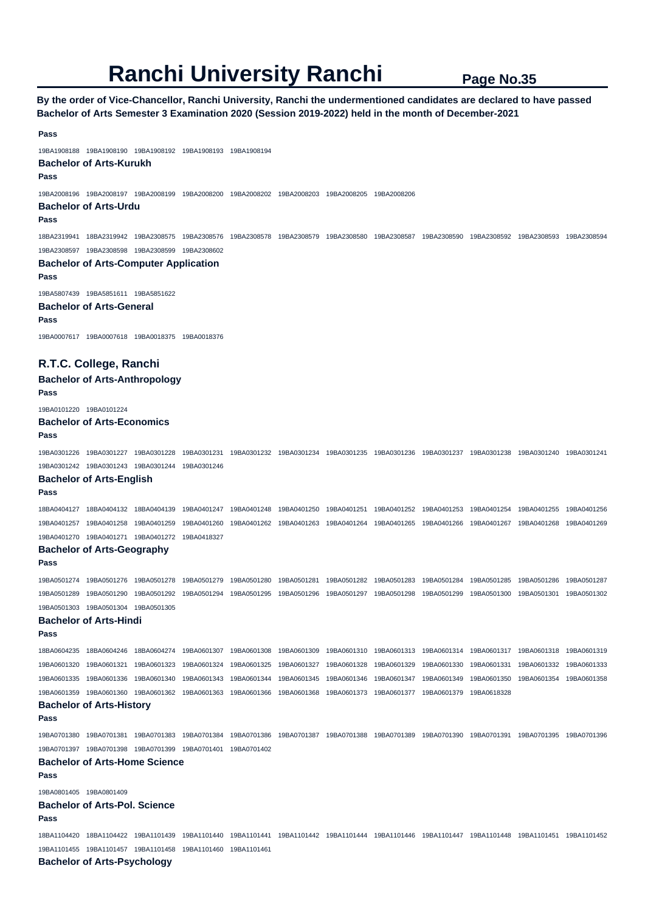**By the order of Vice-Chancellor, Ranchi University, Ranchi the undermentioned candidates are declared to have passed Bachelor of Arts Semester 3 Examination 2020 (Session 2019-2022) held in the month of December-2021** 

**Pass**  19BA1908188 19BA1908190 19BA1908192 19BA1908193 19BA1908194 **Bachelor of Arts-Kurukh Pass**  19BA2008196 19BA2008197 19BA2008199 19BA2008200 19BA2008202 19BA2008203 19BA2008205 19BA2008206 **Bachelor of Arts-Urdu Pass**  18BA2319941 18BA2319942 19BA2308575 19BA2308576 19BA2308578 19BA2308579 19BA2308580 19BA2308587 19BA2308590 19BA2308592 19BA2308593 19BA2308594 19BA2308597 19BA2308598 19BA2308599 19BA2308602 **Bachelor of Arts-Computer Application Pass**  19BA5807439 19BA5851611 19BA5851622 **Bachelor of Arts-General Pass**  19BA0007617 19BA0007618 19BA0018375 19BA0018376 **R.T.C. College, Ranchi Bachelor of Arts-Anthropology Pass**  19BA0101220 19BA0101224 **Bachelor of Arts-Economics Pass**  19BA0301226 19BA0301227 19BA0301228 19BA0301231 19BA0301232 19BA0301234 19BA0301235 19BA0301236 19BA0301237 19BA0301238 19BA0301240 19BA0301241 19BA0301242 19BA0301243 19BA0301244 19BA0301246 **Bachelor of Arts-English Pass**  18BA0404127 18BA0404132 18BA0404139 19BA0401247 19BA0401248 19BA0401250 19BA0401251 19BA0401252 19BA0401253 19BA0401254 19BA0401255 19BA0401256 19BA0401257 19BA0401258 19BA0401259 19BA0401260 19BA0401262 19BA0401263 19BA0401264 19BA0401265 19BA0401266 19BA0401267 19BA0401268 19BA0401269 19BA0401270 19BA0401271 19BA0401272 19BA0418327 **Bachelor of Arts-Geography Pass**  19BA0501274 19BA0501276 19BA0501278 19BA0501279 19BA0501280 19BA0501281 19BA0501282 19BA0501283 19BA0501284 19BA0501285 19BA0501286 19BA0501287 19BA0501289 19BA0501290 19BA0501292 19BA0501294 19BA0501295 19BA0501296 19BA0501297 19BA0501298 19BA0501299 19BA0501300 19BA0501301 19BA0501302 19BA0501303 19BA0501304 19BA0501305 **Bachelor of Arts-Hindi Pass**  18BA0604235 18BA0604246 18BA0604274 19BA0601307 19BA0601308 19BA0601309 19BA0601310 19BA0601313 19BA0601314 19BA0601317 19BA0601318 19BA0601319 19BA0601320 19BA0601321 19BA0601323 19BA0601324 19BA0601325 19BA0601327 19BA0601328 19BA0601329 19BA0601330 19BA0601331 19BA0601332 19BA0601333 19BA0601335 19BA0601336 19BA0601340 19BA0601343 19BA0601344 19BA0601345 19BA0601346 19BA0601347 19BA0601349 19BA0601350 19BA0601354 19BA0601358 19BA0601359 19BA0601360 19BA0601362 19BA0601363 19BA0601366 19BA0601368 19BA0601373 19BA0601377 19BA0601379 19BA0618328 **Bachelor of Arts-History Pass**  19BA0701380 19BA0701381 19BA0701383 19BA0701384 19BA0701386 19BA0701387 19BA0701388 19BA0701389 19BA0701390 19BA0701391 19BA0701395 19BA0701396 19BA0701397 19BA0701398 19BA0701399 19BA0701401 19BA0701402 **Bachelor of Arts-Home Science Pass**  19BA0801405 19BA0801409 **Bachelor of Arts-Pol. Science Pass**  18BA1104420 18BA1104422 19BA1101439 19BA1101440 19BA1101441 19BA1101442 19BA1101444 19BA1101446 19BA1101447 19BA1101448 19BA1101451 19BA1101452 19BA1101455 19BA1101457 19BA1101458 19BA1101460 19BA1101461 **Bachelor of Arts-Psychology**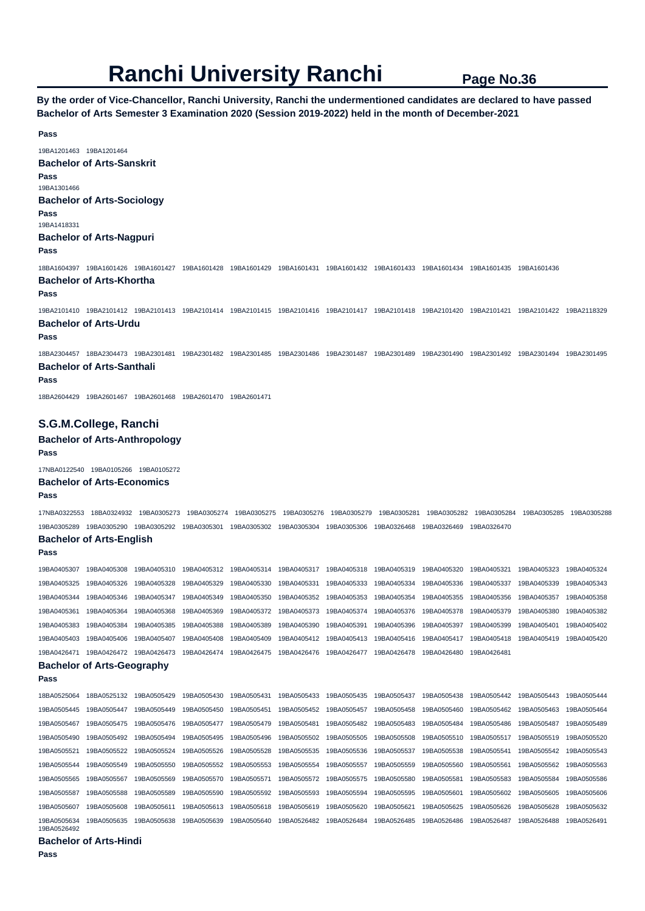**By the order of Vice-Chancellor, Ranchi University, Ranchi the undermentioned candidates are declared to have passed Bachelor of Arts Semester 3 Examination 2020 (Session 2019-2022) held in the month of December-2021** 

19BA1201463 19BA1201464 **Bachelor of Arts-Sanskrit Pass**  19BA1301466 **Bachelor of Arts-Sociology Pass**  19BA1418331 **Bachelor of Arts-Nagpuri Pass**  18BA1604397 19BA1601426 19BA1601427 19BA1601428 19BA1601429 19BA1601431 19BA1601432 19BA1601433 19BA1601434 19BA1601435 19BA1601436 **Bachelor of Arts-Khortha Pass**  19BA2101410 19BA2101412 19BA2101413 19BA2101414 19BA2101415 19BA2101416 19BA2101417 19BA2101418 19BA2101420 19BA2101421 19BA2101422 19BA2118329 **Bachelor of Arts-Urdu Pass**  18BA2304457 18BA2304473 19BA2301481 19BA2301482 19BA2301485 19BA2301486 19BA2301487 19BA2301489 19BA2301490 19BA2301492 19BA2301494 19BA2301495 **Bachelor of Arts-Santhali Pass**  18BA2604429 19BA2601467 19BA2601468 19BA2601470 19BA2601471 **S.G.M.College, Ranchi Bachelor of Arts-Anthropology Pass**  17NBA0122540 19BA0105266 19BA0105272 **Bachelor of Arts-Economics Pass**  17NBA0322553 18BA0324932 19BA0305273 19BA0305274 19BA0305275 19BA0305276 19BA0305279 19BA0305281 19BA0305282 19BA0305284 19BA0305285 19BA0305288 19BA0305289 19BA0305290 19BA0305292 19BA0305301 19BA0305302 19BA0305304 19BA0305306 19BA0326468 19BA0326469 19BA0326470 **Bachelor of Arts-English Pass** 

19BA0405307 19BA0405308 19BA0405310 19BA0405312 19BA0405314 19BA0405317 19BA0405318 19BA0405319 19BA0405320 19BA0405321 19BA0405323 19BA0405324 19BA0405325 19BA0405326 19BA0405328 19BA0405329 19BA0405330 19BA0405331 19BA0405333 19BA0405334 19BA0405336 19BA0405337 19BA0405339 19BA0405343 19BA0405344 19BA0405346 19BA0405347 19BA0405349 19BA0405350 19BA0405352 19BA0405353 19BA0405354 19BA0405355 19BA0405356 19BA0405357 19BA0405358 19BA0405361 19BA0405364 19BA0405368 19BA0405369 19BA0405372 19BA0405373 19BA0405374 19BA0405376 19BA0405378 19BA0405379 19BA0405380 19BA0405382 19BA0405383 19BA0405384 19BA0405385 19BA0405388 19BA0405389 19BA0405390 19BA0405391 19BA0405396 19BA0405397 19BA0405399 19BA0405401 19BA0405402 19BA0405403 19BA0405406 19BA0405407 19BA0405408 19BA0405409 19BA0405412 19BA0405413 19BA0405416 19BA0405417 19BA0405418 19BA0405419 19BA0405420 19BA0426471 19BA0426472 19BA0426473 19BA0426474 19BA0426475 19BA0426476 19BA0426477 19BA0426478 19BA0426480 19BA0426481 **Bachelor of Arts-Geography** 

## **Pass**

18BA0525064 18BA0525132 19BA0505429 19BA0505430 19BA0505431 19BA0505433 19BA0505435 19BA0505437 19BA0505438 19BA0505442 19BA0505443 19BA0505444 19BA0505445 19BA0505447 19BA0505449 19BA0505450 19BA0505451 19BA0505452 19BA0505457 19BA0505458 19BA0505460 19BA0505462 19BA0505463 19BA0505464 19BA0505467 19BA0505475 19BA0505476 19BA0505477 19BA0505479 19BA0505481 19BA0505482 19BA0505483 19BA0505484 19BA0505486 19BA0505487 19BA0505489 19BA0505490 19BA0505492 19BA0505494 19BA0505495 19BA0505496 19BA0505502 19BA0505505 19BA0505508 19BA0505510 19BA0505517 19BA0505519 19BA0505520 19BA0505521 19BA0505522 19BA0505524 19BA0505526 19BA0505528 19BA0505535 19BA0505536 19BA0505537 19BA0505538 19BA0505541 19BA0505542 19BA0505543 19BA0505544 19BA0505549 19BA0505550 19BA0505552 19BA0505553 19BA0505554 19BA0505557 19BA0505559 19BA0505560 19BA0505561 19BA0505562 19BA0505563 19BA0505565 19BA0505567 19BA0505569 19BA0505570 19BA0505571 19BA0505572 19BA0505575 19BA0505580 19BA0505581 19BA0505583 19BA0505584 19BA0505586 19BA0505587 19BA0505588 19BA0505589 19BA0505590 19BA0505592 19BA0505593 19BA0505594 19BA0505595 19BA0505601 19BA0505602 19BA0505605 19BA0505606 19BA0505607 19BA0505608 19BA0505611 19BA0505613 19BA0505618 19BA0505619 19BA0505620 19BA0505621 19BA0505625 19BA0505626 19BA0505628 19BA0505632 19BA0505634 19BA0505635 19BA0505638 19BA0505639 19BA0505640 19BA0526482 19BA0526484 19BA0526485 19BA0526486 19BA0526487 19BA0526488 19BA0526491 19BA0526492

**Bachelor of Arts-Hindi** 

**Pass**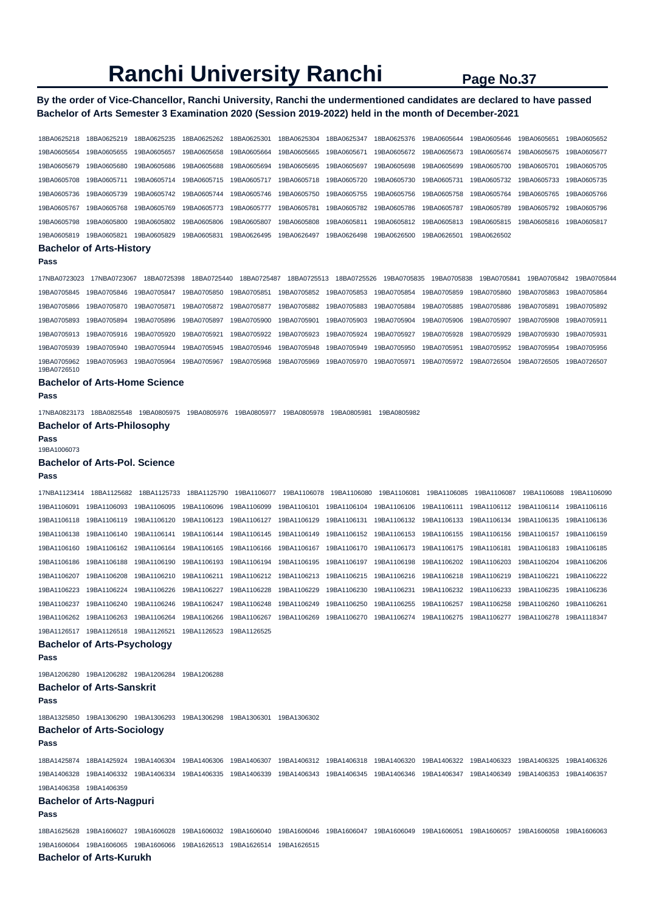## **By the order of Vice-Chancellor, Ranchi University, Ranchi the undermentioned candidates are declared to have passed Bachelor of Arts Semester 3 Examination 2020 (Session 2019-2022) held in the month of December-2021**

| 18BA0625218                | 18BA0625219                     | 18BA0625235 | 18BA0625262 | 18BA0625301 | 18BA0625304 | 18BA0625347 | 18BA0625376 | 19BA0605644 | 19BA0605646 | 19BA0605651 | 19BA0605652 |
|----------------------------|---------------------------------|-------------|-------------|-------------|-------------|-------------|-------------|-------------|-------------|-------------|-------------|
| 19BA0605654                | 19BA0605655                     | 19BA0605657 | 19BA0605658 | 19BA0605664 | 19BA0605665 | 19BA0605671 | 19BA0605672 | 19BA0605673 | 19BA0605674 | 19BA0605675 | 19BA0605677 |
| 19BA0605679                | 19BA0605680                     | 19BA0605686 | 19BA0605688 | 19BA0605694 | 19BA0605695 | 19BA0605697 | 19BA0605698 | 19BA0605699 | 19BA0605700 | 19BA0605701 | 19BA0605705 |
| 19BA0605708                | 19BA0605711                     | 19BA0605714 | 19BA0605715 | 19BA0605717 | 19BA0605718 | 19BA0605720 | 19BA0605730 | 19BA0605731 | 19BA0605732 | 19BA0605733 | 19BA0605735 |
| 19BA0605736                | 19BA0605739                     | 19BA0605742 | 19BA0605744 | 19BA0605746 | 19BA0605750 | 19BA0605755 | 19BA0605756 | 19BA0605758 | 19BA0605764 | 19BA0605765 | 19BA0605766 |
| 19BA0605767                | 19BA0605768                     | 19BA0605769 | 19BA0605773 | 19BA0605777 | 19BA0605781 | 19BA0605782 | 19BA0605786 | 19BA0605787 | 19BA0605789 | 19BA0605792 | 19BA0605796 |
| 19BA0605798                | 19BA0605800                     | 19BA0605802 | 19BA0605806 | 19BA0605807 | 19BA0605808 | 19BA0605811 | 19BA0605812 | 19BA0605813 | 19BA0605815 | 19BA0605816 | 19BA0605817 |
| 19BA0605819                | 19BA0605821                     | 19BA0605829 | 19BA0605831 | 19BA0626495 | 19BA0626497 | 19BA0626498 | 19BA0626500 | 19BA0626501 | 19BA0626502 |             |             |
|                            | <b>Bachelor of Arts-History</b> |             |             |             |             |             |             |             |             |             |             |
| Pass                       |                                 |             |             |             |             |             |             |             |             |             |             |
| 17NBA0723023               | 17NBA0723067                    | 18BA0725398 | 18BA0725440 | 18BA0725487 | 18BA0725513 | 18BA0725526 | 19BA0705835 | 19BA0705838 | 19BA0705841 | 19BA0705842 | 19BA0705844 |
| 19BA0705845                | 19BA0705846                     | 19BA0705847 | 19BA0705850 | 19BA0705851 | 19BA0705852 | 19BA0705853 | 19BA0705854 | 19BA0705859 | 19BA0705860 | 19BA0705863 | 19BA0705864 |
| 19BA0705866                | 19BA0705870                     | 19BA0705871 | 19BA0705872 | 19BA0705877 | 19BA0705882 | 19BA0705883 | 19BA0705884 | 19BA0705885 | 19BA0705886 | 19BA0705891 | 19BA0705892 |
| 19BA0705893                | 19BA0705894                     | 19BA0705896 | 19BA0705897 | 19BA0705900 | 19BA0705901 | 19BA0705903 | 19BA0705904 | 19BA0705906 | 19BA0705907 | 19BA0705908 | 19BA0705911 |
| 19BA0705913                | 19BA0705916                     | 19BA0705920 | 19BA0705921 | 19BA0705922 | 19BA0705923 | 19BA0705924 | 19BA0705927 | 19BA0705928 | 19BA0705929 | 19BA0705930 | 19BA0705931 |
| 19BA0705939                | 19BA0705940                     | 19BA0705944 | 19BA0705945 | 19BA0705946 | 19BA0705948 | 19BA0705949 | 19BA0705950 | 19BA0705951 | 19BA0705952 | 19BA0705954 | 19BA0705956 |
| 19BA0705962<br>19BA0726510 | 19BA0705963                     | 19BA0705964 | 19BA0705967 | 19BA0705968 | 19BA0705969 | 19BA0705970 | 19BA0705971 | 19BA0705972 | 19BA0726504 | 19BA0726505 | 19BA0726507 |
| - - -                      | .                               | - -         |             |             |             |             |             |             |             |             |             |

## **Bachelor of Arts-Home Science**

**Pass** 

17NBA0823173 18BA0825548 19BA0805975 19BA0805976 19BA0805977 19BA0805978 19BA0805981 19BA0805982

#### **Bachelor of Arts-Philosophy**

**Pass**  19BA1006073

#### **Bachelor of Arts-Pol. Science**

#### **Pass**

17NBA1123414 18BA1125682 18BA1125733 18BA1125790 19BA1106077 19BA1106078 19BA1106080 19BA1106081 19BA1106085 19BA1106087 19BA1106088 19BA1106090 19BA1106091 19BA1106093 19BA1106095 19BA1106096 19BA1106099 19BA1106101 19BA1106104 19BA1106106 19BA1106111 19BA1106112 19BA1106114 19BA1106116 19BA1106118 19BA1106119 19BA1106120 19BA1106123 19BA1106127 19BA1106129 19BA1106131 19BA1106132 19BA1106133 19BA1106134 19BA1106135 19BA1106136 19BA1106138 19BA1106140 19BA1106141 19BA1106144 19BA1106145 19BA1106149 19BA1106152 19BA1106153 19BA1106155 19BA1106156 19BA1106157 19BA1106159 19BA1106160 19BA1106162 19BA1106164 19BA1106165 19BA1106166 19BA1106167 19BA1106170 19BA1106173 19BA1106175 19BA1106181 19BA1106183 19BA1106185 19BA1106186 19BA1106188 19BA1106190 19BA1106193 19BA1106194 19BA1106195 19BA1106197 19BA1106198 19BA1106202 19BA1106203 19BA1106204 19BA1106206 19BA1106207 19BA1106208 19BA1106210 19BA1106211 19BA1106212 19BA1106213 19BA1106215 19BA1106216 19BA1106218 19BA1106219 19BA1106221 19BA1106222 19BA1106223 19BA1106224 19BA1106226 19BA1106227 19BA1106228 19BA1106229 19BA1106230 19BA1106231 19BA1106232 19BA1106233 19BA1106235 19BA1106236 19BA1106237 19BA1106240 19BA1106246 19BA1106247 19BA1106248 19BA1106249 19BA1106250 19BA1106255 19BA1106257 19BA1106258 19BA1106260 19BA1106261 19BA1106262 19BA1106263 19BA1106264 19BA1106266 19BA1106267 19BA1106269 19BA1106270 19BA1106274 19BA1106275 19BA1106277 19BA1106278 19BA1118347 19BA1126517 19BA1126518 19BA1126521 19BA1126523 19BA1126525 **Bachelor of Arts-Psychology** 

**Pass** 

19BA1206280 19BA1206282 19BA1206284 19BA1206288 **Bachelor of Arts-Sanskrit** 

**Pass** 

18BA1325850 19BA1306290 19BA1306293 19BA1306298 19BA1306301 19BA1306302

### **Bachelor of Arts-Sociology**

**Pass** 

18BA1425874 18BA1425924 19BA1406304 19BA1406306 19BA1406307 19BA1406312 19BA1406318 19BA1406320 19BA1406322 19BA1406323 19BA1406325 19BA1406326 19BA1406328 19BA1406332 19BA1406334 19BA1406335 19BA1406339 19BA1406343 19BA1406345 19BA1406346 19BA1406347 19BA1406349 19BA1406353 19BA1406357 19BA1406358 19BA1406359 **Bachelor of Arts-Nagpuri** 

#### **Pass**

18BA1625628 19BA1606027 19BA1606028 19BA1606032 19BA1606040 19BA1606046 19BA1606047 19BA1606049 19BA1606051 19BA1606057 19BA1606058 19BA1606063 19BA1606064 19BA1606065 19BA1606066 19BA1626513 19BA1626514 19BA1626515

## **Bachelor of Arts-Kurukh**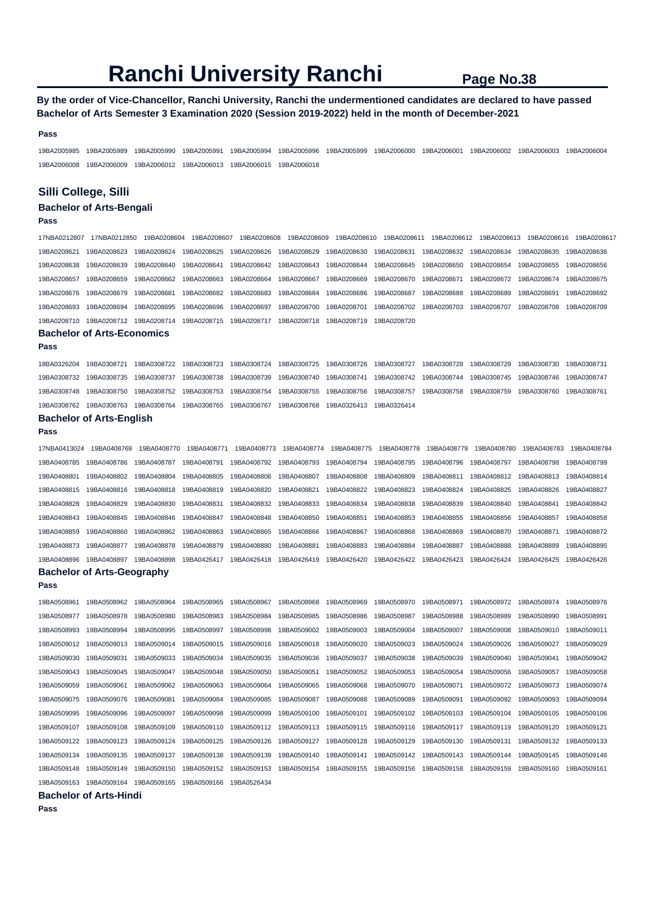## **By the order of Vice-Chancellor, Ranchi University, Ranchi the undermentioned candidates are declared to have passed Bachelor of Arts Semester 3 Examination 2020 (Session 2019-2022) held in the month of December-2021**

#### **Pass**

19BA2005985 19BA2005989 19BA2005990 19BA2005991 19BA2005994 19BA2005996 19BA2005999 19BA2006000 19BA2006001 19BA2006002 19BA2006003 19BA2006004 19BA2006008 19BA2006009 19BA2006012 19BA2006013 19BA2006015 19BA2006018

#### **Silli College, Silli**

## **Bachelor of Arts-Bengali**

### **Pass**

17NBA0212807 17NBA0212850 19BA0208604 19BA0208607 19BA0208608 19BA0208609 19BA0208610 19BA0208611 19BA0208612 19BA0208613 19BA0208616 19BA0208617 19BA0208621 19BA0208623 19BA0208624 19BA0208625 19BA0208626 19BA0208629 19BA0208630 19BA0208631 19BA0208632 19BA0208634 19BA0208635 19BA0208636 19BA0208638 19BA0208639 19BA0208640 19BA0208641 19BA0208642 19BA0208643 19BA0208644 19BA0208645 19BA0208650 19BA0208654 19BA0208655 19BA0208656 19BA0208657 19BA0208659 19BA0208662 19BA0208663 19BA0208664 19BA0208667 19BA0208669 19BA0208670 19BA0208671 19BA0208672 19BA0208674 19BA0208675 19BA0208676 19BA0208679 19BA0208681 19BA0208682 19BA0208683 19BA0208684 19BA0208686 19BA0208687 19BA0208688 19BA0208689 19BA0208691 19BA0208692 19BA0208693 19BA0208694 19BA0208695 19BA0208696 19BA0208697 19BA0208700 19BA0208701 19BA0208702 19BA0208703 19BA0208707 19BA0208708 19BA0208709 19BA0208710 19BA0208712 19BA0208714 19BA0208715 19BA0208717 19BA0208718 19BA0208719 19BA0208720

#### **Bachelor of Arts-Economics**

**Pass** 

| 18BA0326204 | 19BA0308721                                                                                     |  |  | 19BA0308722 19BA0308723 19BA0308724 19BA0308725 19BA0308726 19BA0308727 19BA0308728 19BA0308729                                                 |  | 19BA0308730 19BA0308731 |  |
|-------------|-------------------------------------------------------------------------------------------------|--|--|-------------------------------------------------------------------------------------------------------------------------------------------------|--|-------------------------|--|
|             |                                                                                                 |  |  | 19BA0308732 19BA0308735 19BA0308737 19BA0308738 19BA0308739 19BA0308740 19BA0308741 19BA0308742 19BA0308744 19BA0308745 19BA0308746 19BA0308747 |  |                         |  |
|             |                                                                                                 |  |  | 19BA0308748 19BA0308750 19BA0308752 19BA0308753 19BA0308754 19BA0308755 19BA0308756 19BA0308757 19BA0308758 19BA0308759                         |  | 19BA0308760 19BA0308761 |  |
|             | 19BA0308762 19BA0308763 19BA0308764 19BA0308765 19BA0308767 19BA0308768 19BA0326413 19BA0326414 |  |  |                                                                                                                                                 |  |                         |  |

#### **Bachelor of Arts-English**

```
Pass
```
**Pass** 

17NBA0413024 19BA0408769 19BA0408770 19BA0408771 19BA0408773 19BA0408774 19BA0408775 19BA0408778 19BA0408779 19BA0408780 19BA0408783 19BA0408784 19BA0408785 19BA0408786 19BA0408787 19BA0408791 19BA0408792 19BA0408793 19BA0408794 19BA0408795 19BA0408796 19BA0408797 19BA0408798 19BA0408799 19BA0408801 19BA0408802 19BA0408804 19BA0408805 19BA0408806 19BA0408807 19BA0408808 19BA0408809 19BA0408811 19BA0408812 19BA0408813 19BA0408814 19BA0408815 19BA0408816 19BA0408818 19BA0408819 19BA0408820 19BA0408821 19BA0408822 19BA0408823 19BA0408824 19BA0408825 19BA0408826 19BA0408827 19BA0408828 19BA0408829 19BA0408830 19BA0408831 19BA0408832 19BA0408833 19BA0408834 19BA0408838 19BA0408839 19BA0408840 19BA0408841 19BA0408842 19BA0408843 19BA0408845 19BA0408846 19BA0408847 19BA0408848 19BA0408850 19BA0408851 19BA0408853 19BA0408855 19BA0408856 19BA0408857 19BA0408858 19BA0408859 19BA0408860 19BA0408862 19BA0408863 19BA0408865 19BA0408866 19BA0408867 19BA0408868 19BA0408869 19BA0408870 19BA0408871 19BA0408872 19BA0408873 19BA0408877 19BA0408878 19BA0408879 19BA0408880 19BA0408881 19BA0408883 19BA0408884 19BA0408887 19BA0408888 19BA0408889 19BA0408895 19BA0408896 19BA0408897 19BA0408898 19BA0426417 19BA0426418 19BA0426419 19BA0426420 19BA0426422 19BA0426423 19BA0426424 19BA0426425 19BA0426426

#### **Bachelor of Arts-Geography**

| 19BA0508961 | 19BA0508962 | 19BA0508964 | 19BA0508965 | 19BA0508967 | 19BA0508968 | 19BA0508969 | 19BA0508970 | 19BA0508971 | 19BA0508972 | 19BA0508974 | 19BA0508976 |
|-------------|-------------|-------------|-------------|-------------|-------------|-------------|-------------|-------------|-------------|-------------|-------------|
| 19BA0508977 | 19BA0508978 | 19BA0508980 | 19BA0508983 | 19BA0508984 | 19BA0508985 | 19BA0508986 | 19BA0508987 | 19BA0508988 | 19BA0508989 | 19BA0508990 | 19BA0508991 |
| 19BA0508993 | 19BA0508994 | 19BA0508995 | 19BA0508997 | 19BA0508998 | 19BA0509002 | 19BA0509003 | 19BA0509004 | 19BA0509007 | 19BA0509008 | 19BA0509010 | 19BA0509011 |
| 19BA0509012 | 19BA0509013 | 19BA0509014 | 19BA0509015 | 19BA0509016 | 19BA0509018 | 19BA0509020 | 19BA0509023 | 19BA0509024 | 19BA0509026 | 19BA0509027 | 19BA0509029 |
| 19BA0509030 | 19BA0509031 | 19BA0509033 | 19BA0509034 | 19BA0509035 | 19BA0509036 | 19BA0509037 | 19BA0509038 | 19BA0509039 | 19BA0509040 | 19BA0509041 | 19BA0509042 |
| 19BA0509043 | 19BA0509045 | 19BA0509047 | 19BA0509048 | 19BA0509050 | 19BA0509051 | 19BA0509052 | 19BA0509053 | 19BA0509054 | 19BA0509056 | 19BA0509057 | 19BA0509058 |
| 19BA0509059 | 19BA0509061 | 19BA0509062 | 19BA0509063 | 19BA0509064 | 19BA0509065 | 19BA0509068 | 19BA0509070 | 19BA0509071 | 19BA0509072 | 19BA0509073 | 19BA0509074 |
| 19BA0509075 | 19BA0509076 | 19BA0509081 | 19BA0509084 | 19BA0509085 | 19BA0509087 | 19BA0509088 | 19BA0509089 | 19BA0509091 | 19BA0509092 | 19BA0509093 | 19BA0509094 |
| 19BA0509095 | 19BA0509096 | 19BA0509097 | 19BA0509098 | 19BA0509099 | 19BA0509100 | 19BA0509101 | 19BA0509102 | 19BA0509103 | 19BA0509104 | 19BA0509105 | 19BA0509106 |
| 19BA0509107 | 19BA0509108 | 19BA0509109 | 19BA0509110 | 19BA0509112 | 19BA0509113 | 19BA0509115 | 19BA0509116 | 19BA0509117 | 19BA0509119 | 19BA0509120 | 19BA0509121 |
| 19BA0509122 | 19BA0509123 | 19BA0509124 | 19BA0509125 | 19BA0509126 | 19BA0509127 | 19BA0509128 | 19BA0509129 | 19BA0509130 | 19BA0509131 | 19BA0509132 | 19BA0509133 |
| 19BA0509134 | 19BA0509135 | 19BA0509137 | 19BA0509138 | 19BA0509139 | 19BA0509140 | 19BA0509141 | 19BA0509142 | 19BA0509143 | 19BA0509144 | 19BA0509145 | 19BA0509146 |
| 19BA0509148 | 19BA0509149 | 19BA0509150 | 19BA0509152 | 19BA0509153 | 19BA0509154 | 19BA0509155 | 19BA0509156 | 19BA0509158 | 19BA0509159 | 19BA0509160 | 19BA0509161 |
| 19BA0509163 | 19BA0509164 | 19BA0509165 | 19BA0509166 | 19BA0526434 |             |             |             |             |             |             |             |

**Bachelor of Arts-Hindi** 

```
Pass
```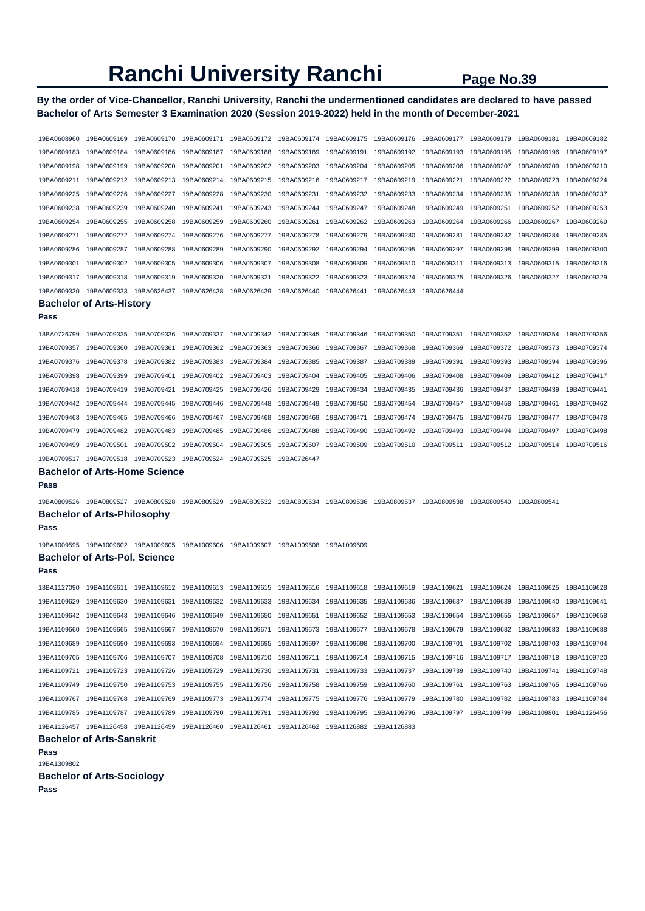**By the order of Vice-Chancellor, Ranchi University, Ranchi the undermentioned candidates are declared to have passed Bachelor of Arts Semester 3 Examination 2020 (Session 2019-2022) held in the month of December-2021** 

| 19BA0608960         | 19BA0609169                          | 19BA0609170 | 19BA0609171             | 19BA0609172 | 19BA0609174 | 19BA0609175             | 19BA0609176 | 19BA0609177 | 19BA0609179 | 19BA0609181 | 19BA0609182 |  |  |
|---------------------|--------------------------------------|-------------|-------------------------|-------------|-------------|-------------------------|-------------|-------------|-------------|-------------|-------------|--|--|
| 19BA0609183         | 19BA0609184                          | 19BA0609186 | 19BA0609187             | 19BA0609188 | 19BA0609189 | 19BA0609191             | 19BA0609192 | 19BA0609193 | 19BA0609195 | 19BA0609196 | 19BA0609197 |  |  |
| 19BA0609198         | 19BA0609199                          | 19BA0609200 | 19BA0609201             | 19BA0609202 | 19BA0609203 | 19BA0609204             | 19BA0609205 | 19BA0609206 | 19BA0609207 | 19BA0609209 | 19BA0609210 |  |  |
| 19BA0609211         | 19BA0609212                          | 19BA0609213 | 19BA0609214             | 19BA0609215 | 19BA0609216 | 19BA0609217             | 19BA0609219 | 19BA0609221 | 19BA0609222 | 19BA0609223 | 19BA0609224 |  |  |
| 19BA0609225         | 19BA0609226                          | 19BA0609227 | 19BA0609228             | 19BA0609230 | 19BA0609231 | 19BA0609232             | 19BA0609233 | 19BA0609234 | 19BA0609235 | 19BA0609236 | 19BA0609237 |  |  |
| 19BA0609238         | 19BA0609239                          | 19BA0609240 | 19BA0609241             | 19BA0609243 | 19BA0609244 | 19BA0609247             | 19BA0609248 | 19BA0609249 | 19BA0609251 | 19BA0609252 | 19BA0609253 |  |  |
| 19BA0609254         | 19BA0609255                          | 19BA0609258 | 19BA0609259             | 19BA0609260 | 19BA0609261 | 19BA0609262             | 19BA0609263 | 19BA0609264 | 19BA0609266 | 19BA0609267 | 19BA0609269 |  |  |
| 19BA0609271         | 19BA0609272                          | 19BA0609274 | 19BA0609276             | 19BA0609277 | 19BA0609278 | 19BA0609279             | 19BA0609280 | 19BA0609281 | 19BA0609282 | 19BA0609284 | 19BA0609285 |  |  |
| 19BA0609286         | 19BA0609287                          | 19BA0609288 | 19BA0609289             | 19BA0609290 | 19BA0609292 | 19BA0609294             | 19BA0609295 | 19BA0609297 | 19BA0609298 | 19BA0609299 | 19BA0609300 |  |  |
| 19BA0609301         | 19BA0609302                          | 19BA0609305 | 19BA0609306             | 19BA0609307 | 19BA0609308 | 19BA0609309             | 19BA0609310 | 19BA0609311 | 19BA0609313 | 19BA0609315 | 19BA0609316 |  |  |
| 19BA0609317         | 19BA0609318                          | 19BA0609319 | 19BA0609320             | 19BA0609321 | 19BA0609322 | 19BA0609323             | 19BA0609324 | 19BA0609325 | 19BA0609326 | 19BA0609327 | 19BA0609329 |  |  |
| 19BA0609330         | 19BA0609333                          | 19BA0626437 | 19BA0626438             | 19BA0626439 | 19BA0626440 | 19BA0626441             | 19BA0626443 | 19BA0626444 |             |             |             |  |  |
|                     | <b>Bachelor of Arts-History</b>      |             |                         |             |             |                         |             |             |             |             |             |  |  |
| Pass                |                                      |             |                         |             |             |                         |             |             |             |             |             |  |  |
| 18BA0726799         | 19BA0709335                          | 19BA0709336 | 19BA0709337             | 19BA0709342 | 19BA0709345 | 19BA0709346             | 19BA0709350 | 19BA0709351 | 19BA0709352 | 19BA0709354 | 19BA0709356 |  |  |
| 19BA0709357         | 19BA0709360                          | 19BA0709361 | 19BA0709362             | 19BA0709363 | 19BA0709366 | 19BA0709367             | 19BA0709368 | 19BA0709369 | 19BA0709372 | 19BA0709373 | 19BA0709374 |  |  |
| 19BA0709376         | 19BA0709378                          | 19BA0709382 | 19BA0709383             | 19BA0709384 | 19BA0709385 | 19BA0709387             | 19BA0709389 | 19BA0709391 | 19BA0709393 | 19BA0709394 | 19BA0709396 |  |  |
| 19BA0709398         | 19BA0709399                          | 19BA0709401 | 19BA0709402             | 19BA0709403 | 19BA0709404 | 19BA0709405             | 19BA0709406 | 19BA0709408 | 19BA0709409 | 19BA0709412 | 19BA0709417 |  |  |
| 19BA0709418         | 19BA0709419                          | 19BA0709421 | 19BA0709425             | 19BA0709426 | 19BA0709429 | 19BA0709434             | 19BA0709435 | 19BA0709436 | 19BA0709437 | 19BA0709439 | 19BA0709441 |  |  |
| 19BA0709442         | 19BA0709444                          | 19BA0709445 | 19BA0709446             | 19BA0709448 | 19BA0709449 | 19BA0709450             | 19BA0709454 | 19BA0709457 | 19BA0709458 | 19BA0709461 | 19BA0709462 |  |  |
| 19BA0709463         | 19BA0709465                          | 19BA0709466 | 19BA0709467             | 19BA0709468 | 19BA0709469 | 19BA0709471             | 19BA0709474 | 19BA0709475 | 19BA0709476 | 19BA0709477 | 19BA0709478 |  |  |
| 19BA0709479         | 19BA0709482                          | 19BA0709483 | 19BA0709485             | 19BA0709486 | 19BA0709488 | 19BA0709490             | 19BA0709492 | 19BA0709493 | 19BA0709494 | 19BA0709497 | 19BA0709498 |  |  |
| 19BA0709499         | 19BA0709501                          | 19BA0709502 | 19BA0709504             | 19BA0709505 | 19BA0709507 | 19BA0709509             | 19BA0709510 | 19BA0709511 | 19BA0709512 | 19BA0709514 | 19BA0709516 |  |  |
| 19BA0709517         | 19BA0709518                          | 19BA0709523 | 19BA0709524             | 19BA0709525 | 19BA0726447 |                         |             |             |             |             |             |  |  |
|                     | <b>Bachelor of Arts-Home Science</b> |             |                         |             |             |                         |             |             |             |             |             |  |  |
| Pass                |                                      |             |                         |             |             |                         |             |             |             |             |             |  |  |
| 19BA0809526         | 19BA0809527 19BA0809528              |             | 19BA0809529             | 19BA0809532 | 19BA0809534 | 19BA0809536             | 19BA0809537 | 19BA0809538 | 19BA0809540 | 19BA0809541 |             |  |  |
|                     | <b>Bachelor of Arts-Philosophy</b>   |             |                         |             |             |                         |             |             |             |             |             |  |  |
| Pass                |                                      |             |                         |             |             |                         |             |             |             |             |             |  |  |
| 19BA1009595         | 19BA1009602 19BA1009605              |             | 19BA1009606             | 19BA1009607 | 19BA1009608 | 19BA1009609             |             |             |             |             |             |  |  |
|                     | <b>Bachelor of Arts-Pol. Science</b> |             |                         |             |             |                         |             |             |             |             |             |  |  |
| Pass                |                                      |             |                         |             |             |                         |             |             |             |             |             |  |  |
| 18BA1127090         | 19BA1109611                          | 19BA1109612 | 19BA1109613             | 19BA1109615 | 19BA1109616 | 19BA1109618             | 19BA1109619 | 19BA1109621 | 19BA1109624 | 19BA1109625 | 19BA1109628 |  |  |
| 19BA1109629         | 19BA1109630                          | 19BA1109631 | 19BA1109632             | 19BA1109633 | 19BA1109634 | 19BA1109635             | 19BA1109636 | 19BA1109637 | 19BA1109639 | 19BA1109640 | 19BA1109641 |  |  |
| 19BA1109642         | 19BA1109643                          | 19BA1109646 | 19BA1109649 19BA1109650 |             | 19BA1109651 | 19BA1109652 19BA1109653 |             | 19BA1109654 | 19BA1109655 | 19BA1109657 | 19BA1109658 |  |  |
| 19BA1109660         | 19BA1109665                          | 19BA1109667 | 19BA1109670             | 19BA1109671 | 19BA1109673 | 19BA1109677             | 19BA1109678 | 19BA1109679 | 19BA1109682 | 19BA1109683 | 19BA1109688 |  |  |
| 19BA1109689         | 19BA1109690                          | 19BA1109693 | 19BA1109694             | 19BA1109695 | 19BA1109697 | 19BA1109698             | 19BA1109700 | 19BA1109701 | 19BA1109702 | 19BA1109703 | 19BA1109704 |  |  |
| 19BA1109705         | 19BA1109706                          | 19BA1109707 | 19BA1109708             | 19BA1109710 | 19BA1109711 | 19BA1109714             | 19BA1109715 | 19BA1109716 | 19BA1109717 | 19BA1109718 | 19BA1109720 |  |  |
| 19BA1109721         | 19BA1109723                          | 19BA1109726 | 19BA1109729             | 19BA1109730 | 19BA1109731 | 19BA1109733             | 19BA1109737 | 19BA1109739 | 19BA1109740 | 19BA1109741 | 19BA1109748 |  |  |
| 19BA1109749         | 19BA1109750                          | 19BA1109753 | 19BA1109755             | 19BA1109756 | 19BA1109758 | 19BA1109759             | 19BA1109760 | 19BA1109761 | 19BA1109763 | 19BA1109765 | 19BA1109766 |  |  |
| 19BA1109767         | 19BA1109768                          | 19BA1109769 | 19BA1109773             | 19BA1109774 | 19BA1109775 | 19BA1109776             | 19BA1109779 | 19BA1109780 | 19BA1109782 | 19BA1109783 | 19BA1109784 |  |  |
| 19BA1109785         | 19BA1109787                          | 19BA1109789 | 19BA1109790             | 19BA1109791 | 19BA1109792 | 19BA1109795             | 19BA1109796 | 19BA1109797 | 19BA1109799 | 19BA1109801 | 19BA1126456 |  |  |
| 19BA1126457         | 19BA1126458                          | 19BA1126459 | 19BA1126460             | 19BA1126461 | 19BA1126462 | 19BA1126882             | 19BA1126883 |             |             |             |             |  |  |
|                     | <b>Bachelor of Arts-Sanskrit</b>     |             |                         |             |             |                         |             |             |             |             |             |  |  |
| Pass<br>19BA1309802 |                                      |             |                         |             |             |                         |             |             |             |             |             |  |  |
|                     | <b>Bachelor of Arts-Sociology</b>    |             |                         |             |             |                         |             |             |             |             |             |  |  |
|                     |                                      |             |                         |             |             |                         |             |             |             |             |             |  |  |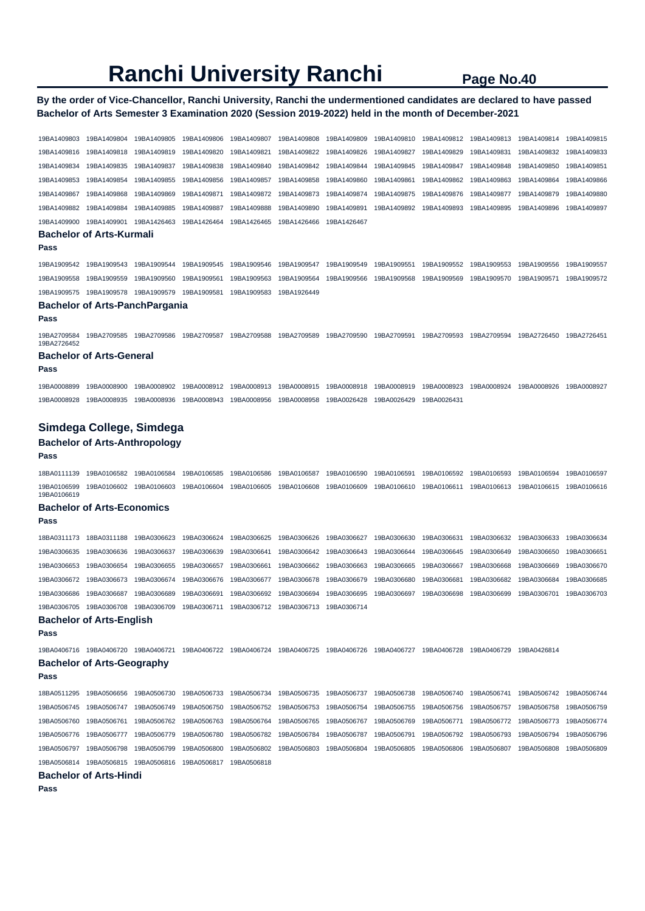## **By the order of Vice-Chancellor, Ranchi University, Ranchi the undermentioned candidates are declared to have passed Bachelor of Arts Semester 3 Examination 2020 (Session 2019-2022) held in the month of December-2021**

19BA1409803 19BA1409804 19BA1409805 19BA1409806 19BA1409807 19BA1409808 19BA1409809 19BA1409810 19BA1409812 19BA1409813 19BA1409814 19BA1409815 19BA1409816 19BA1409818 19BA1409819 19BA1409820 19BA1409821 19BA1409822 19BA1409826 19BA1409827 19BA1409829 19BA1409831 19BA1409832 19BA1409833 19BA1409834 19BA1409835 19BA1409837 19BA1409838 19BA1409840 19BA1409842 19BA1409844 19BA1409845 19BA1409847 19BA1409848 19BA1409850 19BA1409851 19BA1409853 19BA1409854 19BA1409855 19BA1409856 19BA1409857 19BA1409858 19BA1409860 19BA1409861 19BA1409862 19BA1409863 19BA1409864 19BA1409866 19BA1409867 19BA1409868 19BA1409869 19BA1409871 19BA1409872 19BA1409873 19BA1409874 19BA1409875 19BA1409876 19BA1409877 19BA1409879 19BA1409880 19BA1409882 19BA1409884 19BA1409885 19BA1409887 19BA1409888 19BA1409890 19BA1409891 19BA1409892 19BA1409893 19BA1409895 19BA1409896 19BA1409897 19BA1409900 19BA1409901 19BA1426463 19BA1426464 19BA1426465 19BA1426466 19BA1426467 **Bachelor of Arts-Kurmali Pass**  19BA1909542 19BA1909543 19BA1909544 19BA1909545 19BA1909546 19BA1909547 19BA1909549 19BA1909551 19BA1909552 19BA1909553 19BA1909556 19BA1909557 19BA1909558 19BA1909559 19BA1909560 19BA1909561 19BA1909563 19BA1909564 19BA1909566 19BA1909568 19BA1909569 19BA1909570 19BA1909571 19BA1909572 19BA1909575 19BA1909578 19BA1909579 19BA1909581 19BA1909583 19BA1926449 **Bachelor of Arts-PanchPargania Pass**  19BA2709584 19BA2709585 19BA2709586 19BA2709587 19BA2709588 19BA2709589 19BA2709590 19BA2709591 19BA2709593 19BA2709594 19BA2726450 19BA2726451 19BA2726452 **Bachelor of Arts-General Pass**  19BA0008899 19BA0008900 19BA0008902 19BA0008912 19BA0008913 19BA0008915 19BA0008918 19BA0008919 19BA0008923 19BA0008924 19BA0008926 19BA0008927 19BA0008928 19BA0008935 19BA0008936 19BA0008943 19BA0008956 19BA0008958 19BA0026428 19BA0026429 19BA0026431 **Simdega College, Simdega Bachelor of Arts-Anthropology Pass**  18BA0111139 19BA0106582 19BA0106584 19BA0106585 19BA0106586 19BA0106587 19BA0106590 19BA0106591 19BA0106592 19BA0106593 19BA0106594 19BA0106597 19BA0106599 19BA0106602 19BA0106603 19BA0106604 19BA0106605 19BA0106608 19BA0106609 19BA0106610 19BA0106611 19BA0106613 19BA0106615 19BA0106616 19BA0106619 **Bachelor of Arts-Economics Pass**  18BA0311173 18BA0311188 19BA0306623 19BA0306624 19BA0306625 19BA0306626 19BA0306627 19BA0306630 19BA0306631 19BA0306632 19BA0306633 19BA0306634 19BA0306635 19BA0306636 19BA0306637 19BA0306639 19BA0306641 19BA0306642 19BA0306643 19BA0306644 19BA0306645 19BA0306649 19BA0306650 19BA0306651 19BA0306653 19BA0306654 19BA0306655 19BA0306657 19BA0306661 19BA0306662 19BA0306663 19BA0306665 19BA0306667 19BA0306668 19BA0306669 19BA0306670 19BA0306672 19BA0306673 19BA0306674 19BA0306676 19BA0306677 19BA0306678 19BA0306679 19BA0306680 19BA0306681 19BA0306682 19BA0306684 19BA0306685 19BA0306686 19BA0306687 19BA0306689 19BA0306691 19BA0306692 19BA0306694 19BA0306695 19BA0306697 19BA0306698 19BA0306699 19BA0306701 19BA0306703 19BA0306705 19BA0306708 19BA0306709 19BA0306711 19BA0306712 19BA0306713 19BA0306714 **Bachelor of Arts-English Pass**  19BA0406716 19BA0406720 19BA0406721 19BA0406722 19BA0406724 19BA0406725 19BA0406726 19BA0406727 19BA0406728 19BA0406729 19BA0426814 **Bachelor of Arts-Geography Pass**  18BA0511295 19BA0506656 19BA0506730 19BA0506733 19BA0506734 19BA0506735 19BA0506737 19BA0506738 19BA0506740 19BA0506741 19BA0506742 19BA0506744 19BA0506745 19BA0506747 19BA0506749 19BA0506750 19BA0506752 19BA0506753 19BA0506754 19BA0506755 19BA0506756 19BA0506757 19BA0506758 19BA0506759 19BA0506760 19BA0506761 19BA0506762 19BA0506763 19BA0506764 19BA0506765 19BA0506767 19BA0506769 19BA0506771 19BA0506772 19BA0506773 19BA0506774 19BA0506776 19BA0506777 19BA0506779 19BA0506780 19BA0506782 19BA0506784 19BA0506787 19BA0506791 19BA0506792 19BA0506793 19BA0506794 19BA0506796 19BA0506797 19BA0506798 19BA0506799 19BA0506800 19BA0506802 19BA0506803 19BA0506804 19BA0506805 19BA0506806 19BA0506807 19BA0506808 19BA0506809 19BA0506814 19BA0506815 19BA0506816 19BA0506817 19BA0506818 **Bachelor of Arts-Hindi Pass**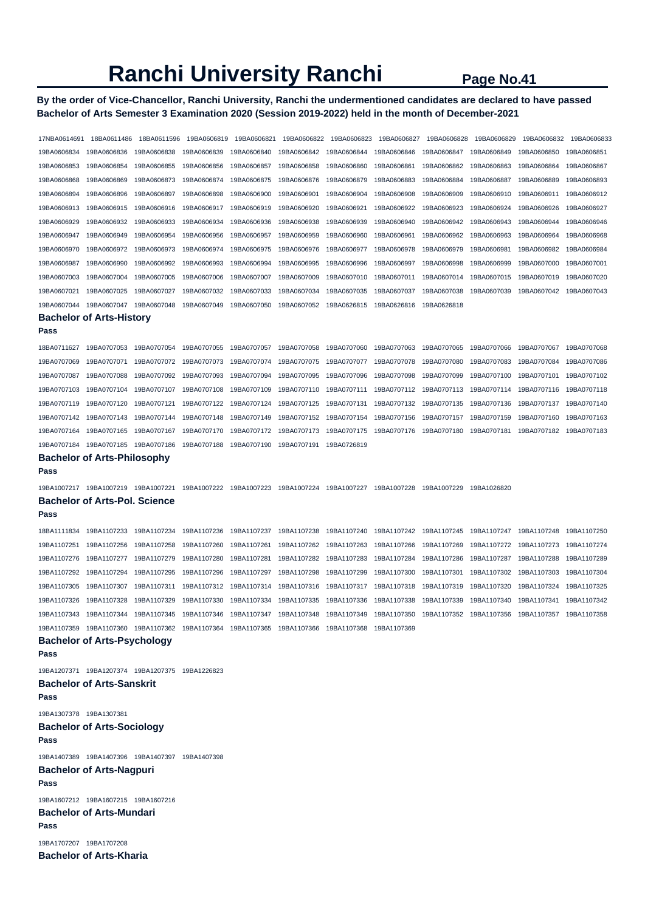## **By the order of Vice-Chancellor, Ranchi University, Ranchi the undermentioned candidates are declared to have passed Bachelor of Arts Semester 3 Examination 2020 (Session 2019-2022) held in the month of December-2021**

| 17NBA0614691            | 18BA0611486                                                                   | 18BA0611596                                        | 19BA0606819             | 19BA0606821                                                                                     | 19BA0606822 | 19BA0606823                         | 19BA0606827 | 19BA0606828 | 19BA0606829 | 19BA0606832 | 19BA0606833 |
|-------------------------|-------------------------------------------------------------------------------|----------------------------------------------------|-------------------------|-------------------------------------------------------------------------------------------------|-------------|-------------------------------------|-------------|-------------|-------------|-------------|-------------|
| 19BA0606834             | 19BA0606836                                                                   | 19BA0606838                                        | 19BA0606839             | 19BA0606840                                                                                     | 19BA0606842 | 19BA0606844                         | 19BA0606846 | 19BA0606847 | 19BA0606849 | 19BA0606850 | 19BA0606851 |
| 19BA0606853             | 19BA0606854                                                                   | 19BA0606855                                        | 19BA0606856             | 19BA0606857                                                                                     | 19BA0606858 | 19BA0606860                         | 19BA0606861 | 19BA0606862 | 19BA0606863 | 19BA0606864 | 19BA0606867 |
| 19BA0606868             | 19BA0606869                                                                   | 19BA0606873                                        | 19BA0606874             | 19BA0606875                                                                                     | 19BA0606876 | 19BA0606879                         | 19BA0606883 | 19BA0606884 | 19BA0606887 | 19BA0606889 | 19BA0606893 |
| 19BA0606894             | 19BA0606896                                                                   | 19BA0606897                                        | 19BA0606898             | 19BA0606900                                                                                     | 19BA0606901 | 19BA0606904                         | 19BA0606908 | 19BA0606909 | 19BA0606910 | 19BA0606911 | 19BA0606912 |
| 19BA0606913             | 19BA0606915                                                                   | 19BA0606916                                        | 19BA0606917             | 19BA0606919                                                                                     | 19BA0606920 | 19BA0606921                         | 19BA0606922 | 19BA0606923 | 19BA0606924 | 19BA0606926 | 19BA0606927 |
| 19BA0606929             | 19BA0606932                                                                   | 19BA0606933                                        | 19BA0606934             | 19BA0606936                                                                                     | 19BA0606938 | 19BA0606939                         | 19BA0606940 | 19BA0606942 | 19BA0606943 | 19BA0606944 | 19BA0606946 |
| 19BA0606947             | 19BA0606949                                                                   | 19BA0606954                                        | 19BA0606956             | 19BA0606957                                                                                     | 19BA0606959 | 19BA0606960                         | 19BA0606961 | 19BA0606962 | 19BA0606963 | 19BA0606964 | 19BA0606968 |
| 19BA0606970             | 19BA0606972                                                                   | 19BA0606973                                        | 19BA0606974             | 19BA0606975                                                                                     | 19BA0606976 | 19BA0606977                         | 19BA0606978 | 19BA0606979 | 19BA0606981 | 19BA0606982 | 19BA0606984 |
| 19BA0606987             | 19BA0606990                                                                   | 19BA0606992                                        | 19BA0606993             | 19BA0606994                                                                                     | 19BA0606995 | 19BA0606996                         | 19BA0606997 | 19BA0606998 | 19BA0606999 | 19BA0607000 | 19BA0607001 |
| 19BA0607003             | 19BA0607004                                                                   | 19BA0607005                                        | 19BA0607006             | 19BA0607007                                                                                     | 19BA0607009 | 19BA0607010                         | 19BA0607011 | 19BA0607014 | 19BA0607015 | 19BA0607019 | 19BA0607020 |
| 19BA0607021             | 19BA0607025                                                                   | 19BA0607027                                        | 19BA0607032             | 19BA0607033                                                                                     | 19BA0607034 | 19BA0607035                         | 19BA0607037 | 19BA0607038 | 19BA0607039 | 19BA0607042 | 19BA0607043 |
| 19BA0607044             | 19BA0607047                                                                   | 19BA0607048                                        | 19BA0607049             | 19BA0607050                                                                                     | 19BA0607052 | 19BA0626815                         | 19BA0626816 | 19BA0626818 |             |             |             |
|                         | <b>Bachelor of Arts-History</b>                                               |                                                    |                         |                                                                                                 |             |                                     |             |             |             |             |             |
| Pass                    |                                                                               |                                                    |                         |                                                                                                 |             |                                     |             |             |             |             |             |
| 18BA0711627             | 19BA0707053                                                                   | 19BA0707054                                        | 19BA0707055             | 19BA0707057                                                                                     | 19BA0707058 | 19BA0707060                         | 19BA0707063 | 19BA0707065 | 19BA0707066 | 19BA0707067 | 19BA0707068 |
| 19BA0707069             | 19BA0707071                                                                   | 19BA0707072                                        | 19BA0707073             | 19BA0707074                                                                                     | 19BA0707075 | 19BA0707077                         | 19BA0707078 | 19BA0707080 | 19BA0707083 | 19BA0707084 | 19BA0707086 |
| 19BA0707087             | 19BA0707088                                                                   | 19BA0707092                                        | 19BA0707093             | 19BA0707094                                                                                     | 19BA0707095 | 19BA0707096                         | 19BA0707098 | 19BA0707099 | 19BA0707100 | 19BA0707101 | 19BA0707102 |
| 19BA0707103             | 19BA0707104                                                                   | 19BA0707107                                        | 19BA0707108             | 19BA0707109                                                                                     | 19BA0707110 | 19BA0707111                         | 19BA0707112 | 19BA0707113 | 19BA0707114 | 19BA0707116 | 19BA0707118 |
| 19BA0707119             | 19BA0707120                                                                   | 19BA0707121                                        | 19BA0707122             | 19BA0707124                                                                                     | 19BA0707125 | 19BA0707131                         | 19BA0707132 | 19BA0707135 | 19BA0707136 | 19BA0707137 | 19BA0707140 |
| 19BA0707142             | 19BA0707143                                                                   | 19BA0707144                                        | 19BA0707148             | 19BA0707149                                                                                     | 19BA0707152 | 19BA0707154                         | 19BA0707156 | 19BA0707157 | 19BA0707159 | 19BA0707160 | 19BA0707163 |
| 19BA0707164             | 19BA0707165                                                                   | 19BA0707167                                        | 19BA0707170             | 19BA0707172                                                                                     | 19BA0707173 | 19BA0707175                         | 19BA0707176 | 19BA0707180 | 19BA0707181 | 19BA0707182 | 19BA0707183 |
| 19BA0707184             | 19BA0707185                                                                   | 19BA0707186                                        | 19BA0707188             | 19BA0707190                                                                                     | 19BA0707191 | 19BA0726819                         |             |             |             |             |             |
| Pass                    | <b>Bachelor of Arts-Philosophy</b>                                            |                                                    |                         |                                                                                                 |             |                                     |             |             |             |             |             |
|                         |                                                                               |                                                    |                         |                                                                                                 |             |                                     |             |             |             |             |             |
|                         | 19BA1007217  19BA1007219  19BA1007221<br><b>Bachelor of Arts-Pol. Science</b> |                                                    | 19BA1007222 19BA1007223 |                                                                                                 |             | 19BA1007224 19BA1007227 19BA1007228 |             | 19BA1007229 | 19BA1026820 |             |             |
| Pass                    |                                                                               |                                                    |                         |                                                                                                 |             |                                     |             |             |             |             |             |
| 18BA1111834             | 19BA1107233                                                                   | 19BA1107234                                        | 19BA1107236             | 19BA1107237                                                                                     | 19BA1107238 | 19BA1107240                         | 19BA1107242 | 19BA1107245 | 19BA1107247 | 19BA1107248 | 19BA1107250 |
| 19BA1107251             | 19BA1107256                                                                   | 19BA1107258                                        | 19BA1107260             | 19BA1107261                                                                                     | 19BA1107262 | 19BA1107263                         | 19BA1107266 | 19BA1107269 | 19BA1107272 | 19BA1107273 | 19BA1107274 |
| 19BA1107276             | 19BA1107277                                                                   | 19BA1107279                                        | 19BA1107280             | 19BA1107281                                                                                     | 19BA1107282 | 19BA1107283                         | 19BA1107284 | 19BA1107286 | 19BA1107287 | 19BA1107288 | 19BA1107289 |
| 19BA1107292             | 19BA1107294                                                                   | 19BA1107295                                        | 19BA1107296             | 19BA1107297                                                                                     | 19BA1107298 | 19BA1107299                         | 19BA1107300 | 19BA1107301 | 19BA1107302 | 19BA1107303 | 19BA1107304 |
| 19BA1107305             | 19BA1107307                                                                   | 19BA1107311                                        | 19BA1107312             | 19BA1107314                                                                                     | 19BA1107316 | 19BA1107317                         | 19BA1107318 | 19BA1107319 | 19BA1107320 | 19BA1107324 | 19BA1107325 |
| 19BA1107326             | 19BA1107328                                                                   | 19BA1107329                                        | 19BA1107330             | 19BA1107334                                                                                     | 19BA1107335 | 19BA1107336                         | 19BA1107338 | 19BA1107339 | 19BA1107340 | 19BA1107341 | 19BA1107342 |
|                         |                                                                               |                                                    |                         |                                                                                                 |             |                                     | 19BA1107350 | 19BA1107352 |             |             |             |
|                         |                                                                               |                                                    |                         | 19BA1107359 19BA1107360 19BA1107362 19BA1107364 19BA1107365 19BA1107366 19BA1107368 19BA1107369 |             |                                     |             |             |             |             |             |
|                         | <b>Bachelor of Arts-Psychology</b>                                            |                                                    |                         |                                                                                                 |             |                                     |             |             |             |             |             |
| Pass                    |                                                                               |                                                    |                         |                                                                                                 |             |                                     |             |             |             |             |             |
|                         |                                                                               | 19BA1207371  19BA1207374  19BA1207375  19BA1226823 |                         |                                                                                                 |             |                                     |             |             |             |             |             |
|                         | <b>Bachelor of Arts-Sanskrit</b>                                              |                                                    |                         |                                                                                                 |             |                                     |             |             |             |             |             |
| Pass                    |                                                                               |                                                    |                         |                                                                                                 |             |                                     |             |             |             |             |             |
| 19BA1307378 19BA1307381 |                                                                               |                                                    |                         |                                                                                                 |             |                                     |             |             |             |             |             |
|                         | <b>Bachelor of Arts-Sociology</b>                                             |                                                    |                         |                                                                                                 |             |                                     |             |             |             |             |             |
| Pass                    |                                                                               |                                                    |                         |                                                                                                 |             |                                     |             |             |             |             |             |
|                         |                                                                               | 19BA1407389  19BA1407396  19BA1407397  19BA1407398 |                         |                                                                                                 |             |                                     |             |             |             |             |             |
|                         | <b>Bachelor of Arts-Nagpuri</b>                                               |                                                    |                         |                                                                                                 |             |                                     |             |             |             |             |             |
| Pass                    |                                                                               |                                                    |                         |                                                                                                 |             |                                     |             |             |             |             |             |
|                         | 19BA1607212 19BA1607215 19BA1607216                                           |                                                    |                         |                                                                                                 |             |                                     |             |             |             |             |             |
|                         | <b>Bachelor of Arts-Mundari</b>                                               |                                                    |                         |                                                                                                 |             |                                     |             |             |             |             |             |
| Pass                    |                                                                               |                                                    |                         |                                                                                                 |             |                                     |             |             |             |             |             |
| 19BA1707207 19BA1707208 |                                                                               |                                                    |                         |                                                                                                 |             |                                     |             |             |             |             |             |
|                         | <b>Bachelor of Arts-Kharia</b>                                                |                                                    |                         |                                                                                                 |             |                                     |             |             |             |             |             |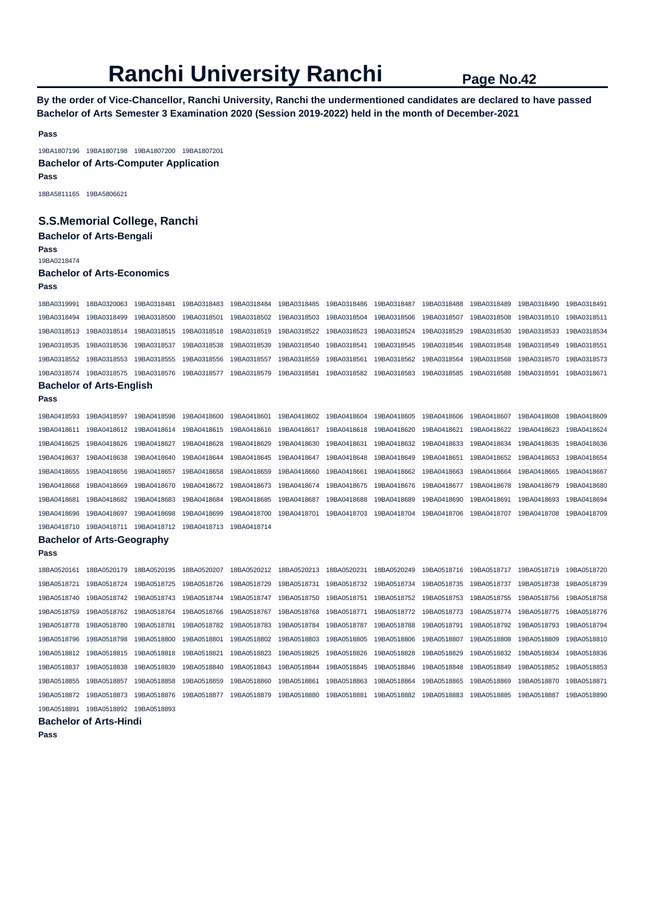**By the order of Vice-Chancellor, Ranchi University, Ranchi the undermentioned candidates are declared to have passed Bachelor of Arts Semester 3 Examination 2020 (Session 2019-2022) held in the month of December-2021** 

**Pass** 

19BA1807196 19BA1807198 19BA1807200 19BA1807201 **Bachelor of Arts-Computer Application** 

**Pass** 

18BA5811165 19BA5806621

## **S.S.Memorial College, Ranchi**

**Bachelor of Arts-Bengali** 

**Pass**  19BA0218474

#### **Bachelor of Arts-Economics**

**Pass** 

| г аээ                           |                                   |             |             |             |             |             |             |             |             |             |             |  |
|---------------------------------|-----------------------------------|-------------|-------------|-------------|-------------|-------------|-------------|-------------|-------------|-------------|-------------|--|
| 18BA0319991                     | 18BA0320063                       | 19BA0318481 | 19BA0318483 | 19BA0318484 | 19BA0318485 | 19BA0318486 | 19BA0318487 | 19BA0318488 | 19BA0318489 | 19BA0318490 | 19BA0318491 |  |
| 19BA0318494                     | 19BA0318499                       | 19BA0318500 | 19BA0318501 | 19BA0318502 | 19BA0318503 | 19BA0318504 | 19BA0318506 | 19BA0318507 | 19BA0318508 | 19BA0318510 | 19BA0318511 |  |
| 19BA0318513                     | 19BA0318514                       | 19BA0318515 | 19BA0318518 | 19BA0318519 | 19BA0318522 | 19BA0318523 | 19BA0318524 | 19BA0318529 | 19BA0318530 | 19BA0318533 | 19BA0318534 |  |
| 19BA0318535                     | 19BA0318536                       | 19BA0318537 | 19BA0318538 | 19BA0318539 | 19BA0318540 | 19BA0318541 | 19BA0318545 | 19BA0318546 | 19BA0318548 | 19BA0318549 | 19BA0318551 |  |
| 19BA0318552                     | 19BA0318553                       | 19BA0318555 | 19BA0318556 | 19BA0318557 | 19BA0318559 | 19BA0318561 | 19BA0318562 | 19BA0318564 | 19BA0318568 | 19BA0318570 | 19BA0318573 |  |
| 19BA0318574                     | 19BA0318575                       | 19BA0318576 | 19BA0318577 | 19BA0318579 | 19BA0318581 | 19BA0318582 | 19BA0318583 | 19BA0318585 | 19BA0318588 | 19BA0318591 | 19BA0318671 |  |
| <b>Bachelor of Arts-English</b> |                                   |             |             |             |             |             |             |             |             |             |             |  |
| Pass                            |                                   |             |             |             |             |             |             |             |             |             |             |  |
| 19BA0418593                     | 19BA0418597                       | 19BA0418598 | 19BA0418600 | 19BA0418601 | 19BA0418602 | 19BA0418604 | 19BA0418605 | 19BA0418606 | 19BA0418607 | 19BA0418608 | 19BA0418609 |  |
| 19BA0418611                     | 19BA0418612                       | 19BA0418614 | 19BA0418615 | 19BA0418616 | 19BA0418617 | 19BA0418618 | 19BA0418620 | 19BA0418621 | 19BA0418622 | 19BA0418623 | 19BA0418624 |  |
| 19BA0418625                     | 19BA0418626                       | 19BA0418627 | 19BA0418628 | 19BA0418629 | 19BA0418630 | 19BA0418631 | 19BA0418632 | 19BA0418633 | 19BA0418634 | 19BA0418635 | 19BA0418636 |  |
| 19BA0418637                     | 19BA0418638                       | 19BA0418640 | 19BA0418644 | 19BA0418645 | 19BA0418647 | 19BA0418648 | 19BA0418649 | 19BA0418651 | 19BA0418652 | 19BA0418653 | 19BA0418654 |  |
| 19BA0418655                     | 19BA0418656                       | 19BA0418657 | 19BA0418658 | 19BA0418659 | 19BA0418660 | 19BA0418661 | 19BA0418662 | 19BA0418663 | 19BA0418664 | 19BA0418665 | 19BA0418667 |  |
| 19BA0418668                     | 19BA0418669                       | 19BA0418670 | 19BA0418672 | 19BA0418673 | 19BA0418674 | 19BA0418675 | 19BA0418676 | 19BA0418677 | 19BA0418678 | 19BA0418679 | 19BA0418680 |  |
| 19BA0418681                     | 19BA0418682                       | 19BA0418683 | 19BA0418684 | 19BA0418685 | 19BA0418687 | 19BA0418688 | 19BA0418689 | 19BA0418690 | 19BA0418691 | 19BA0418693 | 19BA0418694 |  |
| 19BA0418696                     | 19BA0418697                       | 19BA0418698 | 19BA0418699 | 19BA0418700 | 19BA0418701 | 19BA0418703 | 19BA0418704 | 19BA0418706 | 19BA0418707 | 19BA0418708 | 19BA0418709 |  |
| 19BA0418710                     | 19BA0418711                       | 19BA0418712 | 19BA0418713 | 19BA0418714 |             |             |             |             |             |             |             |  |
|                                 | <b>Bachelor of Arts-Geography</b> |             |             |             |             |             |             |             |             |             |             |  |
| Pass                            |                                   |             |             |             |             |             |             |             |             |             |             |  |
| 18BA0520161                     | 18BA0520179                       | 18BA0520195 | 18BA0520207 | 18BA0520212 | 18BA0520213 | 18BA0520231 | 18BA0520249 | 19BA0518716 | 19BA0518717 | 19BA0518719 | 19BA0518720 |  |
| 19BA0518721                     | 19BA0518724                       | 19BA0518725 | 19BA0518726 | 19BA0518729 | 19BA0518731 | 19BA0518732 | 19BA0518734 | 19BA0518735 | 19BA0518737 | 19BA0518738 | 19BA0518739 |  |
| 19BA0518740                     | 19BA0518742                       | 19BA0518743 | 19BA0518744 | 19BA0518747 | 19BA0518750 | 19BA0518751 | 19BA0518752 | 19BA0518753 | 19BA0518755 | 19BA0518756 | 19BA0518758 |  |
| 19BA0518759                     | 19BA0518762                       | 19BA0518764 | 19BA0518766 | 19BA0518767 | 19BA0518768 | 19BA0518771 | 19BA0518772 | 19BA0518773 | 19BA0518774 | 19BA0518775 | 19BA0518776 |  |
| 19BA0518778                     | 19BA0518780                       | 19BA0518781 | 19BA0518782 | 19BA0518783 | 19BA0518784 | 19BA0518787 | 19BA0518788 | 19BA0518791 | 19BA0518792 | 19BA0518793 | 19BA0518794 |  |
| 19BA0518796                     | 19BA0518798                       | 19BA0518800 | 19BA0518801 | 19BA0518802 | 19BA0518803 | 19BA0518805 | 19BA0518806 | 19BA0518807 | 19BA0518808 | 19BA0518809 | 19BA0518810 |  |
| 19BA0518812                     | 19BA0518815                       | 19BA0518818 | 19BA0518821 | 19BA0518823 | 19BA0518825 | 19BA0518826 | 19BA0518828 | 19BA0518829 | 19BA0518832 | 19BA0518834 | 19BA0518836 |  |
| 19BA0518837                     | 19BA0518838                       | 19BA0518839 | 19BA0518840 | 19BA0518843 | 19BA0518844 | 19BA0518845 | 19BA0518846 | 19BA0518848 | 19BA0518849 | 19BA0518852 | 19BA0518853 |  |
| 19BA0518855                     | 19BA0518857                       | 19BA0518858 | 19BA0518859 | 19BA0518860 | 19BA0518861 | 19BA0518863 | 19BA0518864 | 19BA0518865 | 19BA0518869 | 19BA0518870 | 19BA0518871 |  |
| 19BA0518872                     | 19BA0518873                       | 19BA0518876 | 19BA0518877 | 19BA0518879 | 19BA0518880 | 19BA0518881 | 19BA0518882 | 19BA0518883 | 19BA0518885 | 19BA0518887 | 19BA0518890 |  |
| 19BA0518891                     | 19BA0518892                       | 19BA0518893 |             |             |             |             |             |             |             |             |             |  |
|                                 | $-4 - 112$                        |             |             |             |             |             |             |             |             |             |             |  |

## **Bachelor of Arts-Hindi**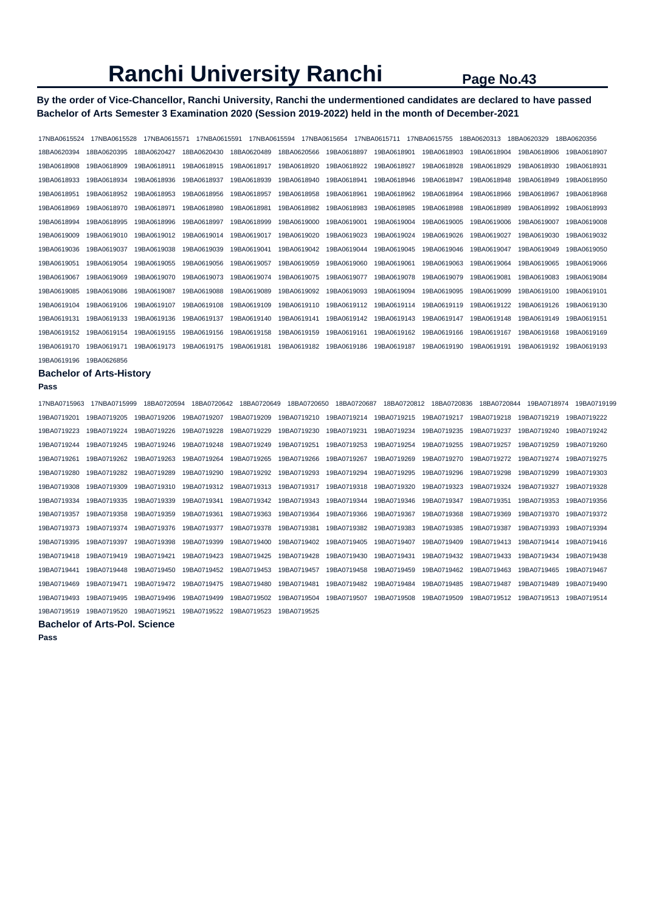## **By the order of Vice-Chancellor, Ranchi University, Ranchi the undermentioned candidates are declared to have passed Bachelor of Arts Semester 3 Examination 2020 (Session 2019-2022) held in the month of December-2021**

| 17NBA0615524 | 17NBA0615528 | 17NBA0615571 | 17NBA0615591 | 17NBA0615594 |             | 17NBA0615654 | 17NBA0615711 | 17NBA0615755 | 18BA0620313 | 18BA0620329 | 18BA0620356 |
|--------------|--------------|--------------|--------------|--------------|-------------|--------------|--------------|--------------|-------------|-------------|-------------|
| 18BA0620394  | 18BA0620395  | 18BA0620427  | 18BA0620430  | 18BA0620489  | 18BA0620566 | 19BA0618897  | 19BA0618901  | 19BA0618903  | 19BA0618904 | 19BA0618906 | 19BA0618907 |
| 19BA0618908  | 19BA0618909  | 19BA0618911  | 19BA0618915  | 19BA0618917  | 19BA0618920 | 19BA0618922  | 19BA0618927  | 19BA0618928  | 19BA0618929 | 19BA0618930 | 19BA0618931 |
| 19BA0618933  | 19BA0618934  | 19BA0618936  | 19BA0618937  | 19BA0618939  | 19BA0618940 | 19BA0618941  | 19BA0618946  | 19BA0618947  | 19BA0618948 | 19BA0618949 | 19BA0618950 |
| 19BA0618951  | 19BA0618952  | 19BA0618953  | 19BA0618956  | 19BA0618957  | 19BA0618958 | 19BA0618961  | 19BA0618962  | 19BA0618964  | 19BA0618966 | 19BA0618967 | 19BA0618968 |
| 19BA0618969  | 19BA0618970  | 19BA0618971  | 19BA0618980  | 19BA0618981  | 19BA0618982 | 19BA0618983  | 19BA0618985  | 19BA0618988  | 19BA0618989 | 19BA0618992 | 19BA0618993 |
| 19BA0618994  | 19BA0618995  | 19BA0618996  | 19BA0618997  | 19BA0618999  | 19BA0619000 | 19BA0619001  | 19BA0619004  | 19BA0619005  | 19BA0619006 | 19BA0619007 | 19BA0619008 |
| 19BA0619009  | 19BA0619010  | 19BA0619012  | 19BA0619014  | 19BA0619017  | 19BA0619020 | 19BA0619023  | 19BA0619024  | 19BA0619026  | 19BA0619027 | 19BA0619030 | 19BA0619032 |
| 19BA0619036  | 19BA0619037  | 19BA0619038  | 19BA0619039  | 19BA0619041  | 19BA0619042 | 19BA0619044  | 19BA0619045  | 19BA0619046  | 19BA0619047 | 19BA0619049 | 19BA0619050 |
| 19BA0619051  | 19BA0619054  | 19BA0619055  | 19BA0619056  | 19BA0619057  | 19BA0619059 | 19BA0619060  | 19BA0619061  | 19BA0619063  | 19BA0619064 | 19BA0619065 | 19BA0619066 |
| 19BA0619067  | 19BA0619069  | 19BA0619070  | 19BA0619073  | 19BA0619074  | 19BA0619075 | 19BA0619077  | 19BA0619078  | 19BA0619079  | 19BA0619081 | 19BA0619083 | 19BA0619084 |
| 19BA0619085  | 19BA0619086  | 19BA0619087  | 19BA0619088  | 19BA0619089  | 19BA0619092 | 19BA0619093  | 19BA0619094  | 19BA0619095  | 19BA0619099 | 19BA0619100 | 19BA0619101 |
| 19BA0619104  | 19BA0619106  | 19BA0619107  | 19BA0619108  | 19BA0619109  | 19BA0619110 | 19BA0619112  | 19BA0619114  | 19BA0619119  | 19BA0619122 | 19BA0619126 | 19BA0619130 |
| 19BA0619131  | 19BA0619133  | 19BA0619136  | 19BA0619137  | 19BA0619140  | 19BA0619141 | 19BA0619142  | 19BA0619143  | 19BA0619147  | 19BA0619148 | 19BA0619149 | 19BA0619151 |
| 19BA0619152  | 19BA0619154  | 19BA0619155  | 19BA0619156  | 19BA0619158  | 19BA0619159 | 19BA0619161  | 19BA0619162  | 19BA0619166  | 19BA0619167 | 19BA0619168 | 19BA0619169 |
| 19BA0619170  | 19BA0619171  | 19BA0619173  | 19BA0619175  | 19BA0619181  | 19BA0619182 | 19BA0619186  | 19BA0619187  | 19BA0619190  | 19BA0619191 | 19BA0619192 | 19BA0619193 |
| 19BA0619196  | 19BA0626856  |              |              |              |             |              |              |              |             |             |             |

### **Bachelor of Arts-History**

#### **Pass**

| 17NBA0715963 | 17NBA0715999 | 18BA0720594 | 18BA0720642 | 18BA0720649 | 18BA0720650 | 18BA0720687 | 18BA0720812 | 18BA0720836 | 18BA0720844 | 19BA0718974 | 19BA0719199 |
|--------------|--------------|-------------|-------------|-------------|-------------|-------------|-------------|-------------|-------------|-------------|-------------|
| 19BA0719201  | 19BA0719205  | 19BA0719206 | 19BA0719207 | 19BA0719209 | 19BA0719210 | 19BA0719214 | 19BA0719215 | 19BA0719217 | 19BA0719218 | 19BA0719219 | 19BA0719222 |
| 19BA0719223  | 19BA0719224  | 19BA0719226 | 19BA0719228 | 19BA0719229 | 19BA0719230 | 19BA0719231 | 19BA0719234 | 19BA0719235 | 19BA0719237 | 19BA0719240 | 19BA0719242 |
| 19BA0719244  | 19BA0719245  | 19BA0719246 | 19BA0719248 | 19BA0719249 | 19BA0719251 | 19BA0719253 | 19BA0719254 | 19BA0719255 | 19BA0719257 | 19BA0719259 | 19BA0719260 |
| 19BA0719261  | 19BA0719262  | 19BA0719263 | 19BA0719264 | 19BA0719265 | 19BA0719266 | 19BA0719267 | 19BA0719269 | 19BA0719270 | 19BA0719272 | 19BA0719274 | 19BA0719275 |
| 19BA0719280  | 19BA0719282  | 19BA0719289 | 19BA0719290 | 19BA0719292 | 19BA0719293 | 19BA0719294 | 19BA0719295 | 19BA0719296 | 19BA0719298 | 19BA0719299 | 19BA0719303 |
| 19BA0719308  | 19BA0719309  | 19BA0719310 | 19BA0719312 | 19BA0719313 | 19BA0719317 | 19BA0719318 | 19BA0719320 | 19BA0719323 | 19BA0719324 | 19BA0719327 | 19BA0719328 |
| 19BA0719334  | 19BA0719335  | 19BA0719339 | 19BA0719341 | 19BA0719342 | 19BA0719343 | 19BA0719344 | 19BA0719346 | 19BA0719347 | 19BA0719351 | 19BA0719353 | 19BA0719356 |
| 19BA0719357  | 19BA0719358  | 19BA0719359 | 19BA0719361 | 19BA0719363 | 19BA0719364 | 19BA0719366 | 19BA0719367 | 19BA0719368 | 19BA0719369 | 19BA0719370 | 19BA0719372 |
| 19BA0719373  | 19BA0719374  | 19BA0719376 | 19BA0719377 | 19BA0719378 | 19BA0719381 | 19BA0719382 | 19BA0719383 | 19BA0719385 | 19BA0719387 | 19BA0719393 | 19BA0719394 |
| 19BA0719395  | 19BA0719397  | 19BA0719398 | 19BA0719399 | 19BA0719400 | 19BA0719402 | 19BA0719405 | 19BA0719407 | 19BA0719409 | 19BA0719413 | 19BA0719414 | 19BA0719416 |
| 19BA0719418  | 19BA0719419  | 19BA0719421 | 19BA0719423 | 19BA0719425 | 19BA0719428 | 19BA0719430 | 19BA0719431 | 19BA0719432 | 19BA0719433 | 19BA0719434 | 19BA0719438 |
| 19BA0719441  | 19BA0719448  | 19BA0719450 | 19BA0719452 | 19BA0719453 | 19BA0719457 | 19BA0719458 | 19BA0719459 | 19BA0719462 | 19BA0719463 | 19BA0719465 | 19BA0719467 |
| 19BA0719469  | 19BA0719471  | 19BA0719472 | 19BA0719475 | 19BA0719480 | 19BA0719481 | 19BA0719482 | 19BA0719484 | 19BA0719485 | 19BA0719487 | 19BA0719489 | 19BA0719490 |
| 19BA0719493  | 19BA0719495  | 19BA0719496 | 19BA0719499 | 19BA0719502 | 19BA0719504 | 19BA0719507 | 19BA0719508 | 19BA0719509 | 19BA0719512 | 19BA0719513 | 19BA0719514 |
| 19BA0719519  | 19BA0719520  | 19BA0719521 | 19BA0719522 | 19BA0719523 | 19BA0719525 |             |             |             |             |             |             |

**Bachelor of Arts-Pol. Science**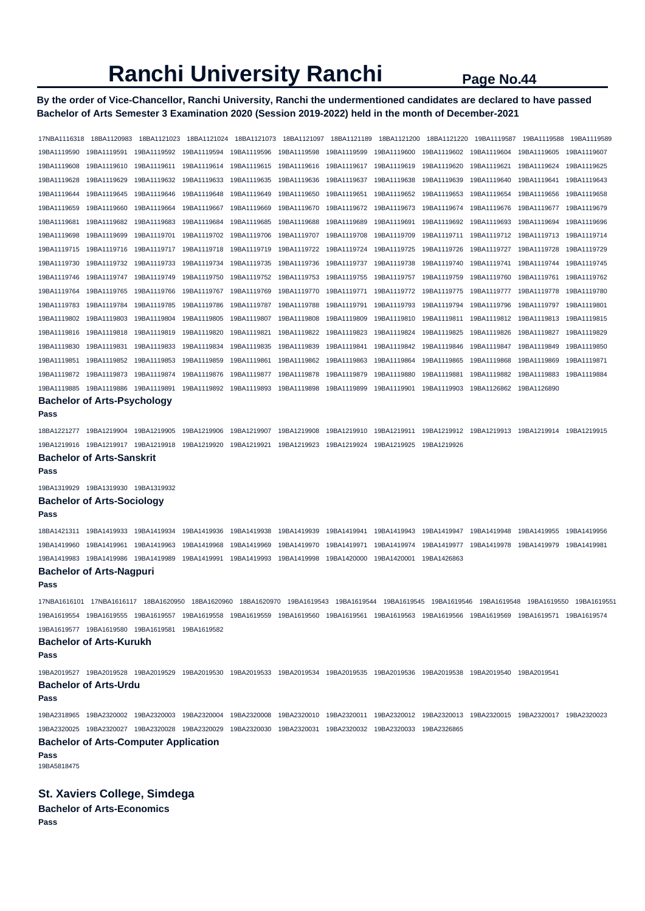## **By the order of Vice-Chancellor, Ranchi University, Ranchi the undermentioned candidates are declared to have passed Bachelor of Arts Semester 3 Examination 2020 (Session 2019-2022) held in the month of December-2021**

17NBA1116318 18BA1120983 18BA1121023 18BA1121024 18BA1121073 18BA1121097 18BA1121189 18BA1121200 18BA1121220 19BA1119587 19BA1119588 19BA1119589 19BA1119590 19BA1119591 19BA1119592 19BA1119594 19BA1119596 19BA1119598 19BA1119599 19BA1119600 19BA1119602 19BA1119604 19BA1119605 19BA1119607 19BA1119608 19BA1119610 19BA1119611 19BA1119614 19BA1119615 19BA1119616 19BA1119617 19BA1119619 19BA1119620 19BA1119621 19BA1119624 19BA1119625 19BA1119628 19BA1119629 19BA1119632 19BA1119633 19BA1119635 19BA1119636 19BA1119637 19BA1119638 19BA1119639 19BA1119640 19BA1119641 19BA1119643 19BA1119644 19BA1119645 19BA1119646 19BA1119648 19BA1119649 19BA1119650 19BA1119651 19BA1119652 19BA1119653 19BA1119654 19BA1119656 19BA1119658 19BA1119659 19BA1119660 19BA1119664 19BA1119667 19BA1119669 19BA1119670 19BA1119672 19BA1119673 19BA1119674 19BA1119676 19BA1119677 19BA1119679 19BA1119681 19BA1119682 19BA1119683 19BA1119684 19BA1119685 19BA1119688 19BA1119689 19BA1119691 19BA1119692 19BA1119693 19BA1119694 19BA1119696 19BA1119698 19BA1119699 19BA1119701 19BA1119702 19BA1119706 19BA1119707 19BA1119708 19BA1119709 19BA1119711 19BA1119712 19BA1119713 19BA1119714 19BA1119715 19BA1119716 19BA1119717 19BA1119718 19BA1119719 19BA1119722 19BA1119724 19BA1119725 19BA1119726 19BA1119727 19BA1119728 19BA1119729 19BA1119730 19BA1119732 19BA1119733 19BA1119734 19BA1119735 19BA1119736 19BA1119737 19BA1119738 19BA1119740 19BA1119741 19BA1119744 19BA1119745 19BA1119746 19BA1119747 19BA1119749 19BA1119750 19BA1119752 19BA1119753 19BA1119755 19BA1119757 19BA1119759 19BA1119760 19BA1119761 19BA1119762 19BA1119764 19BA1119765 19BA1119766 19BA1119767 19BA1119769 19BA1119770 19BA1119771 19BA1119772 19BA1119775 19BA1119777 19BA1119778 19BA1119780 19BA1119783 19BA1119784 19BA1119785 19BA1119786 19BA1119787 19BA1119788 19BA1119791 19BA1119793 19BA1119794 19BA1119796 19BA1119797 19BA1119801 19BA1119802 19BA1119803 19BA1119804 19BA1119805 19BA1119807 19BA1119808 19BA1119809 19BA1119810 19BA1119811 19BA1119812 19BA1119813 19BA1119815 19BA1119816 19BA1119818 19BA1119819 19BA1119820 19BA1119821 19BA1119822 19BA1119823 19BA1119824 19BA1119825 19BA1119826 19BA1119827 19BA1119829 19BA1119830 19BA1119831 19BA1119833 19BA1119834 19BA1119835 19BA1119839 19BA1119841 19BA1119842 19BA1119846 19BA1119847 19BA1119849 19BA1119850 19BA1119851 19BA1119852 19BA1119853 19BA1119859 19BA1119861 19BA1119862 19BA1119863 19BA1119864 19BA1119865 19BA1119868 19BA1119869 19BA1119871 19BA1119872 19BA1119873 19BA1119874 19BA1119876 19BA1119877 19BA1119878 19BA1119879 19BA1119880 19BA1119881 19BA1119882 19BA1119883 19BA1119884 19BA1119885 19BA1119886 19BA1119891 19BA1119892 19BA1119893 19BA1119898 19BA1119899 19BA1119901 19BA1119903 19BA1126862 19BA1126890 **Bachelor of Arts-Psychology Pass**  18BA1221277 19BA1219904 19BA1219905 19BA1219906 19BA1219907 19BA1219908 19BA1219910 19BA1219911 19BA1219912 19BA1219913 19BA1219914 19BA1219915 19BA1219916 19BA1219917 19BA1219918 19BA1219920 19BA1219921 19BA1219923 19BA1219924 19BA1219925 19BA1219926 **Bachelor of Arts-Sanskrit Pass**  19BA1319929 19BA1319930 19BA1319932 **Bachelor of Arts-Sociology Pass**  18BA1421311 19BA1419933 19BA1419934 19BA1419936 19BA1419938 19BA1419939 19BA1419941 19BA1419943 19BA1419947 19BA1419948 19BA1419955 19BA1419956 19BA1419960 19BA1419961 19BA1419963 19BA1419968 19BA1419969 19BA1419970 19BA1419971 19BA1419974 19BA1419977 19BA1419978 19BA1419979 19BA1419981 19BA1419983 19BA1419986 19BA1419989 19BA1419991 19BA1419993 19BA1419998 19BA1420000 19BA1420001 19BA1426863 **Bachelor of Arts-Nagpuri Pass**  17NBA1616101 17NBA1616117 18BA1620950 18BA1620960 18BA1620970 19BA1619543 19BA1619544 19BA1619545 19BA1619546 19BA1619548 19BA1619550 19BA1619551 19BA1619554 19BA1619555 19BA1619557 19BA1619558 19BA1619559 19BA1619560 19BA1619561 19BA1619563 19BA1619566 19BA1619569 19BA1619571 19BA1619574 19BA1619577 19BA1619580 19BA1619581 19BA1619582 **Bachelor of Arts-Kurukh Pass**  19BA2019527 19BA2019528 19BA2019529 19BA2019530 19BA2019533 19BA2019534 19BA2019535 19BA2019536 19BA2019538 19BA2019540 19BA2019541 **Bachelor of Arts-Urdu Pass**  19BA2318965 19BA2320002 19BA2320003 19BA2320004 19BA2320008 19BA2320010 19BA2320011 19BA2320012 19BA2320013 19BA2320015 19BA2320017 19BA2320023 19BA2320025 19BA2320027 19BA2320028 19BA2320029 19BA2320030 19BA2320031 19BA2320032 19BA2320033 19BA2326865 **Bachelor of Arts-Computer Application Pass**  19BA5818475 **St. Xaviers College, Simdega Bachelor of Arts-Economics**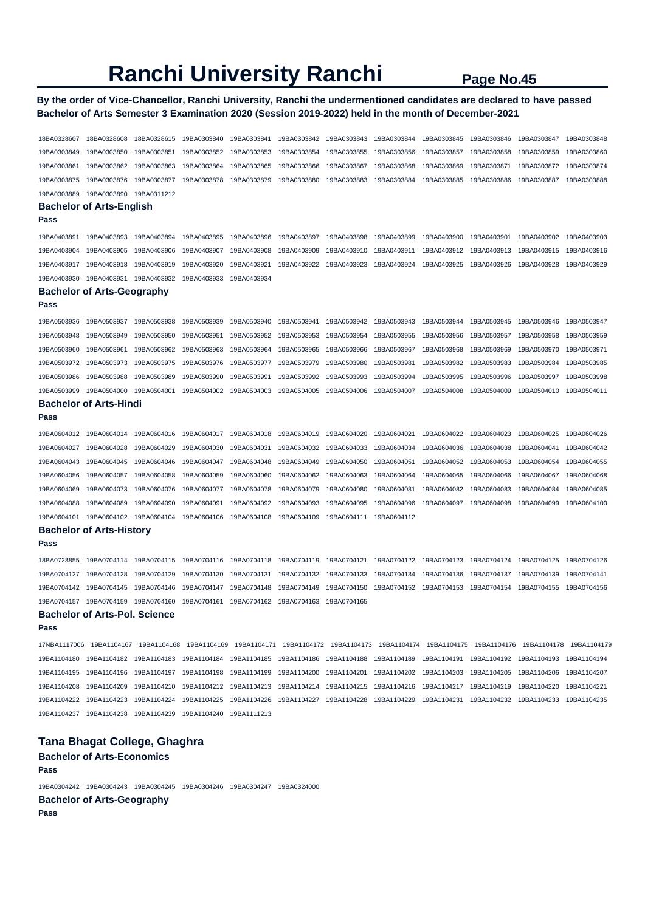## **By the order of Vice-Chancellor, Ranchi University, Ranchi the undermentioned candidates are declared to have passed Bachelor of Arts Semester 3 Examination 2020 (Session 2019-2022) held in the month of December-2021**

18BA0328607 18BA0328608 18BA0328615 19BA0303840 19BA0303841 19BA0303842 19BA0303843 19BA0303844 19BA0303845 19BA0303846 19BA0303847 19BA0303848 19BA0303849 19BA0303850 19BA0303851 19BA0303852 19BA0303853 19BA0303854 19BA0303855 19BA0303856 19BA0303857 19BA0303858 19BA0303859 19BA0303860 19BA0303861 19BA0303862 19BA0303863 19BA0303864 19BA0303865 19BA0303866 19BA0303867 19BA0303868 19BA0303869 19BA0303871 19BA0303872 19BA0303874 19BA0303875 19BA0303876 19BA0303877 19BA0303878 19BA0303879 19BA0303880 19BA0303883 19BA0303884 19BA0303885 19BA0303886 19BA0303887 19BA0303888 19BA0303889 19BA0303890 19BA0311212 **Bachelor of Arts-English Pass**  19BA0403891 19BA0403893 19BA0403894 19BA0403895 19BA0403896 19BA0403897 19BA0403898 19BA0403899 19BA0403900 19BA0403901 19BA0403902 19BA0403903 19BA0403904 19BA0403905 19BA0403906 19BA0403907 19BA0403908 19BA0403909 19BA0403910 19BA0403911 19BA0403912 19BA0403913 19BA0403915 19BA0403916 19BA0403917 19BA0403918 19BA0403919 19BA0403920 19BA0403921 19BA0403922 19BA0403923 19BA0403924 19BA0403925 19BA0403926 19BA0403928 19BA0403929 19BA0403930 19BA0403931 19BA0403932 19BA0403933 19BA0403934 **Bachelor of Arts-Geography Pass**  19BA0503936 19BA0503937 19BA0503938 19BA0503939 19BA0503940 19BA0503941 19BA0503942 19BA0503943 19BA0503944 19BA0503945 19BA0503946 19BA0503947 19BA0503948 19BA0503949 19BA0503950 19BA0503951 19BA0503952 19BA0503953 19BA0503954 19BA0503955 19BA0503956 19BA0503957 19BA0503958 19BA0503959 19BA0503960 19BA0503961 19BA0503962 19BA0503963 19BA0503964 19BA0503965 19BA0503966 19BA0503967 19BA0503968 19BA0503969 19BA0503970 19BA0503971 19BA0503972 19BA0503973 19BA0503975 19BA0503976 19BA0503977 19BA0503979 19BA0503980 19BA0503981 19BA0503982 19BA0503983 19BA0503984 19BA0503985 19BA0503986 19BA0503988 19BA0503989 19BA0503990 19BA0503991 19BA0503992 19BA0503993 19BA0503994 19BA0503995 19BA0503996 19BA0503997 19BA0503998 19BA0503999 19BA0504000 19BA0504001 19BA0504002 19BA0504003 19BA0504005 19BA0504006 19BA0504007 19BA0504008 19BA0504009 19BA0504010 19BA0504011 **Bachelor of Arts-Hindi Pass**  19BA0604012 19BA0604014 19BA0604016 19BA0604017 19BA0604018 19BA0604019 19BA0604020 19BA0604021 19BA0604022 19BA0604023 19BA0604025 19BA0604026 19BA0604027 19BA0604028 19BA0604029 19BA0604030 19BA0604031 19BA0604032 19BA0604033 19BA0604034 19BA0604036 19BA0604038 19BA0604041 19BA0604042 19BA0604043 19BA0604045 19BA0604046 19BA0604047 19BA0604048 19BA0604049 19BA0604050 19BA0604051 19BA0604052 19BA0604053 19BA0604054 19BA0604055 19BA0604056 19BA0604057 19BA0604058 19BA0604059 19BA0604060 19BA0604062 19BA0604063 19BA0604064 19BA0604065 19BA0604066 19BA0604067 19BA0604068 19BA0604069 19BA0604073 19BA0604076 19BA0604077 19BA0604078 19BA0604079 19BA0604080 19BA0604081 19BA0604082 19BA0604083 19BA0604084 19BA0604085 19BA0604088 19BA0604089 19BA0604090 19BA0604091 19BA0604092 19BA0604093 19BA0604095 19BA0604096 19BA0604097 19BA0604098 19BA0604099 19BA0604100 19BA0604101 19BA0604102 19BA0604104 19BA0604106 19BA0604108 19BA0604109 19BA0604111 19BA0604112 **Bachelor of Arts-History Pass**  18BA0728855 19BA0704114 19BA0704115 19BA0704116 19BA0704118 19BA0704119 19BA0704121 19BA0704122 19BA0704123 19BA0704124 19BA0704125 19BA0704126 19BA0704127 19BA0704128 19BA0704129 19BA0704130 19BA0704131 19BA0704132 19BA0704133 19BA0704134 19BA0704136 19BA0704137 19BA0704139 19BA0704141 19BA0704142 19BA0704145 19BA0704146 19BA0704147 19BA0704148 19BA0704149 19BA0704150 19BA0704152 19BA0704153 19BA0704154 19BA0704155 19BA0704156 19BA0704157 19BA0704159 19BA0704160 19BA0704161 19BA0704162 19BA0704163 19BA0704165 **Bachelor of Arts-Pol. Science Pass**  17NBA1117006 19BA1104167 19BA1104168 19BA1104169 19BA1104171 19BA1104172 19BA1104173 19BA1104174 19BA1104175 19BA1104176 19BA1104178 19BA1104179 19BA1104180 19BA1104182 19BA1104183 19BA1104184 19BA1104185 19BA1104186 19BA1104188 19BA1104189 19BA1104191 19BA1104192 19BA1104193 19BA1104194 19BA1104195 19BA1104196 19BA1104197 19BA1104198 19BA1104199 19BA1104200 19BA1104201 19BA1104202 19BA1104203 19BA1104205 19BA1104206 19BA1104207 19BA1104208 19BA1104209 19BA1104210 19BA1104212 19BA1104213 19BA1104214 19BA1104215 19BA1104216 19BA1104217 19BA1104219 19BA1104220 19BA1104221 19BA1104222 19BA1104223 19BA1104224 19BA1104225 19BA1104226 19BA1104227 19BA1104228 19BA1104229 19BA1104231 19BA1104232 19BA1104233 19BA1104235 19BA1104237 19BA1104238 19BA1104239 19BA1104240 19BA1111213 **Tana Bhagat College, Ghaghra** 

**Bachelor of Arts-Economics** 

**Pass** 

19BA0304242 19BA0304243 19BA0304245 19BA0304246 19BA0304247 19BA0324000 **Bachelor of Arts-Geography**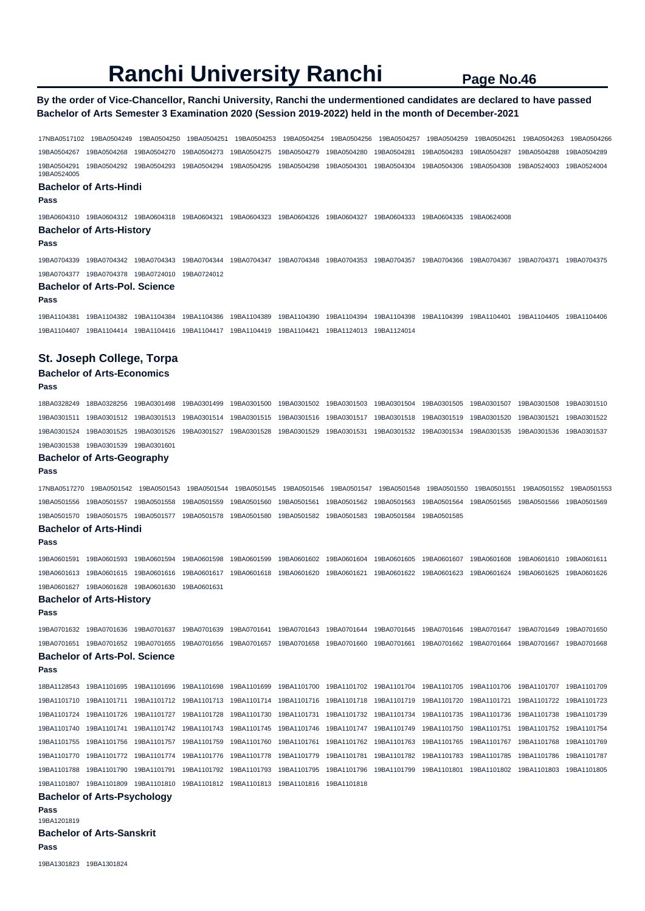### **By the order of Vice-Chancellor, Ranchi University, Ranchi the undermentioned candidates are declared to have passed Bachelor of Arts Semester 3 Examination 2020 (Session 2019-2022) held in the month of December-2021**

17NBA0517102 19BA0504249 19BA0504250 19BA0504251 19BA0504253 19BA0504254 19BA0504256 19BA0504257 19BA0504259 19BA0504261 19BA0504263 19BA0504266 19BA0504267 19BA0504268 19BA0504270 19BA0504273 19BA0504275 19BA0504279 19BA0504280 19BA0504281 19BA0504283 19BA0504287 19BA0504288 19BA0504289 19BA0504291 19BA0504292 19BA0504293 19BA0504294 19BA0504295 19BA0504298 19BA0504301 19BA0504304 19BA0504306 19BA0504308 19BA0524003 19BA0524004 19BA0524005 **Bachelor of Arts-Hindi Pass**  19BA0604310 19BA0604312 19BA0604318 19BA0604321 19BA0604323 19BA0604326 19BA0604327 19BA0604333 19BA0604335 19BA0624008 **Bachelor of Arts-History Pass**  19BA0704339 19BA0704342 19BA0704343 19BA0704344 19BA0704347 19BA0704348 19BA0704353 19BA0704357 19BA0704366 19BA0704367 19BA0704371 19BA0704375 19BA0704377 19BA0704378 19BA0724010 19BA0724012 **Bachelor of Arts-Pol. Science Pass**  19BA1104381 19BA1104382 19BA1104384 19BA1104386 19BA1104389 19BA1104390 19BA1104394 19BA1104398 19BA1104399 19BA1104401 19BA1104405 19BA1104406 19BA1104407 19BA1104414 19BA1104416 19BA1104417 19BA1104419 19BA1104421 19BA1124013 19BA1124014 **St. Joseph College, Torpa Bachelor of Arts-Economics Pass**  18BA0328249 18BA0328256 19BA0301498 19BA0301499 19BA0301500 19BA0301502 19BA0301503 19BA0301504 19BA0301505 19BA0301507 19BA0301508 19BA0301510 19BA0301511 19BA0301512 19BA0301513 19BA0301514 19BA0301515 19BA0301516 19BA0301517 19BA0301518 19BA0301519 19BA0301520 19BA0301521 19BA0301522 19BA0301524 19BA0301525 19BA0301526 19BA0301527 19BA0301528 19BA0301529 19BA0301531 19BA0301532 19BA0301534 19BA0301535 19BA0301536 19BA0301537 19BA0301538 19BA0301539 19BA0301601 **Bachelor of Arts-Geography Pass**  17NBA0517270 19BA0501542 19BA0501543 19BA0501544 19BA0501545 19BA0501546 19BA0501547 19BA0501548 19BA0501550 19BA0501551 19BA0501552 19BA0501553 19BA0501556 19BA0501557 19BA0501558 19BA0501559 19BA0501560 19BA0501561 19BA0501562 19BA0501563 19BA0501564 19BA0501565 19BA0501566 19BA0501569 19BA0501570 19BA0501575 19BA0501577 19BA0501578 19BA0501580 19BA0501582 19BA0501583 19BA0501584 19BA0501585 **Bachelor of Arts-Hindi Pass**  19BA0601591 19BA0601593 19BA0601594 19BA0601598 19BA0601599 19BA0601602 19BA0601604 19BA0601605 19BA0601607 19BA0601608 19BA0601610 19BA0601611 19BA0601613 19BA0601615 19BA0601616 19BA0601617 19BA0601618 19BA0601620 19BA0601621 19BA0601622 19BA0601623 19BA0601624 19BA0601625 19BA0601626 19BA0601627 19BA0601628 19BA0601630 19BA0601631 **Bachelor of Arts-History Pass**  19BA0701632 19BA0701636 19BA0701637 19BA0701639 19BA0701641 19BA0701643 19BA0701644 19BA0701645 19BA0701646 19BA0701647 19BA0701649 19BA0701650 19BA0701651 19BA0701652 19BA0701655 19BA0701656 19BA0701657 19BA0701658 19BA0701660 19BA0701661 19BA0701662 19BA0701664 19BA0701667 19BA0701668 **Bachelor of Arts-Pol. Science Pass**  18BA1128543 19BA1101695 19BA1101696 19BA1101698 19BA1101699 19BA1101700 19BA1101702 19BA1101704 19BA1101705 19BA1101706 19BA1101707 19BA1101709 19BA1101710 19BA1101711 19BA1101712 19BA1101713 19BA1101714 19BA1101716 19BA1101718 19BA1101719 19BA1101720 19BA1101721 19BA1101722 19BA1101723 19BA1101724 19BA1101726 19BA1101727 19BA1101728 19BA1101730 19BA1101731 19BA1101732 19BA1101734 19BA1101735 19BA1101736 19BA1101738 19BA1101739 19BA1101740 19BA1101741 19BA1101742 19BA1101743 19BA1101745 19BA1101746 19BA1101747 19BA1101749 19BA1101750 19BA1101751 19BA1101752 19BA1101754 19BA1101755 19BA1101756 19BA1101757 19BA1101759 19BA1101760 19BA1101761 19BA1101762 19BA1101763 19BA1101765 19BA1101767 19BA1101768 19BA1101769 19BA1101770 19BA1101772 19BA1101774 19BA1101776 19BA1101778 19BA1101779 19BA1101781 19BA1101782 19BA1101783 19BA1101785 19BA1101786 19BA1101787 19BA1101788 19BA1101790 19BA1101791 19BA1101792 19BA1101793 19BA1101795 19BA1101796 19BA1101799 19BA1101801 19BA1101802 19BA1101803 19BA1101805 19BA1101807 19BA1101809 19BA1101810 19BA1101812 19BA1101813 19BA1101816 19BA1101818 **Bachelor of Arts-Psychology Pass**  19BA1201819 **Bachelor of Arts-Sanskrit Pass**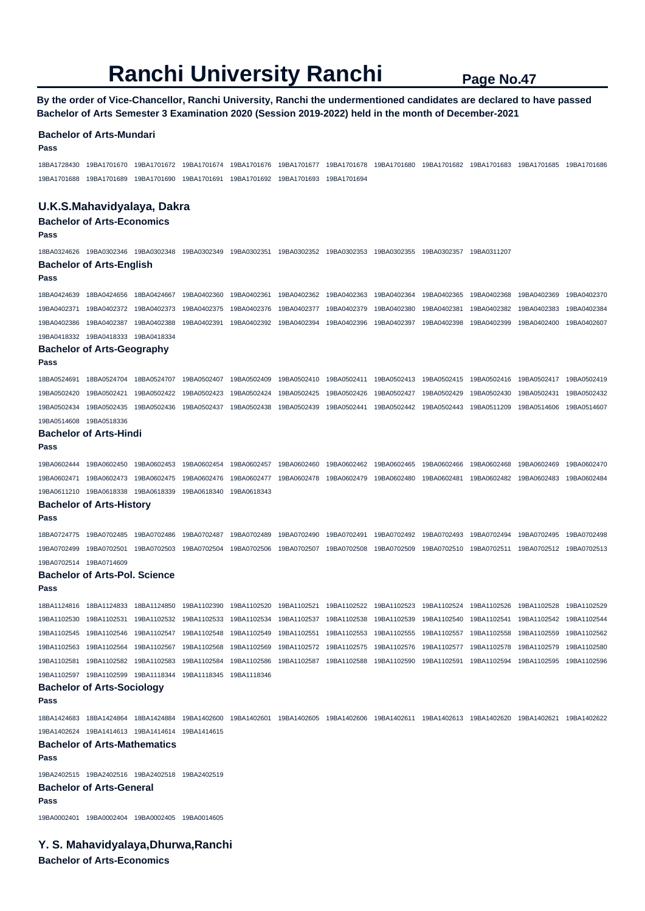**By the order of Vice-Chancellor, Ranchi University, Ranchi the undermentioned candidates are declared to have passed Bachelor of Arts Semester 3 Examination 2020 (Session 2019-2022) held in the month of December-2021** 

#### **Bachelor of Arts-Mundari**

**Pass** 

18BA1728430 19BA1701670 19BA1701672 19BA1701674 19BA1701676 19BA1701677 19BA1701678 19BA1701680 19BA1701682 19BA1701683 19BA1701685 19BA1701686 19BA1701688 19BA1701689 19BA1701690 19BA1701691 19BA1701692 19BA1701693 19BA1701694

### **U.K.S.Mahavidyalaya, Dakra**

**Bachelor of Arts-Economics** 

#### **Pass**

18BA0324626 19BA0302346 19BA0302348 19BA0302349 19BA0302351 19BA0302352 19BA0302353 19BA0302355 19BA0302357 19BA0311207 **Bachelor of Arts-English** 

#### **Pass**

18BA0424639 18BA0424656 18BA0424667 19BA0402360 19BA0402361 19BA0402362 19BA0402363 19BA0402364 19BA0402365 19BA0402368 19BA0402369 19BA0402370 19BA0402371 19BA0402372 19BA0402373 19BA0402375 19BA0402376 19BA0402377 19BA0402379 19BA0402380 19BA0402381 19BA0402382 19BA0402383 19BA0402384 19BA0402386 19BA0402387 19BA0402388 19BA0402391 19BA0402392 19BA0402394 19BA0402396 19BA0402397 19BA0402398 19BA0402399 19BA0402400 19BA0402607 19BA0418332 19BA0418333 19BA0418334

#### **Bachelor of Arts-Geography**

**Pass** 

18BA0524691 18BA0524704 18BA0524707 19BA0502407 19BA0502409 19BA0502410 19BA0502411 19BA0502413 19BA0502415 19BA0502416 19BA0502417 19BA0502419 19BA0502420 19BA0502421 19BA0502422 19BA0502423 19BA0502424 19BA0502425 19BA0502426 19BA0502427 19BA0502429 19BA0502430 19BA0502431 19BA0502432 19BA0502434 19BA0502435 19BA0502436 19BA0502437 19BA0502438 19BA0502439 19BA0502441 19BA0502442 19BA0502443 19BA0511209 19BA0514606 19BA0514607

#### 19BA0514608 19BA0518336 **Bachelor of Arts-Hindi**

**Pass** 

19BA0602444 19BA0602450 19BA0602453 19BA0602454 19BA0602457 19BA0602460 19BA0602462 19BA0602465 19BA0602466 19BA0602468 19BA0602469 19BA0602470 19BA0602471 19BA0602473 19BA0602475 19BA0602476 19BA0602477 19BA0602478 19BA0602479 19BA0602480 19BA0602481 19BA0602482 19BA0602483 19BA0602484 19BA0611210 19BA0618338 19BA0618339 19BA0618340 19BA0618343

### **Bachelor of Arts-History**

**Pass** 

18BA0724775 19BA0702485 19BA0702486 19BA0702487 19BA0702489 19BA0702490 19BA0702491 19BA0702492 19BA0702493 19BA0702494 19BA0702495 19BA0702498 19BA0702499 19BA0702501 19BA0702503 19BA0702504 19BA0702506 19BA0702507 19BA0702508 19BA0702509 19BA0702510 19BA0702511 19BA0702512 19BA0702513 19BA0702514 19BA0714609

#### **Bachelor of Arts-Pol. Science**

**Pass** 

18BA1124816 18BA1124833 18BA1124850 19BA1102390 19BA1102520 19BA1102521 19BA1102522 19BA1102523 19BA1102524 19BA1102526 19BA1102528 19BA1102529 19BA1102530 19BA1102531 19BA1102532 19BA1102533 19BA1102534 19BA1102537 19BA1102538 19BA1102539 19BA1102540 19BA1102541 19BA1102542 19BA1102544 19BA1102545 19BA1102546 19BA1102547 19BA1102548 19BA1102549 19BA1102551 19BA1102553 19BA1102555 19BA1102557 19BA1102558 19BA1102559 19BA1102562 19BA1102563 19BA1102564 19BA1102567 19BA1102568 19BA1102569 19BA1102572 19BA1102575 19BA1102576 19BA1102577 19BA1102578 19BA1102579 19BA1102580 19BA1102581 19BA1102582 19BA1102583 19BA1102584 19BA1102586 19BA1102587 19BA1102588 19BA1102590 19BA1102591 19BA1102594 19BA1102595 19BA1102596 19BA1102597 19BA1102599 19BA1118344 19BA1118345 19BA1118346 **Bachelor of Arts-Sociology** 

**Pass** 

18BA1424683 18BA1424864 18BA1424884 19BA1402600 19BA1402601 19BA1402605 19BA1402606 19BA1402611 19BA1402613 19BA1402620 19BA1402621 19BA1402622 19BA1402624 19BA1414613 19BA1414614 19BA1414615

## **Bachelor of Arts-Mathematics**

**Pass** 

19BA2402515 19BA2402516 19BA2402518 19BA2402519

### **Bachelor of Arts-General**

**Pass** 

19BA0002401 19BA0002404 19BA0002405 19BA0014605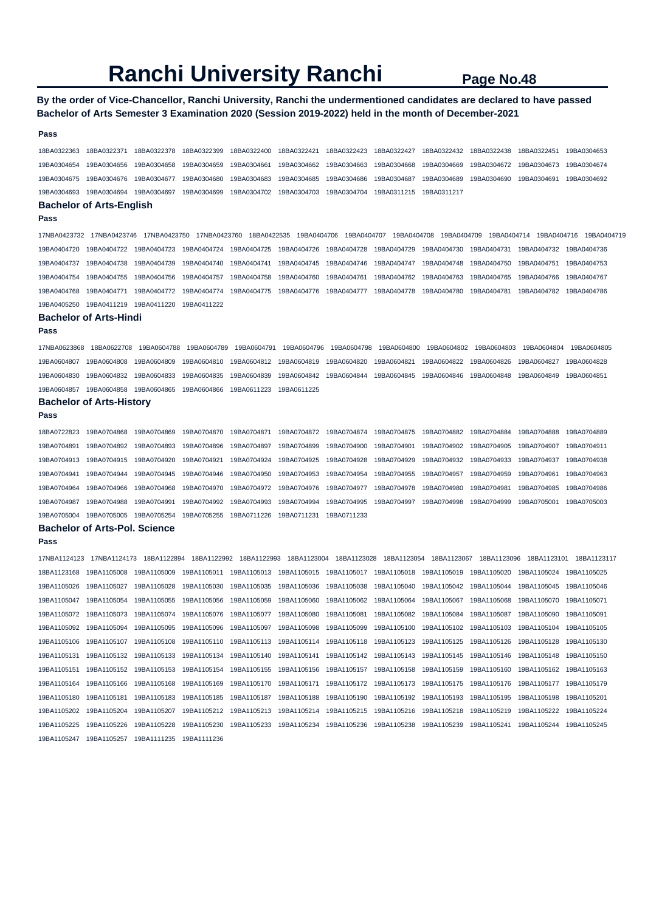## **By the order of Vice-Chancellor, Ranchi University, Ranchi the undermentioned candidates are declared to have passed Bachelor of Arts Semester 3 Examination 2020 (Session 2019-2022) held in the month of December-2021**

#### **Pass**

18BA0322363 18BA0322371 18BA0322378 18BA0322399 18BA0322400 18BA0322421 18BA0322423 18BA0322427 18BA0322432 18BA0322438 18BA0322451 19BA0304653 19BA0304654 19BA0304656 19BA0304658 19BA0304659 19BA0304661 19BA0304662 19BA0304663 19BA0304668 19BA0304669 19BA0304672 19BA0304673 19BA0304674 19BA0304675 19BA0304676 19BA0304677 19BA0304680 19BA0304683 19BA0304685 19BA0304686 19BA0304687 19BA0304689 19BA0304690 19BA0304691 19BA0304692 19BA0304693 19BA0304694 19BA0304697 19BA0304699 19BA0304702 19BA0304703 19BA0304704 19BA0311215 19BA0311217

#### **Bachelor of Arts-English**

### **Pass**

17NBA0423732 17NBA0423746 17NBA0423750 17NBA0423760 18BA0422535 19BA0404706 19BA0404707 19BA0404708 19BA0404709 19BA0404714 19BA0404716 19BA0404719 19BA0404720 19BA0404722 19BA0404723 19BA0404724 19BA0404725 19BA0404726 19BA0404728 19BA0404729 19BA0404730 19BA0404731 19BA0404732 19BA0404736 19BA0404737 19BA0404738 19BA0404739 19BA0404740 19BA0404741 19BA0404745 19BA0404746 19BA0404747 19BA0404748 19BA0404750 19BA0404751 19BA0404753 19BA0404754 19BA0404755 19BA0404756 19BA0404757 19BA0404758 19BA0404760 19BA0404761 19BA0404762 19BA0404763 19BA0404765 19BA0404766 19BA0404767 19BA0404768 19BA0404771 19BA0404772 19BA0404774 19BA0404775 19BA0404776 19BA0404777 19BA0404778 19BA0404780 19BA0404781 19BA0404782 19BA0404786 19BA0405250 19BA0411219 19BA0411220 19BA0411222

#### **Bachelor of Arts-Hindi**

#### **Pass**

17NBA0623868 18BA0622708 19BA0604788 19BA0604789 19BA0604791 19BA0604796 19BA0604798 19BA0604800 19BA0604802 19BA0604803 19BA0604804 19BA0604805 19BA0604807 19BA0604808 19BA0604809 19BA0604810 19BA0604812 19BA0604819 19BA0604820 19BA0604821 19BA0604822 19BA0604826 19BA0604827 19BA0604828 19BA0604830 19BA0604832 19BA0604833 19BA0604835 19BA0604839 19BA0604842 19BA0604844 19BA0604845 19BA0604846 19BA0604848 19BA0604849 19BA0604851 19BA0604857 19BA0604858 19BA0604865 19BA0604866 19BA0611223 19BA0611225

### **Bachelor of Arts-History**

#### **Pass**

18BA0722823 19BA0704868 19BA0704869 19BA0704870 19BA0704871 19BA0704872 19BA0704874 19BA0704875 19BA0704882 19BA0704884 19BA0704888 19BA0704889 19BA0704891 19BA0704892 19BA0704893 19BA0704896 19BA0704897 19BA0704899 19BA0704900 19BA0704901 19BA0704902 19BA0704905 19BA0704907 19BA0704911 19BA0704913 19BA0704915 19BA0704920 19BA0704921 19BA0704924 19BA0704925 19BA0704928 19BA0704929 19BA0704932 19BA0704933 19BA0704937 19BA0704938 19BA0704941 19BA0704944 19BA0704945 19BA0704946 19BA0704950 19BA0704953 19BA0704954 19BA0704955 19BA0704957 19BA0704959 19BA0704961 19BA0704963 19BA0704964 19BA0704966 19BA0704968 19BA0704970 19BA0704972 19BA0704976 19BA0704977 19BA0704978 19BA0704980 19BA0704981 19BA0704985 19BA0704986 19BA0704987 19BA0704988 19BA0704991 19BA0704992 19BA0704993 19BA0704994 19BA0704995 19BA0704997 19BA0704998 19BA0704999 19BA0705001 19BA0705003 19BA0705004 19BA0705005 19BA0705254 19BA0705255 19BA0711226 19BA0711231 19BA0711233

#### **Bachelor of Arts-Pol. Science**

**Pass** 

17NBA1124123 17NBA1124173 18BA1122894 18BA1122992 18BA1122993 18BA1123004 18BA1123028 18BA1123054 18BA1123067 18BA1123096 18BA1123101 18BA1123117 18BA1123168 19BA1105008 19BA1105009 19BA1105011 19BA1105013 19BA1105015 19BA1105017 19BA1105018 19BA1105019 19BA1105020 19BA1105024 19BA1105025 19BA1105026 19BA1105027 19BA1105028 19BA1105030 19BA1105035 19BA1105036 19BA1105038 19BA1105040 19BA1105042 19BA1105044 19BA1105045 19BA1105046 19BA1105047 19BA1105054 19BA1105055 19BA1105056 19BA1105059 19BA1105060 19BA1105062 19BA1105064 19BA1105067 19BA1105068 19BA1105070 19BA1105071 19BA1105072 19BA1105073 19BA1105074 19BA1105076 19BA1105077 19BA1105080 19BA1105081 19BA1105082 19BA1105084 19BA1105087 19BA1105090 19BA1105091 19BA1105092 19BA1105094 19BA1105095 19BA1105096 19BA1105097 19BA1105098 19BA1105099 19BA1105100 19BA1105102 19BA1105103 19BA1105104 19BA1105105 19BA1105106 19BA1105107 19BA1105108 19BA1105110 19BA1105113 19BA1105114 19BA1105118 19BA1105123 19BA1105125 19BA1105126 19BA1105128 19BA1105130 19BA1105131 19BA1105132 19BA1105133 19BA1105134 19BA1105140 19BA1105141 19BA1105142 19BA1105143 19BA1105145 19BA1105146 19BA1105148 19BA1105150 19BA1105151 19BA1105152 19BA1105153 19BA1105154 19BA1105155 19BA1105156 19BA1105157 19BA1105158 19BA1105159 19BA1105160 19BA1105162 19BA1105163 19BA1105164 19BA1105166 19BA1105168 19BA1105169 19BA1105170 19BA1105171 19BA1105172 19BA1105173 19BA1105175 19BA1105176 19BA1105177 19BA1105179 19BA1105180 19BA1105181 19BA1105183 19BA1105185 19BA1105187 19BA1105188 19BA1105190 19BA1105192 19BA1105193 19BA1105195 19BA1105198 19BA1105201 19BA1105202 19BA1105204 19BA1105207 19BA1105212 19BA1105213 19BA1105214 19BA1105215 19BA1105216 19BA1105218 19BA1105219 19BA1105222 19BA1105224 19BA1105225 19BA1105226 19BA1105228 19BA1105230 19BA1105233 19BA1105234 19BA1105236 19BA1105238 19BA1105239 19BA1105241 19BA1105244 19BA1105245 19BA1105247 19BA1105257 19BA1111235 19BA1111236